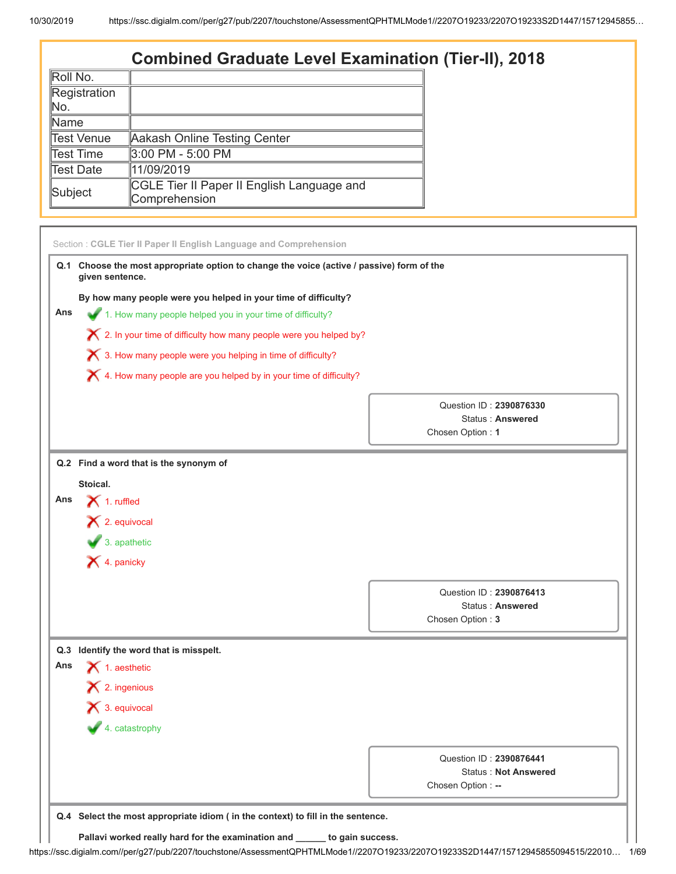## **Combined Graduate Level Examination (Tier-II), 2018**

| Roll No.     |                                                             |
|--------------|-------------------------------------------------------------|
| Registration |                                                             |
| lNo.         |                                                             |
| <b>Name</b>  |                                                             |
| Test Venue   | Aakash Online Testing Center                                |
| Test Time    | 3:00 PM - 5:00 PM                                           |
| Test Date    | 11/09/2019                                                  |
| Subject      | CGLE Tier II Paper II English Language and<br>Comprehension |

|     | Q.1 Choose the most appropriate option to change the voice (active / passive) form of the<br>given sentence. |                                                                              |
|-----|--------------------------------------------------------------------------------------------------------------|------------------------------------------------------------------------------|
|     | By how many people were you helped in your time of difficulty?                                               |                                                                              |
| Ans | 1. How many people helped you in your time of difficulty?                                                    |                                                                              |
|     | X 2. In your time of difficulty how many people were you helped by?                                          |                                                                              |
|     | X 3. How many people were you helping in time of difficulty?                                                 |                                                                              |
|     | X 4. How many people are you helped by in your time of difficulty?                                           |                                                                              |
|     |                                                                                                              | Question ID: 2390876330<br>Status: Answered<br>Chosen Option: 1              |
|     | Q.2 Find a word that is the synonym of                                                                       |                                                                              |
|     | Stoical.                                                                                                     |                                                                              |
| Ans | $\blacktriangleright$ 1. ruffled                                                                             |                                                                              |
|     | X 2. equivocal                                                                                               |                                                                              |
|     | $\bullet$ 3. apathetic                                                                                       |                                                                              |
|     | X 4. panicky                                                                                                 |                                                                              |
|     |                                                                                                              | Question ID: 2390876413<br>Status: Answered<br>Chosen Option: 3              |
|     | Q.3 Identify the word that is misspelt.                                                                      |                                                                              |
| Ans | $\blacktriangleright$ 1. aesthetic                                                                           |                                                                              |
|     | $\blacktriangleright$ 2. ingenious                                                                           |                                                                              |
|     | X 3. equivocal                                                                                               |                                                                              |
|     | 4. catastrophy                                                                                               |                                                                              |
|     |                                                                                                              | Question ID: 2390876441<br><b>Status: Not Answered</b><br>Chosen Option : -- |

https://ssc.digialm.com//per/g27/pub/2207/touchstone/AssessmentQPHTMLMode1//2207O19233/2207O19233S2D1447/15712945855094515/22010… 1/69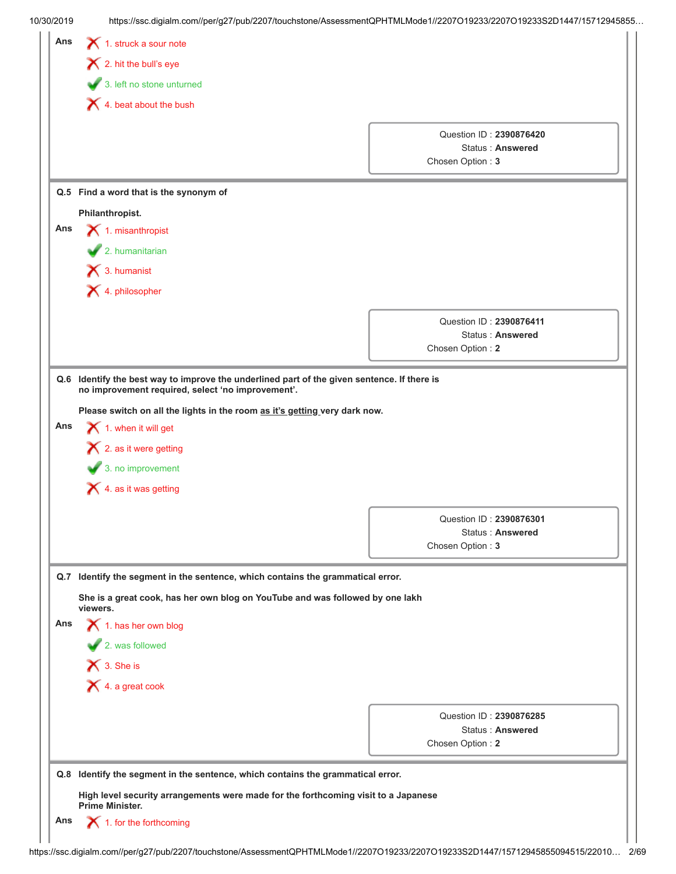10/30/2019 https://ssc.digialm.com//per/g27/pub/2207/touchstone/AssessmentQPHTMLMode1//2207O19233/2207O19233S2D1447/15712945855… Ans  $\bigtimes$  1. struck a sour note 2. hit the bull's eye 3. left no stone unturned 4. beat about the bush Question ID : **2390876420** Status : **Answered** Chosen Option : **3 Q.5 Find a word that is the synonym of Philanthropist.** Ans **X** 1. misanthropist 2. humanitarian 3. humanist 4. philosopher Question ID : **2390876411** Status : **Answered** Chosen Option : **2 Q.6 Identify the best way to improve the underlined part of the given sentence. If there is no improvement required, select 'no improvement'. Please switch on all the lights in the room as it's getting very dark now.** Ans  $\bigtimes$  1. when it will get 2. as it were getting 3. no improvement  $\times$  4. as it was getting Question ID : **2390876301** Status : **Answered** Chosen Option : **3 Q.7 Identify the segment in the sentence, which contains the grammatical error. She is a great cook, has her own blog on YouTube and was followed by one lakh viewers.** Ans  $\bigtimes$  1. has her own blog 2. was followed 3. She is  $\times$  4. a great cook Question ID : **2390876285** Status : **Answered** Chosen Option : **2 Q.8 Identify the segment in the sentence, which contains the grammatical error. High level security arrangements were made for the forthcoming visit to a Japanese Prime Minister.** Ans  $\bigtimes$  1. for the forthcoming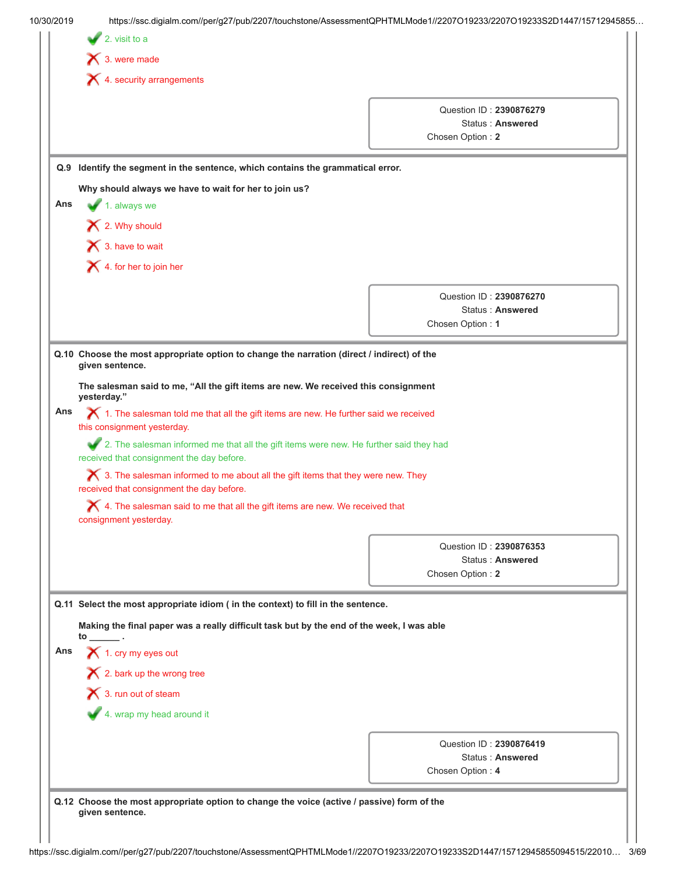| 10/30/2019 | https://ssc.digialm.com//per/g27/pub/2207/touchstone/AssessmentQPHTMLMode1//2207O19233/2207O19233S2D1447/15712945855                                |                  |                         |
|------------|-----------------------------------------------------------------------------------------------------------------------------------------------------|------------------|-------------------------|
|            | 2. visit to a                                                                                                                                       |                  |                         |
|            | $\blacktriangleright$ 3. were made                                                                                                                  |                  |                         |
|            | $\blacktriangleright$ 4. security arrangements                                                                                                      |                  |                         |
|            |                                                                                                                                                     |                  | Question ID: 2390876279 |
|            |                                                                                                                                                     |                  | Status: Answered        |
|            |                                                                                                                                                     | Chosen Option: 2 |                         |
|            | Q.9 Identify the segment in the sentence, which contains the grammatical error.                                                                     |                  |                         |
|            | Why should always we have to wait for her to join us?                                                                                               |                  |                         |
| Ans        | $\blacktriangleright$ 1. always we                                                                                                                  |                  |                         |
|            | 2. Why should                                                                                                                                       |                  |                         |
|            | 3. have to wait                                                                                                                                     |                  |                         |
|            | $\blacktriangleright$ 4. for her to join her                                                                                                        |                  |                         |
|            |                                                                                                                                                     |                  | Question ID: 2390876270 |
|            |                                                                                                                                                     |                  | Status: Answered        |
|            |                                                                                                                                                     | Chosen Option: 1 |                         |
|            | Q.10 Choose the most appropriate option to change the narration (direct / indirect) of the<br>given sentence.                                       |                  |                         |
|            | The salesman said to me, "All the gift items are new. We received this consignment                                                                  |                  |                         |
| Ans        | yesterday."<br>$\chi$ 1. The salesman told me that all the gift items are new. He further said we received                                          |                  |                         |
|            | this consignment yesterday.                                                                                                                         |                  |                         |
|            | 2. The salesman informed me that all the gift items were new. He further said they had<br>received that consignment the day before.                 |                  |                         |
|            | $\blacktriangleright$ 3. The salesman informed to me about all the gift items that they were new. They<br>received that consignment the day before. |                  |                         |
|            | 4. The salesman said to me that all the gift items are new. We received that<br>consignment yesterday.                                              |                  |                         |
|            |                                                                                                                                                     |                  | Question ID: 2390876353 |
|            |                                                                                                                                                     |                  | Status: Answered        |
|            |                                                                                                                                                     | Chosen Option: 2 |                         |
|            |                                                                                                                                                     |                  |                         |
|            | Q.11 Select the most appropriate idiom ( in the context) to fill in the sentence.                                                                   |                  |                         |
|            | Making the final paper was a really difficult task but by the end of the week, I was able<br>to                                                     |                  |                         |
|            | 1. cry my eyes out                                                                                                                                  |                  |                         |
|            |                                                                                                                                                     |                  |                         |
|            | $\blacktriangleright$ 2. bark up the wrong tree                                                                                                     |                  |                         |
|            | 3. run out of steam<br>4. wrap my head around it                                                                                                    |                  |                         |
| Ans        |                                                                                                                                                     |                  | Question ID: 2390876419 |
|            |                                                                                                                                                     | Chosen Option: 4 | Status: Answered        |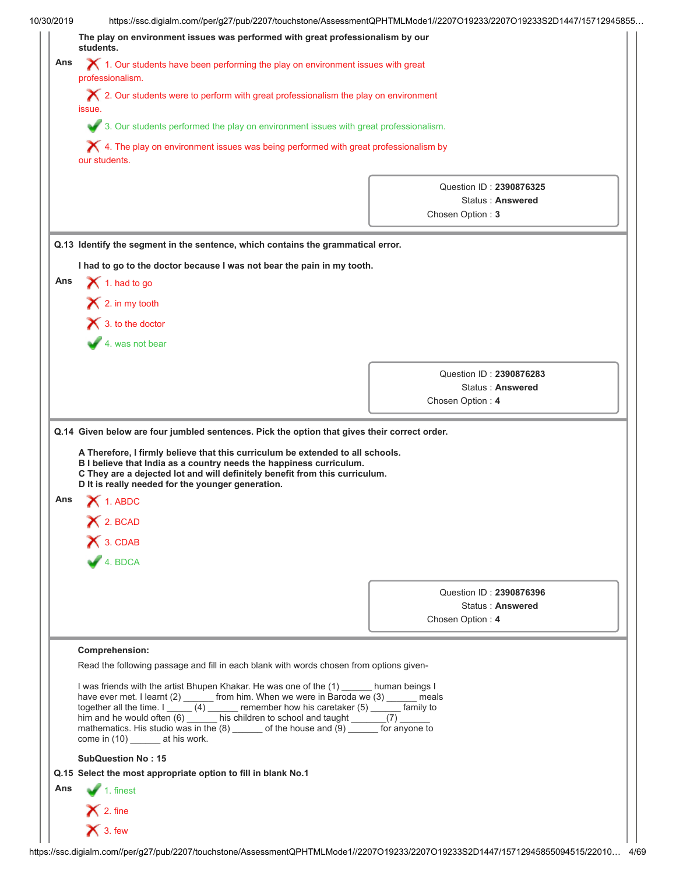|     |                                                                                                                                                                                                                                                                                                                                                                                                  |                  | https://ssc.digialm.com//per/g27/pub/2207/touchstone/AssessmentQPHTMLMode1//2207O19233/2207O19233S2D1447/15712945855 |
|-----|--------------------------------------------------------------------------------------------------------------------------------------------------------------------------------------------------------------------------------------------------------------------------------------------------------------------------------------------------------------------------------------------------|------------------|----------------------------------------------------------------------------------------------------------------------|
|     | The play on environment issues was performed with great professionalism by our<br>students.                                                                                                                                                                                                                                                                                                      |                  |                                                                                                                      |
| Ans | $\blacktriangleright$ 1. Our students have been performing the play on environment issues with great<br>professionalism.                                                                                                                                                                                                                                                                         |                  |                                                                                                                      |
|     | $\blacktriangleright$ 2. Our students were to perform with great professionalism the play on environment<br>issue.                                                                                                                                                                                                                                                                               |                  |                                                                                                                      |
|     | 3. Our students performed the play on environment issues with great professionalism.                                                                                                                                                                                                                                                                                                             |                  |                                                                                                                      |
|     | $\bigtimes$ 4. The play on environment issues was being performed with great professionalism by                                                                                                                                                                                                                                                                                                  |                  |                                                                                                                      |
|     | our students.                                                                                                                                                                                                                                                                                                                                                                                    |                  |                                                                                                                      |
|     |                                                                                                                                                                                                                                                                                                                                                                                                  |                  | Question ID: 2390876325                                                                                              |
|     |                                                                                                                                                                                                                                                                                                                                                                                                  |                  | Status: Answered                                                                                                     |
|     |                                                                                                                                                                                                                                                                                                                                                                                                  | Chosen Option: 3 |                                                                                                                      |
|     | Q.13 Identify the segment in the sentence, which contains the grammatical error.                                                                                                                                                                                                                                                                                                                 |                  |                                                                                                                      |
|     | I had to go to the doctor because I was not bear the pain in my tooth.                                                                                                                                                                                                                                                                                                                           |                  |                                                                                                                      |
| Ans | $\blacktriangleright$ 1. had to go                                                                                                                                                                                                                                                                                                                                                               |                  |                                                                                                                      |
|     | $\bigtimes$ 2. in my tooth                                                                                                                                                                                                                                                                                                                                                                       |                  |                                                                                                                      |
|     | $\bigtimes$ 3. to the doctor                                                                                                                                                                                                                                                                                                                                                                     |                  |                                                                                                                      |
|     | 4. was not bear                                                                                                                                                                                                                                                                                                                                                                                  |                  |                                                                                                                      |
|     |                                                                                                                                                                                                                                                                                                                                                                                                  |                  | Question ID: 2390876283                                                                                              |
|     |                                                                                                                                                                                                                                                                                                                                                                                                  |                  | Status: Answered                                                                                                     |
|     |                                                                                                                                                                                                                                                                                                                                                                                                  | Chosen Option: 4 |                                                                                                                      |
|     | A Therefore, I firmly believe that this curriculum be extended to all schools.<br>B I believe that India as a country needs the happiness curriculum.                                                                                                                                                                                                                                            |                  |                                                                                                                      |
| Ans | C They are a dejected lot and will definitely benefit from this curriculum.<br>D It is really needed for the younger generation.<br>$\blacktriangleright$ 1. ABDC                                                                                                                                                                                                                                |                  |                                                                                                                      |
|     | $\bigtimes$ 2. BCAD                                                                                                                                                                                                                                                                                                                                                                              |                  |                                                                                                                      |
|     | $\mathsf{\times}$ 3. CDAB                                                                                                                                                                                                                                                                                                                                                                        |                  |                                                                                                                      |
|     | 4. BDCA                                                                                                                                                                                                                                                                                                                                                                                          |                  |                                                                                                                      |
|     |                                                                                                                                                                                                                                                                                                                                                                                                  |                  | Question ID: 2390876396                                                                                              |
|     |                                                                                                                                                                                                                                                                                                                                                                                                  | Chosen Option: 4 | Status: Answered                                                                                                     |
|     |                                                                                                                                                                                                                                                                                                                                                                                                  |                  |                                                                                                                      |
|     | Comprehension:<br>Read the following passage and fill in each blank with words chosen from options given-                                                                                                                                                                                                                                                                                        |                  |                                                                                                                      |
|     | I was friends with the artist Bhupen Khakar. He was one of the (1)<br>have ever met. I learnt (2) _______ from him. When we were in Baroda we (3) ______ meals<br>together all the time. I ______ (4) ______ remember how his caretaker (5) ______ family to<br>mathematics. His studio was in the (8) _______ of the house and (9) ______ for anyone to<br>come in $(10)$ ________ at his work. | human beings I   |                                                                                                                      |
|     | <b>SubQuestion No: 15</b>                                                                                                                                                                                                                                                                                                                                                                        |                  |                                                                                                                      |
|     | Q.15 Select the most appropriate option to fill in blank No.1                                                                                                                                                                                                                                                                                                                                    |                  |                                                                                                                      |
| Ans | $\blacksquare$ 1. finest                                                                                                                                                                                                                                                                                                                                                                         |                  |                                                                                                                      |
|     | $\bigtimes$ 2. fine<br>$\times$ 3. few                                                                                                                                                                                                                                                                                                                                                           |                  |                                                                                                                      |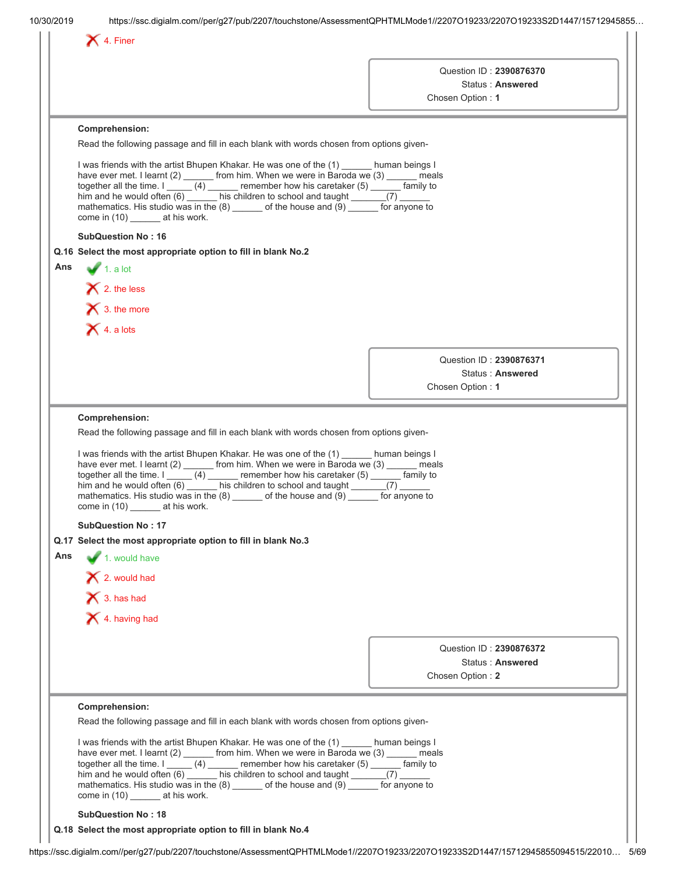|     |                                                                                                                                                                                                                                                                                                                     | Question ID: 2390876370 |
|-----|---------------------------------------------------------------------------------------------------------------------------------------------------------------------------------------------------------------------------------------------------------------------------------------------------------------------|-------------------------|
|     |                                                                                                                                                                                                                                                                                                                     | Status: Answered        |
|     |                                                                                                                                                                                                                                                                                                                     | Chosen Option: 1        |
|     | Comprehension:                                                                                                                                                                                                                                                                                                      |                         |
|     | Read the following passage and fill in each blank with words chosen from options given-                                                                                                                                                                                                                             |                         |
|     | I was friends with the artist Bhupen Khakar. He was one of the (1) human beings I<br>have ever met. I learnt (2) ______ from him. When we were in Baroda we (3) ______ meals<br>together all the time. I _____ (4) ______ remember how his caretaker (5) ______ family to                                           |                         |
|     | him and he would often (6) ______ his children to school and taught _______(7) _<br>mathematics. His studio was in the (8) ______ of the house and (9) _____ for anyone to<br>come in (10) _______ at his work.                                                                                                     |                         |
|     | <b>SubQuestion No: 16</b>                                                                                                                                                                                                                                                                                           |                         |
|     | Q.16 Select the most appropriate option to fill in blank No.2                                                                                                                                                                                                                                                       |                         |
| Ans | $\blacksquare$ 1. a lot                                                                                                                                                                                                                                                                                             |                         |
|     | $\bigtimes$ 2. the less                                                                                                                                                                                                                                                                                             |                         |
|     | 1 3. the more                                                                                                                                                                                                                                                                                                       |                         |
|     | $\bigtimes$ 4. a lots                                                                                                                                                                                                                                                                                               |                         |
|     |                                                                                                                                                                                                                                                                                                                     | Question ID: 2390876371 |
|     |                                                                                                                                                                                                                                                                                                                     | Status: Answered        |
|     |                                                                                                                                                                                                                                                                                                                     | Chosen Option: 1        |
|     | together all the time. I ______ (4) _______ remember how his caretaker (5) ______ family to<br>him and he would often $(6)$ _______ his children to school and taught _______(7) _<br>mathematics. His studio was in the (8) _______ of the house and (9) ______ for anyone to<br>come in (10) _______ at his work. |                         |
|     | <b>SubQuestion No: 17</b>                                                                                                                                                                                                                                                                                           |                         |
|     | Q.17 Select the most appropriate option to fill in blank No.3                                                                                                                                                                                                                                                       |                         |
| Ans | 1. would have                                                                                                                                                                                                                                                                                                       |                         |
|     | × 2. would had                                                                                                                                                                                                                                                                                                      |                         |
|     | $\bigtimes$ 3. has had                                                                                                                                                                                                                                                                                              |                         |
|     | X 4. having had                                                                                                                                                                                                                                                                                                     |                         |
|     |                                                                                                                                                                                                                                                                                                                     |                         |
|     |                                                                                                                                                                                                                                                                                                                     | Question ID: 2390876372 |
|     |                                                                                                                                                                                                                                                                                                                     | Status: Answered        |
|     |                                                                                                                                                                                                                                                                                                                     | Chosen Option: 2        |
|     | Comprehension:                                                                                                                                                                                                                                                                                                      |                         |
|     | Read the following passage and fill in each blank with words chosen from options given-                                                                                                                                                                                                                             |                         |
|     | I was friends with the artist Bhupen Khakar. He was one of the (1) ______ human beings I<br>have ever met. I learnt (2) ______ from him. When we were in Baroda we (3) ______ meals<br>together all the time. $1 \tbinom{(4)}{4}$ remember how his caretaker (5) ______ family to                                   |                         |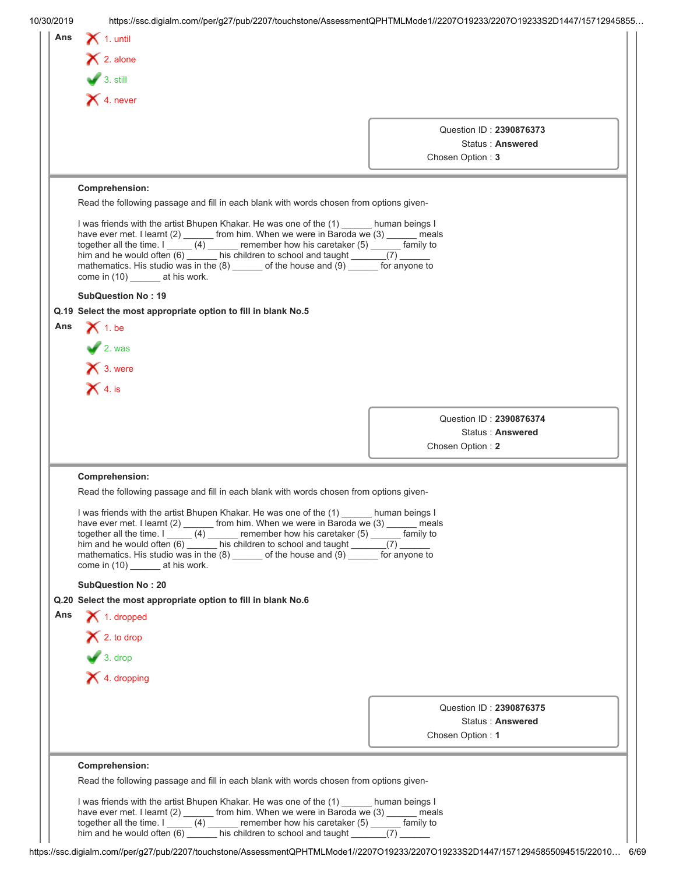10/30/2019 https://ssc.digialm.com//per/g27/pub/2207/touchstone/AssessmentQPHTMLMode1//2207O19233/2207O19233S2D1447/15712945855… Ans  $\mathsf{X}$  1. until 2. alone 3. still  $\times$  4. never Question ID : **2390876373** Status : **Answered** Chosen Option : **3 Comprehension:** Read the following passage and fill in each blank with words chosen from options given-I was friends with the artist Bhupen Khakar. He was one of the (1) \_\_\_\_\_\_ human beings I have ever met. I learnt (2) \_\_\_\_\_\_\_ from him. When we were in Baroda we (3) \_\_\_\_\_\_\_ meals together all the time.  $I = (4)$  remember how his caretaker  $(5)$  family to him and he would often  $(6)$  \_\_\_\_\_\_ his children to school and taught \_\_\_\_\_\_\_(7) \_\_\_\_\_\_ mathematics. His studio was in the  $(8)$  \_\_\_\_\_\_ of the house and  $(9)$  \_\_\_\_\_\_ for anyone to come in (10) \_\_\_\_\_\_\_ at his work. **SubQuestion No : 19 Q.19 Select the most appropriate option to fill in blank No.5** Ans  $\bigtimes$  1. be 2. was  $\mathsf{\tilde{X}}$  3. were  $\mathsf{\tilde{X}}$  4. is Question ID : **2390876374** Status : **Answered** Chosen Option : **2 Comprehension:** Read the following passage and fill in each blank with words chosen from options given-I was friends with the artist Bhupen Khakar. He was one of the (1) \_\_\_\_\_\_ human beings I have ever met. I learnt  $(2)$  \_\_\_\_\_\_ from him. When we were in Baroda we  $(3)$  \_\_\_\_\_\_ meals together all the time. I \_\_\_\_\_  $(4)$  \_\_\_\_\_ remember how his caretaker  $(5)$  \_\_\_\_\_\_ family to together all the time.  $I_{\text{max}}(4)$  degrees remember how his caretaker (5) and family to him and he would often  $(6)$  \_\_\_\_\_\_ his children to school and taught \_\_\_\_\_\_\_(7) \_\_\_\_\_\_ mathematics. His studio was in the  $(8)$  \_\_\_\_\_\_ of the house and  $(9)$  \_\_\_\_\_\_ for anyone to come in (10) \_\_\_\_\_\_\_ at his work. **SubQuestion No : 20 Q.20 Select the most appropriate option to fill in blank No.6** Ans **X** 1. dropped 2. to drop 3. drop 4. dropping Question ID : **2390876375** Status : **Answered** Chosen Option : **1 Comprehension:** Read the following passage and fill in each blank with words chosen from options given-

I was friends with the artist Bhupen Khakar. He was one of the (1) \_\_\_\_\_\_ human beings I have ever met. I learnt  $(2)$  \_\_\_\_\_\_ from him. When we were in Baroda we  $(3)$  \_\_\_\_\_\_ meals<br>together all the time. I \_\_\_\_\_\_  $(4)$  \_\_\_\_\_\_ remember how his caretaker  $(5)$  \_\_\_\_\_\_ family to together all the time.  $1 \quad \overbrace{)}$  (4) \_\_\_\_\_\_\_ remember how his caretaker (5) \_\_\_\_\_ him and he would often  $(6)$  \_\_\_\_\_\_\_\_\_ his children to school and taught  $(7)$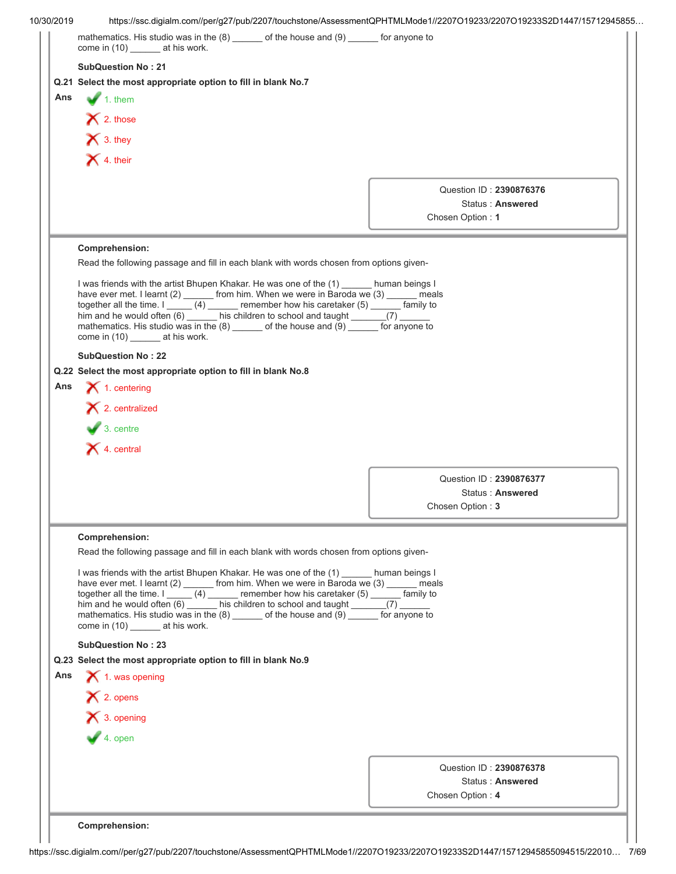| 10/30/2019 |                                                                                                                                                                                                 |  |                  |                         |
|------------|-------------------------------------------------------------------------------------------------------------------------------------------------------------------------------------------------|--|------------------|-------------------------|
|            | mathematics. His studio was in the (8) ______ of the house and (9) _____ for anyone to<br>come in (10) at his work.                                                                             |  |                  |                         |
|            | <b>SubQuestion No: 21</b>                                                                                                                                                                       |  |                  |                         |
|            | Q.21 Select the most appropriate option to fill in blank No.7                                                                                                                                   |  |                  |                         |
| Ans        | $\blacksquare$ 1. them                                                                                                                                                                          |  |                  |                         |
|            | $\bigtimes$ 2. those                                                                                                                                                                            |  |                  |                         |
|            | $\bigtimes$ 3. they                                                                                                                                                                             |  |                  |                         |
|            | $\bigtimes$ 4. their                                                                                                                                                                            |  |                  |                         |
|            |                                                                                                                                                                                                 |  |                  |                         |
|            |                                                                                                                                                                                                 |  |                  | Question ID: 2390876376 |
|            |                                                                                                                                                                                                 |  |                  | Status: Answered        |
|            |                                                                                                                                                                                                 |  | Chosen Option: 1 |                         |
|            | Comprehension:                                                                                                                                                                                  |  |                  |                         |
|            | Read the following passage and fill in each blank with words chosen from options given-                                                                                                         |  |                  |                         |
|            |                                                                                                                                                                                                 |  |                  |                         |
|            | I was friends with the artist Bhupen Khakar. He was one of the (1) human beings I<br>have ever met. I learnt (2) _______ from him. When we were in Baroda we (3) ______                         |  | meals            |                         |
|            | together all the time. $1\overline{(4)}$ remember how his caretaker (5) $\overline{2}$ family to him and he would often (6) $\overline{2}$ his children to school and taught $\overline{2}$ (7) |  |                  |                         |
|            | mathematics. His studio was in the (8) ______ of the house and (9) _____ for anyone to                                                                                                          |  |                  |                         |
|            | come in (10) _______ at his work.                                                                                                                                                               |  |                  |                         |
|            | <b>SubQuestion No: 22</b>                                                                                                                                                                       |  |                  |                         |
| Ans        | Q.22 Select the most appropriate option to fill in blank No.8                                                                                                                                   |  |                  |                         |
|            | $\blacktriangleright$ 1. centering                                                                                                                                                              |  |                  |                         |
|            |                                                                                                                                                                                                 |  |                  |                         |
|            | $\mathsf{\times}$ 2. centralized                                                                                                                                                                |  |                  |                         |
|            | $\bullet$ 3. centre                                                                                                                                                                             |  |                  |                         |
|            | $\blacktriangleright$ 4. central                                                                                                                                                                |  |                  |                         |
|            |                                                                                                                                                                                                 |  |                  |                         |
|            |                                                                                                                                                                                                 |  |                  | Question ID: 2390876377 |
|            |                                                                                                                                                                                                 |  |                  | Status: Answered        |
|            |                                                                                                                                                                                                 |  | Chosen Option: 3 |                         |
|            | <b>Comprehension:</b>                                                                                                                                                                           |  |                  |                         |
|            | Read the following passage and fill in each blank with words chosen from options given-                                                                                                         |  |                  |                         |
|            |                                                                                                                                                                                                 |  |                  |                         |
|            | I was friends with the artist Bhupen Khakar. He was one of the (1) ______ human beings I<br>have ever met. I learnt (2) ______ from him. When we were in Baroda we (3) ______ meals             |  |                  |                         |
|            | together all the time. $1 \t(4)$ remember how his caretaker (5) ______ family to<br>him and he would often $(6)$ his children to school and taught $(7)$ $(7)$                                  |  |                  |                         |
|            | mathematics. His studio was in the (8) ______ of the house and (9) _____ for anyone to                                                                                                          |  |                  |                         |
|            | come in (10) _______ at his work.                                                                                                                                                               |  |                  |                         |
|            | <b>SubQuestion No: 23</b>                                                                                                                                                                       |  |                  |                         |
| Ans        | Q.23 Select the most appropriate option to fill in blank No.9                                                                                                                                   |  |                  |                         |
|            | $\bigtimes$ 1. was opening                                                                                                                                                                      |  |                  |                         |
|            | $\bigtimes$ 2. opens                                                                                                                                                                            |  |                  |                         |
|            | $\bigtimes$ 3. opening                                                                                                                                                                          |  |                  |                         |
|            | $4.$ open                                                                                                                                                                                       |  |                  |                         |
|            |                                                                                                                                                                                                 |  |                  |                         |
|            |                                                                                                                                                                                                 |  |                  | Question ID: 2390876378 |
|            |                                                                                                                                                                                                 |  | Chosen Option: 4 | Status: Answered        |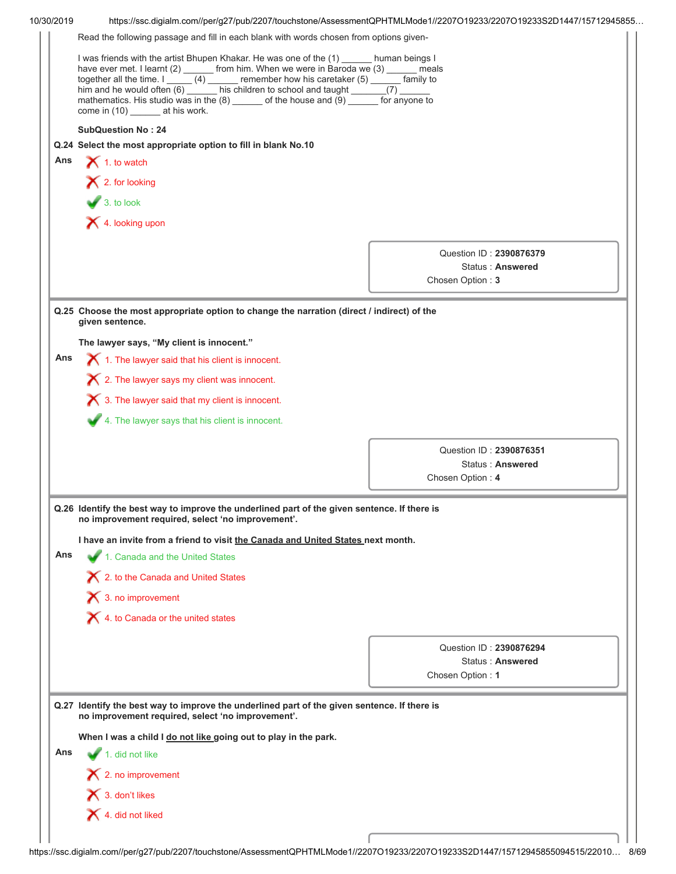| 10/30/2019 | https://ssc.digialm.com//per/g27/pub/2207/touchstone/AssessmentQPHTMLMode1//2207O19233/2207O19233S2D1447/15712945855                                                                                                                                                                                                                                                                                                                                          |                  |                         |
|------------|---------------------------------------------------------------------------------------------------------------------------------------------------------------------------------------------------------------------------------------------------------------------------------------------------------------------------------------------------------------------------------------------------------------------------------------------------------------|------------------|-------------------------|
|            | Read the following passage and fill in each blank with words chosen from options given-                                                                                                                                                                                                                                                                                                                                                                       |                  |                         |
|            | I was friends with the artist Bhupen Khakar. He was one of the (1)<br>have ever met. I learnt (2) _______ from him. When we were in Baroda we (3) ______ meals<br>together all the time. $1 \t(4)$ remember how his caretaker (5) $\t{1}$ family to<br>him and he would often $(6)$ his children to school and taught $(7)$<br>mathematics. His studio was in the (8) ______ of the house and (9) _____ for anyone to<br>come in $(10)$ ________ at his work. | human beings I   |                         |
|            | <b>SubQuestion No: 24</b>                                                                                                                                                                                                                                                                                                                                                                                                                                     |                  |                         |
|            | Q.24 Select the most appropriate option to fill in blank No.10                                                                                                                                                                                                                                                                                                                                                                                                |                  |                         |
| Ans        | $\blacktriangleright$ 1. to watch                                                                                                                                                                                                                                                                                                                                                                                                                             |                  |                         |
|            | $\blacktriangleright$ 2. for looking                                                                                                                                                                                                                                                                                                                                                                                                                          |                  |                         |
|            | $\bullet$ 3. to look                                                                                                                                                                                                                                                                                                                                                                                                                                          |                  |                         |
|            | X 4. looking upon                                                                                                                                                                                                                                                                                                                                                                                                                                             |                  |                         |
|            |                                                                                                                                                                                                                                                                                                                                                                                                                                                               |                  | Question ID: 2390876379 |
|            |                                                                                                                                                                                                                                                                                                                                                                                                                                                               |                  | Status: Answered        |
|            |                                                                                                                                                                                                                                                                                                                                                                                                                                                               | Chosen Option: 3 |                         |
|            | Q.25 Choose the most appropriate option to change the narration (direct / indirect) of the<br>given sentence.                                                                                                                                                                                                                                                                                                                                                 |                  |                         |
|            | The lawyer says, "My client is innocent."                                                                                                                                                                                                                                                                                                                                                                                                                     |                  |                         |
| Ans        | 1. The lawyer said that his client is innocent.                                                                                                                                                                                                                                                                                                                                                                                                               |                  |                         |
|            | 2. The lawyer says my client was innocent.                                                                                                                                                                                                                                                                                                                                                                                                                    |                  |                         |
|            | 3. The lawyer said that my client is innocent.                                                                                                                                                                                                                                                                                                                                                                                                                |                  |                         |
|            | 4. The lawyer says that his client is innocent.                                                                                                                                                                                                                                                                                                                                                                                                               |                  |                         |
|            |                                                                                                                                                                                                                                                                                                                                                                                                                                                               |                  |                         |
|            |                                                                                                                                                                                                                                                                                                                                                                                                                                                               |                  | Question ID: 2390876351 |
|            |                                                                                                                                                                                                                                                                                                                                                                                                                                                               |                  | Status: Answered        |
|            |                                                                                                                                                                                                                                                                                                                                                                                                                                                               | Chosen Option: 4 |                         |
|            | Q.26 Identify the best way to improve the underlined part of the given sentence. If there is<br>no improvement required, select 'no improvement'.                                                                                                                                                                                                                                                                                                             |                  |                         |
|            | I have an invite from a friend to visit the Canada and United States next month.                                                                                                                                                                                                                                                                                                                                                                              |                  |                         |
| Ans        | 1. Canada and the United States                                                                                                                                                                                                                                                                                                                                                                                                                               |                  |                         |
|            | 2. to the Canada and United States                                                                                                                                                                                                                                                                                                                                                                                                                            |                  |                         |
|            | $\mathsf{\times}$ 3. no improvement                                                                                                                                                                                                                                                                                                                                                                                                                           |                  |                         |
|            | X 4. to Canada or the united states                                                                                                                                                                                                                                                                                                                                                                                                                           |                  |                         |
|            |                                                                                                                                                                                                                                                                                                                                                                                                                                                               |                  |                         |
|            |                                                                                                                                                                                                                                                                                                                                                                                                                                                               |                  | Question ID: 2390876294 |
|            |                                                                                                                                                                                                                                                                                                                                                                                                                                                               |                  | Status: Answered        |
|            |                                                                                                                                                                                                                                                                                                                                                                                                                                                               | Chosen Option: 1 |                         |
|            | Q.27 Identify the best way to improve the underlined part of the given sentence. If there is<br>no improvement required, select 'no improvement'.                                                                                                                                                                                                                                                                                                             |                  |                         |
|            | When I was a child I do not like going out to play in the park.                                                                                                                                                                                                                                                                                                                                                                                               |                  |                         |
| Ans        | 1. did not like                                                                                                                                                                                                                                                                                                                                                                                                                                               |                  |                         |
|            | $\mathsf{\times}$ 2. no improvement                                                                                                                                                                                                                                                                                                                                                                                                                           |                  |                         |
|            | 3. don't likes                                                                                                                                                                                                                                                                                                                                                                                                                                                |                  |                         |
|            | 4. did not liked                                                                                                                                                                                                                                                                                                                                                                                                                                              |                  |                         |
|            |                                                                                                                                                                                                                                                                                                                                                                                                                                                               |                  |                         |
|            |                                                                                                                                                                                                                                                                                                                                                                                                                                                               |                  |                         |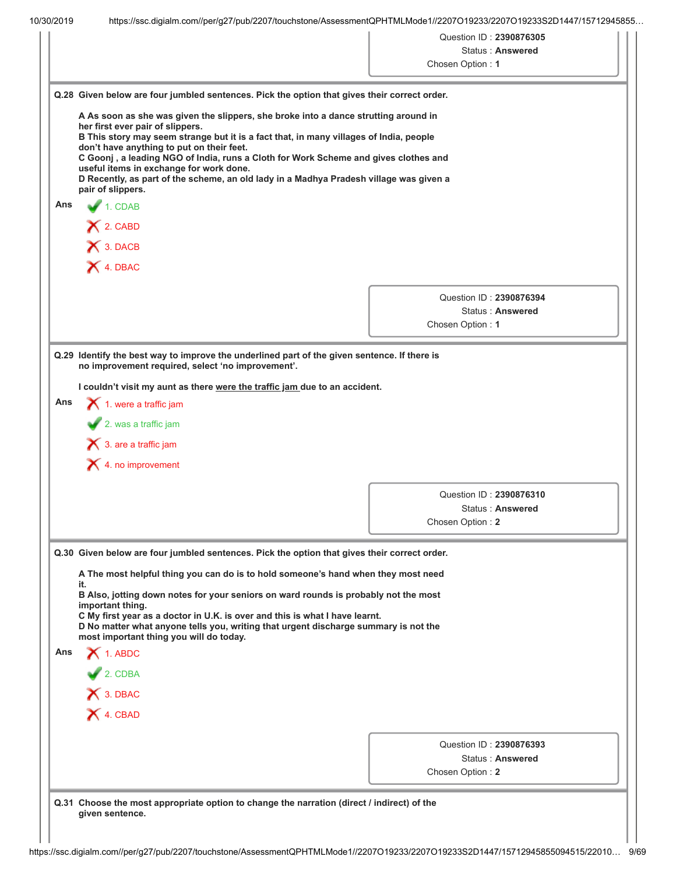|     |                                                                                                                                                                    | Question ID: 2390876305<br>Status: Answered |
|-----|--------------------------------------------------------------------------------------------------------------------------------------------------------------------|---------------------------------------------|
|     |                                                                                                                                                                    | Chosen Option: 1                            |
|     | Q.28 Given below are four jumbled sentences. Pick the option that gives their correct order.                                                                       |                                             |
|     | A As soon as she was given the slippers, she broke into a dance strutting around in                                                                                |                                             |
|     | her first ever pair of slippers.<br>B This story may seem strange but it is a fact that, in many villages of India, people                                         |                                             |
|     | don't have anything to put on their feet.<br>C Goonj, a leading NGO of India, runs a Cloth for Work Scheme and gives clothes and                                   |                                             |
|     | useful items in exchange for work done.<br>D Recently, as part of the scheme, an old lady in a Madhya Pradesh village was given a                                  |                                             |
|     | pair of slippers.                                                                                                                                                  |                                             |
| Ans | 1. CDAB                                                                                                                                                            |                                             |
|     | X 2. CABD                                                                                                                                                          |                                             |
|     | X 3. DACB                                                                                                                                                          |                                             |
|     | X 4. DBAC                                                                                                                                                          |                                             |
|     |                                                                                                                                                                    | Question ID: 2390876394                     |
|     |                                                                                                                                                                    | Status: Answered                            |
|     |                                                                                                                                                                    | Chosen Option: 1                            |
|     | Q.29 Identify the best way to improve the underlined part of the given sentence. If there is                                                                       |                                             |
|     | no improvement required, select 'no improvement'.                                                                                                                  |                                             |
| Ans | I couldn't visit my aunt as there were the traffic jam due to an accident.                                                                                         |                                             |
|     |                                                                                                                                                                    |                                             |
|     | $\blacktriangleright$ 1. were a traffic jam                                                                                                                        |                                             |
|     | 2. was a traffic jam                                                                                                                                               |                                             |
|     | $\bigtimes$ 3. are a traffic jam                                                                                                                                   |                                             |
|     | $\blacktriangleright$ 4. no improvement                                                                                                                            |                                             |
|     |                                                                                                                                                                    | Question ID: 2390876310                     |
|     |                                                                                                                                                                    | <b>Status: Answered</b>                     |
|     |                                                                                                                                                                    | Chosen Option: 2                            |
|     | Q.30 Given below are four jumbled sentences. Pick the option that gives their correct order.                                                                       |                                             |
|     |                                                                                                                                                                    |                                             |
| it. | A The most helpful thing you can do is to hold someone's hand when they most need                                                                                  |                                             |
|     | B Also, jotting down notes for your seniors on ward rounds is probably not the most<br>important thing.                                                            |                                             |
|     | C My first year as a doctor in U.K. is over and this is what I have learnt.<br>D No matter what anyone tells you, writing that urgent discharge summary is not the |                                             |
|     | most important thing you will do today.                                                                                                                            |                                             |
|     | $\blacktriangleright$ 1. ABDC                                                                                                                                      |                                             |
|     | $\sqrt{2}$ . CDBA                                                                                                                                                  |                                             |
|     | $\mathsf{X}$ 3. DBAC                                                                                                                                               |                                             |
|     | X 4. CBAD                                                                                                                                                          |                                             |
|     |                                                                                                                                                                    | Question ID: 2390876393                     |
| Ans |                                                                                                                                                                    | Status: Answered<br>Chosen Option: 2        |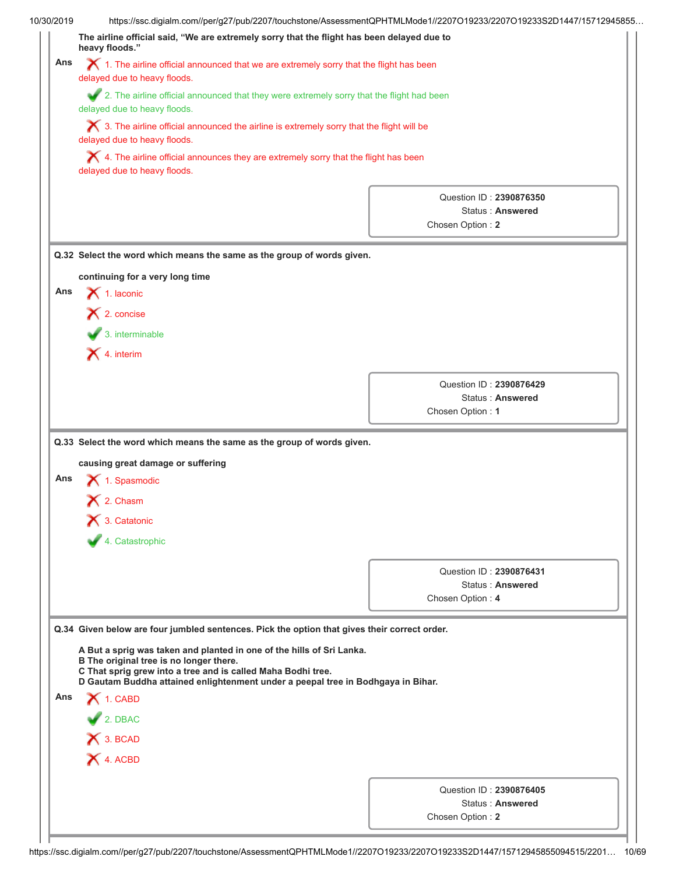| 10/30/2019 |                                                                                                                                                                                                                                                                      | https://ssc.digialm.com//per/g27/pub/2207/touchstone/AssessmentQPHTMLMode1//2207O19233/2207O19233S2D1447/15712945855 |  |  |
|------------|----------------------------------------------------------------------------------------------------------------------------------------------------------------------------------------------------------------------------------------------------------------------|----------------------------------------------------------------------------------------------------------------------|--|--|
|            | The airline official said, "We are extremely sorry that the flight has been delayed due to<br>heavy floods."                                                                                                                                                         |                                                                                                                      |  |  |
| Ans        | $\blacktriangleright$ 1. The airline official announced that we are extremely sorry that the flight has been<br>delayed due to heavy floods.                                                                                                                         |                                                                                                                      |  |  |
|            | 2. The airline official announced that they were extremely sorry that the flight had been<br>delayed due to heavy floods.                                                                                                                                            |                                                                                                                      |  |  |
|            | $\boldsymbol{\times}$ 3. The airline official announced the airline is extremely sorry that the flight will be                                                                                                                                                       |                                                                                                                      |  |  |
|            | delayed due to heavy floods.                                                                                                                                                                                                                                         |                                                                                                                      |  |  |
|            | $\blacktriangleright$ 4. The airline official announces they are extremely sorry that the flight has been                                                                                                                                                            |                                                                                                                      |  |  |
|            | delayed due to heavy floods.                                                                                                                                                                                                                                         |                                                                                                                      |  |  |
|            |                                                                                                                                                                                                                                                                      | Question ID: 2390876350                                                                                              |  |  |
|            |                                                                                                                                                                                                                                                                      | Status: Answered<br>Chosen Option: 2                                                                                 |  |  |
|            |                                                                                                                                                                                                                                                                      |                                                                                                                      |  |  |
|            | Q.32 Select the word which means the same as the group of words given.                                                                                                                                                                                               |                                                                                                                      |  |  |
|            | continuing for a very long time                                                                                                                                                                                                                                      |                                                                                                                      |  |  |
| Ans        | $\blacktriangleright$ 1. laconic                                                                                                                                                                                                                                     |                                                                                                                      |  |  |
|            | $\mathsf{X}$ 2. concise                                                                                                                                                                                                                                              |                                                                                                                      |  |  |
|            | $\bullet$ 3. interminable                                                                                                                                                                                                                                            |                                                                                                                      |  |  |
|            | $\blacktriangleright$ 4. interim                                                                                                                                                                                                                                     |                                                                                                                      |  |  |
|            |                                                                                                                                                                                                                                                                      |                                                                                                                      |  |  |
|            |                                                                                                                                                                                                                                                                      |                                                                                                                      |  |  |
|            |                                                                                                                                                                                                                                                                      | Question ID: 2390876429<br>Status: Answered                                                                          |  |  |
|            | Q.33 Select the word which means the same as the group of words given.<br>causing great damage or suffering                                                                                                                                                          | Chosen Option: 1                                                                                                     |  |  |
| Ans        | 1. Spasmodic<br>$\times$ 2. Chasm<br>$\bigtimes$ 3. Catatonic                                                                                                                                                                                                        |                                                                                                                      |  |  |
|            | 4. Catastrophic                                                                                                                                                                                                                                                      |                                                                                                                      |  |  |
|            |                                                                                                                                                                                                                                                                      | Question ID: 2390876431                                                                                              |  |  |
|            |                                                                                                                                                                                                                                                                      | Status: Answered                                                                                                     |  |  |
|            |                                                                                                                                                                                                                                                                      | Chosen Option: 4                                                                                                     |  |  |
|            | Q.34 Given below are four jumbled sentences. Pick the option that gives their correct order.                                                                                                                                                                         |                                                                                                                      |  |  |
|            | A But a sprig was taken and planted in one of the hills of Sri Lanka.<br>B The original tree is no longer there.<br>C That sprig grew into a tree and is called Maha Bodhi tree.<br>D Gautam Buddha attained enlightenment under a peepal tree in Bodhgaya in Bihar. |                                                                                                                      |  |  |
| Ans        | $\blacktriangleright$ 1. CABD                                                                                                                                                                                                                                        |                                                                                                                      |  |  |
|            | 2. DBAC                                                                                                                                                                                                                                                              |                                                                                                                      |  |  |
|            | $\bigtimes$ 3. BCAD                                                                                                                                                                                                                                                  |                                                                                                                      |  |  |
|            | X 4. ACBD                                                                                                                                                                                                                                                            |                                                                                                                      |  |  |
|            |                                                                                                                                                                                                                                                                      |                                                                                                                      |  |  |
|            |                                                                                                                                                                                                                                                                      | Question ID: 2390876405<br>Status: Answered                                                                          |  |  |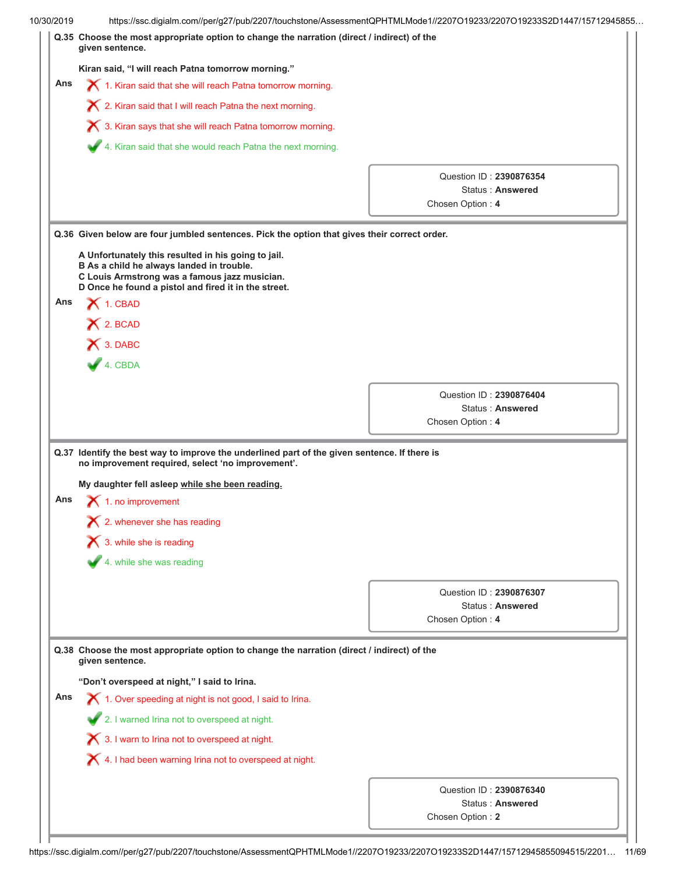| 10/30/2019 | https://ssc.digialm.com//per/g27/pub/2207/touchstone/AssessmentQPHTMLMode1//2207O19233/2207O19233S2D1447/15712945855                                                                                      |                                             |
|------------|-----------------------------------------------------------------------------------------------------------------------------------------------------------------------------------------------------------|---------------------------------------------|
|            | Q.35 Choose the most appropriate option to change the narration (direct / indirect) of the<br>given sentence.                                                                                             |                                             |
|            | Kiran said, "I will reach Patna tomorrow morning."                                                                                                                                                        |                                             |
| Ans        | 1. Kiran said that she will reach Patna tomorrow morning.                                                                                                                                                 |                                             |
|            | X 2. Kiran said that I will reach Patna the next morning.                                                                                                                                                 |                                             |
|            | X 3. Kiran says that she will reach Patna tomorrow morning.                                                                                                                                               |                                             |
|            | 4. Kiran said that she would reach Patna the next morning.                                                                                                                                                |                                             |
|            |                                                                                                                                                                                                           |                                             |
|            |                                                                                                                                                                                                           | Question ID: 2390876354                     |
|            |                                                                                                                                                                                                           | Status: Answered<br>Chosen Option: 4        |
|            |                                                                                                                                                                                                           |                                             |
|            | Q.36 Given below are four jumbled sentences. Pick the option that gives their correct order.                                                                                                              |                                             |
|            | A Unfortunately this resulted in his going to jail.<br>B As a child he always landed in trouble.<br>C Louis Armstrong was a famous jazz musician.<br>D Once he found a pistol and fired it in the street. |                                             |
| Ans        | 1. CBAD                                                                                                                                                                                                   |                                             |
|            | $X$ 2. BCAD                                                                                                                                                                                               |                                             |
|            | <b>X</b> 3. DABC                                                                                                                                                                                          |                                             |
|            | $4.$ CBDA                                                                                                                                                                                                 |                                             |
|            |                                                                                                                                                                                                           |                                             |
|            |                                                                                                                                                                                                           | Question ID: 2390876404<br>Status: Answered |
|            |                                                                                                                                                                                                           | Chosen Option: 4                            |
| Ans        | no improvement required, select 'no improvement'.<br>My daughter fell asleep while she been reading.<br>$\blacktriangleright$ 1. no improvement                                                           |                                             |
|            | $\boldsymbol{\times}$ 2. whenever she has reading                                                                                                                                                         |                                             |
|            | $\blacktriangleright$ 3. while she is reading                                                                                                                                                             |                                             |
|            | 4. while she was reading                                                                                                                                                                                  |                                             |
|            |                                                                                                                                                                                                           | Question ID: 2390876307                     |
|            |                                                                                                                                                                                                           | Status: Answered                            |
|            |                                                                                                                                                                                                           | Chosen Option: 4                            |
|            | Q.38 Choose the most appropriate option to change the narration (direct / indirect) of the<br>given sentence.                                                                                             |                                             |
|            | "Don't overspeed at night," I said to Irina.                                                                                                                                                              |                                             |
| Ans        | 1. Over speeding at night is not good, I said to Irina.                                                                                                                                                   |                                             |
|            | 2. I warned Irina not to overspeed at night.                                                                                                                                                              |                                             |
|            | 3. I warn to Irina not to overspeed at night.                                                                                                                                                             |                                             |
|            | X 4. I had been warning Irina not to overspeed at night.                                                                                                                                                  |                                             |
|            |                                                                                                                                                                                                           |                                             |
|            |                                                                                                                                                                                                           | Question ID: 2390876340<br>Status: Answered |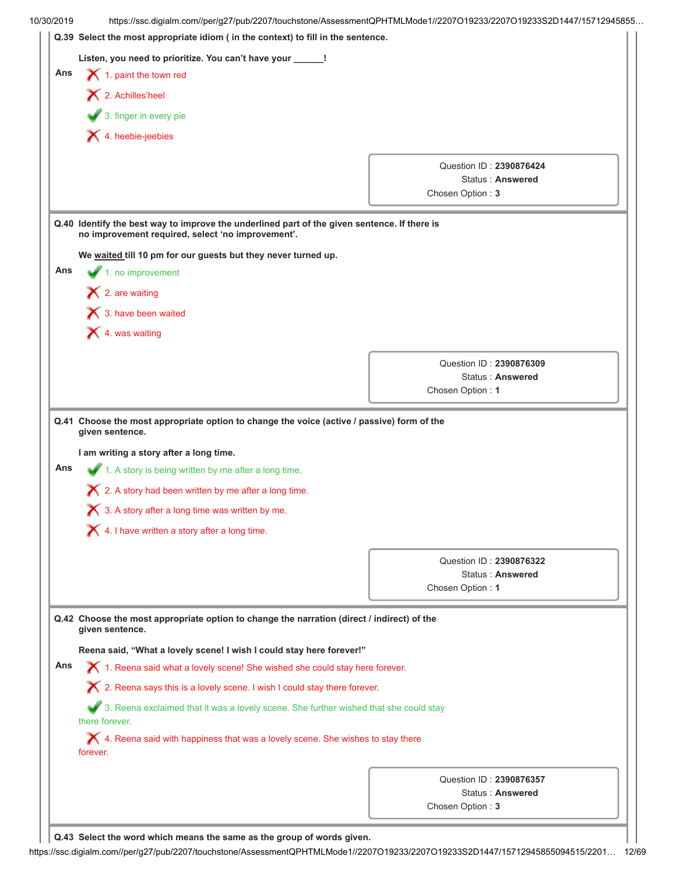| 10/30/2019 | https://ssc.digialm.com//per/g27/pub/2207/touchstone/AssessmentQPHTMLMode1//2207O19233/2207O19233S2D1447/15712945855<br>Q.39 Select the most appropriate idiom (in the context) to fill in the sentence.                                                                         |                                             |  |
|------------|----------------------------------------------------------------------------------------------------------------------------------------------------------------------------------------------------------------------------------------------------------------------------------|---------------------------------------------|--|
|            |                                                                                                                                                                                                                                                                                  |                                             |  |
| Ans        | Listen, you need to prioritize. You can't have your _____!                                                                                                                                                                                                                       |                                             |  |
|            | $\blacktriangleright$ 1. paint the town red                                                                                                                                                                                                                                      |                                             |  |
|            | 2. Achilles'heel                                                                                                                                                                                                                                                                 |                                             |  |
|            | 3. finger in every pie                                                                                                                                                                                                                                                           |                                             |  |
|            | $\blacktriangleright$ 4. heebie-jeebies                                                                                                                                                                                                                                          |                                             |  |
|            |                                                                                                                                                                                                                                                                                  |                                             |  |
|            |                                                                                                                                                                                                                                                                                  | Question ID: 2390876424<br>Status: Answered |  |
|            |                                                                                                                                                                                                                                                                                  | Chosen Option: 3                            |  |
|            | Q.40 Identify the best way to improve the underlined part of the given sentence. If there is<br>no improvement required, select 'no improvement'.                                                                                                                                |                                             |  |
|            | We waited till 10 pm for our guests but they never turned up.                                                                                                                                                                                                                    |                                             |  |
| Ans        | 1. no improvement                                                                                                                                                                                                                                                                |                                             |  |
|            | $\blacktriangleright$ 2. are waiting                                                                                                                                                                                                                                             |                                             |  |
|            | $\blacktriangleright$ 3. have been waited                                                                                                                                                                                                                                        |                                             |  |
|            | X 4. was waiting                                                                                                                                                                                                                                                                 |                                             |  |
|            |                                                                                                                                                                                                                                                                                  |                                             |  |
|            |                                                                                                                                                                                                                                                                                  | Question ID: 2390876309                     |  |
|            |                                                                                                                                                                                                                                                                                  | Status: Answered                            |  |
|            |                                                                                                                                                                                                                                                                                  | Chosen Option: 1                            |  |
| Ans        | I am writing a story after a long time.<br>1. A story is being written by me after a long time.<br>$\boldsymbol{\times}$ 2. A story had been written by me after a long time.<br>3. A story after a long time was written by me.<br>4. I have written a story after a long time. |                                             |  |
|            |                                                                                                                                                                                                                                                                                  |                                             |  |
|            |                                                                                                                                                                                                                                                                                  |                                             |  |
|            |                                                                                                                                                                                                                                                                                  | Question ID: 2390876322                     |  |
|            |                                                                                                                                                                                                                                                                                  | Status: Answered                            |  |
|            |                                                                                                                                                                                                                                                                                  | Chosen Option: 1                            |  |
|            | Q.42 Choose the most appropriate option to change the narration (direct / indirect) of the<br>given sentence.                                                                                                                                                                    |                                             |  |
|            | Reena said, "What a lovely scene! I wish I could stay here forever!"                                                                                                                                                                                                             |                                             |  |
|            | X 1. Reena said what a lovely scene! She wished she could stay here forever.                                                                                                                                                                                                     |                                             |  |
| Ans        | $\bigtimes$ 2. Reena says this is a lovely scene. I wish I could stay there forever.                                                                                                                                                                                             |                                             |  |
|            | 3. Reena exclaimed that it was a lovely scene. She further wished that she could stay<br>there forever.                                                                                                                                                                          |                                             |  |
|            | $\blacktriangleright$ 4. Reena said with happiness that was a lovely scene. She wishes to stay there<br>forever.                                                                                                                                                                 |                                             |  |
|            |                                                                                                                                                                                                                                                                                  | Question ID: 2390876357                     |  |
|            |                                                                                                                                                                                                                                                                                  | Status: Answered<br>Chosen Option: 3        |  |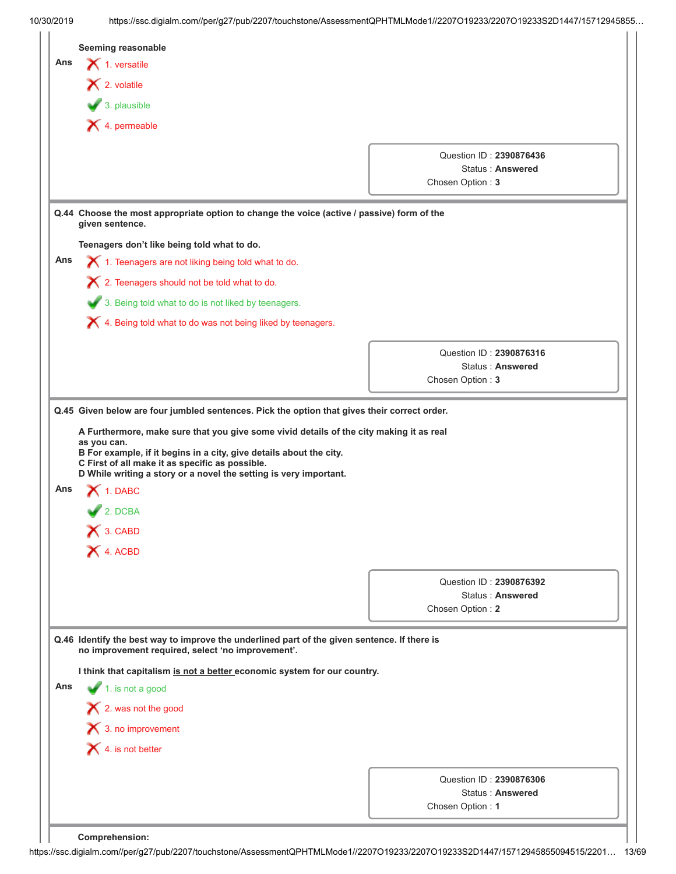|            | Seeming reasonable                                                                                                                                                                                                                                                                                                                                                                                    |                                             |
|------------|-------------------------------------------------------------------------------------------------------------------------------------------------------------------------------------------------------------------------------------------------------------------------------------------------------------------------------------------------------------------------------------------------------|---------------------------------------------|
| Ans        | $\blacktriangleright$ 1. versatile                                                                                                                                                                                                                                                                                                                                                                    |                                             |
|            | $\mathsf{\times}$ 2. volatile                                                                                                                                                                                                                                                                                                                                                                         |                                             |
|            | 3. plausible                                                                                                                                                                                                                                                                                                                                                                                          |                                             |
|            | $\blacktriangleright$ 4. permeable                                                                                                                                                                                                                                                                                                                                                                    |                                             |
|            |                                                                                                                                                                                                                                                                                                                                                                                                       |                                             |
|            |                                                                                                                                                                                                                                                                                                                                                                                                       | Question ID: 2390876436<br>Status: Answered |
|            |                                                                                                                                                                                                                                                                                                                                                                                                       | Chosen Option: 3                            |
|            |                                                                                                                                                                                                                                                                                                                                                                                                       |                                             |
|            | Q.44 Choose the most appropriate option to change the voice (active / passive) form of the<br>given sentence.                                                                                                                                                                                                                                                                                         |                                             |
|            | Teenagers don't like being told what to do.                                                                                                                                                                                                                                                                                                                                                           |                                             |
| Ans        | 1. Teenagers are not liking being told what to do.                                                                                                                                                                                                                                                                                                                                                    |                                             |
|            | X 2. Teenagers should not be told what to do.                                                                                                                                                                                                                                                                                                                                                         |                                             |
|            | 3. Being told what to do is not liked by teenagers.                                                                                                                                                                                                                                                                                                                                                   |                                             |
|            | X 4. Being told what to do was not being liked by teenagers.                                                                                                                                                                                                                                                                                                                                          |                                             |
|            |                                                                                                                                                                                                                                                                                                                                                                                                       |                                             |
|            |                                                                                                                                                                                                                                                                                                                                                                                                       | Question ID: 2390876316                     |
|            |                                                                                                                                                                                                                                                                                                                                                                                                       |                                             |
|            | Q.45 Given below are four jumbled sentences. Pick the option that gives their correct order.<br>A Furthermore, make sure that you give some vivid details of the city making it as real<br>as you can.<br>B For example, if it begins in a city, give details about the city.<br>C First of all make it as specific as possible.<br>D While writing a story or a novel the setting is very important. | Status: Answered<br>Chosen Option: 3        |
|            | 1. DABC<br>2. DCBA                                                                                                                                                                                                                                                                                                                                                                                    |                                             |
|            |                                                                                                                                                                                                                                                                                                                                                                                                       |                                             |
|            |                                                                                                                                                                                                                                                                                                                                                                                                       |                                             |
|            | X 3. CABD<br>X 4. ACBD                                                                                                                                                                                                                                                                                                                                                                                |                                             |
|            |                                                                                                                                                                                                                                                                                                                                                                                                       | Question ID: 2390876392                     |
|            |                                                                                                                                                                                                                                                                                                                                                                                                       | <b>Status: Answered</b><br>Chosen Option: 2 |
|            |                                                                                                                                                                                                                                                                                                                                                                                                       |                                             |
|            | Q.46 Identify the best way to improve the underlined part of the given sentence. If there is<br>no improvement required, select 'no improvement'.                                                                                                                                                                                                                                                     |                                             |
|            | I think that capitalism is not a better economic system for our country.                                                                                                                                                                                                                                                                                                                              |                                             |
|            | $\blacktriangleright$ 1. is not a good                                                                                                                                                                                                                                                                                                                                                                |                                             |
|            | $\blacktriangleright$ 2. was not the good                                                                                                                                                                                                                                                                                                                                                             |                                             |
|            | $\boldsymbol{\times}$ 3. no improvement                                                                                                                                                                                                                                                                                                                                                               |                                             |
| Ans<br>Ans | $\blacktriangleright$ 4. is not better                                                                                                                                                                                                                                                                                                                                                                |                                             |
|            |                                                                                                                                                                                                                                                                                                                                                                                                       |                                             |
|            |                                                                                                                                                                                                                                                                                                                                                                                                       | Question ID: 2390876306<br>Status: Answered |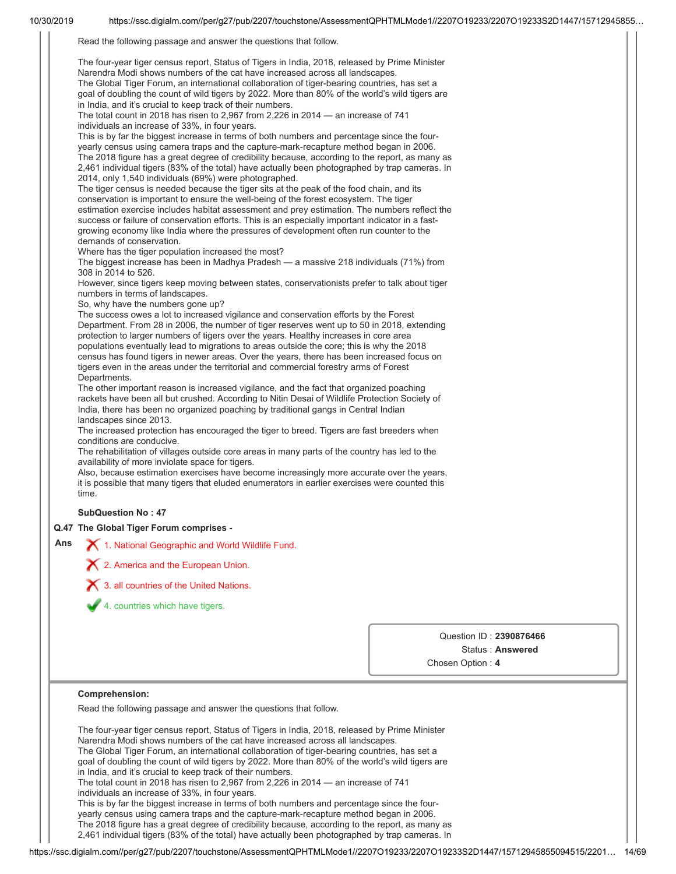Read the following passage and answer the questions that follow.

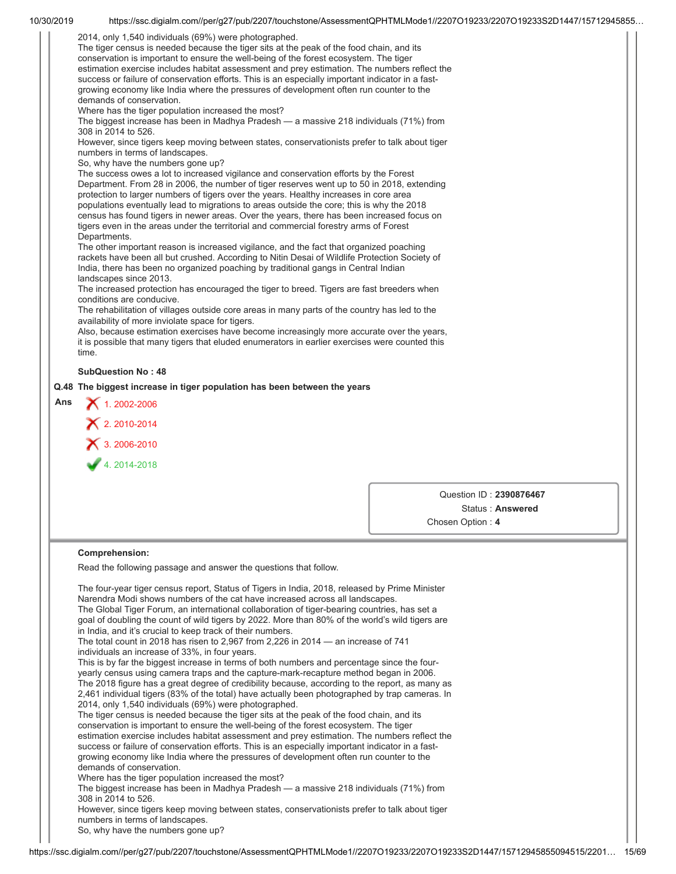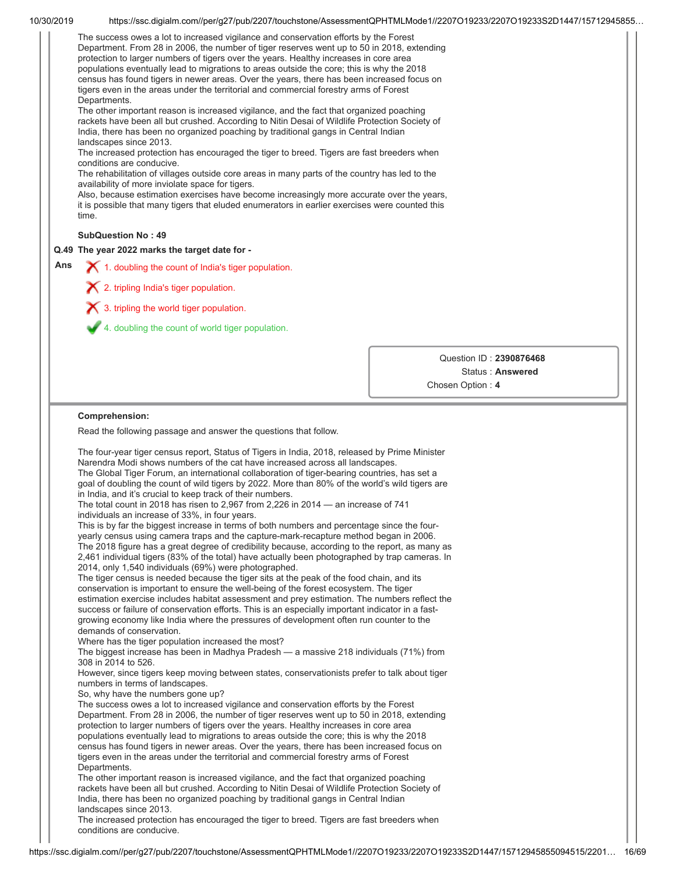| The success owes a lot to increased vigilance and conservation efforts by the Forest<br>Department. From 28 in 2006, the number of tiger reserves went up to 50 in 2018, extending<br>protection to larger numbers of tigers over the years. Healthy increases in core area<br>populations eventually lead to migrations to areas outside the core; this is why the 2018<br>census has found tigers in newer areas. Over the years, there has been increased focus on<br>tigers even in the areas under the territorial and commercial forestry arms of Forest                                                                                                                                                                                                                                                                                                                                                                                                                                                                                                                                                                                                                                                                                                                                                                                                                                                                                                                                                                                                                                                                                                                                                                                                                                                                                                                                                                                                                                                                                                                                                                                                                                                 |
|----------------------------------------------------------------------------------------------------------------------------------------------------------------------------------------------------------------------------------------------------------------------------------------------------------------------------------------------------------------------------------------------------------------------------------------------------------------------------------------------------------------------------------------------------------------------------------------------------------------------------------------------------------------------------------------------------------------------------------------------------------------------------------------------------------------------------------------------------------------------------------------------------------------------------------------------------------------------------------------------------------------------------------------------------------------------------------------------------------------------------------------------------------------------------------------------------------------------------------------------------------------------------------------------------------------------------------------------------------------------------------------------------------------------------------------------------------------------------------------------------------------------------------------------------------------------------------------------------------------------------------------------------------------------------------------------------------------------------------------------------------------------------------------------------------------------------------------------------------------------------------------------------------------------------------------------------------------------------------------------------------------------------------------------------------------------------------------------------------------------------------------------------------------------------------------------------------------|
| The other important reason is increased vigilance, and the fact that organized poaching<br>rackets have been all but crushed. According to Nitin Desai of Wildlife Protection Society of<br>India, there has been no organized poaching by traditional gangs in Central Indian<br>The increased protection has encouraged the tiger to breed. Tigers are fast breeders when<br>The rehabilitation of villages outside core areas in many parts of the country has led to the<br>Also, because estimation exercises have become increasingly more accurate over the years,<br>it is possible that many tigers that eluded enumerators in earlier exercises were counted this                                                                                                                                                                                                                                                                                                                                                                                                                                                                                                                                                                                                                                                                                                                                                                                                                                                                                                                                                                                                                                                                                                                                                                                                                                                                                                                                                                                                                                                                                                                                    |
|                                                                                                                                                                                                                                                                                                                                                                                                                                                                                                                                                                                                                                                                                                                                                                                                                                                                                                                                                                                                                                                                                                                                                                                                                                                                                                                                                                                                                                                                                                                                                                                                                                                                                                                                                                                                                                                                                                                                                                                                                                                                                                                                                                                                                |
|                                                                                                                                                                                                                                                                                                                                                                                                                                                                                                                                                                                                                                                                                                                                                                                                                                                                                                                                                                                                                                                                                                                                                                                                                                                                                                                                                                                                                                                                                                                                                                                                                                                                                                                                                                                                                                                                                                                                                                                                                                                                                                                                                                                                                |
|                                                                                                                                                                                                                                                                                                                                                                                                                                                                                                                                                                                                                                                                                                                                                                                                                                                                                                                                                                                                                                                                                                                                                                                                                                                                                                                                                                                                                                                                                                                                                                                                                                                                                                                                                                                                                                                                                                                                                                                                                                                                                                                                                                                                                |
|                                                                                                                                                                                                                                                                                                                                                                                                                                                                                                                                                                                                                                                                                                                                                                                                                                                                                                                                                                                                                                                                                                                                                                                                                                                                                                                                                                                                                                                                                                                                                                                                                                                                                                                                                                                                                                                                                                                                                                                                                                                                                                                                                                                                                |
|                                                                                                                                                                                                                                                                                                                                                                                                                                                                                                                                                                                                                                                                                                                                                                                                                                                                                                                                                                                                                                                                                                                                                                                                                                                                                                                                                                                                                                                                                                                                                                                                                                                                                                                                                                                                                                                                                                                                                                                                                                                                                                                                                                                                                |
|                                                                                                                                                                                                                                                                                                                                                                                                                                                                                                                                                                                                                                                                                                                                                                                                                                                                                                                                                                                                                                                                                                                                                                                                                                                                                                                                                                                                                                                                                                                                                                                                                                                                                                                                                                                                                                                                                                                                                                                                                                                                                                                                                                                                                |
| Question ID: 2390876468                                                                                                                                                                                                                                                                                                                                                                                                                                                                                                                                                                                                                                                                                                                                                                                                                                                                                                                                                                                                                                                                                                                                                                                                                                                                                                                                                                                                                                                                                                                                                                                                                                                                                                                                                                                                                                                                                                                                                                                                                                                                                                                                                                                        |
| Status: Answered                                                                                                                                                                                                                                                                                                                                                                                                                                                                                                                                                                                                                                                                                                                                                                                                                                                                                                                                                                                                                                                                                                                                                                                                                                                                                                                                                                                                                                                                                                                                                                                                                                                                                                                                                                                                                                                                                                                                                                                                                                                                                                                                                                                               |
| Chosen Option: 4                                                                                                                                                                                                                                                                                                                                                                                                                                                                                                                                                                                                                                                                                                                                                                                                                                                                                                                                                                                                                                                                                                                                                                                                                                                                                                                                                                                                                                                                                                                                                                                                                                                                                                                                                                                                                                                                                                                                                                                                                                                                                                                                                                                               |
| The four-year tiger census report, Status of Tigers in India, 2018, released by Prime Minister<br>Narendra Modi shows numbers of the cat have increased across all landscapes.<br>The Global Tiger Forum, an international collaboration of tiger-bearing countries, has set a<br>goal of doubling the count of wild tigers by 2022. More than 80% of the world's wild tigers are<br>The total count in 2018 has risen to 2,967 from 2,226 in 2014 – an increase of 741<br>This is by far the biggest increase in terms of both numbers and percentage since the four-<br>yearly census using camera traps and the capture-mark-recapture method began in 2006.<br>The 2018 figure has a great degree of credibility because, according to the report, as many as<br>2,461 individual tigers (83% of the total) have actually been photographed by trap cameras. In<br>The tiger census is needed because the tiger sits at the peak of the food chain, and its<br>conservation is important to ensure the well-being of the forest ecosystem. The tiger<br>estimation exercise includes habitat assessment and prey estimation. The numbers reflect the<br>success or failure of conservation efforts. This is an especially important indicator in a fast-<br>growing economy like India where the pressures of development often run counter to the<br>The biggest increase has been in Madhya Pradesh — a massive 218 individuals (71%) from<br>However, since tigers keep moving between states, conservationists prefer to talk about tiger<br>The success owes a lot to increased vigilance and conservation efforts by the Forest<br>Department. From 28 in 2006, the number of tiger reserves went up to 50 in 2018, extending<br>protection to larger numbers of tigers over the years. Healthy increases in core area<br>populations eventually lead to migrations to areas outside the core; this is why the 2018<br>census has found tigers in newer areas. Over the years, there has been increased focus on<br>tigers even in the areas under the territorial and commercial forestry arms of Forest<br>The other important reason is increased vigilance, and the fact that organized poaching |
|                                                                                                                                                                                                                                                                                                                                                                                                                                                                                                                                                                                                                                                                                                                                                                                                                                                                                                                                                                                                                                                                                                                                                                                                                                                                                                                                                                                                                                                                                                                                                                                                                                                                                                                                                                                                                                                                                                                                                                                                                                                                                                                                                                                                                |
| Read the following passage and answer the questions that follow.                                                                                                                                                                                                                                                                                                                                                                                                                                                                                                                                                                                                                                                                                                                                                                                                                                                                                                                                                                                                                                                                                                                                                                                                                                                                                                                                                                                                                                                                                                                                                                                                                                                                                                                                                                                                                                                                                                                                                                                                                                                                                                                                               |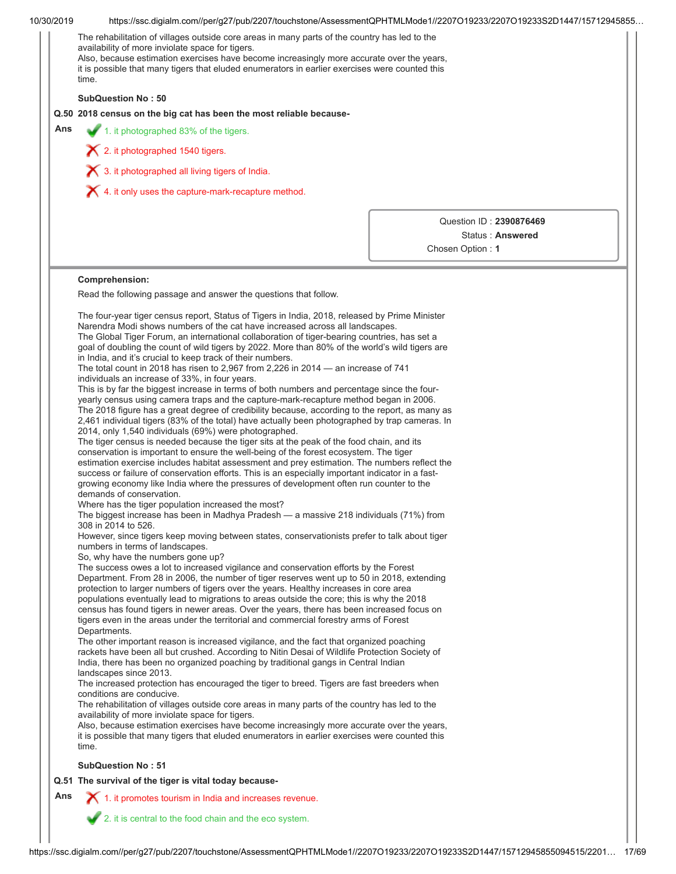| 10/30/2019 | https://ssc.digialm.com//per/g27/pub/2207/touchstone/AssessmentQPHTMLMode1//2207O19233/2207O19233S2D1447/15712945855                                                                |                         |  |
|------------|-------------------------------------------------------------------------------------------------------------------------------------------------------------------------------------|-------------------------|--|
|            | The rehabilitation of villages outside core areas in many parts of the country has led to the                                                                                       |                         |  |
|            | availability of more inviolate space for tigers.                                                                                                                                    |                         |  |
|            | Also, because estimation exercises have become increasingly more accurate over the years,                                                                                           |                         |  |
|            | it is possible that many tigers that eluded enumerators in earlier exercises were counted this                                                                                      |                         |  |
|            | time.                                                                                                                                                                               |                         |  |
|            | <b>SubQuestion No: 50</b>                                                                                                                                                           |                         |  |
|            | Q.50 2018 census on the big cat has been the most reliable because-                                                                                                                 |                         |  |
|            |                                                                                                                                                                                     |                         |  |
| Ans        | 1. it photographed 83% of the tigers.                                                                                                                                               |                         |  |
|            | 2. it photographed 1540 tigers.                                                                                                                                                     |                         |  |
|            |                                                                                                                                                                                     |                         |  |
|            | X 3. it photographed all living tigers of India.                                                                                                                                    |                         |  |
|            | 4. it only uses the capture-mark-recapture method.                                                                                                                                  |                         |  |
|            |                                                                                                                                                                                     |                         |  |
|            |                                                                                                                                                                                     | Question ID: 2390876469 |  |
|            |                                                                                                                                                                                     | Status: Answered        |  |
|            |                                                                                                                                                                                     | Chosen Option: 1        |  |
|            |                                                                                                                                                                                     |                         |  |
|            |                                                                                                                                                                                     |                         |  |
|            | <b>Comprehension:</b>                                                                                                                                                               |                         |  |
|            | Read the following passage and answer the questions that follow.                                                                                                                    |                         |  |
|            |                                                                                                                                                                                     |                         |  |
|            | The four-year tiger census report, Status of Tigers in India, 2018, released by Prime Minister<br>Narendra Modi shows numbers of the cat have increased across all landscapes.      |                         |  |
|            | The Global Tiger Forum, an international collaboration of tiger-bearing countries, has set a                                                                                        |                         |  |
|            | goal of doubling the count of wild tigers by 2022. More than 80% of the world's wild tigers are                                                                                     |                         |  |
|            | in India, and it's crucial to keep track of their numbers.<br>The total count in 2018 has risen to 2,967 from 2,226 in 2014 - an increase of 741                                    |                         |  |
|            | individuals an increase of 33%, in four years.                                                                                                                                      |                         |  |
|            | This is by far the biggest increase in terms of both numbers and percentage since the four-                                                                                         |                         |  |
|            | yearly census using camera traps and the capture-mark-recapture method began in 2006.                                                                                               |                         |  |
|            | The 2018 figure has a great degree of credibility because, according to the report, as many as                                                                                      |                         |  |
|            | 2,461 individual tigers (83% of the total) have actually been photographed by trap cameras. In<br>2014, only 1,540 individuals (69%) were photographed.                             |                         |  |
|            | The tiger census is needed because the tiger sits at the peak of the food chain, and its                                                                                            |                         |  |
|            | conservation is important to ensure the well-being of the forest ecosystem. The tiger                                                                                               |                         |  |
|            | estimation exercise includes habitat assessment and prey estimation. The numbers reflect the                                                                                        |                         |  |
|            | success or failure of conservation efforts. This is an especially important indicator in a fast-                                                                                    |                         |  |
|            | growing economy like India where the pressures of development often run counter to the<br>demands of conservation.                                                                  |                         |  |
|            | Where has the tiger population increased the most?                                                                                                                                  |                         |  |
|            | The biggest increase has been in Madhya Pradesh - a massive 218 individuals (71%) from                                                                                              |                         |  |
|            | 308 in 2014 to 526.                                                                                                                                                                 |                         |  |
|            | However, since tigers keep moving between states, conservationists prefer to talk about tiger<br>numbers in terms of landscapes.                                                    |                         |  |
|            | So, why have the numbers gone up?                                                                                                                                                   |                         |  |
|            | The success owes a lot to increased vigilance and conservation efforts by the Forest                                                                                                |                         |  |
|            | Department. From 28 in 2006, the number of tiger reserves went up to 50 in 2018, extending                                                                                          |                         |  |
|            | protection to larger numbers of tigers over the years. Healthy increases in core area<br>populations eventually lead to migrations to areas outside the core; this is why the 2018  |                         |  |
|            | census has found tigers in newer areas. Over the years, there has been increased focus on                                                                                           |                         |  |
|            | tigers even in the areas under the territorial and commercial forestry arms of Forest                                                                                               |                         |  |
|            | Departments.                                                                                                                                                                        |                         |  |
|            | The other important reason is increased vigilance, and the fact that organized poaching                                                                                             |                         |  |
|            | rackets have been all but crushed. According to Nitin Desai of Wildlife Protection Society of<br>India, there has been no organized poaching by traditional gangs in Central Indian |                         |  |
|            | landscapes since 2013.                                                                                                                                                              |                         |  |
|            | The increased protection has encouraged the tiger to breed. Tigers are fast breeders when                                                                                           |                         |  |
|            | conditions are conducive.                                                                                                                                                           |                         |  |
|            | The rehabilitation of villages outside core areas in many parts of the country has led to the<br>availability of more inviolate space for tigers.                                   |                         |  |
|            | Also, because estimation exercises have become increasingly more accurate over the years,                                                                                           |                         |  |
|            | it is possible that many tigers that eluded enumerators in earlier exercises were counted this                                                                                      |                         |  |
|            | time.                                                                                                                                                                               |                         |  |
|            | <b>SubQuestion No: 51</b>                                                                                                                                                           |                         |  |
|            |                                                                                                                                                                                     |                         |  |
|            | Q.51 The survival of the tiger is vital today because-                                                                                                                              |                         |  |
| Ans        | 1. it promotes tourism in India and increases revenue.                                                                                                                              |                         |  |
|            | 2. it is central to the food chain and the eco system.                                                                                                                              |                         |  |
|            |                                                                                                                                                                                     |                         |  |
|            |                                                                                                                                                                                     |                         |  |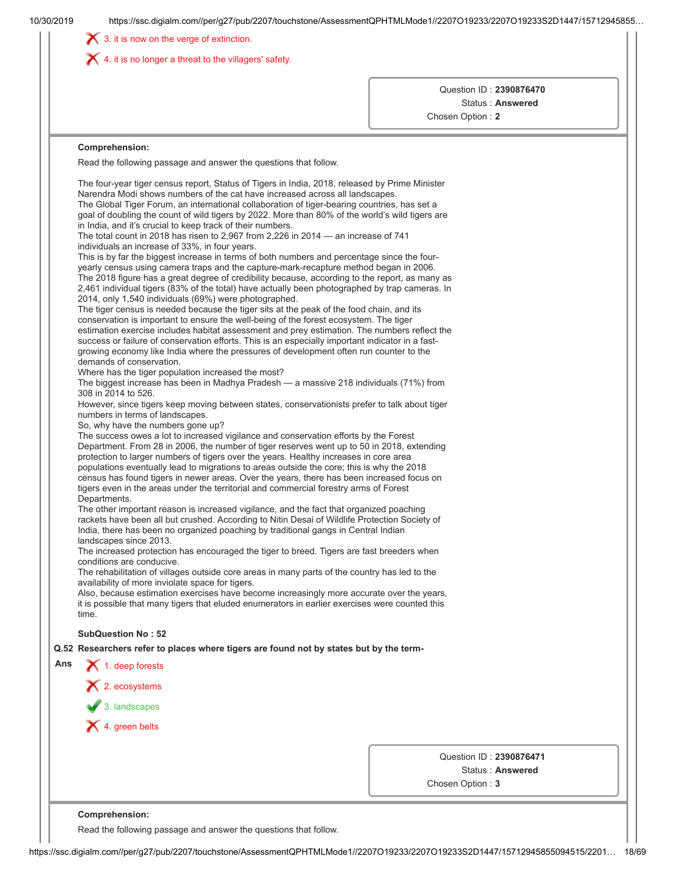|     | X 4. it is no longer a threat to the villagers' safety.                                                                                                                                                                                                                                                                                                                                                                                                                                                                                                                                                                                                                                                                                                                                                                                                                                                                                                                                                                                                                                                                                                                                                                                                                                                                                                                                                                                                                                                                                                                                                                                                                                                                                                                                                                                                                                                                                                                                                                                                                                                                                                                                                                                                                                                                                                                                                                                                                                                                                                                                                                                                                                                                                                                                                                                                                                                                                                                                                                                                                                                                                                                                                                                                                                                                                                                                                                                                            |                                             |                  |
|-----|--------------------------------------------------------------------------------------------------------------------------------------------------------------------------------------------------------------------------------------------------------------------------------------------------------------------------------------------------------------------------------------------------------------------------------------------------------------------------------------------------------------------------------------------------------------------------------------------------------------------------------------------------------------------------------------------------------------------------------------------------------------------------------------------------------------------------------------------------------------------------------------------------------------------------------------------------------------------------------------------------------------------------------------------------------------------------------------------------------------------------------------------------------------------------------------------------------------------------------------------------------------------------------------------------------------------------------------------------------------------------------------------------------------------------------------------------------------------------------------------------------------------------------------------------------------------------------------------------------------------------------------------------------------------------------------------------------------------------------------------------------------------------------------------------------------------------------------------------------------------------------------------------------------------------------------------------------------------------------------------------------------------------------------------------------------------------------------------------------------------------------------------------------------------------------------------------------------------------------------------------------------------------------------------------------------------------------------------------------------------------------------------------------------------------------------------------------------------------------------------------------------------------------------------------------------------------------------------------------------------------------------------------------------------------------------------------------------------------------------------------------------------------------------------------------------------------------------------------------------------------------------------------------------------------------------------------------------------------------------------------------------------------------------------------------------------------------------------------------------------------------------------------------------------------------------------------------------------------------------------------------------------------------------------------------------------------------------------------------------------------------------------------------------------------------------------------------------------|---------------------------------------------|------------------|
|     |                                                                                                                                                                                                                                                                                                                                                                                                                                                                                                                                                                                                                                                                                                                                                                                                                                                                                                                                                                                                                                                                                                                                                                                                                                                                                                                                                                                                                                                                                                                                                                                                                                                                                                                                                                                                                                                                                                                                                                                                                                                                                                                                                                                                                                                                                                                                                                                                                                                                                                                                                                                                                                                                                                                                                                                                                                                                                                                                                                                                                                                                                                                                                                                                                                                                                                                                                                                                                                                                    | Question ID: 2390876470<br>Chosen Option: 2 | Status: Answered |
|     | <b>Comprehension:</b>                                                                                                                                                                                                                                                                                                                                                                                                                                                                                                                                                                                                                                                                                                                                                                                                                                                                                                                                                                                                                                                                                                                                                                                                                                                                                                                                                                                                                                                                                                                                                                                                                                                                                                                                                                                                                                                                                                                                                                                                                                                                                                                                                                                                                                                                                                                                                                                                                                                                                                                                                                                                                                                                                                                                                                                                                                                                                                                                                                                                                                                                                                                                                                                                                                                                                                                                                                                                                                              |                                             |                  |
|     | Read the following passage and answer the questions that follow.                                                                                                                                                                                                                                                                                                                                                                                                                                                                                                                                                                                                                                                                                                                                                                                                                                                                                                                                                                                                                                                                                                                                                                                                                                                                                                                                                                                                                                                                                                                                                                                                                                                                                                                                                                                                                                                                                                                                                                                                                                                                                                                                                                                                                                                                                                                                                                                                                                                                                                                                                                                                                                                                                                                                                                                                                                                                                                                                                                                                                                                                                                                                                                                                                                                                                                                                                                                                   |                                             |                  |
| Ans | The four-year tiger census report, Status of Tigers in India, 2018, released by Prime Minister<br>Narendra Modi shows numbers of the cat have increased across all landscapes.<br>The Global Tiger Forum, an international collaboration of tiger-bearing countries, has set a<br>goal of doubling the count of wild tigers by 2022. More than 80% of the world's wild tigers are<br>in India, and it's crucial to keep track of their numbers.<br>The total count in 2018 has risen to 2,967 from 2,226 in 2014 $-$ an increase of 741<br>individuals an increase of 33%, in four years.<br>This is by far the biggest increase in terms of both numbers and percentage since the four-<br>yearly census using camera traps and the capture-mark-recapture method began in 2006.<br>The 2018 figure has a great degree of credibility because, according to the report, as many as<br>2,461 individual tigers (83% of the total) have actually been photographed by trap cameras. In<br>2014, only 1,540 individuals (69%) were photographed.<br>The tiger census is needed because the tiger sits at the peak of the food chain, and its<br>conservation is important to ensure the well-being of the forest ecosystem. The tiger<br>estimation exercise includes habitat assessment and prey estimation. The numbers reflect the<br>success or failure of conservation efforts. This is an especially important indicator in a fast-<br>growing economy like India where the pressures of development often run counter to the<br>demands of conservation.<br>Where has the tiger population increased the most?<br>The biggest increase has been in Madhya Pradesh — a massive 218 individuals (71%) from<br>308 in 2014 to 526.<br>However, since tigers keep moving between states, conservationists prefer to talk about tiger<br>numbers in terms of landscapes.<br>So, why have the numbers gone up?<br>The success owes a lot to increased vigilance and conservation efforts by the Forest<br>Department. From 28 in 2006, the number of tiger reserves went up to 50 in 2018, extending<br>protection to larger numbers of tigers over the years. Healthy increases in core area<br>populations eventually lead to migrations to areas outside the core; this is why the 2018<br>census has found tigers in newer areas. Over the years, there has been increased focus on<br>tigers even in the areas under the territorial and commercial forestry arms of Forest<br>Departments.<br>The other important reason is increased vigilance, and the fact that organized poaching<br>rackets have been all but crushed. According to Nitin Desai of Wildlife Protection Society of<br>India, there has been no organized poaching by traditional gangs in Central Indian<br>landscapes since 2013.<br>The increased protection has encouraged the tiger to breed. Tigers are fast breeders when<br>conditions are conducive.<br>The rehabilitation of villages outside core areas in many parts of the country has led to the<br>availability of more inviolate space for tigers.<br>Also, because estimation exercises have become increasingly more accurate over the years,<br>it is possible that many tigers that eluded enumerators in earlier exercises were counted this<br>time.<br><b>SubQuestion No: 52</b><br>Q.52 Researchers refer to places where tigers are found not by states but by the term-<br>$\blacktriangleright$ 1. deep forests |                                             |                  |
|     | $\blacktriangleright$ 2. ecosystems                                                                                                                                                                                                                                                                                                                                                                                                                                                                                                                                                                                                                                                                                                                                                                                                                                                                                                                                                                                                                                                                                                                                                                                                                                                                                                                                                                                                                                                                                                                                                                                                                                                                                                                                                                                                                                                                                                                                                                                                                                                                                                                                                                                                                                                                                                                                                                                                                                                                                                                                                                                                                                                                                                                                                                                                                                                                                                                                                                                                                                                                                                                                                                                                                                                                                                                                                                                                                                |                                             |                  |
|     | 3. landscapes                                                                                                                                                                                                                                                                                                                                                                                                                                                                                                                                                                                                                                                                                                                                                                                                                                                                                                                                                                                                                                                                                                                                                                                                                                                                                                                                                                                                                                                                                                                                                                                                                                                                                                                                                                                                                                                                                                                                                                                                                                                                                                                                                                                                                                                                                                                                                                                                                                                                                                                                                                                                                                                                                                                                                                                                                                                                                                                                                                                                                                                                                                                                                                                                                                                                                                                                                                                                                                                      |                                             |                  |
|     | X 4. green belts                                                                                                                                                                                                                                                                                                                                                                                                                                                                                                                                                                                                                                                                                                                                                                                                                                                                                                                                                                                                                                                                                                                                                                                                                                                                                                                                                                                                                                                                                                                                                                                                                                                                                                                                                                                                                                                                                                                                                                                                                                                                                                                                                                                                                                                                                                                                                                                                                                                                                                                                                                                                                                                                                                                                                                                                                                                                                                                                                                                                                                                                                                                                                                                                                                                                                                                                                                                                                                                   |                                             |                  |
|     |                                                                                                                                                                                                                                                                                                                                                                                                                                                                                                                                                                                                                                                                                                                                                                                                                                                                                                                                                                                                                                                                                                                                                                                                                                                                                                                                                                                                                                                                                                                                                                                                                                                                                                                                                                                                                                                                                                                                                                                                                                                                                                                                                                                                                                                                                                                                                                                                                                                                                                                                                                                                                                                                                                                                                                                                                                                                                                                                                                                                                                                                                                                                                                                                                                                                                                                                                                                                                                                                    |                                             |                  |
|     |                                                                                                                                                                                                                                                                                                                                                                                                                                                                                                                                                                                                                                                                                                                                                                                                                                                                                                                                                                                                                                                                                                                                                                                                                                                                                                                                                                                                                                                                                                                                                                                                                                                                                                                                                                                                                                                                                                                                                                                                                                                                                                                                                                                                                                                                                                                                                                                                                                                                                                                                                                                                                                                                                                                                                                                                                                                                                                                                                                                                                                                                                                                                                                                                                                                                                                                                                                                                                                                                    | Question ID: 2390876471                     |                  |
|     |                                                                                                                                                                                                                                                                                                                                                                                                                                                                                                                                                                                                                                                                                                                                                                                                                                                                                                                                                                                                                                                                                                                                                                                                                                                                                                                                                                                                                                                                                                                                                                                                                                                                                                                                                                                                                                                                                                                                                                                                                                                                                                                                                                                                                                                                                                                                                                                                                                                                                                                                                                                                                                                                                                                                                                                                                                                                                                                                                                                                                                                                                                                                                                                                                                                                                                                                                                                                                                                                    |                                             | Status: Answered |
|     |                                                                                                                                                                                                                                                                                                                                                                                                                                                                                                                                                                                                                                                                                                                                                                                                                                                                                                                                                                                                                                                                                                                                                                                                                                                                                                                                                                                                                                                                                                                                                                                                                                                                                                                                                                                                                                                                                                                                                                                                                                                                                                                                                                                                                                                                                                                                                                                                                                                                                                                                                                                                                                                                                                                                                                                                                                                                                                                                                                                                                                                                                                                                                                                                                                                                                                                                                                                                                                                                    | Chosen Option: 3                            |                  |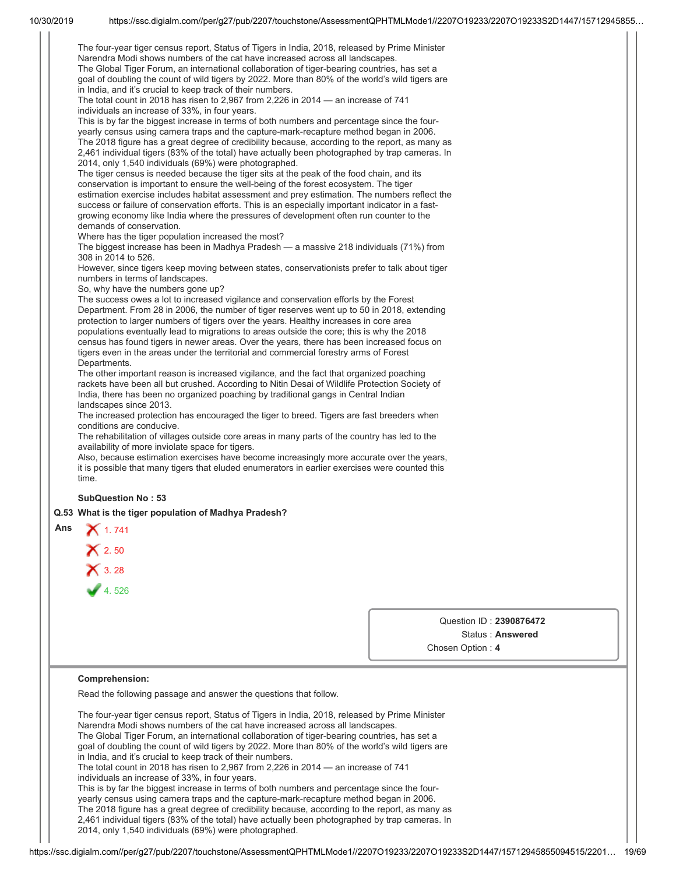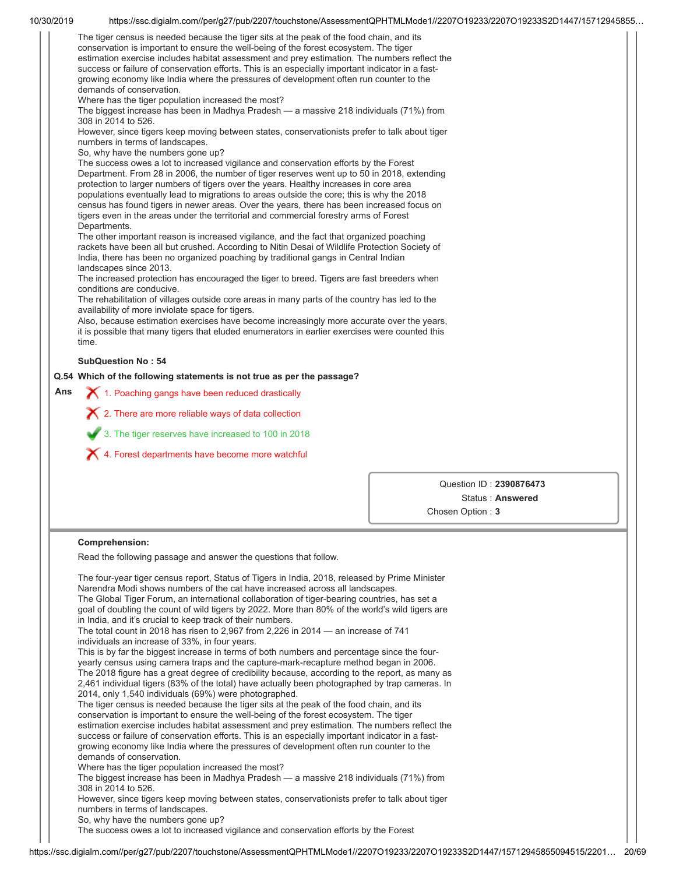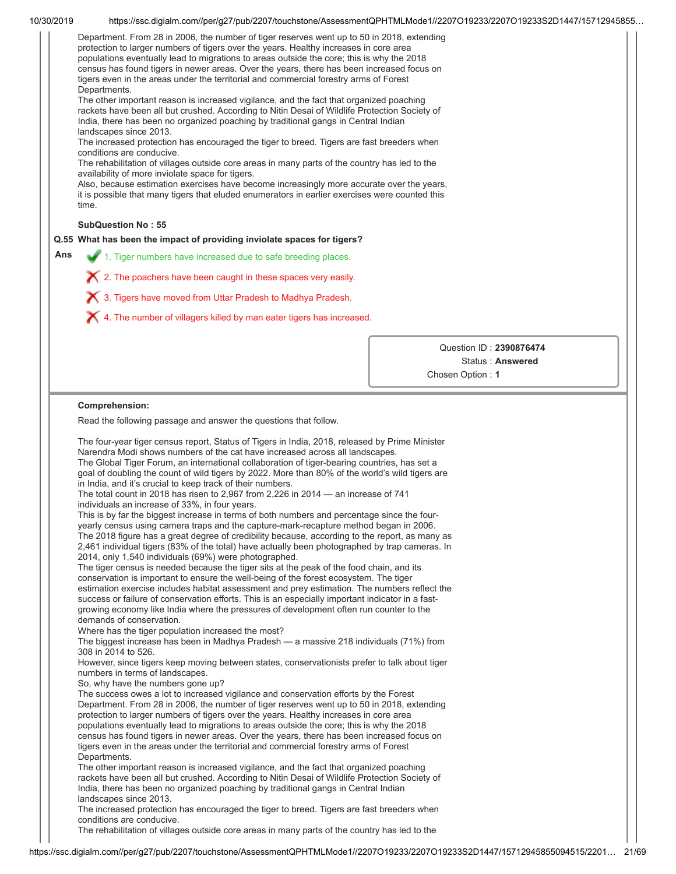| 10/30/2019 | https://ssc.digialm.com//per/g27/pub/2207/touchstone/AssessmentQPHTMLMode1//2207O19233/2207O19233S2D1447/15712945855.                                                                                                                                                                                                                                                                                                                                                                                                                                                             |                         |                  |
|------------|-----------------------------------------------------------------------------------------------------------------------------------------------------------------------------------------------------------------------------------------------------------------------------------------------------------------------------------------------------------------------------------------------------------------------------------------------------------------------------------------------------------------------------------------------------------------------------------|-------------------------|------------------|
|            | Department. From 28 in 2006, the number of tiger reserves went up to 50 in 2018, extending<br>protection to larger numbers of tigers over the years. Healthy increases in core area<br>populations eventually lead to migrations to areas outside the core; this is why the 2018<br>census has found tigers in newer areas. Over the years, there has been increased focus on<br>tigers even in the areas under the territorial and commercial forestry arms of Forest<br>Departments.<br>The other important reason is increased vigilance, and the fact that organized poaching |                         |                  |
|            | rackets have been all but crushed. According to Nitin Desai of Wildlife Protection Society of<br>India, there has been no organized poaching by traditional gangs in Central Indian<br>landscapes since 2013.<br>The increased protection has encouraged the tiger to breed. Tigers are fast breeders when                                                                                                                                                                                                                                                                        |                         |                  |
|            | conditions are conducive.<br>The rehabilitation of villages outside core areas in many parts of the country has led to the<br>availability of more inviolate space for tigers.<br>Also, because estimation exercises have become increasingly more accurate over the years,<br>it is possible that many tigers that eluded enumerators in earlier exercises were counted this<br>time.                                                                                                                                                                                            |                         |                  |
|            |                                                                                                                                                                                                                                                                                                                                                                                                                                                                                                                                                                                   |                         |                  |
|            | <b>SubQuestion No: 55</b>                                                                                                                                                                                                                                                                                                                                                                                                                                                                                                                                                         |                         |                  |
|            | Q.55 What has been the impact of providing inviolate spaces for tigers?                                                                                                                                                                                                                                                                                                                                                                                                                                                                                                           |                         |                  |
| Ans        | 1. Tiger numbers have increased due to safe breeding places.                                                                                                                                                                                                                                                                                                                                                                                                                                                                                                                      |                         |                  |
|            | $\blacktriangleright$ 2. The poachers have been caught in these spaces very easily.                                                                                                                                                                                                                                                                                                                                                                                                                                                                                               |                         |                  |
|            | X 3. Tigers have moved from Uttar Pradesh to Madhya Pradesh.                                                                                                                                                                                                                                                                                                                                                                                                                                                                                                                      |                         |                  |
|            | X 4. The number of villagers killed by man eater tigers has increased.                                                                                                                                                                                                                                                                                                                                                                                                                                                                                                            |                         |                  |
|            |                                                                                                                                                                                                                                                                                                                                                                                                                                                                                                                                                                                   |                         |                  |
|            |                                                                                                                                                                                                                                                                                                                                                                                                                                                                                                                                                                                   | Question ID: 2390876474 |                  |
|            |                                                                                                                                                                                                                                                                                                                                                                                                                                                                                                                                                                                   | Chosen Option: 1        | Status: Answered |
|            |                                                                                                                                                                                                                                                                                                                                                                                                                                                                                                                                                                                   |                         |                  |
|            | Read the following passage and answer the questions that follow.<br>The four-year tiger census report, Status of Tigers in India, 2018, released by Prime Minister<br>Narendra Modi shows numbers of the cat have increased across all landscapes.<br>The Global Tiger Forum, an international collaboration of tiger-bearing countries, has set a<br>goal of doubling the count of wild tigers by 2022. More than 80% of the world's wild tigers are<br>in India, and it's crucial to keep track of their numbers.                                                               |                         |                  |
|            | The total count in 2018 has risen to 2,967 from 2,226 in 2014 $-$ an increase of 741<br>individuals an increase of 33%, in four years.                                                                                                                                                                                                                                                                                                                                                                                                                                            |                         |                  |
|            | This is by far the biggest increase in terms of both numbers and percentage since the four-                                                                                                                                                                                                                                                                                                                                                                                                                                                                                       |                         |                  |
|            | yearly census using camera traps and the capture-mark-recapture method began in 2006.<br>The 2018 figure has a great degree of credibility because, according to the report, as many as<br>2,461 individual tigers (83% of the total) have actually been photographed by trap cameras. In                                                                                                                                                                                                                                                                                         |                         |                  |
|            | 2014, only 1,540 individuals (69%) were photographed.<br>The tiger census is needed because the tiger sits at the peak of the food chain, and its                                                                                                                                                                                                                                                                                                                                                                                                                                 |                         |                  |
|            | conservation is important to ensure the well-being of the forest ecosystem. The tiger                                                                                                                                                                                                                                                                                                                                                                                                                                                                                             |                         |                  |
|            | estimation exercise includes habitat assessment and prey estimation. The numbers reflect the<br>success or failure of conservation efforts. This is an especially important indicator in a fast-                                                                                                                                                                                                                                                                                                                                                                                  |                         |                  |
|            | growing economy like India where the pressures of development often run counter to the<br>demands of conservation.                                                                                                                                                                                                                                                                                                                                                                                                                                                                |                         |                  |
|            | Where has the tiger population increased the most?<br>The biggest increase has been in Madhya Pradesh — a massive 218 individuals (71%) from<br>308 in 2014 to 526.                                                                                                                                                                                                                                                                                                                                                                                                               |                         |                  |
|            | However, since tigers keep moving between states, conservationists prefer to talk about tiger<br>numbers in terms of landscapes.                                                                                                                                                                                                                                                                                                                                                                                                                                                  |                         |                  |
|            | So, why have the numbers gone up?<br>The success owes a lot to increased vigilance and conservation efforts by the Forest<br>Department. From 28 in 2006, the number of tiger reserves went up to 50 in 2018, extending                                                                                                                                                                                                                                                                                                                                                           |                         |                  |
|            | protection to larger numbers of tigers over the years. Healthy increases in core area<br>populations eventually lead to migrations to areas outside the core; this is why the 2018<br>census has found tigers in newer areas. Over the years, there has been increased focus on                                                                                                                                                                                                                                                                                                   |                         |                  |
|            | tigers even in the areas under the territorial and commercial forestry arms of Forest<br>Departments.<br>The other important reason is increased vigilance, and the fact that organized poaching                                                                                                                                                                                                                                                                                                                                                                                  |                         |                  |
|            | rackets have been all but crushed. According to Nitin Desai of Wildlife Protection Society of<br>India, there has been no organized poaching by traditional gangs in Central Indian<br>landscapes since 2013.                                                                                                                                                                                                                                                                                                                                                                     |                         |                  |
|            | The increased protection has encouraged the tiger to breed. Tigers are fast breeders when<br>conditions are conducive.<br>The rehabilitation of villages outside core areas in many parts of the country has led to the                                                                                                                                                                                                                                                                                                                                                           |                         |                  |
|            |                                                                                                                                                                                                                                                                                                                                                                                                                                                                                                                                                                                   |                         |                  |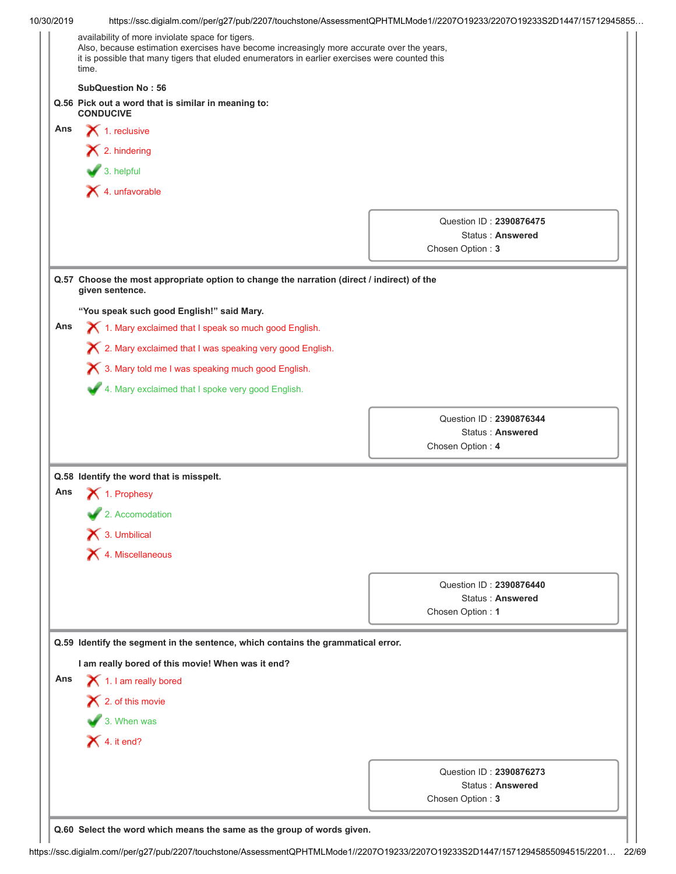| 10/30/2019 | https://ssc.digialm.com//per/g27/pub/2207/touchstone/AssessmentQPHTMLMode1//2207O19233/2207O19233S2D1447/15712945855                                                                                 |                                             |                                      |  |
|------------|------------------------------------------------------------------------------------------------------------------------------------------------------------------------------------------------------|---------------------------------------------|--------------------------------------|--|
|            | availability of more inviolate space for tigers.                                                                                                                                                     |                                             |                                      |  |
|            | Also, because estimation exercises have become increasingly more accurate over the years,<br>it is possible that many tigers that eluded enumerators in earlier exercises were counted this<br>time. |                                             |                                      |  |
|            | <b>SubQuestion No: 56</b>                                                                                                                                                                            |                                             |                                      |  |
|            | Q.56 Pick out a word that is similar in meaning to:                                                                                                                                                  |                                             |                                      |  |
| Ans        | <b>CONDUCIVE</b><br>$\blacktriangleright$ 1. reclusive                                                                                                                                               |                                             |                                      |  |
|            | $\blacktriangleright$ 2. hindering                                                                                                                                                                   |                                             |                                      |  |
|            | $\bullet$ 3. helpful                                                                                                                                                                                 |                                             |                                      |  |
|            | X 4. unfavorable                                                                                                                                                                                     |                                             |                                      |  |
|            |                                                                                                                                                                                                      | Question ID: 2390876475                     |                                      |  |
|            |                                                                                                                                                                                                      | <b>Status: Answered</b>                     |                                      |  |
|            |                                                                                                                                                                                                      | Chosen Option: 3                            |                                      |  |
|            | Q.57 Choose the most appropriate option to change the narration (direct / indirect) of the<br>given sentence.                                                                                        |                                             |                                      |  |
|            | "You speak such good English!" said Mary.                                                                                                                                                            |                                             |                                      |  |
| Ans        | 1. Mary exclaimed that I speak so much good English.                                                                                                                                                 |                                             |                                      |  |
|            | X 2. Mary exclaimed that I was speaking very good English.                                                                                                                                           |                                             |                                      |  |
|            | X 3. Mary told me I was speaking much good English.                                                                                                                                                  |                                             |                                      |  |
|            | 4. Mary exclaimed that I spoke very good English.                                                                                                                                                    |                                             |                                      |  |
|            |                                                                                                                                                                                                      |                                             |                                      |  |
|            |                                                                                                                                                                                                      | Question ID: 2390876344<br>Status: Answered |                                      |  |
|            |                                                                                                                                                                                                      | Chosen Option: 4                            |                                      |  |
|            |                                                                                                                                                                                                      |                                             |                                      |  |
| Ans        | Q.58 Identify the word that is misspelt.<br>1. Prophesy                                                                                                                                              |                                             |                                      |  |
|            | 2. Accomodation                                                                                                                                                                                      |                                             |                                      |  |
|            |                                                                                                                                                                                                      |                                             |                                      |  |
|            | $\blacktriangleright$ 3. Umbilical<br>X 4. Miscellaneous                                                                                                                                             |                                             |                                      |  |
|            |                                                                                                                                                                                                      |                                             |                                      |  |
|            |                                                                                                                                                                                                      | Question ID: 2390876440                     |                                      |  |
|            |                                                                                                                                                                                                      |                                             |                                      |  |
|            |                                                                                                                                                                                                      |                                             | Status: Answered<br>Chosen Option: 1 |  |
|            | Q.59 Identify the segment in the sentence, which contains the grammatical error.                                                                                                                     |                                             |                                      |  |
| Ans        | I am really bored of this movie! When was it end?                                                                                                                                                    |                                             |                                      |  |
|            | 1. I am really bored                                                                                                                                                                                 |                                             |                                      |  |
|            | $\bigtimes$ 2. of this movie                                                                                                                                                                         |                                             |                                      |  |
|            | $\bullet$ 3. When was                                                                                                                                                                                |                                             |                                      |  |
|            | $\bigtimes$ 4. it end?                                                                                                                                                                               |                                             |                                      |  |
|            |                                                                                                                                                                                                      | Question ID: 2390876273                     |                                      |  |
|            |                                                                                                                                                                                                      |                                             |                                      |  |
|            |                                                                                                                                                                                                      | Status: Answered                            |                                      |  |
|            |                                                                                                                                                                                                      | Chosen Option: 3                            |                                      |  |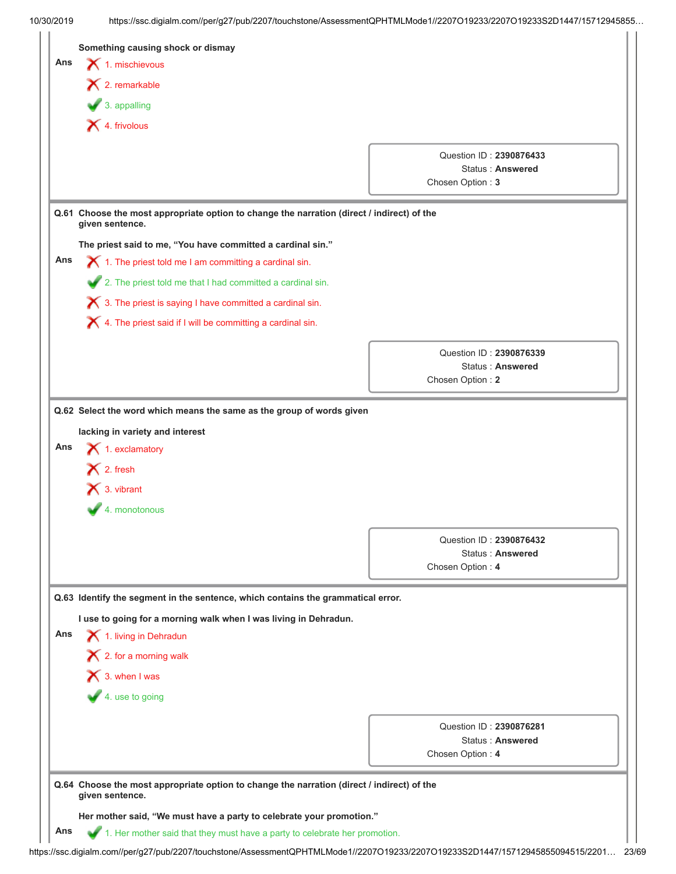|     | $\blacktriangleright$ 2. remarkable                                                                                                                                            |                                             |
|-----|--------------------------------------------------------------------------------------------------------------------------------------------------------------------------------|---------------------------------------------|
|     | $\blacktriangleright$ 3. appalling                                                                                                                                             |                                             |
|     | X 4. frivolous                                                                                                                                                                 |                                             |
|     |                                                                                                                                                                                |                                             |
|     |                                                                                                                                                                                | Question ID: 2390876433                     |
|     |                                                                                                                                                                                | <b>Status: Answered</b><br>Chosen Option: 3 |
|     |                                                                                                                                                                                |                                             |
|     | Q.61 Choose the most appropriate option to change the narration (direct / indirect) of the<br>given sentence.                                                                  |                                             |
|     | The priest said to me, "You have committed a cardinal sin."                                                                                                                    |                                             |
| Ans | 1. The priest told me I am committing a cardinal sin.                                                                                                                          |                                             |
|     | 2. The priest told me that I had committed a cardinal sin.                                                                                                                     |                                             |
|     | X 3. The priest is saying I have committed a cardinal sin.                                                                                                                     |                                             |
|     | X 4. The priest said if I will be committing a cardinal sin.                                                                                                                   |                                             |
|     |                                                                                                                                                                                | Question ID: 2390876339                     |
|     |                                                                                                                                                                                | Status: Answered                            |
|     |                                                                                                                                                                                | Chosen Option: 2                            |
|     | Q.62 Select the word which means the same as the group of words given<br>lacking in variety and interest<br>$\blacktriangleright$ 1. exclamatory<br>$\mathsf{\times}$ 2. fresh |                                             |
| Ans | × 3. vibrant<br>4. monotonous                                                                                                                                                  |                                             |
|     |                                                                                                                                                                                |                                             |
|     |                                                                                                                                                                                | Question ID: 2390876432<br>Status: Answered |
|     |                                                                                                                                                                                | Chosen Option: 4                            |
|     | Q.63 Identify the segment in the sentence, which contains the grammatical error.                                                                                               |                                             |
|     | I use to going for a morning walk when I was living in Dehradun.                                                                                                               |                                             |
|     | 1. living in Dehradun                                                                                                                                                          |                                             |
| Ans | $\blacktriangleright$ 2. for a morning walk                                                                                                                                    |                                             |
|     | $\bigtimes$ 3. when I was                                                                                                                                                      |                                             |
|     | $\blacktriangleright$ 4. use to going                                                                                                                                          |                                             |
|     |                                                                                                                                                                                | Question ID: 2390876281                     |
|     |                                                                                                                                                                                | Status: Answered                            |
|     |                                                                                                                                                                                | Chosen Option: 4                            |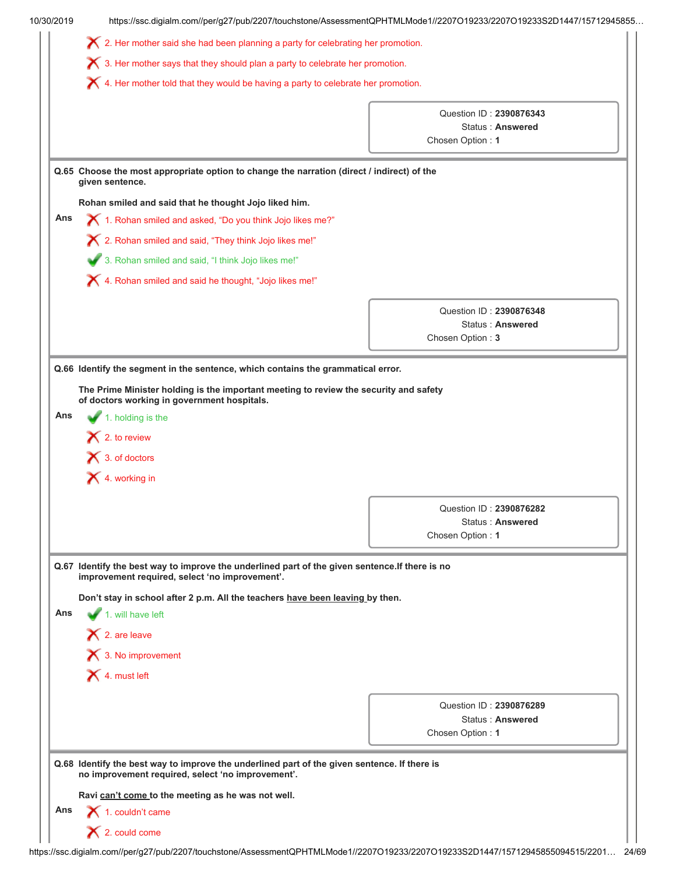| 10/30/2019 |                                                                                                                                                   |                                                                                       |
|------------|---------------------------------------------------------------------------------------------------------------------------------------------------|---------------------------------------------------------------------------------------|
|            | $\boldsymbol{\times}$ 2. Her mother said she had been planning a party for celebrating her promotion.                                             |                                                                                       |
|            | $\boldsymbol{\times}$ 3. Her mother says that they should plan a party to celebrate her promotion.                                                |                                                                                       |
|            | $\blacktriangleright$ 4. Her mother told that they would be having a party to celebrate her promotion.                                            |                                                                                       |
|            |                                                                                                                                                   | Question ID: 2390876343                                                               |
|            |                                                                                                                                                   | Status: Answered                                                                      |
|            |                                                                                                                                                   | Chosen Option: 1                                                                      |
|            | Q.65 Choose the most appropriate option to change the narration (direct / indirect) of the<br>given sentence.                                     |                                                                                       |
|            | Rohan smiled and said that he thought Jojo liked him.                                                                                             |                                                                                       |
| Ans        | X 1. Rohan smiled and asked, "Do you think Jojo likes me?"                                                                                        |                                                                                       |
|            | X 2. Rohan smiled and said, "They think Jojo likes me!"                                                                                           |                                                                                       |
|            | 3. Rohan smiled and said, "I think Jojo likes me!"                                                                                                |                                                                                       |
|            | X 4. Rohan smiled and said he thought, "Jojo likes me!"                                                                                           |                                                                                       |
|            |                                                                                                                                                   | Question ID: 2390876348                                                               |
|            |                                                                                                                                                   | Status: Answered                                                                      |
|            |                                                                                                                                                   | Chosen Option: 3                                                                      |
| Ans        | of doctors working in government hospitals.<br>1. holding is the<br>$\blacktriangleright$ 2. to review                                            | The Prime Minister holding is the important meeting to review the security and safety |
|            | $\blacktriangleright$ 3. of doctors                                                                                                               |                                                                                       |
|            | X 4. working in                                                                                                                                   |                                                                                       |
|            |                                                                                                                                                   |                                                                                       |
|            |                                                                                                                                                   | Question ID: 2390876282<br>Status: Answered                                           |
|            |                                                                                                                                                   | Chosen Option: 1                                                                      |
|            | Q.67 Identify the best way to improve the underlined part of the given sentence. If there is no<br>improvement required, select 'no improvement'. |                                                                                       |
|            | Don't stay in school after 2 p.m. All the teachers have been leaving by then.                                                                     |                                                                                       |
| Ans        | 1. will have left                                                                                                                                 |                                                                                       |
|            | $\blacktriangleright$ 2. are leave                                                                                                                |                                                                                       |
|            | × 3. No improvement                                                                                                                               |                                                                                       |
|            | X 4. must left                                                                                                                                    |                                                                                       |
|            |                                                                                                                                                   | Question ID: 2390876289                                                               |
|            |                                                                                                                                                   | Status: Answered                                                                      |
|            |                                                                                                                                                   | Chosen Option: 1                                                                      |
|            | Q.68 Identify the best way to improve the underlined part of the given sentence. If there is<br>no improvement required, select 'no improvement'. |                                                                                       |
|            | Ravi can't come to the meeting as he was not well.                                                                                                |                                                                                       |
| Ans        | $\blacktriangleright$ 1. couldn't came                                                                                                            |                                                                                       |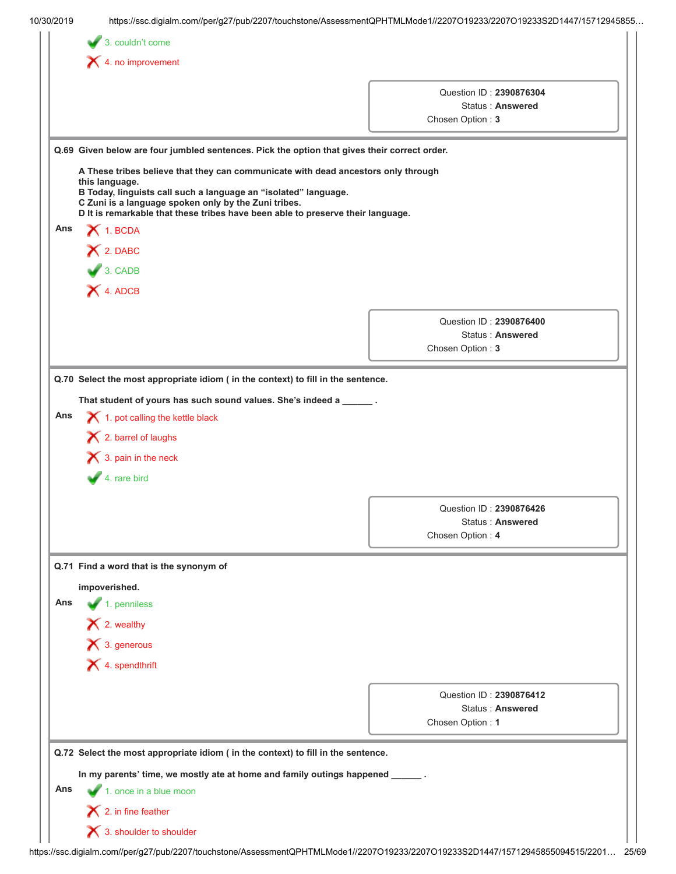|            | $\blacktriangleright$ 4. no improvement                                                                                                                                                                                                                                                                           |                                             |                         |
|------------|-------------------------------------------------------------------------------------------------------------------------------------------------------------------------------------------------------------------------------------------------------------------------------------------------------------------|---------------------------------------------|-------------------------|
|            |                                                                                                                                                                                                                                                                                                                   | Question ID: 2390876304<br>Chosen Option: 3 | <b>Status: Answered</b> |
|            | Q.69 Given below are four jumbled sentences. Pick the option that gives their correct order.                                                                                                                                                                                                                      |                                             |                         |
|            | A These tribes believe that they can communicate with dead ancestors only through<br>this language.<br>B Today, linguists call such a language an "isolated" language.<br>C Zuni is a language spoken only by the Zuni tribes.<br>D It is remarkable that these tribes have been able to preserve their language. |                                             |                         |
| Ans        | $\bigtimes$ 1. BCDA                                                                                                                                                                                                                                                                                               |                                             |                         |
|            | $\bigtimes$ 2. DABC                                                                                                                                                                                                                                                                                               |                                             |                         |
|            | 3. CADB                                                                                                                                                                                                                                                                                                           |                                             |                         |
|            | X 4. ADCB                                                                                                                                                                                                                                                                                                         |                                             |                         |
|            |                                                                                                                                                                                                                                                                                                                   | Question ID: 2390876400<br>Chosen Option: 3 | Status: Answered        |
|            | Q.70 Select the most appropriate idiom ( in the context) to fill in the sentence.                                                                                                                                                                                                                                 |                                             |                         |
|            | That student of yours has such sound values. She's indeed a ______.                                                                                                                                                                                                                                               |                                             |                         |
| Ans        | 1. pot calling the kettle black                                                                                                                                                                                                                                                                                   |                                             |                         |
|            |                                                                                                                                                                                                                                                                                                                   |                                             |                         |
|            |                                                                                                                                                                                                                                                                                                                   |                                             |                         |
|            | $\mathsf{\times}$ 2. barrel of laughs                                                                                                                                                                                                                                                                             |                                             |                         |
|            | $\blacktriangleright$ 3. pain in the neck                                                                                                                                                                                                                                                                         |                                             |                         |
|            | 4. rare bird                                                                                                                                                                                                                                                                                                      |                                             |                         |
|            |                                                                                                                                                                                                                                                                                                                   | Question ID: 2390876426                     |                         |
|            |                                                                                                                                                                                                                                                                                                                   |                                             | <b>Status: Answered</b> |
|            |                                                                                                                                                                                                                                                                                                                   | Chosen Option: 4                            |                         |
|            | Q.71 Find a word that is the synonym of                                                                                                                                                                                                                                                                           |                                             |                         |
|            | impoverished.                                                                                                                                                                                                                                                                                                     |                                             |                         |
|            | $\blacktriangleright$ 1. penniless                                                                                                                                                                                                                                                                                |                                             |                         |
|            | $\blacktriangleright$ 2. wealthy                                                                                                                                                                                                                                                                                  |                                             |                         |
|            | $\bigtimes$ 3. generous                                                                                                                                                                                                                                                                                           |                                             |                         |
|            | $\blacktriangleright$ 4. spendthrift                                                                                                                                                                                                                                                                              |                                             |                         |
|            |                                                                                                                                                                                                                                                                                                                   |                                             |                         |
|            |                                                                                                                                                                                                                                                                                                                   | Question ID: 2390876412                     |                         |
|            |                                                                                                                                                                                                                                                                                                                   | Chosen Option: 1                            | <b>Status: Answered</b> |
|            |                                                                                                                                                                                                                                                                                                                   |                                             |                         |
|            | Q.72 Select the most appropriate idiom ( in the context) to fill in the sentence.                                                                                                                                                                                                                                 |                                             |                         |
| Ans<br>Ans | In my parents' time, we mostly ate at home and family outings happened ______.<br>1. once in a blue moon                                                                                                                                                                                                          |                                             |                         |

https://ssc.digialm.com//per/g27/pub/2207/touchstone/AssessmentQPHTMLMode1//2207O19233/2207O19233S2D1447/15712945855094515/2201… 25/69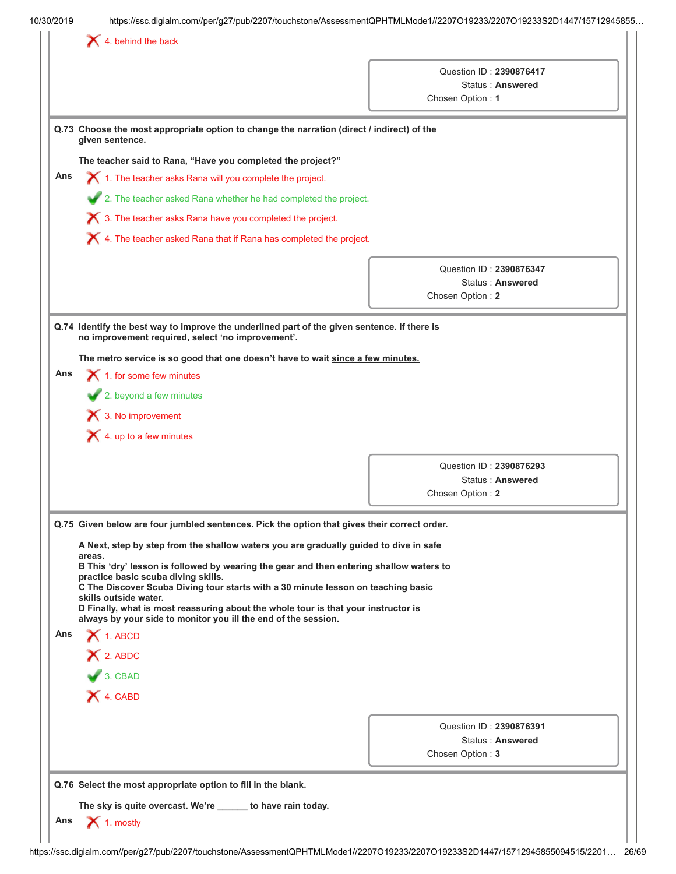|     |                                                                                                                                                      | Question ID: 2390876417<br>Status: Answered |
|-----|------------------------------------------------------------------------------------------------------------------------------------------------------|---------------------------------------------|
|     |                                                                                                                                                      | Chosen Option: 1                            |
|     | Q.73 Choose the most appropriate option to change the narration (direct / indirect) of the<br>given sentence.                                        |                                             |
|     | The teacher said to Rana, "Have you completed the project?"                                                                                          |                                             |
| Ans | 1. The teacher asks Rana will you complete the project.                                                                                              |                                             |
|     | 2. The teacher asked Rana whether he had completed the project.                                                                                      |                                             |
|     | 3. The teacher asks Rana have you completed the project.                                                                                             |                                             |
|     | X 4. The teacher asked Rana that if Rana has completed the project.                                                                                  |                                             |
|     |                                                                                                                                                      |                                             |
|     |                                                                                                                                                      | Question ID: 2390876347                     |
|     |                                                                                                                                                      | Status: Answered                            |
|     |                                                                                                                                                      | Chosen Option: 2                            |
|     | Q.74 Identify the best way to improve the underlined part of the given sentence. If there is<br>no improvement required, select 'no improvement'.    |                                             |
|     | The metro service is so good that one doesn't have to wait since a few minutes.                                                                      |                                             |
| Ans | $\blacktriangleright$ 1. for some few minutes                                                                                                        |                                             |
|     | 2. beyond a few minutes                                                                                                                              |                                             |
|     | $\blacktriangleright$ 3. No improvement                                                                                                              |                                             |
|     | $\blacktriangleright$ 4. up to a few minutes                                                                                                         |                                             |
|     |                                                                                                                                                      |                                             |
|     |                                                                                                                                                      | Question ID: 2390876293                     |
|     |                                                                                                                                                      | Status: Answered                            |
|     |                                                                                                                                                      | Chosen Option: 2                            |
|     | Q.75 Given below are four jumbled sentences. Pick the option that gives their correct order.                                                         |                                             |
|     | A Next, step by step from the shallow waters you are gradually guided to dive in safe                                                                |                                             |
|     | areas.<br>B This 'dry' lesson is followed by wearing the gear and then entering shallow waters to                                                    |                                             |
|     | practice basic scuba diving skills.                                                                                                                  |                                             |
|     | C The Discover Scuba Diving tour starts with a 30 minute lesson on teaching basic<br>skills outside water.                                           |                                             |
|     | D Finally, what is most reassuring about the whole tour is that your instructor is<br>always by your side to monitor you ill the end of the session. |                                             |
| Ans | X 1. ABCD                                                                                                                                            |                                             |
|     | $\bigtimes$ 2. ABDC                                                                                                                                  |                                             |
|     | $\bullet$ 3. CBAD                                                                                                                                    |                                             |
|     |                                                                                                                                                      |                                             |
|     | X 4. CABD                                                                                                                                            |                                             |
|     |                                                                                                                                                      | Question ID: 2390876391                     |
|     |                                                                                                                                                      | Status: Answered                            |
|     |                                                                                                                                                      | Chosen Option: 3                            |
|     |                                                                                                                                                      |                                             |
|     | Q.76 Select the most appropriate option to fill in the blank.                                                                                        |                                             |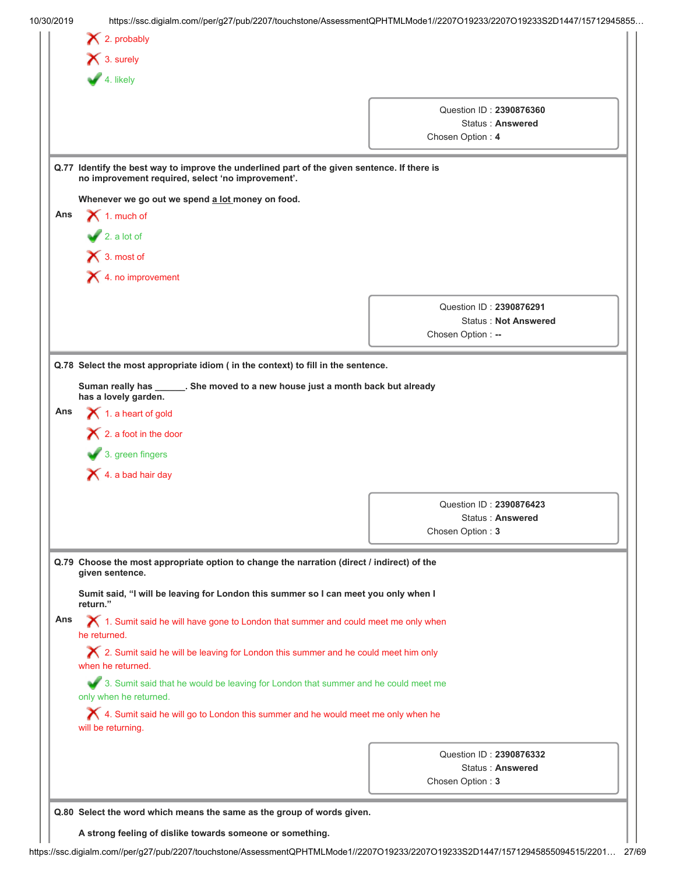|     | $\mathsf{\times}$ 3. surely                                                                                                                                                                        |                   |                                                        |  |
|-----|----------------------------------------------------------------------------------------------------------------------------------------------------------------------------------------------------|-------------------|--------------------------------------------------------|--|
|     | $4.$ likely                                                                                                                                                                                        |                   |                                                        |  |
|     |                                                                                                                                                                                                    |                   | Question ID: 2390876360                                |  |
|     |                                                                                                                                                                                                    |                   | Status: Answered                                       |  |
|     |                                                                                                                                                                                                    | Chosen Option: 4  |                                                        |  |
|     | Q.77 Identify the best way to improve the underlined part of the given sentence. If there is<br>no improvement required, select 'no improvement'.                                                  |                   |                                                        |  |
|     | Whenever we go out we spend a lot money on food.                                                                                                                                                   |                   |                                                        |  |
| Ans | $\bigtimes$ 1. much of                                                                                                                                                                             |                   |                                                        |  |
|     | 2. a lot of                                                                                                                                                                                        |                   |                                                        |  |
|     | X 3. most of                                                                                                                                                                                       |                   |                                                        |  |
|     | $\blacktriangleright$ 4. no improvement                                                                                                                                                            |                   |                                                        |  |
|     |                                                                                                                                                                                                    |                   |                                                        |  |
|     |                                                                                                                                                                                                    |                   | Question ID: 2390876291<br><b>Status: Not Answered</b> |  |
|     |                                                                                                                                                                                                    | Chosen Option: -- |                                                        |  |
|     |                                                                                                                                                                                                    |                   |                                                        |  |
| Ans | Suman really has ______. She moved to a new house just a month back but already<br>has a lovely garden.<br>$\blacktriangleright$ 1. a heart of gold<br>$\blacktriangleright$ 2. a foot in the door |                   |                                                        |  |
|     | 3. green fingers<br>$\blacktriangleright$ 4. a bad hair day                                                                                                                                        |                   |                                                        |  |
|     |                                                                                                                                                                                                    |                   |                                                        |  |
|     |                                                                                                                                                                                                    |                   | Question ID: 2390876423<br>Status: Answered            |  |
|     |                                                                                                                                                                                                    | Chosen Option: 3  |                                                        |  |
|     | Q.79 Choose the most appropriate option to change the narration (direct / indirect) of the<br>given sentence.                                                                                      |                   |                                                        |  |
|     | Sumit said, "I will be leaving for London this summer so I can meet you only when I<br>return."                                                                                                    |                   |                                                        |  |
| Ans | $\chi$ 1. Sumit said he will have gone to London that summer and could meet me only when<br>he returned.                                                                                           |                   |                                                        |  |
|     | $\chi$ 2. Sumit said he will be leaving for London this summer and he could meet him only<br>when he returned.                                                                                     |                   |                                                        |  |
|     | 3. Sumit said that he would be leaving for London that summer and he could meet me<br>only when he returned.                                                                                       |                   |                                                        |  |
|     | X 4. Sumit said he will go to London this summer and he would meet me only when he<br>will be returning.                                                                                           |                   |                                                        |  |
|     |                                                                                                                                                                                                    |                   | Question ID: 2390876332                                |  |
|     |                                                                                                                                                                                                    | Chosen Option: 3  | Status: Answered                                       |  |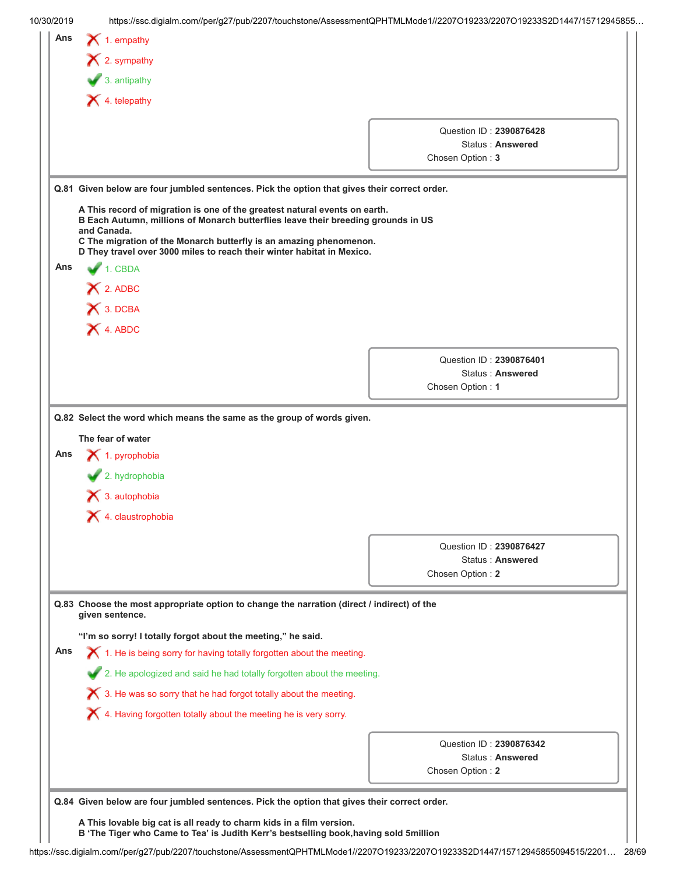|                                                                               | $\blacktriangleright$ 2. sympathy                                                                                                                                                                                                                    |                         |                  |
|-------------------------------------------------------------------------------|------------------------------------------------------------------------------------------------------------------------------------------------------------------------------------------------------------------------------------------------------|-------------------------|------------------|
|                                                                               | $\bullet$ 3. antipathy                                                                                                                                                                                                                               |                         |                  |
|                                                                               | $\blacktriangleright$ 4. telepathy                                                                                                                                                                                                                   |                         |                  |
|                                                                               |                                                                                                                                                                                                                                                      |                         |                  |
|                                                                               |                                                                                                                                                                                                                                                      | Question ID: 2390876428 |                  |
|                                                                               |                                                                                                                                                                                                                                                      | Chosen Option: 3        | Status: Answered |
|                                                                               |                                                                                                                                                                                                                                                      |                         |                  |
|                                                                               | Q.81 Given below are four jumbled sentences. Pick the option that gives their correct order.                                                                                                                                                         |                         |                  |
|                                                                               | A This record of migration is one of the greatest natural events on earth.<br>B Each Autumn, millions of Monarch butterflies leave their breeding grounds in US<br>and Canada.<br>C The migration of the Monarch butterfly is an amazing phenomenon. |                         |                  |
| Ans                                                                           | D They travel over 3000 miles to reach their winter habitat in Mexico.<br>1. CBDA                                                                                                                                                                    |                         |                  |
|                                                                               |                                                                                                                                                                                                                                                      |                         |                  |
|                                                                               | $\bigtimes$ 2. ADBC                                                                                                                                                                                                                                  |                         |                  |
|                                                                               | X 3. DCBA                                                                                                                                                                                                                                            |                         |                  |
|                                                                               | X 4. ABDC                                                                                                                                                                                                                                            |                         |                  |
|                                                                               |                                                                                                                                                                                                                                                      | Question ID: 2390876401 |                  |
|                                                                               |                                                                                                                                                                                                                                                      |                         | Status: Answered |
|                                                                               |                                                                                                                                                                                                                                                      | Chosen Option: 1        |                  |
| Q.82 Select the word which means the same as the group of words given.<br>Ans | The fear of water<br>1. pyrophobia                                                                                                                                                                                                                   |                         |                  |
|                                                                               | 2. hydrophobia                                                                                                                                                                                                                                       |                         |                  |
|                                                                               | $\blacktriangleright$ 3. autophobia                                                                                                                                                                                                                  |                         |                  |
|                                                                               | $\blacktriangleright$ 4. claustrophobia                                                                                                                                                                                                              |                         |                  |
|                                                                               |                                                                                                                                                                                                                                                      | Question ID: 2390876427 |                  |
|                                                                               |                                                                                                                                                                                                                                                      |                         | Status: Answered |
|                                                                               |                                                                                                                                                                                                                                                      | Chosen Option: 2        |                  |
|                                                                               | Q.83 Choose the most appropriate option to change the narration (direct / indirect) of the<br>given sentence.                                                                                                                                        |                         |                  |
|                                                                               | "I'm so sorry! I totally forgot about the meeting," he said.                                                                                                                                                                                         |                         |                  |
|                                                                               | $\chi$ 1. He is being sorry for having totally forgotten about the meeting.                                                                                                                                                                          |                         |                  |
|                                                                               | 2. He apologized and said he had totally forgotten about the meeting.                                                                                                                                                                                |                         |                  |
|                                                                               | X 3. He was so sorry that he had forgot totally about the meeting.                                                                                                                                                                                   |                         |                  |
|                                                                               | X 4. Having forgotten totally about the meeting he is very sorry.                                                                                                                                                                                    |                         |                  |
|                                                                               |                                                                                                                                                                                                                                                      |                         |                  |
|                                                                               |                                                                                                                                                                                                                                                      | Question ID: 2390876342 |                  |
|                                                                               |                                                                                                                                                                                                                                                      |                         | Status: Answered |
| Ans                                                                           |                                                                                                                                                                                                                                                      | Chosen Option: 2        |                  |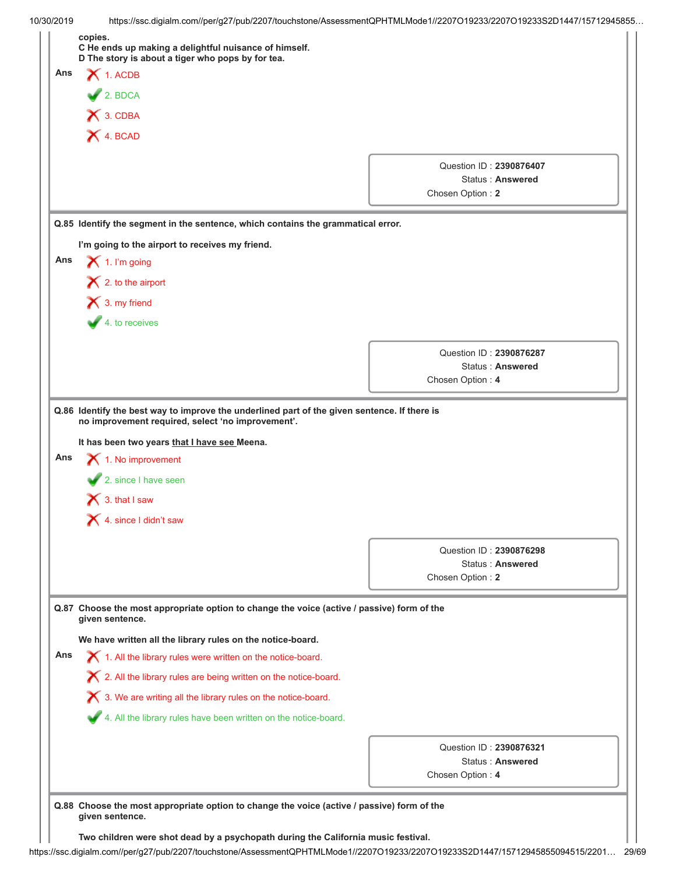|     | D The story is about a tiger who pops by for tea.                                                                                                 |                                             |
|-----|---------------------------------------------------------------------------------------------------------------------------------------------------|---------------------------------------------|
| Ans | $\bigtimes$ 1. ACDB                                                                                                                               |                                             |
|     | 2. BDCA                                                                                                                                           |                                             |
|     | X 3. CDBA                                                                                                                                         |                                             |
|     | X 4. BCAD                                                                                                                                         |                                             |
|     |                                                                                                                                                   | Question ID: 2390876407                     |
|     |                                                                                                                                                   | Status: Answered                            |
|     |                                                                                                                                                   | Chosen Option: 2                            |
|     | Q.85 Identify the segment in the sentence, which contains the grammatical error.                                                                  |                                             |
|     | I'm going to the airport to receives my friend.                                                                                                   |                                             |
| Ans | $\blacktriangleright$ 1. I'm going                                                                                                                |                                             |
|     | $\bigtimes$ 2. to the airport                                                                                                                     |                                             |
|     | 1 3. my friend                                                                                                                                    |                                             |
|     | $\blacktriangleright$ 4. to receives                                                                                                              |                                             |
|     |                                                                                                                                                   |                                             |
|     |                                                                                                                                                   | Question ID: 2390876287<br>Status: Answered |
|     |                                                                                                                                                   | Chosen Option: 4                            |
|     |                                                                                                                                                   |                                             |
|     | Q.86 Identify the best way to improve the underlined part of the given sentence. If there is<br>no improvement required, select 'no improvement'. |                                             |
| Ans | It has been two years that I have see Meena.<br>$\blacktriangleright$ 1. No improvement                                                           |                                             |
|     | 2. since I have seen                                                                                                                              |                                             |
|     | $\bigtimes$ 3. that I saw                                                                                                                         |                                             |
|     |                                                                                                                                                   |                                             |
|     | 4. since I didn't saw                                                                                                                             |                                             |
|     |                                                                                                                                                   | Question ID: 2390876298                     |
|     |                                                                                                                                                   | Status: Answered                            |
|     |                                                                                                                                                   | Chosen Option: 2                            |
|     | Q.87 Choose the most appropriate option to change the voice (active / passive) form of the<br>given sentence.                                     |                                             |
|     | We have written all the library rules on the notice-board.                                                                                        |                                             |
| Ans | 1. All the library rules were written on the notice-board.                                                                                        |                                             |
|     | X 2. All the library rules are being written on the notice-board.                                                                                 |                                             |
|     | X 3. We are writing all the library rules on the notice-board.                                                                                    |                                             |
|     | 4. All the library rules have been written on the notice-board.                                                                                   |                                             |
|     |                                                                                                                                                   | Question ID: 2390876321                     |
|     |                                                                                                                                                   | Status: Answered                            |
|     |                                                                                                                                                   | Chosen Option: 4                            |
|     |                                                                                                                                                   |                                             |

https://ssc.digialm.com//per/g27/pub/2207/touchstone/AssessmentQPHTMLMode1//2207O19233/2207O19233S2D1447/15712945855094515/2201… 29/69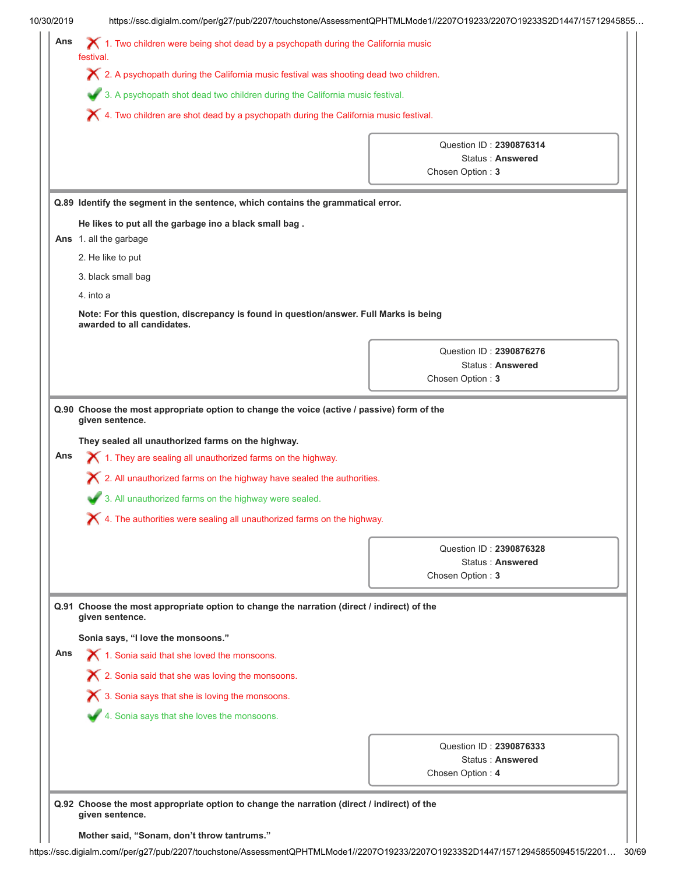|     | festival.                                                                                                                                                 |                                      |  |  |  |
|-----|-----------------------------------------------------------------------------------------------------------------------------------------------------------|--------------------------------------|--|--|--|
|     | X 2. A psychopath during the California music festival was shooting dead two children.                                                                    |                                      |  |  |  |
|     | 3. A psychopath shot dead two children during the California music festival.                                                                              |                                      |  |  |  |
|     | $\blacktriangleright$ 4. Two children are shot dead by a psychopath during the California music festival.                                                 |                                      |  |  |  |
|     |                                                                                                                                                           | Question ID: 2390876314              |  |  |  |
|     |                                                                                                                                                           | Status: Answered                     |  |  |  |
|     |                                                                                                                                                           | Chosen Option: 3                     |  |  |  |
|     | Q.89 Identify the segment in the sentence, which contains the grammatical error.                                                                          |                                      |  |  |  |
|     | He likes to put all the garbage ino a black small bag.                                                                                                    |                                      |  |  |  |
|     | Ans 1. all the garbage                                                                                                                                    |                                      |  |  |  |
|     | 2. He like to put                                                                                                                                         |                                      |  |  |  |
|     | 3. black small bag                                                                                                                                        |                                      |  |  |  |
|     | 4. into a                                                                                                                                                 |                                      |  |  |  |
|     | Note: For this question, discrepancy is found in question/answer. Full Marks is being<br>awarded to all candidates.                                       |                                      |  |  |  |
|     |                                                                                                                                                           | Question ID: 2390876276              |  |  |  |
|     |                                                                                                                                                           | Status: Answered                     |  |  |  |
|     |                                                                                                                                                           | Chosen Option: 3                     |  |  |  |
| Ans | 1. They are sealing all unauthorized farms on the highway.<br>$\boldsymbol{\times}$ 2. All unauthorized farms on the highway have sealed the authorities. |                                      |  |  |  |
|     | 3. All unauthorized farms on the highway were sealed.                                                                                                     |                                      |  |  |  |
|     | $\boldsymbol{\times}$ 4. The authorities were sealing all unauthorized farms on the highway.                                                              |                                      |  |  |  |
|     |                                                                                                                                                           |                                      |  |  |  |
|     |                                                                                                                                                           | Question ID: 2390876328              |  |  |  |
|     |                                                                                                                                                           | Status: Answered                     |  |  |  |
|     |                                                                                                                                                           | Chosen Option: 3                     |  |  |  |
|     | Q.91 Choose the most appropriate option to change the narration (direct / indirect) of the<br>given sentence.                                             |                                      |  |  |  |
|     | Sonia says, "I love the monsoons."                                                                                                                        |                                      |  |  |  |
|     | X 1. Sonia said that she loved the monsoons.                                                                                                              |                                      |  |  |  |
|     | X 2. Sonia said that she was loving the monsoons.                                                                                                         |                                      |  |  |  |
|     | 3. Sonia says that she is loving the monsoons.                                                                                                            |                                      |  |  |  |
| Ans | 4. Sonia says that she loves the monsoons.                                                                                                                |                                      |  |  |  |
|     |                                                                                                                                                           |                                      |  |  |  |
|     |                                                                                                                                                           | Question ID: 2390876333              |  |  |  |
|     |                                                                                                                                                           | Status: Answered<br>Chosen Option: 4 |  |  |  |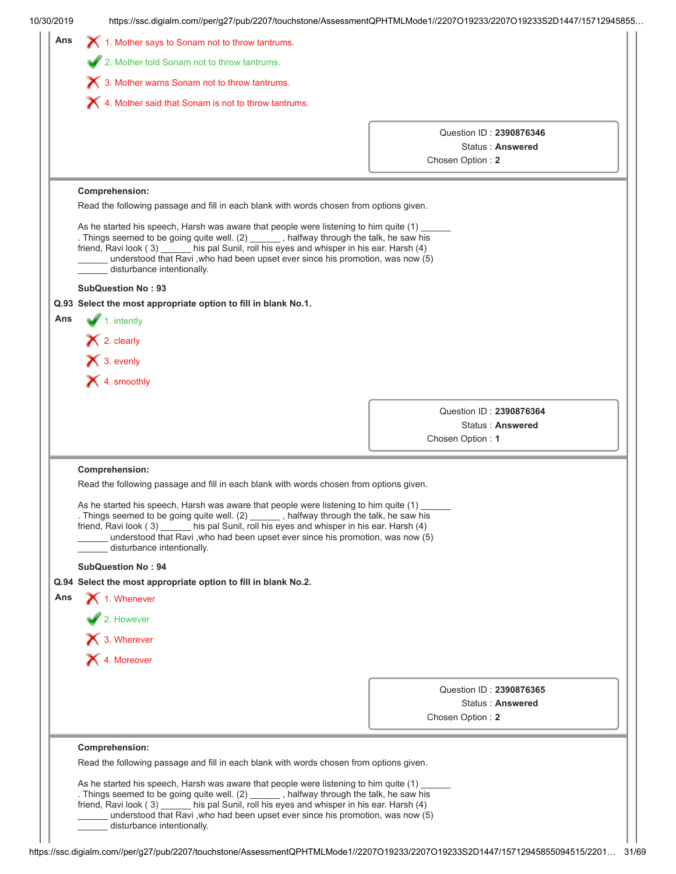| Ans | 1. Mother says to Sonam not to throw tantrums.                                                                                                                                                                                                                                                                                                                                                              |                                             |  |  |  |
|-----|-------------------------------------------------------------------------------------------------------------------------------------------------------------------------------------------------------------------------------------------------------------------------------------------------------------------------------------------------------------------------------------------------------------|---------------------------------------------|--|--|--|
|     | 2. Mother told Sonam not to throw tantrums.                                                                                                                                                                                                                                                                                                                                                                 |                                             |  |  |  |
|     | 3. Mother warns Sonam not to throw tantrums.                                                                                                                                                                                                                                                                                                                                                                |                                             |  |  |  |
|     | X 4. Mother said that Sonam is not to throw tantrums.                                                                                                                                                                                                                                                                                                                                                       |                                             |  |  |  |
|     |                                                                                                                                                                                                                                                                                                                                                                                                             | Question ID: 2390876346                     |  |  |  |
|     |                                                                                                                                                                                                                                                                                                                                                                                                             | Status: Answered<br>Chosen Option: 2        |  |  |  |
|     | <b>Comprehension:</b>                                                                                                                                                                                                                                                                                                                                                                                       |                                             |  |  |  |
|     | Read the following passage and fill in each blank with words chosen from options given.                                                                                                                                                                                                                                                                                                                     |                                             |  |  |  |
|     | As he started his speech, Harsh was aware that people were listening to him quite (1)<br>Things seemed to be going quite well. (2) _______ , halfway through the talk, he saw his<br>friend, Ravi look (3) ______ his pal Sunil, roll his eyes and whisper in his ear. Harsh (4)<br>understood that Ravi , who had been upset ever since his promotion, was now (5)<br>disturbance intentionally.           |                                             |  |  |  |
|     | <b>SubQuestion No: 93</b>                                                                                                                                                                                                                                                                                                                                                                                   |                                             |  |  |  |
|     | Q.93 Select the most appropriate option to fill in blank No.1.                                                                                                                                                                                                                                                                                                                                              |                                             |  |  |  |
| Ans | $\blacktriangleright$ 1. intently                                                                                                                                                                                                                                                                                                                                                                           |                                             |  |  |  |
|     | $\mathsf{\times}$ 2. clearly                                                                                                                                                                                                                                                                                                                                                                                |                                             |  |  |  |
|     | $\mathsf{X}$ 3. evenly                                                                                                                                                                                                                                                                                                                                                                                      |                                             |  |  |  |
|     | X 4. smoothly                                                                                                                                                                                                                                                                                                                                                                                               |                                             |  |  |  |
|     |                                                                                                                                                                                                                                                                                                                                                                                                             |                                             |  |  |  |
|     |                                                                                                                                                                                                                                                                                                                                                                                                             | Question ID: 2390876364<br>Status: Answered |  |  |  |
|     |                                                                                                                                                                                                                                                                                                                                                                                                             | Chosen Option: 1                            |  |  |  |
|     | Comprehension:                                                                                                                                                                                                                                                                                                                                                                                              |                                             |  |  |  |
|     | Read the following passage and fill in each blank with words chosen from options given.                                                                                                                                                                                                                                                                                                                     |                                             |  |  |  |
|     | As he started his speech, Harsh was aware that people were listening to him quite (1)<br>. Things seemed to be going quite well. (2) $\frac{1}{\sqrt{2}}$ , halfway through the talk, he saw his<br>friend, Ravi look (3)<br>his pal Sunil, roll his eyes and whisper in his ear. Harsh (4)<br>understood that Ravi, who had been upset ever since his promotion, was now (5)<br>disturbance intentionally. |                                             |  |  |  |
|     | <b>SubQuestion No: 94</b>                                                                                                                                                                                                                                                                                                                                                                                   |                                             |  |  |  |
|     | Q.94 Select the most appropriate option to fill in blank No.2.                                                                                                                                                                                                                                                                                                                                              |                                             |  |  |  |
| Ans | 1. Whenever                                                                                                                                                                                                                                                                                                                                                                                                 |                                             |  |  |  |
|     | 2. However                                                                                                                                                                                                                                                                                                                                                                                                  |                                             |  |  |  |
|     | 13. Wherever                                                                                                                                                                                                                                                                                                                                                                                                |                                             |  |  |  |
|     | 4. Moreover                                                                                                                                                                                                                                                                                                                                                                                                 |                                             |  |  |  |
|     |                                                                                                                                                                                                                                                                                                                                                                                                             |                                             |  |  |  |
|     |                                                                                                                                                                                                                                                                                                                                                                                                             | Question ID: 2390876365<br>Status: Answered |  |  |  |
|     |                                                                                                                                                                                                                                                                                                                                                                                                             | Chosen Option: 2                            |  |  |  |
|     | Comprehension:<br>Read the following passage and fill in each blank with words chosen from options given.                                                                                                                                                                                                                                                                                                   |                                             |  |  |  |
|     | As he started his speech, Harsh was aware that people were listening to him quite (1)<br>. Things seemed to be going quite well. (2) _______, halfway through the talk, he saw his<br>his pal Sunil, roll his eyes and whisper in his ear. Harsh (4)<br>friend, Ravi look (3)<br>understood that Ravi, who had been upset ever since his promotion, was now (5)                                             |                                             |  |  |  |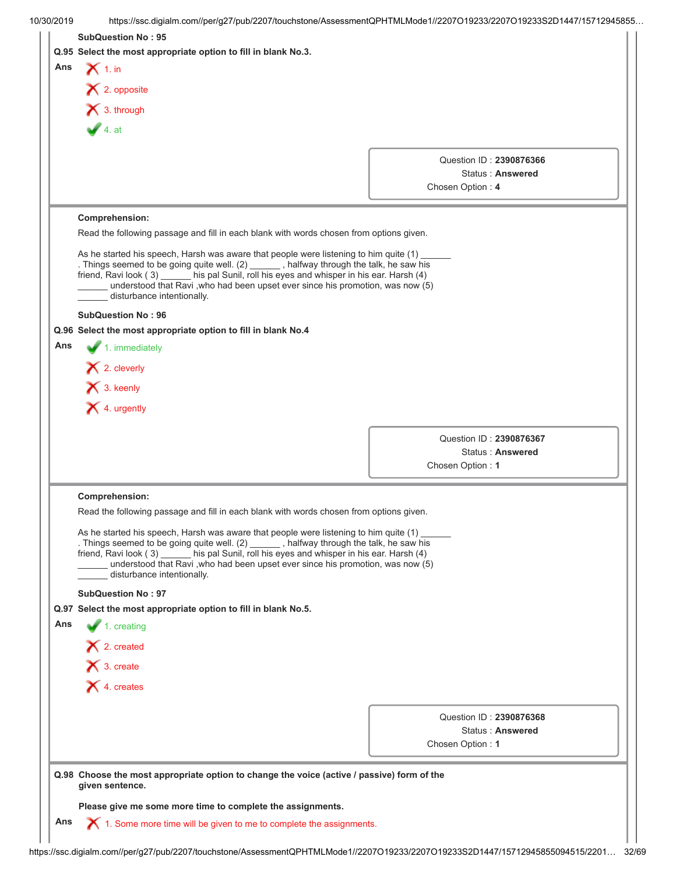|     | https://ssc.digialm.com//per/g27/pub/2207/touchstone/AssessmentQPHTMLMode1//2207O19233/2207O19233S2D1447/15712945855<br><b>SubQuestion No: 95</b>                                                                                                                                                                                                                                          |                  |                                             |  |  |
|-----|--------------------------------------------------------------------------------------------------------------------------------------------------------------------------------------------------------------------------------------------------------------------------------------------------------------------------------------------------------------------------------------------|------------------|---------------------------------------------|--|--|
|     | Q.95 Select the most appropriate option to fill in blank No.3.                                                                                                                                                                                                                                                                                                                             |                  |                                             |  |  |
| Ans | $\mathsf{X}$ 1. in                                                                                                                                                                                                                                                                                                                                                                         |                  |                                             |  |  |
|     | $\blacktriangleright$ 2. opposite                                                                                                                                                                                                                                                                                                                                                          |                  |                                             |  |  |
|     |                                                                                                                                                                                                                                                                                                                                                                                            |                  |                                             |  |  |
|     | X 3. through                                                                                                                                                                                                                                                                                                                                                                               |                  |                                             |  |  |
|     | 4.at                                                                                                                                                                                                                                                                                                                                                                                       |                  |                                             |  |  |
|     |                                                                                                                                                                                                                                                                                                                                                                                            |                  | Question ID: 2390876366                     |  |  |
|     |                                                                                                                                                                                                                                                                                                                                                                                            |                  | Status: Answered                            |  |  |
|     |                                                                                                                                                                                                                                                                                                                                                                                            | Chosen Option: 4 |                                             |  |  |
|     |                                                                                                                                                                                                                                                                                                                                                                                            |                  |                                             |  |  |
|     | Comprehension:                                                                                                                                                                                                                                                                                                                                                                             |                  |                                             |  |  |
|     | Read the following passage and fill in each blank with words chosen from options given.                                                                                                                                                                                                                                                                                                    |                  |                                             |  |  |
|     | As he started his speech, Harsh was aware that people were listening to him quite (1)<br>. Things seemed to be going quite well. (2) _______, halfway through the talk, he saw his<br>friend, Ravi look (3) his pal Sunil, roll his eyes and whisper in his ear. Harsh (4)<br>understood that Ravi, who had been upset ever since his promotion, was now (5)<br>disturbance intentionally. |                  |                                             |  |  |
|     | <b>SubQuestion No: 96</b>                                                                                                                                                                                                                                                                                                                                                                  |                  |                                             |  |  |
|     | Q.96 Select the most appropriate option to fill in blank No.4                                                                                                                                                                                                                                                                                                                              |                  |                                             |  |  |
| Ans | 1. immediately                                                                                                                                                                                                                                                                                                                                                                             |                  |                                             |  |  |
|     | $\bigtimes$ 2. cleverly                                                                                                                                                                                                                                                                                                                                                                    |                  |                                             |  |  |
|     | 13. keenly                                                                                                                                                                                                                                                                                                                                                                                 |                  |                                             |  |  |
|     | $\blacktriangleright$ 4. urgently                                                                                                                                                                                                                                                                                                                                                          |                  |                                             |  |  |
|     |                                                                                                                                                                                                                                                                                                                                                                                            |                  |                                             |  |  |
|     |                                                                                                                                                                                                                                                                                                                                                                                            |                  | Question ID: 2390876367                     |  |  |
|     |                                                                                                                                                                                                                                                                                                                                                                                            |                  | Status: Answered                            |  |  |
|     |                                                                                                                                                                                                                                                                                                                                                                                            | Chosen Option: 1 |                                             |  |  |
|     |                                                                                                                                                                                                                                                                                                                                                                                            |                  |                                             |  |  |
|     | <b>Comprehension:</b><br>Read the following passage and fill in each blank with words chosen from options given.                                                                                                                                                                                                                                                                           |                  |                                             |  |  |
|     | As he started his speech, Harsh was aware that people were listening to him quite (1)                                                                                                                                                                                                                                                                                                      |                  |                                             |  |  |
|     | . Things seemed to be going quite well. (2) _______, halfway through the talk, he saw his<br>friend, Ravi look (3) _____ his pal Sunil, roll his eyes and whisper in his ear. Harsh (4)<br>understood that Ravi, who had been upset ever since his promotion, was now (5)<br>disturbance intentionally.                                                                                    |                  |                                             |  |  |
|     | <b>SubQuestion No: 97</b>                                                                                                                                                                                                                                                                                                                                                                  |                  |                                             |  |  |
|     | Q.97 Select the most appropriate option to fill in blank No.5.                                                                                                                                                                                                                                                                                                                             |                  |                                             |  |  |
| Ans | $\blacktriangleright$ 1. creating                                                                                                                                                                                                                                                                                                                                                          |                  |                                             |  |  |
|     | $\blacktriangleright$ 2. created                                                                                                                                                                                                                                                                                                                                                           |                  |                                             |  |  |
|     | $\bigtimes$ 3. create                                                                                                                                                                                                                                                                                                                                                                      |                  |                                             |  |  |
|     |                                                                                                                                                                                                                                                                                                                                                                                            |                  |                                             |  |  |
|     | $\bigtimes$ 4. creates                                                                                                                                                                                                                                                                                                                                                                     |                  |                                             |  |  |
|     |                                                                                                                                                                                                                                                                                                                                                                                            |                  |                                             |  |  |
|     |                                                                                                                                                                                                                                                                                                                                                                                            |                  | Question ID: 2390876368<br>Status: Answered |  |  |
|     |                                                                                                                                                                                                                                                                                                                                                                                            | Chosen Option: 1 |                                             |  |  |
|     |                                                                                                                                                                                                                                                                                                                                                                                            |                  |                                             |  |  |
|     | Q.98 Choose the most appropriate option to change the voice (active / passive) form of the                                                                                                                                                                                                                                                                                                 |                  |                                             |  |  |
|     | given sentence.                                                                                                                                                                                                                                                                                                                                                                            |                  |                                             |  |  |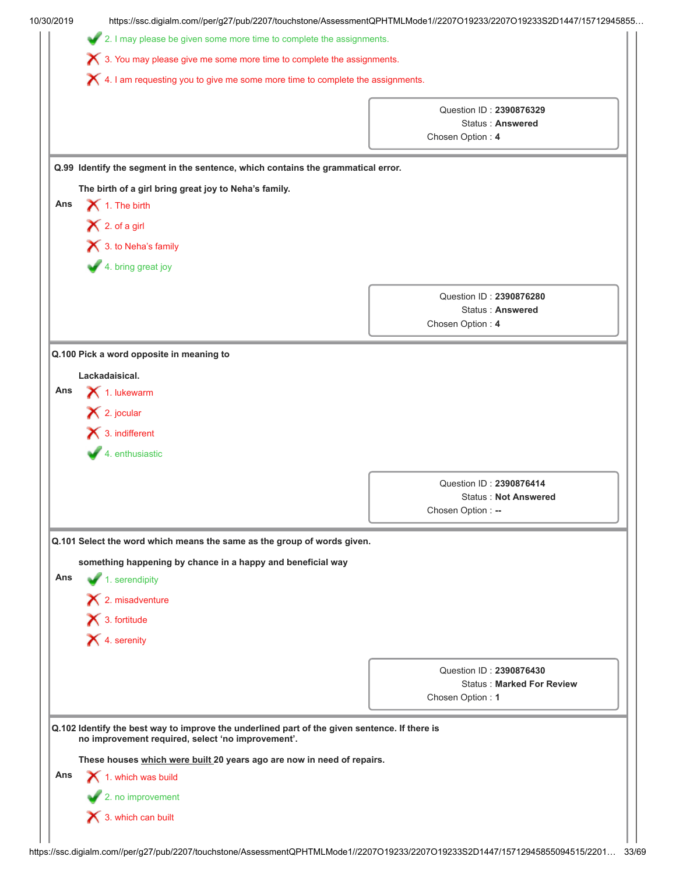| 10/30/2019 | https://ssc.digialm.com//per/g27/pub/2207/touchstone/AssessmentQPHTMLMode1//2207O19233/2207O19233S2D1447/15712945855                               |                                      |  |  |  |
|------------|----------------------------------------------------------------------------------------------------------------------------------------------------|--------------------------------------|--|--|--|
|            | 2. I may please be given some more time to complete the assignments.                                                                               |                                      |  |  |  |
|            | X 3. You may please give me some more time to complete the assignments.                                                                            |                                      |  |  |  |
|            | X 4. I am requesting you to give me some more time to complete the assignments.                                                                    |                                      |  |  |  |
|            |                                                                                                                                                    | Question ID: 2390876329              |  |  |  |
|            |                                                                                                                                                    | <b>Status: Answered</b>              |  |  |  |
|            |                                                                                                                                                    | Chosen Option: 4                     |  |  |  |
|            | Q.99 Identify the segment in the sentence, which contains the grammatical error.                                                                   |                                      |  |  |  |
|            | The birth of a girl bring great joy to Neha's family.                                                                                              |                                      |  |  |  |
| Ans        | $\blacktriangleright$ 1. The birth                                                                                                                 |                                      |  |  |  |
|            | $\bigtimes$ 2. of a girl                                                                                                                           |                                      |  |  |  |
|            | 3. to Neha's family                                                                                                                                |                                      |  |  |  |
|            | 4. bring great joy                                                                                                                                 |                                      |  |  |  |
|            |                                                                                                                                                    |                                      |  |  |  |
|            |                                                                                                                                                    | Question ID: 2390876280              |  |  |  |
|            |                                                                                                                                                    | Status: Answered<br>Chosen Option: 4 |  |  |  |
|            |                                                                                                                                                    |                                      |  |  |  |
|            | Q.100 Pick a word opposite in meaning to                                                                                                           |                                      |  |  |  |
|            | Lackadaisical.                                                                                                                                     |                                      |  |  |  |
| Ans        | 1. lukewarm                                                                                                                                        |                                      |  |  |  |
|            | $\mathsf{\times}$ 2. jocular                                                                                                                       |                                      |  |  |  |
|            | 13. indifferent                                                                                                                                    |                                      |  |  |  |
|            | $4.$ enthusiastic                                                                                                                                  |                                      |  |  |  |
|            |                                                                                                                                                    |                                      |  |  |  |
|            |                                                                                                                                                    |                                      |  |  |  |
|            |                                                                                                                                                    | Question ID: 2390876414              |  |  |  |
|            |                                                                                                                                                    | <b>Status: Not Answered</b>          |  |  |  |
|            |                                                                                                                                                    | Chosen Option: --                    |  |  |  |
|            | Q.101 Select the word which means the same as the group of words given.                                                                            |                                      |  |  |  |
| Ans        | something happening by chance in a happy and beneficial way                                                                                        |                                      |  |  |  |
|            | $\blacktriangleright$ 1. serendipity                                                                                                               |                                      |  |  |  |
|            | $\mathsf{\times}$ 2. misadventure                                                                                                                  |                                      |  |  |  |
|            | $\blacktriangleright$ 3. fortitude                                                                                                                 |                                      |  |  |  |
|            | X 4. serenity                                                                                                                                      |                                      |  |  |  |
|            |                                                                                                                                                    | Question ID: 2390876430              |  |  |  |
|            |                                                                                                                                                    | <b>Status: Marked For Review</b>     |  |  |  |
|            |                                                                                                                                                    | Chosen Option: 1                     |  |  |  |
|            | Q.102 Identify the best way to improve the underlined part of the given sentence. If there is<br>no improvement required, select 'no improvement'. |                                      |  |  |  |
|            | These houses which were built 20 years ago are now in need of repairs.                                                                             |                                      |  |  |  |
| Ans        | $\blacktriangleright$ 1. which was build                                                                                                           |                                      |  |  |  |
|            | $\blacktriangleright$ 2. no improvement                                                                                                            |                                      |  |  |  |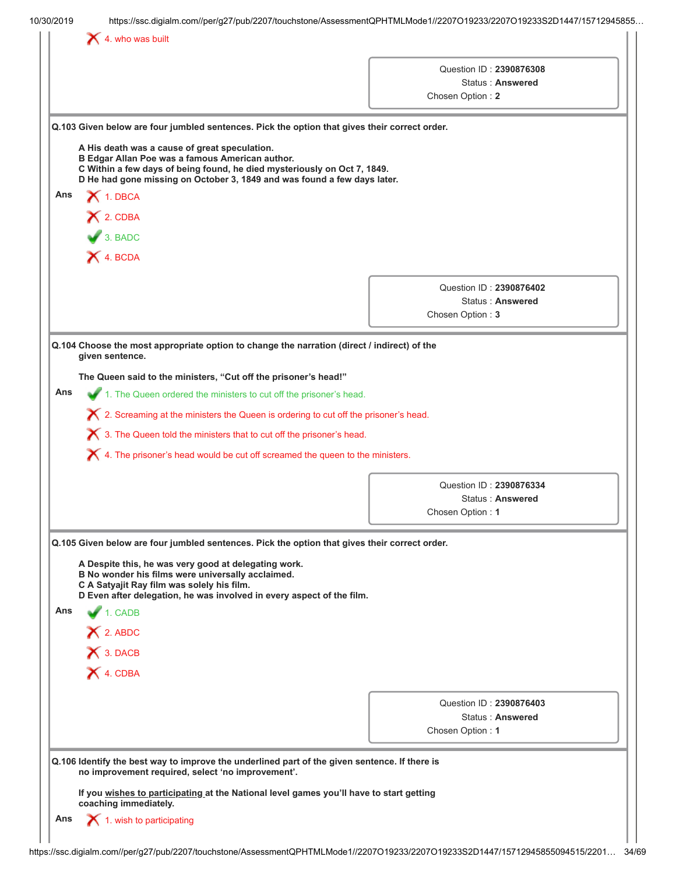|     |                                                                                                                                                                                                                                                          | Question ID: 2390876308 |
|-----|----------------------------------------------------------------------------------------------------------------------------------------------------------------------------------------------------------------------------------------------------------|-------------------------|
|     |                                                                                                                                                                                                                                                          | Status: Answered        |
|     |                                                                                                                                                                                                                                                          | Chosen Option: 2        |
|     | Q.103 Given below are four jumbled sentences. Pick the option that gives their correct order.                                                                                                                                                            |                         |
|     | A His death was a cause of great speculation.<br>B Edgar Allan Poe was a famous American author.<br>C Within a few days of being found, he died mysteriously on Oct 7, 1849.<br>D He had gone missing on October 3, 1849 and was found a few days later. |                         |
| Ans | 1. DBCA                                                                                                                                                                                                                                                  |                         |
|     | $\bigtimes$ 2. CDBA                                                                                                                                                                                                                                      |                         |
|     | $\bullet$ 3. BADC                                                                                                                                                                                                                                        |                         |
|     | X 4. BCDA                                                                                                                                                                                                                                                |                         |
|     |                                                                                                                                                                                                                                                          | Question ID: 2390876402 |
|     |                                                                                                                                                                                                                                                          | Status: Answered        |
|     |                                                                                                                                                                                                                                                          | Chosen Option: 3        |
|     | Q.104 Choose the most appropriate option to change the narration (direct / indirect) of the<br>given sentence.                                                                                                                                           |                         |
|     | The Queen said to the ministers, "Cut off the prisoner's head!"                                                                                                                                                                                          |                         |
| Ans | 1. The Queen ordered the ministers to cut off the prisoner's head.                                                                                                                                                                                       |                         |
|     | $\chi$ 2. Screaming at the ministers the Queen is ordering to cut off the prisoner's head.                                                                                                                                                               |                         |
|     | X 3. The Queen told the ministers that to cut off the prisoner's head.                                                                                                                                                                                   |                         |
|     | $\chi$ 4. The prisoner's head would be cut off screamed the queen to the ministers.                                                                                                                                                                      |                         |
|     |                                                                                                                                                                                                                                                          | Question ID: 2390876334 |
|     |                                                                                                                                                                                                                                                          | Status: Answered        |
|     |                                                                                                                                                                                                                                                          | Chosen Option: 1        |
|     | Q.105 Given below are four jumbled sentences. Pick the option that gives their correct order.                                                                                                                                                            |                         |
|     | A Despite this, he was very good at delegating work.<br>B No wonder his films were universally acclaimed.<br>C A Satyajit Ray film was solely his film.<br>D Even after delegation, he was involved in every aspect of the film.                         |                         |
| Ans | 1. CADB                                                                                                                                                                                                                                                  |                         |
|     | $\bigtimes$ 2. ABDC                                                                                                                                                                                                                                      |                         |
|     | X 3. DACB                                                                                                                                                                                                                                                |                         |
|     | X 4. CDBA                                                                                                                                                                                                                                                |                         |
|     |                                                                                                                                                                                                                                                          | Question ID: 2390876403 |
|     |                                                                                                                                                                                                                                                          | Status: Answered        |
|     |                                                                                                                                                                                                                                                          | Chosen Option: 1        |
|     | Q.106 Identify the best way to improve the underlined part of the given sentence. If there is<br>no improvement required, select 'no improvement'.                                                                                                       |                         |
|     | If you wishes to participating at the National level games you'll have to start getting                                                                                                                                                                  |                         |

https://ssc.digialm.com//per/g27/pub/2207/touchstone/AssessmentQPHTMLMode1//2207O19233/2207O19233S2D1447/15712945855094515/2201… 34/69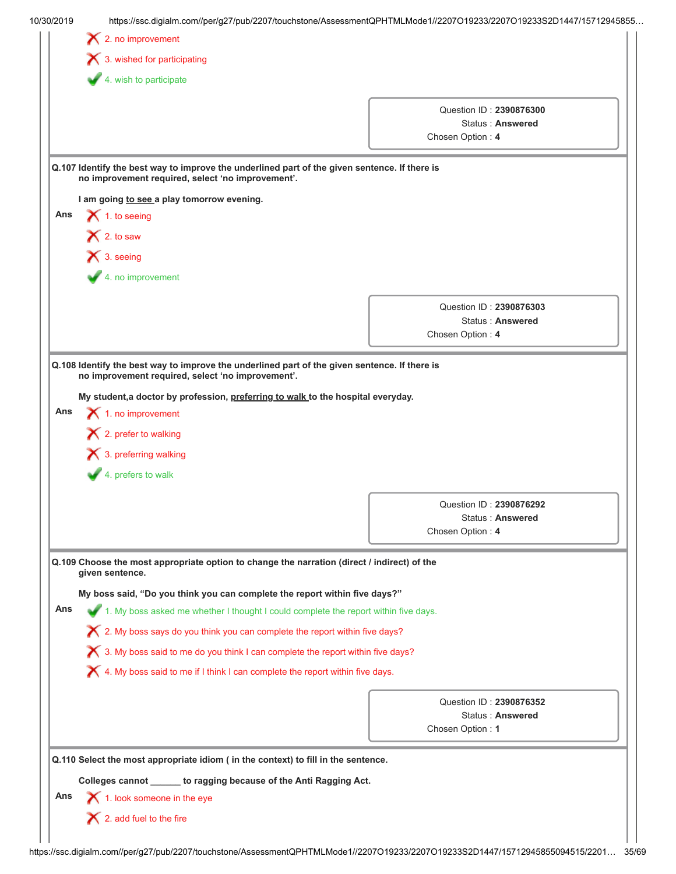| 10/30/2019 |                                                                                                                                                    | https://ssc.digialm.com//per/g27/pub/2207/touchstone/AssessmentQPHTMLMode1//2207O19233/2207O19233S2D1447/15712945855 |
|------------|----------------------------------------------------------------------------------------------------------------------------------------------------|----------------------------------------------------------------------------------------------------------------------|
|            | $\blacktriangleright$ 2. no improvement                                                                                                            |                                                                                                                      |
|            | $\boldsymbol{\times}$ 3. wished for participating                                                                                                  |                                                                                                                      |
|            | 4. wish to participate                                                                                                                             |                                                                                                                      |
|            |                                                                                                                                                    | Question ID: 2390876300                                                                                              |
|            |                                                                                                                                                    | Status: Answered                                                                                                     |
|            |                                                                                                                                                    | Chosen Option: 4                                                                                                     |
|            | Q.107 Identify the best way to improve the underlined part of the given sentence. If there is<br>no improvement required, select 'no improvement'. |                                                                                                                      |
|            | I am going to see a play tomorrow evening.                                                                                                         |                                                                                                                      |
| Ans        | $\blacktriangleright$ 1. to seeing                                                                                                                 |                                                                                                                      |
|            | $\bigtimes$ 2. to saw                                                                                                                              |                                                                                                                      |
|            | × 3. seeing                                                                                                                                        |                                                                                                                      |
|            | 4. no improvement                                                                                                                                  |                                                                                                                      |
|            |                                                                                                                                                    |                                                                                                                      |
|            |                                                                                                                                                    | Question ID: 2390876303<br>Status: Answered                                                                          |
|            |                                                                                                                                                    | Chosen Option: 4                                                                                                     |
|            |                                                                                                                                                    |                                                                                                                      |
|            | $\blacktriangleright$ 2. prefer to walking<br>3. preferring walking                                                                                |                                                                                                                      |
|            | 4. prefers to walk                                                                                                                                 |                                                                                                                      |
|            |                                                                                                                                                    | Question ID: 2390876292                                                                                              |
|            |                                                                                                                                                    | <b>Status: Answered</b>                                                                                              |
|            |                                                                                                                                                    | Chosen Option: 4                                                                                                     |
|            | Q.109 Choose the most appropriate option to change the narration (direct / indirect) of the<br>given sentence.                                     |                                                                                                                      |
|            | My boss said, "Do you think you can complete the report within five days?"                                                                         |                                                                                                                      |
| Ans        | 1. My boss asked me whether I thought I could complete the report within five days.                                                                |                                                                                                                      |
|            | X 2. My boss says do you think you can complete the report within five days?                                                                       |                                                                                                                      |
|            | X 3. My boss said to me do you think I can complete the report within five days?                                                                   |                                                                                                                      |
|            | X 4. My boss said to me if I think I can complete the report within five days.                                                                     |                                                                                                                      |
|            |                                                                                                                                                    |                                                                                                                      |
|            |                                                                                                                                                    | Question ID: 2390876352                                                                                              |
|            |                                                                                                                                                    | Status: Answered<br>Chosen Option: 1                                                                                 |
|            |                                                                                                                                                    |                                                                                                                      |
|            | Q.110 Select the most appropriate idiom ( in the context) to fill in the sentence.                                                                 |                                                                                                                      |
|            | Colleges cannot ______ to ragging because of the Anti Ragging Act.                                                                                 |                                                                                                                      |
| Ans        | 1. look someone in the eye                                                                                                                         |                                                                                                                      |
|            | $\blacktriangleright$ 2. add fuel to the fire                                                                                                      |                                                                                                                      |
|            |                                                                                                                                                    |                                                                                                                      |
|            |                                                                                                                                                    |                                                                                                                      |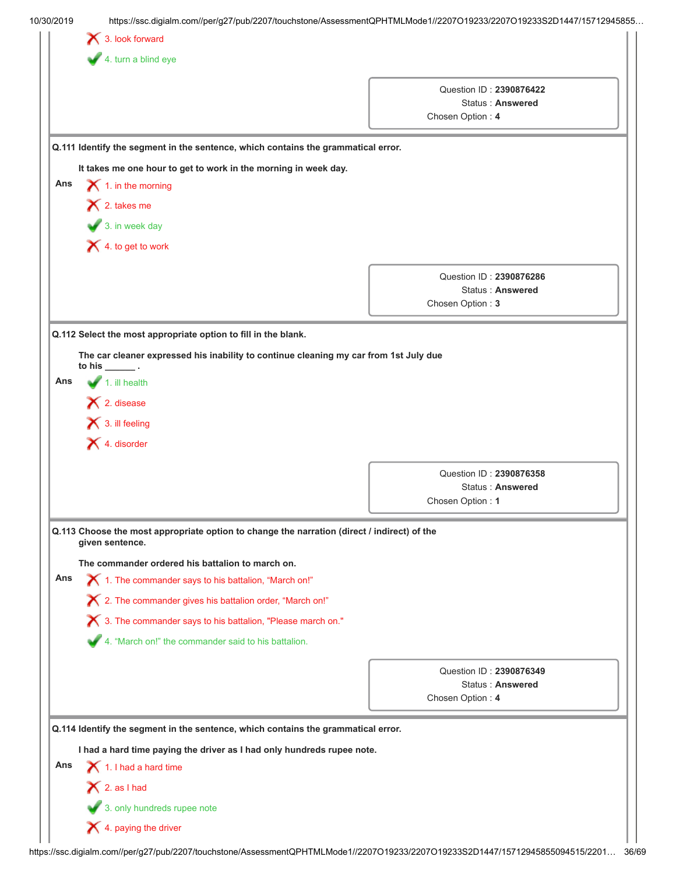| 10/30/2019 | https://ssc.digialm.com//per/g27/pub/2207/touchstone/AssessmentQPHTMLMode1//2207O19233/2207O19233S2D1447/15712945855 |                                             |                         |
|------------|----------------------------------------------------------------------------------------------------------------------|---------------------------------------------|-------------------------|
|            | 3. look forward                                                                                                      |                                             |                         |
|            | 4. turn a blind eye                                                                                                  |                                             |                         |
|            |                                                                                                                      | Question ID: 2390876422<br>Chosen Option: 4 | <b>Status: Answered</b> |
|            | Q.111 Identify the segment in the sentence, which contains the grammatical error.                                    |                                             |                         |
|            | It takes me one hour to get to work in the morning in week day.                                                      |                                             |                         |
| Ans        | $\blacktriangleright$ 1. in the morning                                                                              |                                             |                         |
|            | × 2. takes me                                                                                                        |                                             |                         |
|            | $\bullet$ 3. in week day                                                                                             |                                             |                         |
|            | 4. to get to work                                                                                                    |                                             |                         |
|            |                                                                                                                      |                                             |                         |
|            |                                                                                                                      | Question ID: 2390876286                     |                         |
|            |                                                                                                                      | Chosen Option: 3                            | <b>Status: Answered</b> |
|            |                                                                                                                      |                                             |                         |
|            | Q.112 Select the most appropriate option to fill in the blank.                                                       |                                             |                         |
|            | The car cleaner expressed his inability to continue cleaning my car from 1st July due                                |                                             |                         |
|            | to his $\_\_\_\_\$ .                                                                                                 |                                             |                         |
| Ans        | $\blacksquare$ 1. ill health                                                                                         |                                             |                         |
|            | × 2. disease                                                                                                         |                                             |                         |
|            | 1 3. ill feeling                                                                                                     |                                             |                         |
|            | X 4. disorder                                                                                                        |                                             |                         |
|            |                                                                                                                      | Question ID: 2390876358                     |                         |
|            |                                                                                                                      |                                             | Status: Answered        |
|            |                                                                                                                      | Chosen Option: 1                            |                         |
|            | Q.113 Choose the most appropriate option to change the narration (direct / indirect) of the<br>given sentence.       |                                             |                         |
|            | The commander ordered his battalion to march on.                                                                     |                                             |                         |
| Ans        | X 1. The commander says to his battalion, "March on!"                                                                |                                             |                         |
|            | X 2. The commander gives his battalion order, "March on!"                                                            |                                             |                         |
|            | X 3. The commander says to his battalion, "Please march on."                                                         |                                             |                         |
|            | 4. "March on!" the commander said to his battalion.                                                                  |                                             |                         |
|            |                                                                                                                      |                                             |                         |
|            |                                                                                                                      |                                             |                         |
|            |                                                                                                                      | Question ID: 2390876349                     |                         |
|            |                                                                                                                      | Chosen Option: 4                            | Status: Answered        |
|            |                                                                                                                      |                                             |                         |
|            | Q.114 Identify the segment in the sentence, which contains the grammatical error.                                    |                                             |                         |
|            | I had a hard time paying the driver as I had only hundreds rupee note.                                               |                                             |                         |
| Ans        | $\blacktriangleright$ 1. I had a hard time                                                                           |                                             |                         |
|            | $\bigtimes$ 2. as I had                                                                                              |                                             |                         |
|            | 3. only hundreds rupee note                                                                                          |                                             |                         |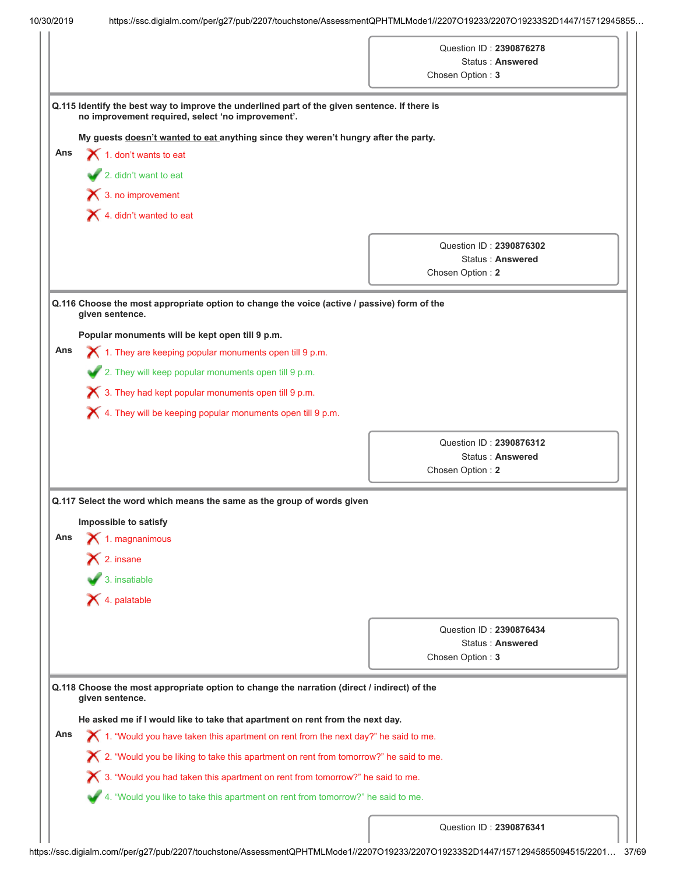|     |                                                                                                                                                    |                  | Question ID: 2390876278 |
|-----|----------------------------------------------------------------------------------------------------------------------------------------------------|------------------|-------------------------|
|     |                                                                                                                                                    |                  | Status: Answered        |
|     |                                                                                                                                                    | Chosen Option: 3 |                         |
|     | Q.115 Identify the best way to improve the underlined part of the given sentence. If there is<br>no improvement required, select 'no improvement'. |                  |                         |
|     | My guests doesn't wanted to eat anything since they weren't hungry after the party.                                                                |                  |                         |
| Ans | $\blacktriangleright$ 1. don't wants to eat                                                                                                        |                  |                         |
|     | 2. didn't want to eat                                                                                                                              |                  |                         |
|     | $\mathsf{\times}$ 3. no improvement                                                                                                                |                  |                         |
|     | 4. didn't wanted to eat                                                                                                                            |                  |                         |
|     |                                                                                                                                                    |                  |                         |
|     |                                                                                                                                                    |                  | Question ID: 2390876302 |
|     |                                                                                                                                                    |                  | Status: Answered        |
|     |                                                                                                                                                    | Chosen Option: 2 |                         |
|     | Q.116 Choose the most appropriate option to change the voice (active / passive) form of the<br>given sentence.                                     |                  |                         |
|     | Popular monuments will be kept open till 9 p.m.                                                                                                    |                  |                         |
| Ans | $\boldsymbol{\times}$ 1. They are keeping popular monuments open till 9 p.m.                                                                       |                  |                         |
|     | 2. They will keep popular monuments open till 9 p.m.                                                                                               |                  |                         |
|     | X 3. They had kept popular monuments open till 9 p.m.                                                                                              |                  |                         |
|     | $\blacktriangleright$ 4. They will be keeping popular monuments open till 9 p.m.                                                                   |                  |                         |
|     |                                                                                                                                                    |                  |                         |
|     |                                                                                                                                                    |                  | Question ID: 2390876312 |
|     |                                                                                                                                                    |                  | Status: Answered        |
|     |                                                                                                                                                    | Chosen Option: 2 |                         |
|     | Q.117 Select the word which means the same as the group of words given                                                                             |                  |                         |
|     | Impossible to satisfy                                                                                                                              |                  |                         |
| Ans | $\blacktriangleright$ 1. magnanimous                                                                                                               |                  |                         |
|     |                                                                                                                                                    |                  |                         |
|     |                                                                                                                                                    |                  |                         |
|     | $\mathsf{\times}$ 2. insane                                                                                                                        |                  |                         |
|     | $\bullet$ 3. insatiable                                                                                                                            |                  |                         |
|     | $\blacktriangleright$ 4. palatable                                                                                                                 |                  |                         |
|     |                                                                                                                                                    |                  | Question ID: 2390876434 |
|     |                                                                                                                                                    |                  | Status: Answered        |
|     |                                                                                                                                                    | Chosen Option: 3 |                         |
|     | Q.118 Choose the most appropriate option to change the narration (direct / indirect) of the<br>given sentence.                                     |                  |                         |
|     | He asked me if I would like to take that apartment on rent from the next day.                                                                      |                  |                         |
|     | $\chi$ 1. "Would you have taken this apartment on rent from the next day?" he said to me.                                                          |                  |                         |
|     | $\bigtimes$ 2. "Would you be liking to take this apartment on rent from tomorrow?" he said to me.                                                  |                  |                         |
|     |                                                                                                                                                    |                  |                         |
| Ans | $\boldsymbol{\times}$ 3. "Would you had taken this apartment on rent from tomorrow?" he said to me.                                                |                  |                         |
|     | 4. "Would you like to take this apartment on rent from tomorrow?" he said to me.                                                                   |                  |                         |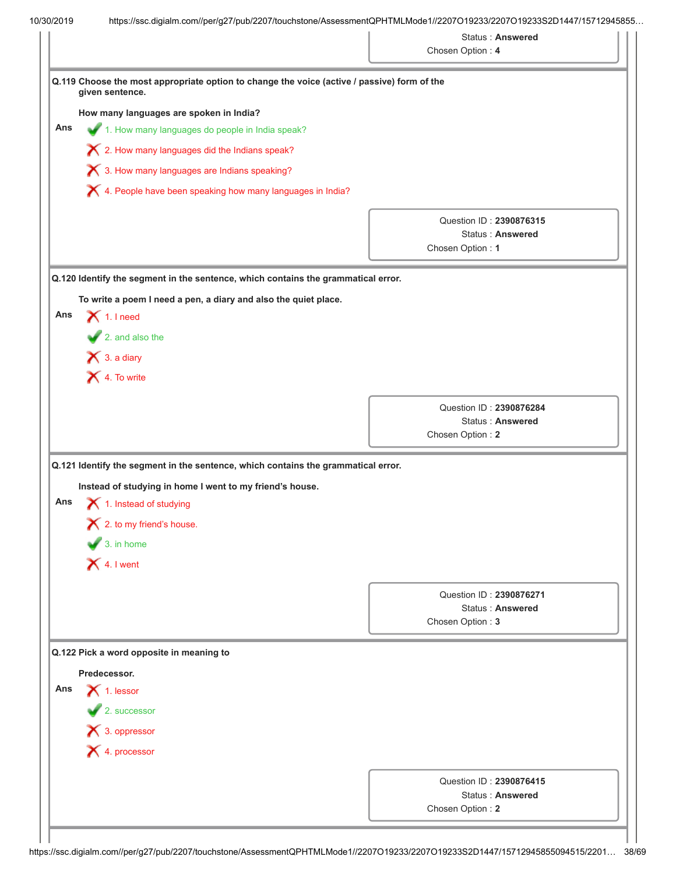|                                    | <b>Status: Answered</b><br>Chosen Option: 4                                                 |
|------------------------------------|---------------------------------------------------------------------------------------------|
| given sentence.                    | Q.119 Choose the most appropriate option to change the voice (active / passive) form of the |
|                                    | How many languages are spoken in India?                                                     |
| Ans                                | 1. How many languages do people in India speak?                                             |
|                                    | X 2. How many languages did the Indians speak?                                              |
|                                    | X 3. How many languages are Indians speaking?                                               |
|                                    | X 4. People have been speaking how many languages in India?                                 |
|                                    |                                                                                             |
|                                    | Question ID: 2390876315                                                                     |
|                                    | <b>Status: Answered</b><br>Chosen Option: 1                                                 |
|                                    |                                                                                             |
|                                    | Q.120 Identify the segment in the sentence, which contains the grammatical error.           |
|                                    | To write a poem I need a pen, a diary and also the quiet place.                             |
| Ans<br>$\bigtimes$ 1. I need       |                                                                                             |
| $\sqrt{2}$ . and also the          |                                                                                             |
| $\bigtimes$ 3. a diary             |                                                                                             |
| X 4. To write                      |                                                                                             |
|                                    |                                                                                             |
|                                    | Question ID: 2390876284<br><b>Status: Answered</b>                                          |
|                                    | Chosen Option: 2                                                                            |
|                                    | Q.121 Identify the segment in the sentence, which contains the grammatical error.           |
|                                    |                                                                                             |
| Ans                                | Instead of studying in home I went to my friend's house.<br>1. Instead of studying          |
|                                    |                                                                                             |
|                                    | 2. to my friend's house.                                                                    |
| $\bullet$ 3. in home               |                                                                                             |
| $X$ 4. I went                      |                                                                                             |
|                                    | Question ID: 2390876271                                                                     |
|                                    | <b>Status: Answered</b>                                                                     |
|                                    | Chosen Option: 3                                                                            |
|                                    | Q.122 Pick a word opposite in meaning to                                                    |
| Predecessor.                       |                                                                                             |
| Ans<br>$\bigtimes$ 1. lessor       |                                                                                             |
| $\blacktriangleright$ 2. successor |                                                                                             |
| × 3. oppressor                     |                                                                                             |
| X 4. processor                     |                                                                                             |
|                                    |                                                                                             |
|                                    | Question ID: 2390876415                                                                     |
|                                    | <b>Status: Answered</b><br>Chosen Option: 2                                                 |
|                                    |                                                                                             |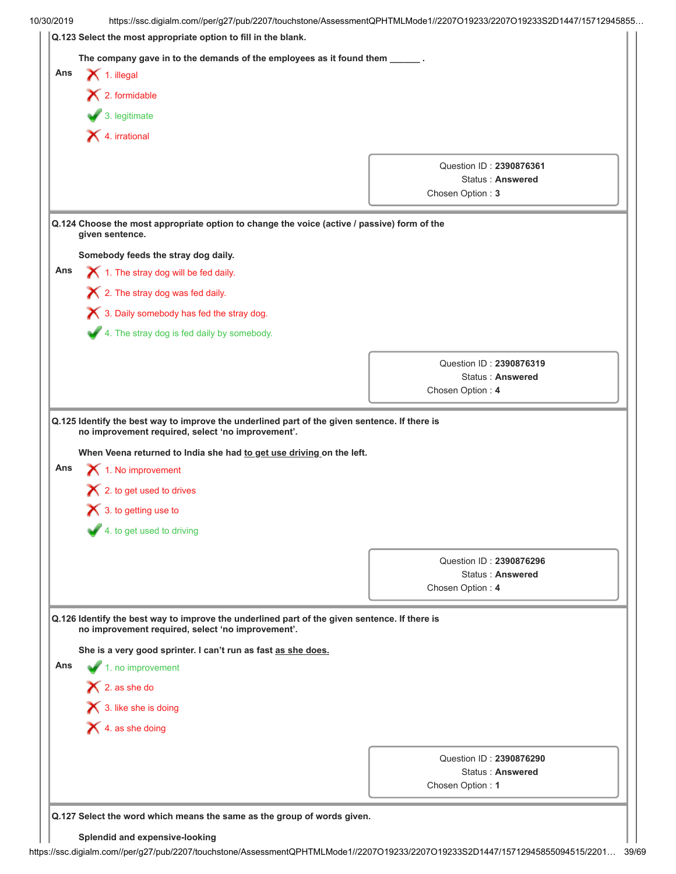|     | The company gave in to the demands of the employees as it found them ______.                                                                                     |                                                                                               |  |  |  |
|-----|------------------------------------------------------------------------------------------------------------------------------------------------------------------|-----------------------------------------------------------------------------------------------|--|--|--|
| Ans | $\blacktriangleright$ 1. illegal                                                                                                                                 |                                                                                               |  |  |  |
|     | $\mathsf{\times}$ 2. formidable                                                                                                                                  |                                                                                               |  |  |  |
|     | 3. legitimate                                                                                                                                                    |                                                                                               |  |  |  |
|     | X 4. irrational                                                                                                                                                  |                                                                                               |  |  |  |
|     |                                                                                                                                                                  |                                                                                               |  |  |  |
|     |                                                                                                                                                                  | Question ID: 2390876361<br><b>Status: Answered</b>                                            |  |  |  |
|     |                                                                                                                                                                  | Chosen Option: 3                                                                              |  |  |  |
|     | Q.124 Choose the most appropriate option to change the voice (active / passive) form of the<br>given sentence.                                                   |                                                                                               |  |  |  |
|     | Somebody feeds the stray dog daily.                                                                                                                              |                                                                                               |  |  |  |
| Ans | 1. The stray dog will be fed daily.                                                                                                                              |                                                                                               |  |  |  |
|     | $\boldsymbol{\times}$ 2. The stray dog was fed daily.                                                                                                            |                                                                                               |  |  |  |
|     | X 3. Daily somebody has fed the stray dog.                                                                                                                       |                                                                                               |  |  |  |
|     | 4. The stray dog is fed daily by somebody.                                                                                                                       |                                                                                               |  |  |  |
|     |                                                                                                                                                                  |                                                                                               |  |  |  |
|     |                                                                                                                                                                  | Question ID: 2390876319                                                                       |  |  |  |
|     |                                                                                                                                                                  | <b>Status: Answered</b><br>Chosen Option: 4                                                   |  |  |  |
|     |                                                                                                                                                                  |                                                                                               |  |  |  |
| Ans | no improvement required, select 'no improvement'.<br>When Veena returned to India she had to get use driving on the left.                                        | Q.125 Identify the best way to improve the underlined part of the given sentence. If there is |  |  |  |
|     | $\blacktriangleright$ 1. No improvement<br>$\mathsf{\times}$ 2. to get used to drives<br>$\blacktriangleright$ 3. to getting use to<br>4. to get used to driving |                                                                                               |  |  |  |
|     |                                                                                                                                                                  |                                                                                               |  |  |  |
|     |                                                                                                                                                                  | Question ID: 2390876296<br>Status: Answered                                                   |  |  |  |
|     |                                                                                                                                                                  | Chosen Option: 4                                                                              |  |  |  |
|     | Q.126 Identify the best way to improve the underlined part of the given sentence. If there is<br>no improvement required, select 'no improvement'.               |                                                                                               |  |  |  |
|     | She is a very good sprinter. I can't run as fast as she does.                                                                                                    |                                                                                               |  |  |  |
| Ans | $\blacktriangleright$ 1. no improvement                                                                                                                          |                                                                                               |  |  |  |
|     | $\bigtimes$ 2. as she do                                                                                                                                         |                                                                                               |  |  |  |
|     | 13. like she is doing                                                                                                                                            |                                                                                               |  |  |  |
|     | $\bigtimes$ 4. as she doing                                                                                                                                      |                                                                                               |  |  |  |
|     |                                                                                                                                                                  |                                                                                               |  |  |  |
|     |                                                                                                                                                                  | Question ID: 2390876290<br>Status: Answered                                                   |  |  |  |

https://ssc.digialm.com//per/g27/pub/2207/touchstone/AssessmentQPHTMLMode1//2207O19233/2207O19233S2D1447/15712945855094515/2201… 39/69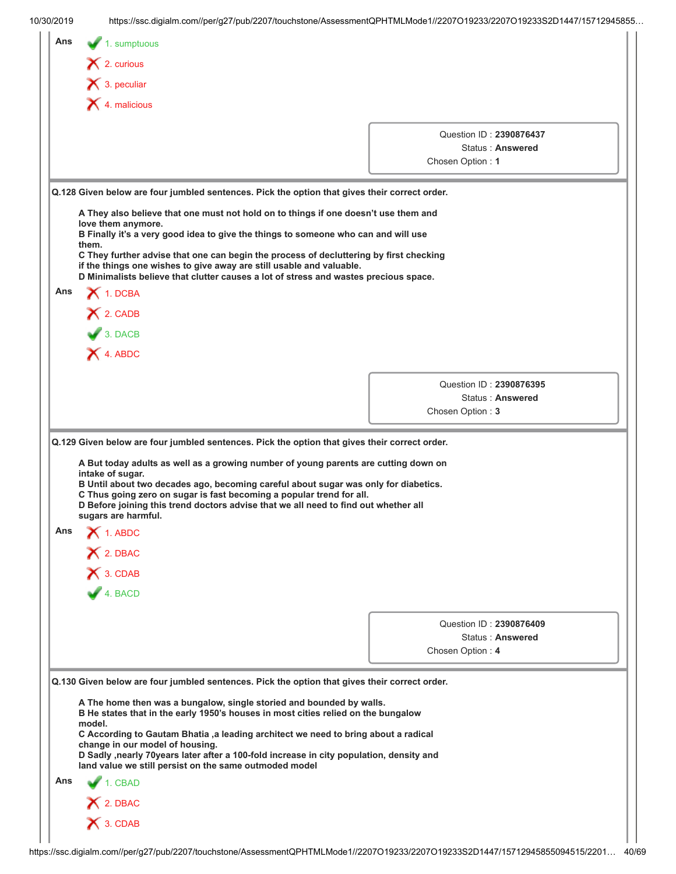| Ans |                                                                                                                                                                                      |  |                                      |  |  |
|-----|--------------------------------------------------------------------------------------------------------------------------------------------------------------------------------------|--|--------------------------------------|--|--|
|     | 1. sumptuous                                                                                                                                                                         |  |                                      |  |  |
|     | $\mathsf{X}$ 2. curious                                                                                                                                                              |  |                                      |  |  |
|     | $\mathsf{\times}$ 3. peculiar                                                                                                                                                        |  |                                      |  |  |
|     | $\blacktriangleright$ 4. malicious                                                                                                                                                   |  |                                      |  |  |
|     |                                                                                                                                                                                      |  |                                      |  |  |
|     |                                                                                                                                                                                      |  | Question ID: 2390876437              |  |  |
|     |                                                                                                                                                                                      |  | Status: Answered<br>Chosen Option: 1 |  |  |
|     |                                                                                                                                                                                      |  |                                      |  |  |
|     | Q.128 Given below are four jumbled sentences. Pick the option that gives their correct order.                                                                                        |  |                                      |  |  |
|     | A They also believe that one must not hold on to things if one doesn't use them and                                                                                                  |  |                                      |  |  |
|     | love them anymore.<br>B Finally it's a very good idea to give the things to someone who can and will use                                                                             |  |                                      |  |  |
|     | them.                                                                                                                                                                                |  |                                      |  |  |
|     | C They further advise that one can begin the process of decluttering by first checking<br>if the things one wishes to give away are still usable and valuable.                       |  |                                      |  |  |
|     | D Minimalists believe that clutter causes a lot of stress and wastes precious space.                                                                                                 |  |                                      |  |  |
| Ans | 1. DCBA                                                                                                                                                                              |  |                                      |  |  |
|     | $\bigtimes$ 2. CADB                                                                                                                                                                  |  |                                      |  |  |
|     | 3. DACB                                                                                                                                                                              |  |                                      |  |  |
|     | X 4. ABDC                                                                                                                                                                            |  |                                      |  |  |
|     |                                                                                                                                                                                      |  |                                      |  |  |
|     |                                                                                                                                                                                      |  |                                      |  |  |
|     |                                                                                                                                                                                      |  | Question ID: 2390876395              |  |  |
|     | Q.129 Given below are four jumbled sentences. Pick the option that gives their correct order.<br>A But today adults as well as a growing number of young parents are cutting down on |  | Status: Answered<br>Chosen Option: 3 |  |  |
|     | intake of sugar.<br>B Until about two decades ago, becoming careful about sugar was only for diabetics.<br>C Thus going zero on sugar is fast becoming a popular trend for all.      |  |                                      |  |  |
|     | D Before joining this trend doctors advise that we all need to find out whether all<br>sugars are harmful.                                                                           |  |                                      |  |  |
| Ans | $\bigtimes$ 1. ABDC                                                                                                                                                                  |  |                                      |  |  |
|     | $\blacktriangleright$ 2. DBAC                                                                                                                                                        |  |                                      |  |  |
|     |                                                                                                                                                                                      |  |                                      |  |  |
|     | $\mathsf{X}$ 3. CDAB                                                                                                                                                                 |  |                                      |  |  |
|     | 4. BACD                                                                                                                                                                              |  |                                      |  |  |
|     |                                                                                                                                                                                      |  | Question ID: 2390876409              |  |  |
|     |                                                                                                                                                                                      |  | Status: Answered<br>Chosen Option: 4 |  |  |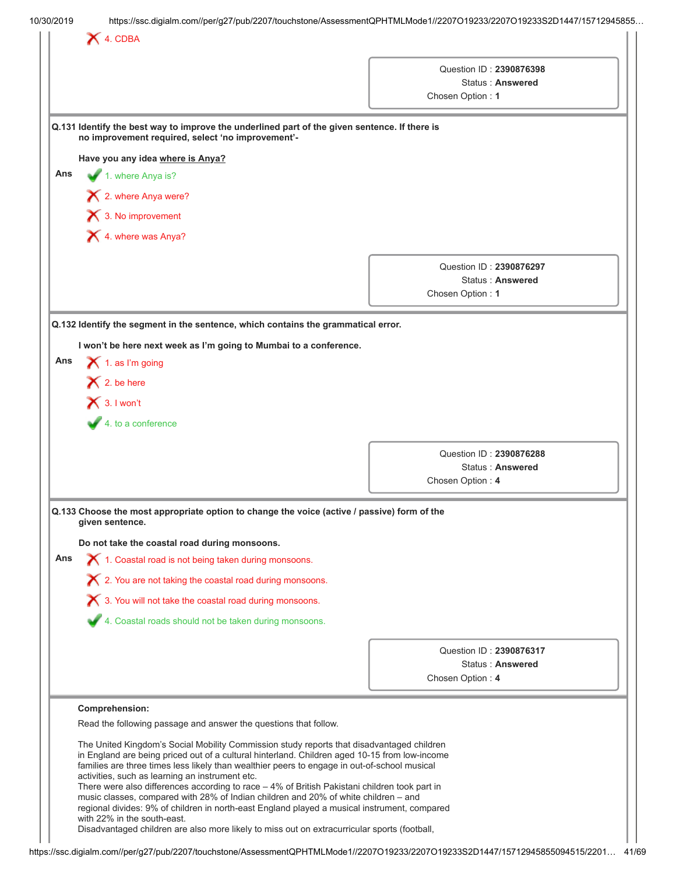| 10/30/2019 | https://ssc.digialm.com//per/g27/pub/2207/touchstone/AssessmentQPHTMLMode1//2207O19233/2207O19233S2D1447/15712945855                                                                   |                  |                                                                                               |  |  |  |  |
|------------|----------------------------------------------------------------------------------------------------------------------------------------------------------------------------------------|------------------|-----------------------------------------------------------------------------------------------|--|--|--|--|
|            | <b>X</b> 4. CDBA                                                                                                                                                                       |                  |                                                                                               |  |  |  |  |
|            |                                                                                                                                                                                        |                  | Question ID: 2390876398                                                                       |  |  |  |  |
|            |                                                                                                                                                                                        |                  | Status: Answered                                                                              |  |  |  |  |
|            |                                                                                                                                                                                        | Chosen Option: 1 |                                                                                               |  |  |  |  |
|            | Q.131 Identify the best way to improve the underlined part of the given sentence. If there is<br>no improvement required, select 'no improvement'-                                     |                  |                                                                                               |  |  |  |  |
|            | Have you any idea where is Anya?                                                                                                                                                       |                  |                                                                                               |  |  |  |  |
| Ans        | 1. where Anya is?                                                                                                                                                                      |                  |                                                                                               |  |  |  |  |
|            | 2. where Anya were?                                                                                                                                                                    |                  |                                                                                               |  |  |  |  |
|            | 1 3. No improvement                                                                                                                                                                    |                  |                                                                                               |  |  |  |  |
|            | 4. where was Anya?                                                                                                                                                                     |                  |                                                                                               |  |  |  |  |
|            |                                                                                                                                                                                        |                  |                                                                                               |  |  |  |  |
|            |                                                                                                                                                                                        |                  | Question ID: 2390876297                                                                       |  |  |  |  |
|            |                                                                                                                                                                                        |                  | Status: Answered                                                                              |  |  |  |  |
|            |                                                                                                                                                                                        | Chosen Option: 1 |                                                                                               |  |  |  |  |
|            | Q.132 Identify the segment in the sentence, which contains the grammatical error.                                                                                                      |                  |                                                                                               |  |  |  |  |
|            | I won't be here next week as I'm going to Mumbai to a conference.                                                                                                                      |                  |                                                                                               |  |  |  |  |
| Ans        | $\blacktriangleright$ 1. as I'm going                                                                                                                                                  |                  |                                                                                               |  |  |  |  |
|            | $\bigtimes$ 2. be here                                                                                                                                                                 |                  |                                                                                               |  |  |  |  |
|            | $\bigtimes$ 3. I won't                                                                                                                                                                 |                  |                                                                                               |  |  |  |  |
|            | $\blacktriangleright$ 4. to a conference                                                                                                                                               |                  |                                                                                               |  |  |  |  |
|            |                                                                                                                                                                                        |                  |                                                                                               |  |  |  |  |
|            |                                                                                                                                                                                        |                  | Question ID: 2390876288                                                                       |  |  |  |  |
|            |                                                                                                                                                                                        |                  | Status: Answered                                                                              |  |  |  |  |
|            |                                                                                                                                                                                        | Chosen Option: 4 |                                                                                               |  |  |  |  |
|            | Q.133 Choose the most appropriate option to change the voice (active / passive) form of the<br>given sentence.                                                                         |                  |                                                                                               |  |  |  |  |
|            | Do not take the coastal road during monsoons.                                                                                                                                          |                  |                                                                                               |  |  |  |  |
| Ans        | 1. Coastal road is not being taken during monsoons.                                                                                                                                    |                  |                                                                                               |  |  |  |  |
|            | X 2. You are not taking the coastal road during monsoons.                                                                                                                              |                  |                                                                                               |  |  |  |  |
|            | X 3. You will not take the coastal road during monsoons.                                                                                                                               |                  |                                                                                               |  |  |  |  |
|            | 4. Coastal roads should not be taken during monsoons.                                                                                                                                  |                  |                                                                                               |  |  |  |  |
|            |                                                                                                                                                                                        |                  |                                                                                               |  |  |  |  |
|            |                                                                                                                                                                                        |                  | Question ID: 2390876317                                                                       |  |  |  |  |
|            |                                                                                                                                                                                        | Chosen Option: 4 | Status: Answered                                                                              |  |  |  |  |
|            |                                                                                                                                                                                        |                  |                                                                                               |  |  |  |  |
|            | Comprehension:                                                                                                                                                                         |                  |                                                                                               |  |  |  |  |
|            | Read the following passage and answer the questions that follow.                                                                                                                       |                  |                                                                                               |  |  |  |  |
|            | The United Kingdom's Social Mobility Commission study reports that disadvantaged children                                                                                              |                  |                                                                                               |  |  |  |  |
|            |                                                                                                                                                                                        |                  | in England are being priced out of a cultural hinterland. Children aged 10-15 from low-income |  |  |  |  |
|            |                                                                                                                                                                                        |                  |                                                                                               |  |  |  |  |
|            | families are three times less likely than wealthier peers to engage in out-of-school musical<br>activities, such as learning an instrument etc.                                        |                  |                                                                                               |  |  |  |  |
|            | There were also differences according to race $-4\%$ of British Pakistani children took part in<br>music classes, compared with 28% of Indian children and 20% of white children – and |                  |                                                                                               |  |  |  |  |
|            | regional divides: 9% of children in north-east England played a musical instrument, compared<br>with 22% in the south-east.                                                            |                  |                                                                                               |  |  |  |  |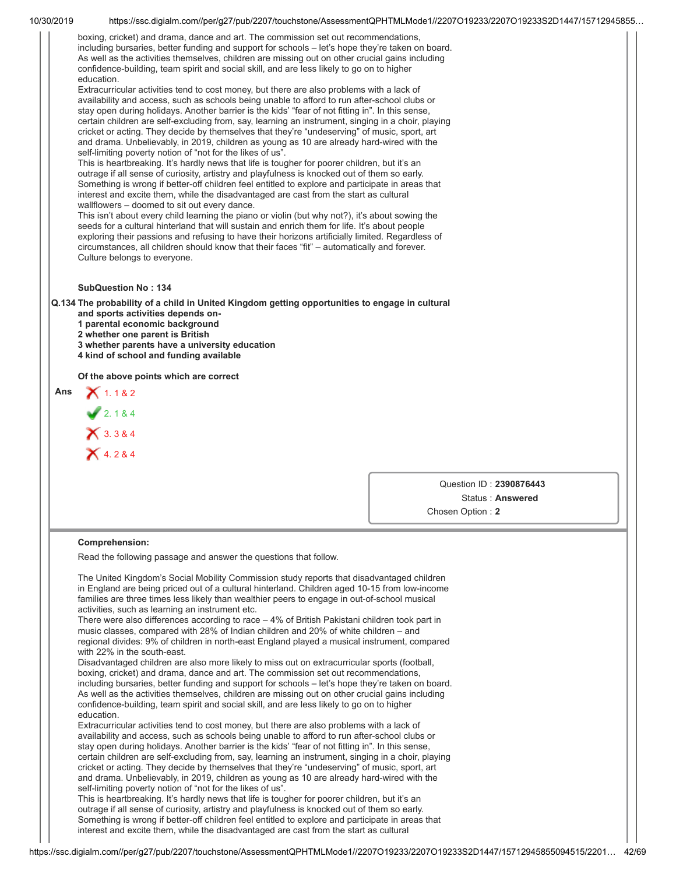

10/30/2019 https://ssc.digialm.com//per/g27/pub/2207/touchstone/AssessmentQPHTMLMode1//2207O19233/2207O19233S2D1447/15712945855…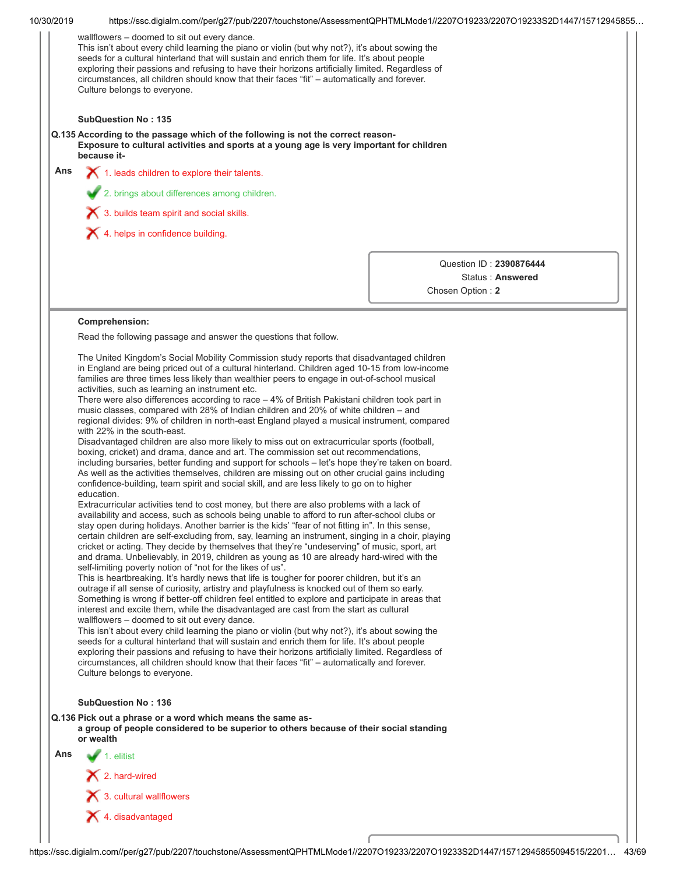|     | https://ssc.digialm.com//per/g27/pub/2207/touchstone/AssessmentQPHTMLMode1//2207O19233/2207O19233S2D1447/15712945855                                                                                                                                                                                                                                                                                                                                                                                                                                                                                                                                                                                                                                                                                                                                                                                                                                                                                                                                                                                                                                                                                                                                                                                                                                                                                                                                                                                                                                                                                                                                                                                                                                                                                                                                                                                                                                                                                                                                                                                                                                                                              |                  |                                             |
|-----|---------------------------------------------------------------------------------------------------------------------------------------------------------------------------------------------------------------------------------------------------------------------------------------------------------------------------------------------------------------------------------------------------------------------------------------------------------------------------------------------------------------------------------------------------------------------------------------------------------------------------------------------------------------------------------------------------------------------------------------------------------------------------------------------------------------------------------------------------------------------------------------------------------------------------------------------------------------------------------------------------------------------------------------------------------------------------------------------------------------------------------------------------------------------------------------------------------------------------------------------------------------------------------------------------------------------------------------------------------------------------------------------------------------------------------------------------------------------------------------------------------------------------------------------------------------------------------------------------------------------------------------------------------------------------------------------------------------------------------------------------------------------------------------------------------------------------------------------------------------------------------------------------------------------------------------------------------------------------------------------------------------------------------------------------------------------------------------------------------------------------------------------------------------------------------------------------|------------------|---------------------------------------------|
|     | wallflowers - doomed to sit out every dance.<br>This isn't about every child learning the piano or violin (but why not?), it's about sowing the<br>seeds for a cultural hinterland that will sustain and enrich them for life. It's about people<br>exploring their passions and refusing to have their horizons artificially limited. Regardless of<br>circumstances, all children should know that their faces "fit" - automatically and forever.<br>Culture belongs to everyone.                                                                                                                                                                                                                                                                                                                                                                                                                                                                                                                                                                                                                                                                                                                                                                                                                                                                                                                                                                                                                                                                                                                                                                                                                                                                                                                                                                                                                                                                                                                                                                                                                                                                                                               |                  |                                             |
|     | <b>SubQuestion No: 135</b>                                                                                                                                                                                                                                                                                                                                                                                                                                                                                                                                                                                                                                                                                                                                                                                                                                                                                                                                                                                                                                                                                                                                                                                                                                                                                                                                                                                                                                                                                                                                                                                                                                                                                                                                                                                                                                                                                                                                                                                                                                                                                                                                                                        |                  |                                             |
|     | Q.135 According to the passage which of the following is not the correct reason-<br>Exposure to cultural activities and sports at a young age is very important for children<br>because it-                                                                                                                                                                                                                                                                                                                                                                                                                                                                                                                                                                                                                                                                                                                                                                                                                                                                                                                                                                                                                                                                                                                                                                                                                                                                                                                                                                                                                                                                                                                                                                                                                                                                                                                                                                                                                                                                                                                                                                                                       |                  |                                             |
| Ans | 1. leads children to explore their talents.                                                                                                                                                                                                                                                                                                                                                                                                                                                                                                                                                                                                                                                                                                                                                                                                                                                                                                                                                                                                                                                                                                                                                                                                                                                                                                                                                                                                                                                                                                                                                                                                                                                                                                                                                                                                                                                                                                                                                                                                                                                                                                                                                       |                  |                                             |
|     | 2. brings about differences among children.                                                                                                                                                                                                                                                                                                                                                                                                                                                                                                                                                                                                                                                                                                                                                                                                                                                                                                                                                                                                                                                                                                                                                                                                                                                                                                                                                                                                                                                                                                                                                                                                                                                                                                                                                                                                                                                                                                                                                                                                                                                                                                                                                       |                  |                                             |
|     | 3. builds team spirit and social skills.                                                                                                                                                                                                                                                                                                                                                                                                                                                                                                                                                                                                                                                                                                                                                                                                                                                                                                                                                                                                                                                                                                                                                                                                                                                                                                                                                                                                                                                                                                                                                                                                                                                                                                                                                                                                                                                                                                                                                                                                                                                                                                                                                          |                  |                                             |
|     | X 4. helps in confidence building.                                                                                                                                                                                                                                                                                                                                                                                                                                                                                                                                                                                                                                                                                                                                                                                                                                                                                                                                                                                                                                                                                                                                                                                                                                                                                                                                                                                                                                                                                                                                                                                                                                                                                                                                                                                                                                                                                                                                                                                                                                                                                                                                                                |                  |                                             |
|     |                                                                                                                                                                                                                                                                                                                                                                                                                                                                                                                                                                                                                                                                                                                                                                                                                                                                                                                                                                                                                                                                                                                                                                                                                                                                                                                                                                                                                                                                                                                                                                                                                                                                                                                                                                                                                                                                                                                                                                                                                                                                                                                                                                                                   | Chosen Option: 2 | Question ID: 2390876444<br>Status: Answered |
|     | <b>Comprehension:</b>                                                                                                                                                                                                                                                                                                                                                                                                                                                                                                                                                                                                                                                                                                                                                                                                                                                                                                                                                                                                                                                                                                                                                                                                                                                                                                                                                                                                                                                                                                                                                                                                                                                                                                                                                                                                                                                                                                                                                                                                                                                                                                                                                                             |                  |                                             |
|     | Read the following passage and answer the questions that follow.                                                                                                                                                                                                                                                                                                                                                                                                                                                                                                                                                                                                                                                                                                                                                                                                                                                                                                                                                                                                                                                                                                                                                                                                                                                                                                                                                                                                                                                                                                                                                                                                                                                                                                                                                                                                                                                                                                                                                                                                                                                                                                                                  |                  |                                             |
|     | in England are being priced out of a cultural hinterland. Children aged 10-15 from low-income<br>families are three times less likely than wealthier peers to engage in out-of-school musical<br>activities, such as learning an instrument etc.<br>There were also differences according to race $-4\%$ of British Pakistani children took part in<br>music classes, compared with 28% of Indian children and 20% of white children – and<br>regional divides: 9% of children in north-east England played a musical instrument, compared<br>with 22% in the south-east.<br>Disadvantaged children are also more likely to miss out on extracurricular sports (football,<br>boxing, cricket) and drama, dance and art. The commission set out recommendations,<br>including bursaries, better funding and support for schools - let's hope they're taken on board.<br>As well as the activities themselves, children are missing out on other crucial gains including<br>confidence-building, team spirit and social skill, and are less likely to go on to higher<br>education.<br>Extracurricular activities tend to cost money, but there are also problems with a lack of<br>availability and access, such as schools being unable to afford to run after-school clubs or<br>stay open during holidays. Another barrier is the kids' "fear of not fitting in". In this sense,<br>certain children are self-excluding from, say, learning an instrument, singing in a choir, playing<br>cricket or acting. They decide by themselves that they're "undeserving" of music, sport, art<br>and drama. Unbelievably, in 2019, children as young as 10 are already hard-wired with the<br>self-limiting poverty notion of "not for the likes of us".<br>This is heartbreaking. It's hardly news that life is tougher for poorer children, but it's an<br>outrage if all sense of curiosity, artistry and playfulness is knocked out of them so early.<br>Something is wrong if better-off children feel entitled to explore and participate in areas that<br>interest and excite them, while the disadvantaged are cast from the start as cultural<br>wallflowers - doomed to sit out every dance. |                  |                                             |
|     | This isn't about every child learning the piano or violin (but why not?), it's about sowing the<br>seeds for a cultural hinterland that will sustain and enrich them for life. It's about people<br>exploring their passions and refusing to have their horizons artificially limited. Regardless of<br>circumstances, all children should know that their faces "fit" – automatically and forever.<br>Culture belongs to everyone.                                                                                                                                                                                                                                                                                                                                                                                                                                                                                                                                                                                                                                                                                                                                                                                                                                                                                                                                                                                                                                                                                                                                                                                                                                                                                                                                                                                                                                                                                                                                                                                                                                                                                                                                                               |                  |                                             |
|     | <b>SubQuestion No: 136</b><br>Q.136 Pick out a phrase or a word which means the same as-<br>a group of people considered to be superior to others because of their social standing                                                                                                                                                                                                                                                                                                                                                                                                                                                                                                                                                                                                                                                                                                                                                                                                                                                                                                                                                                                                                                                                                                                                                                                                                                                                                                                                                                                                                                                                                                                                                                                                                                                                                                                                                                                                                                                                                                                                                                                                                |                  |                                             |
|     | or wealth                                                                                                                                                                                                                                                                                                                                                                                                                                                                                                                                                                                                                                                                                                                                                                                                                                                                                                                                                                                                                                                                                                                                                                                                                                                                                                                                                                                                                                                                                                                                                                                                                                                                                                                                                                                                                                                                                                                                                                                                                                                                                                                                                                                         |                  |                                             |
| Ans | $\blacksquare$ 1. elitist                                                                                                                                                                                                                                                                                                                                                                                                                                                                                                                                                                                                                                                                                                                                                                                                                                                                                                                                                                                                                                                                                                                                                                                                                                                                                                                                                                                                                                                                                                                                                                                                                                                                                                                                                                                                                                                                                                                                                                                                                                                                                                                                                                         |                  |                                             |
|     | × 2. hard-wired<br>$\blacktriangleright$ 3. cultural wallflowers                                                                                                                                                                                                                                                                                                                                                                                                                                                                                                                                                                                                                                                                                                                                                                                                                                                                                                                                                                                                                                                                                                                                                                                                                                                                                                                                                                                                                                                                                                                                                                                                                                                                                                                                                                                                                                                                                                                                                                                                                                                                                                                                  |                  |                                             |

https://ssc.digialm.com//per/g27/pub/2207/touchstone/AssessmentQPHTMLMode1//2207O19233/2207O19233S2D1447/15712945855094515/2201… 43/69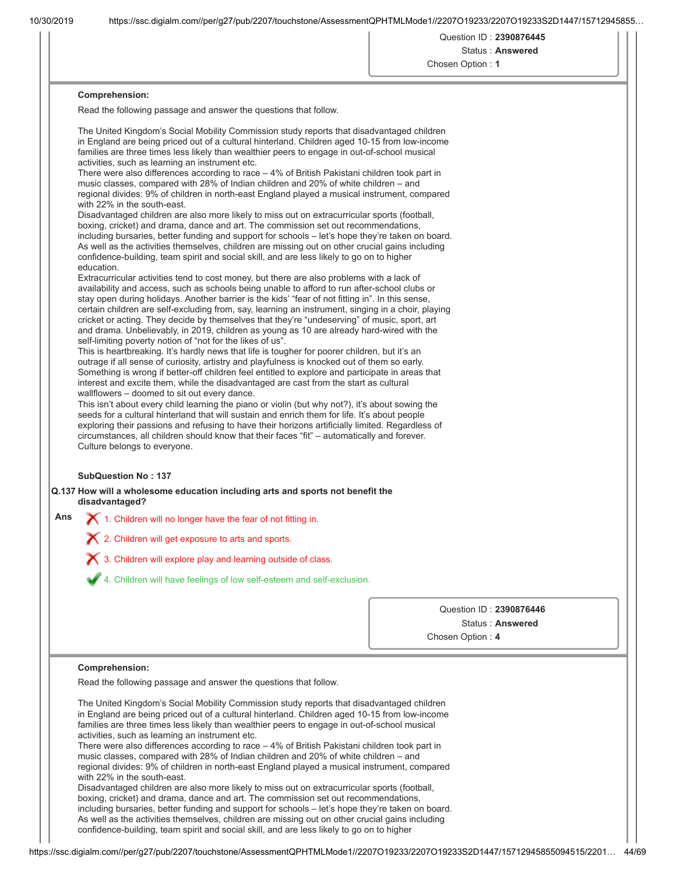Question ID : **2390876445**

| Status: Answered |  |  |  |  |
|------------------|--|--|--|--|
|------------------|--|--|--|--|

Chosen Option : **1**

## **Comprehension:**

Read the following passage and answer the questions that follow.

The United Kingdom's Social Mobility Commission study reports that disadvantaged children in England are being priced out of a cultural hinterland. Children aged 10-15 from low-income families are three times less likely than wealthier peers to engage in out-of-school musical activities, such as learning an instrument etc. There were also differences according to race – 4% of British Pakistani children took part in music classes, compared with 28% of Indian children and 20% of white children – and regional divides: 9% of children in north-east England played a musical instrument, compared with 22% in the south-east. Disadvantaged children are also more likely to miss out on extracurricular sports (football, boxing, cricket) and drama, dance and art. The commission set out recommendations, including bursaries, better funding and support for schools – let's hope they're taken on board. As well as the activities themselves, children are missing out on other crucial gains including confidence-building, team spirit and social skill, and are less likely to go on to higher education. Extracurricular activities tend to cost money, but there are also problems with a lack of availability and access, such as schools being unable to afford to run after-school clubs or stay open during holidays. Another barrier is the kids' "fear of not fitting in". In this sense, certain children are self-excluding from, say, learning an instrument, singing in a choir, playing cricket or acting. They decide by themselves that they're "undeserving" of music, sport, art and drama. Unbelievably, in 2019, children as young as 10 are already hard-wired with the self-limiting poverty notion of "not for the likes of us". This is heartbreaking. It's hardly news that life is tougher for poorer children, but it's an outrage if all sense of curiosity, artistry and playfulness is knocked out of them so early. Something is wrong if better-off children feel entitled to explore and participate in areas that interest and excite them, while the disadvantaged are cast from the start as cultural wallflowers – doomed to sit out every dance. This isn't about every child learning the piano or violin (but why not?), it's about sowing the seeds for a cultural hinterland that will sustain and enrich them for life. It's about people exploring their passions and refusing to have their horizons artificially limited. Regardless of circumstances, all children should know that their faces "fit" – automatically and forever. Culture belongs to everyone. **SubQuestion No : 137 Q.137 How will a wholesome education including arts and sports not benefit the disadvantaged?** Ans  $\mathsf{X}$  1. Children will no longer have the fear of not fitting in. 2. Children will get exposure to arts and sports. 3. Children will explore play and learning outside of class. 4. Children will have feelings of low self-esteem and self-exclusion. Question ID : **2390876446** Status : **Answered** Chosen Option : **4 Comprehension:** Read the following passage and answer the questions that follow. The United Kingdom's Social Mobility Commission study reports that disadvantaged children in England are being priced out of a cultural hinterland. Children aged 10-15 from low-income families are three times less likely than wealthier peers to engage in out-of-school musical activities, such as learning an instrument etc. There were also differences according to race – 4% of British Pakistani children took part in music classes, compared with 28% of Indian children and 20% of white children – and regional divides: 9% of children in north-east England played a musical instrument, compared with 22% in the south-east. Disadvantaged children are also more likely to miss out on extracurricular sports (football, boxing, cricket) and drama, dance and art. The commission set out recommendations, including bursaries, better funding and support for schools – let's hope they're taken on board. As well as the activities themselves, children are missing out on other crucial gains including confidence-building, team spirit and social skill, and are less likely to go on to higher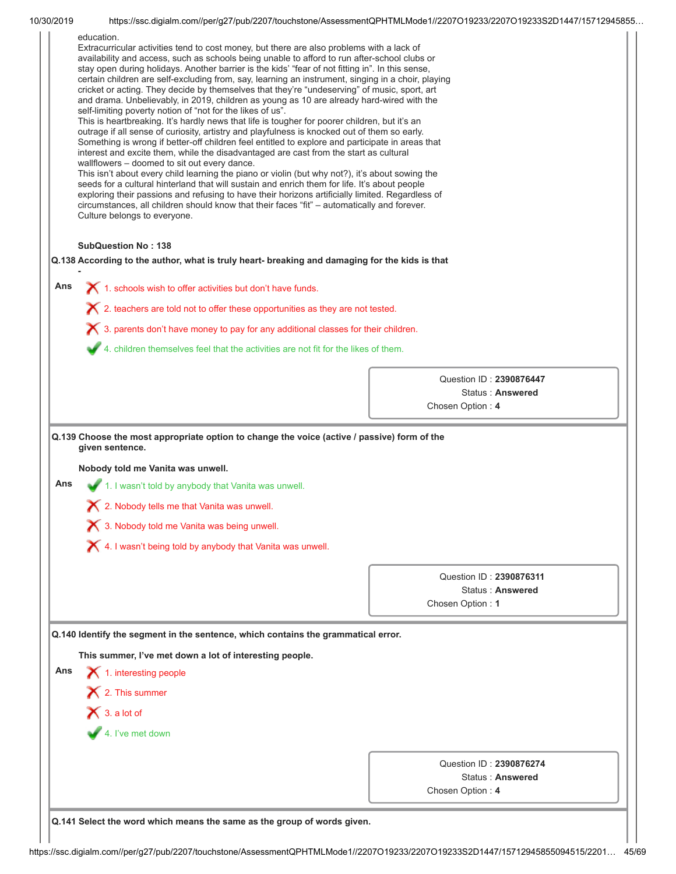| 10/30/2019 | https://ssc.digialm.com//per/g27/pub/2207/touchstone/AssessmentQPHTMLMode1//2207O19233/2207O19233S2D1447/15712945855                                                                                                                                                                                                                                                                                                                                                                                                                                                                                                                                                                                                                                                                                                                                                                                                                                                                                                                                                                                                                                                                                                                                                                                                                                                                                                                                                                                                                                              |                                      |
|------------|-------------------------------------------------------------------------------------------------------------------------------------------------------------------------------------------------------------------------------------------------------------------------------------------------------------------------------------------------------------------------------------------------------------------------------------------------------------------------------------------------------------------------------------------------------------------------------------------------------------------------------------------------------------------------------------------------------------------------------------------------------------------------------------------------------------------------------------------------------------------------------------------------------------------------------------------------------------------------------------------------------------------------------------------------------------------------------------------------------------------------------------------------------------------------------------------------------------------------------------------------------------------------------------------------------------------------------------------------------------------------------------------------------------------------------------------------------------------------------------------------------------------------------------------------------------------|--------------------------------------|
|            | education.<br>Extracurricular activities tend to cost money, but there are also problems with a lack of<br>availability and access, such as schools being unable to afford to run after-school clubs or<br>stay open during holidays. Another barrier is the kids' "fear of not fitting in". In this sense,<br>certain children are self-excluding from, say, learning an instrument, singing in a choir, playing<br>cricket or acting. They decide by themselves that they're "undeserving" of music, sport, art<br>and drama. Unbelievably, in 2019, children as young as 10 are already hard-wired with the<br>self-limiting poverty notion of "not for the likes of us".<br>This is heartbreaking. It's hardly news that life is tougher for poorer children, but it's an<br>outrage if all sense of curiosity, artistry and playfulness is knocked out of them so early.<br>Something is wrong if better-off children feel entitled to explore and participate in areas that<br>interest and excite them, while the disadvantaged are cast from the start as cultural<br>wallflowers - doomed to sit out every dance.<br>This isn't about every child learning the piano or violin (but why not?), it's about sowing the<br>seeds for a cultural hinterland that will sustain and enrich them for life. It's about people<br>exploring their passions and refusing to have their horizons artificially limited. Regardless of<br>circumstances, all children should know that their faces "fit" - automatically and forever.<br>Culture belongs to everyone. |                                      |
|            | <b>SubQuestion No: 138</b>                                                                                                                                                                                                                                                                                                                                                                                                                                                                                                                                                                                                                                                                                                                                                                                                                                                                                                                                                                                                                                                                                                                                                                                                                                                                                                                                                                                                                                                                                                                                        |                                      |
|            | Q.138 According to the author, what is truly heart- breaking and damaging for the kids is that                                                                                                                                                                                                                                                                                                                                                                                                                                                                                                                                                                                                                                                                                                                                                                                                                                                                                                                                                                                                                                                                                                                                                                                                                                                                                                                                                                                                                                                                    |                                      |
| Ans        | 1. schools wish to offer activities but don't have funds.                                                                                                                                                                                                                                                                                                                                                                                                                                                                                                                                                                                                                                                                                                                                                                                                                                                                                                                                                                                                                                                                                                                                                                                                                                                                                                                                                                                                                                                                                                         |                                      |
|            | X 2. teachers are told not to offer these opportunities as they are not tested.                                                                                                                                                                                                                                                                                                                                                                                                                                                                                                                                                                                                                                                                                                                                                                                                                                                                                                                                                                                                                                                                                                                                                                                                                                                                                                                                                                                                                                                                                   |                                      |
|            | $\chi$ 3. parents don't have money to pay for any additional classes for their children.                                                                                                                                                                                                                                                                                                                                                                                                                                                                                                                                                                                                                                                                                                                                                                                                                                                                                                                                                                                                                                                                                                                                                                                                                                                                                                                                                                                                                                                                          |                                      |
|            | 4. children themselves feel that the activities are not fit for the likes of them.                                                                                                                                                                                                                                                                                                                                                                                                                                                                                                                                                                                                                                                                                                                                                                                                                                                                                                                                                                                                                                                                                                                                                                                                                                                                                                                                                                                                                                                                                |                                      |
|            |                                                                                                                                                                                                                                                                                                                                                                                                                                                                                                                                                                                                                                                                                                                                                                                                                                                                                                                                                                                                                                                                                                                                                                                                                                                                                                                                                                                                                                                                                                                                                                   |                                      |
|            |                                                                                                                                                                                                                                                                                                                                                                                                                                                                                                                                                                                                                                                                                                                                                                                                                                                                                                                                                                                                                                                                                                                                                                                                                                                                                                                                                                                                                                                                                                                                                                   | Question ID: 2390876447              |
|            |                                                                                                                                                                                                                                                                                                                                                                                                                                                                                                                                                                                                                                                                                                                                                                                                                                                                                                                                                                                                                                                                                                                                                                                                                                                                                                                                                                                                                                                                                                                                                                   | Status: Answered                     |
|            | Q.139 Choose the most appropriate option to change the voice (active / passive) form of the<br>given sentence.                                                                                                                                                                                                                                                                                                                                                                                                                                                                                                                                                                                                                                                                                                                                                                                                                                                                                                                                                                                                                                                                                                                                                                                                                                                                                                                                                                                                                                                    | Chosen Option: 4                     |
| Ans        | Nobody told me Vanita was unwell.<br>1. I wasn't told by anybody that Vanita was unwell.<br>2. Nobody tells me that Vanita was unwell.                                                                                                                                                                                                                                                                                                                                                                                                                                                                                                                                                                                                                                                                                                                                                                                                                                                                                                                                                                                                                                                                                                                                                                                                                                                                                                                                                                                                                            |                                      |
|            | X 3. Nobody told me Vanita was being unwell.                                                                                                                                                                                                                                                                                                                                                                                                                                                                                                                                                                                                                                                                                                                                                                                                                                                                                                                                                                                                                                                                                                                                                                                                                                                                                                                                                                                                                                                                                                                      |                                      |
|            | X 4. I wasn't being told by anybody that Vanita was unwell.                                                                                                                                                                                                                                                                                                                                                                                                                                                                                                                                                                                                                                                                                                                                                                                                                                                                                                                                                                                                                                                                                                                                                                                                                                                                                                                                                                                                                                                                                                       |                                      |
|            |                                                                                                                                                                                                                                                                                                                                                                                                                                                                                                                                                                                                                                                                                                                                                                                                                                                                                                                                                                                                                                                                                                                                                                                                                                                                                                                                                                                                                                                                                                                                                                   | Question ID: 2390876311              |
|            |                                                                                                                                                                                                                                                                                                                                                                                                                                                                                                                                                                                                                                                                                                                                                                                                                                                                                                                                                                                                                                                                                                                                                                                                                                                                                                                                                                                                                                                                                                                                                                   | Status: Answered<br>Chosen Option: 1 |
|            |                                                                                                                                                                                                                                                                                                                                                                                                                                                                                                                                                                                                                                                                                                                                                                                                                                                                                                                                                                                                                                                                                                                                                                                                                                                                                                                                                                                                                                                                                                                                                                   |                                      |
|            | Q.140 Identify the segment in the sentence, which contains the grammatical error.                                                                                                                                                                                                                                                                                                                                                                                                                                                                                                                                                                                                                                                                                                                                                                                                                                                                                                                                                                                                                                                                                                                                                                                                                                                                                                                                                                                                                                                                                 |                                      |
|            | This summer, I've met down a lot of interesting people.                                                                                                                                                                                                                                                                                                                                                                                                                                                                                                                                                                                                                                                                                                                                                                                                                                                                                                                                                                                                                                                                                                                                                                                                                                                                                                                                                                                                                                                                                                           |                                      |
| Ans        | 1. interesting people                                                                                                                                                                                                                                                                                                                                                                                                                                                                                                                                                                                                                                                                                                                                                                                                                                                                                                                                                                                                                                                                                                                                                                                                                                                                                                                                                                                                                                                                                                                                             |                                      |
|            | $\bigtimes$ 2. This summer                                                                                                                                                                                                                                                                                                                                                                                                                                                                                                                                                                                                                                                                                                                                                                                                                                                                                                                                                                                                                                                                                                                                                                                                                                                                                                                                                                                                                                                                                                                                        |                                      |
|            | $\blacktriangleright$ 3. a lot of                                                                                                                                                                                                                                                                                                                                                                                                                                                                                                                                                                                                                                                                                                                                                                                                                                                                                                                                                                                                                                                                                                                                                                                                                                                                                                                                                                                                                                                                                                                                 |                                      |
|            | 4. I've met down                                                                                                                                                                                                                                                                                                                                                                                                                                                                                                                                                                                                                                                                                                                                                                                                                                                                                                                                                                                                                                                                                                                                                                                                                                                                                                                                                                                                                                                                                                                                                  |                                      |
|            |                                                                                                                                                                                                                                                                                                                                                                                                                                                                                                                                                                                                                                                                                                                                                                                                                                                                                                                                                                                                                                                                                                                                                                                                                                                                                                                                                                                                                                                                                                                                                                   | Question ID: 2390876274              |
|            |                                                                                                                                                                                                                                                                                                                                                                                                                                                                                                                                                                                                                                                                                                                                                                                                                                                                                                                                                                                                                                                                                                                                                                                                                                                                                                                                                                                                                                                                                                                                                                   | Status: Answered<br>Chosen Option: 4 |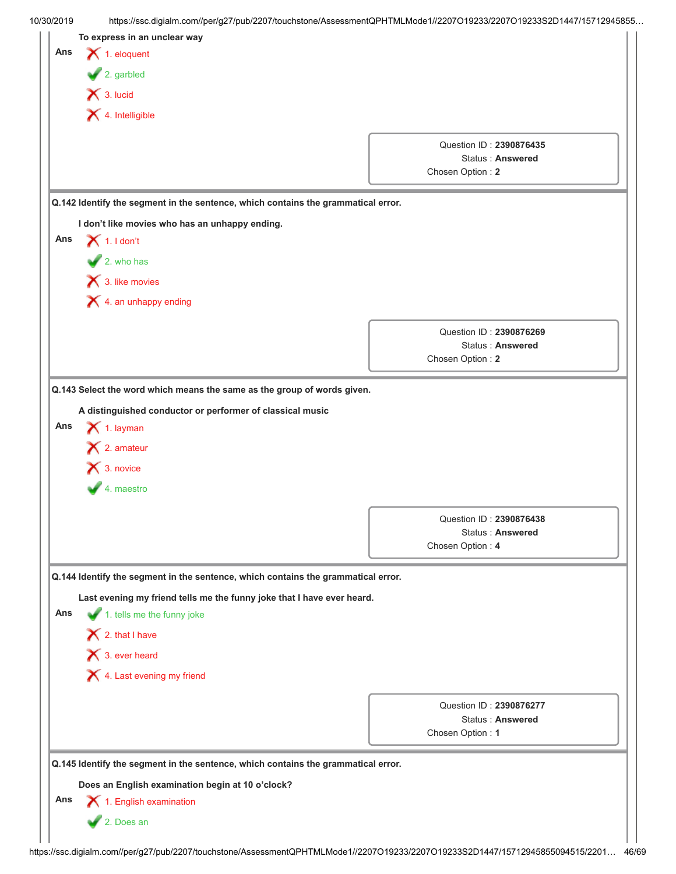| 10/30/2019 | https://ssc.digialm.com//per/q27/pub/2207/touchstone/AssessmentQPHTMLMode1//2207O19233/2207O19233S2D1447/15712945855 |
|------------|----------------------------------------------------------------------------------------------------------------------|

| To express in an unclear way<br>Ans<br>$\blacktriangleright$ 1. eloquent<br>$\sqrt{2}$ . garbled<br>$\blacktriangleright$ 3. lucid<br>X 4. Intelligible<br>Question ID: 2390876435<br>Status: Answered<br>Chosen Option: 2<br>Q.142 Identify the segment in the sentence, which contains the grammatical error.<br>I don't like movies who has an unhappy ending.<br>Ans<br>$\blacktriangleright$ 1. I don't<br>$\sqrt{2}$ . who has<br>1 3. like movies<br>$\blacktriangleright$ 4. an unhappy ending<br>Question ID: 2390876269<br>Status: Answered<br>Chosen Option: 2<br>Q.143 Select the word which means the same as the group of words given.<br>A distinguished conductor or performer of classical music<br>$\blacktriangleright$ 1. layman<br>Ans<br>$\mathsf{X}$ 2. amateur<br>$\bigtimes$ 3. novice<br>4. maestro<br>Question ID: 2390876438<br>Status: Answered<br>Chosen Option: 4<br>Q.144 Identify the segment in the sentence, which contains the grammatical error.<br>Last evening my friend tells me the funny joke that I have ever heard.<br>Ans<br>1. tells me the funny joke<br>$\bigtimes$ 2. that I have<br>1 3. ever heard<br>X 4. Last evening my friend<br>Question ID: 2390876277<br>Status: Answered<br>Chosen Option: 1<br>Q.145 Identify the segment in the sentence, which contains the grammatical error.<br>Does an English examination begin at 10 o'clock?<br>Ans<br>1. English examination<br>2. Does an | https://ssc.digialm.com//per/g27/pub/2207/touchstone/AssessmentQPHTMLMode1//2207O19233/2207O19233S2D1447/15712945855 |  |
|-------------------------------------------------------------------------------------------------------------------------------------------------------------------------------------------------------------------------------------------------------------------------------------------------------------------------------------------------------------------------------------------------------------------------------------------------------------------------------------------------------------------------------------------------------------------------------------------------------------------------------------------------------------------------------------------------------------------------------------------------------------------------------------------------------------------------------------------------------------------------------------------------------------------------------------------------------------------------------------------------------------------------------------------------------------------------------------------------------------------------------------------------------------------------------------------------------------------------------------------------------------------------------------------------------------------------------------------------------------------------------------------------------------------------------------------------|----------------------------------------------------------------------------------------------------------------------|--|
|                                                                                                                                                                                                                                                                                                                                                                                                                                                                                                                                                                                                                                                                                                                                                                                                                                                                                                                                                                                                                                                                                                                                                                                                                                                                                                                                                                                                                                                 |                                                                                                                      |  |
|                                                                                                                                                                                                                                                                                                                                                                                                                                                                                                                                                                                                                                                                                                                                                                                                                                                                                                                                                                                                                                                                                                                                                                                                                                                                                                                                                                                                                                                 |                                                                                                                      |  |
|                                                                                                                                                                                                                                                                                                                                                                                                                                                                                                                                                                                                                                                                                                                                                                                                                                                                                                                                                                                                                                                                                                                                                                                                                                                                                                                                                                                                                                                 |                                                                                                                      |  |
|                                                                                                                                                                                                                                                                                                                                                                                                                                                                                                                                                                                                                                                                                                                                                                                                                                                                                                                                                                                                                                                                                                                                                                                                                                                                                                                                                                                                                                                 |                                                                                                                      |  |
|                                                                                                                                                                                                                                                                                                                                                                                                                                                                                                                                                                                                                                                                                                                                                                                                                                                                                                                                                                                                                                                                                                                                                                                                                                                                                                                                                                                                                                                 |                                                                                                                      |  |
|                                                                                                                                                                                                                                                                                                                                                                                                                                                                                                                                                                                                                                                                                                                                                                                                                                                                                                                                                                                                                                                                                                                                                                                                                                                                                                                                                                                                                                                 |                                                                                                                      |  |
|                                                                                                                                                                                                                                                                                                                                                                                                                                                                                                                                                                                                                                                                                                                                                                                                                                                                                                                                                                                                                                                                                                                                                                                                                                                                                                                                                                                                                                                 |                                                                                                                      |  |
|                                                                                                                                                                                                                                                                                                                                                                                                                                                                                                                                                                                                                                                                                                                                                                                                                                                                                                                                                                                                                                                                                                                                                                                                                                                                                                                                                                                                                                                 |                                                                                                                      |  |
|                                                                                                                                                                                                                                                                                                                                                                                                                                                                                                                                                                                                                                                                                                                                                                                                                                                                                                                                                                                                                                                                                                                                                                                                                                                                                                                                                                                                                                                 |                                                                                                                      |  |
|                                                                                                                                                                                                                                                                                                                                                                                                                                                                                                                                                                                                                                                                                                                                                                                                                                                                                                                                                                                                                                                                                                                                                                                                                                                                                                                                                                                                                                                 |                                                                                                                      |  |
|                                                                                                                                                                                                                                                                                                                                                                                                                                                                                                                                                                                                                                                                                                                                                                                                                                                                                                                                                                                                                                                                                                                                                                                                                                                                                                                                                                                                                                                 |                                                                                                                      |  |
|                                                                                                                                                                                                                                                                                                                                                                                                                                                                                                                                                                                                                                                                                                                                                                                                                                                                                                                                                                                                                                                                                                                                                                                                                                                                                                                                                                                                                                                 |                                                                                                                      |  |
|                                                                                                                                                                                                                                                                                                                                                                                                                                                                                                                                                                                                                                                                                                                                                                                                                                                                                                                                                                                                                                                                                                                                                                                                                                                                                                                                                                                                                                                 |                                                                                                                      |  |
|                                                                                                                                                                                                                                                                                                                                                                                                                                                                                                                                                                                                                                                                                                                                                                                                                                                                                                                                                                                                                                                                                                                                                                                                                                                                                                                                                                                                                                                 |                                                                                                                      |  |
|                                                                                                                                                                                                                                                                                                                                                                                                                                                                                                                                                                                                                                                                                                                                                                                                                                                                                                                                                                                                                                                                                                                                                                                                                                                                                                                                                                                                                                                 |                                                                                                                      |  |
|                                                                                                                                                                                                                                                                                                                                                                                                                                                                                                                                                                                                                                                                                                                                                                                                                                                                                                                                                                                                                                                                                                                                                                                                                                                                                                                                                                                                                                                 |                                                                                                                      |  |
|                                                                                                                                                                                                                                                                                                                                                                                                                                                                                                                                                                                                                                                                                                                                                                                                                                                                                                                                                                                                                                                                                                                                                                                                                                                                                                                                                                                                                                                 |                                                                                                                      |  |
|                                                                                                                                                                                                                                                                                                                                                                                                                                                                                                                                                                                                                                                                                                                                                                                                                                                                                                                                                                                                                                                                                                                                                                                                                                                                                                                                                                                                                                                 |                                                                                                                      |  |
|                                                                                                                                                                                                                                                                                                                                                                                                                                                                                                                                                                                                                                                                                                                                                                                                                                                                                                                                                                                                                                                                                                                                                                                                                                                                                                                                                                                                                                                 |                                                                                                                      |  |
|                                                                                                                                                                                                                                                                                                                                                                                                                                                                                                                                                                                                                                                                                                                                                                                                                                                                                                                                                                                                                                                                                                                                                                                                                                                                                                                                                                                                                                                 |                                                                                                                      |  |
|                                                                                                                                                                                                                                                                                                                                                                                                                                                                                                                                                                                                                                                                                                                                                                                                                                                                                                                                                                                                                                                                                                                                                                                                                                                                                                                                                                                                                                                 |                                                                                                                      |  |
|                                                                                                                                                                                                                                                                                                                                                                                                                                                                                                                                                                                                                                                                                                                                                                                                                                                                                                                                                                                                                                                                                                                                                                                                                                                                                                                                                                                                                                                 |                                                                                                                      |  |
|                                                                                                                                                                                                                                                                                                                                                                                                                                                                                                                                                                                                                                                                                                                                                                                                                                                                                                                                                                                                                                                                                                                                                                                                                                                                                                                                                                                                                                                 |                                                                                                                      |  |
|                                                                                                                                                                                                                                                                                                                                                                                                                                                                                                                                                                                                                                                                                                                                                                                                                                                                                                                                                                                                                                                                                                                                                                                                                                                                                                                                                                                                                                                 |                                                                                                                      |  |
|                                                                                                                                                                                                                                                                                                                                                                                                                                                                                                                                                                                                                                                                                                                                                                                                                                                                                                                                                                                                                                                                                                                                                                                                                                                                                                                                                                                                                                                 |                                                                                                                      |  |
|                                                                                                                                                                                                                                                                                                                                                                                                                                                                                                                                                                                                                                                                                                                                                                                                                                                                                                                                                                                                                                                                                                                                                                                                                                                                                                                                                                                                                                                 |                                                                                                                      |  |
|                                                                                                                                                                                                                                                                                                                                                                                                                                                                                                                                                                                                                                                                                                                                                                                                                                                                                                                                                                                                                                                                                                                                                                                                                                                                                                                                                                                                                                                 |                                                                                                                      |  |
|                                                                                                                                                                                                                                                                                                                                                                                                                                                                                                                                                                                                                                                                                                                                                                                                                                                                                                                                                                                                                                                                                                                                                                                                                                                                                                                                                                                                                                                 |                                                                                                                      |  |
|                                                                                                                                                                                                                                                                                                                                                                                                                                                                                                                                                                                                                                                                                                                                                                                                                                                                                                                                                                                                                                                                                                                                                                                                                                                                                                                                                                                                                                                 |                                                                                                                      |  |
|                                                                                                                                                                                                                                                                                                                                                                                                                                                                                                                                                                                                                                                                                                                                                                                                                                                                                                                                                                                                                                                                                                                                                                                                                                                                                                                                                                                                                                                 |                                                                                                                      |  |
|                                                                                                                                                                                                                                                                                                                                                                                                                                                                                                                                                                                                                                                                                                                                                                                                                                                                                                                                                                                                                                                                                                                                                                                                                                                                                                                                                                                                                                                 |                                                                                                                      |  |
|                                                                                                                                                                                                                                                                                                                                                                                                                                                                                                                                                                                                                                                                                                                                                                                                                                                                                                                                                                                                                                                                                                                                                                                                                                                                                                                                                                                                                                                 |                                                                                                                      |  |
|                                                                                                                                                                                                                                                                                                                                                                                                                                                                                                                                                                                                                                                                                                                                                                                                                                                                                                                                                                                                                                                                                                                                                                                                                                                                                                                                                                                                                                                 |                                                                                                                      |  |
|                                                                                                                                                                                                                                                                                                                                                                                                                                                                                                                                                                                                                                                                                                                                                                                                                                                                                                                                                                                                                                                                                                                                                                                                                                                                                                                                                                                                                                                 |                                                                                                                      |  |
|                                                                                                                                                                                                                                                                                                                                                                                                                                                                                                                                                                                                                                                                                                                                                                                                                                                                                                                                                                                                                                                                                                                                                                                                                                                                                                                                                                                                                                                 |                                                                                                                      |  |
|                                                                                                                                                                                                                                                                                                                                                                                                                                                                                                                                                                                                                                                                                                                                                                                                                                                                                                                                                                                                                                                                                                                                                                                                                                                                                                                                                                                                                                                 |                                                                                                                      |  |
|                                                                                                                                                                                                                                                                                                                                                                                                                                                                                                                                                                                                                                                                                                                                                                                                                                                                                                                                                                                                                                                                                                                                                                                                                                                                                                                                                                                                                                                 |                                                                                                                      |  |
|                                                                                                                                                                                                                                                                                                                                                                                                                                                                                                                                                                                                                                                                                                                                                                                                                                                                                                                                                                                                                                                                                                                                                                                                                                                                                                                                                                                                                                                 |                                                                                                                      |  |
|                                                                                                                                                                                                                                                                                                                                                                                                                                                                                                                                                                                                                                                                                                                                                                                                                                                                                                                                                                                                                                                                                                                                                                                                                                                                                                                                                                                                                                                 |                                                                                                                      |  |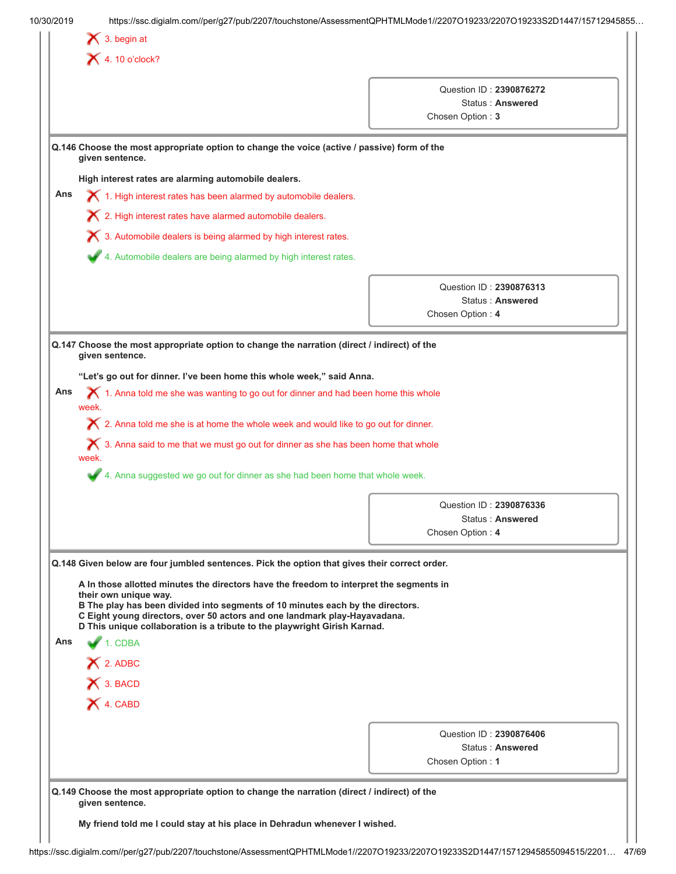| 10/30/2019 | https://ssc.digialm.com//per/g27/pub/2207/touchstone/AssessmentQPHTMLMode1//2207O19233/2207O19233S2D1447/15712945855                                   |                  |                                             |
|------------|--------------------------------------------------------------------------------------------------------------------------------------------------------|------------------|---------------------------------------------|
|            | $\bigtimes$ 3. begin at                                                                                                                                |                  |                                             |
|            | $\times$ 4.10 o'clock?                                                                                                                                 |                  |                                             |
|            |                                                                                                                                                        | Chosen Option: 3 | Question ID: 2390876272<br>Status: Answered |
|            | Q.146 Choose the most appropriate option to change the voice (active / passive) form of the<br>given sentence.                                         |                  |                                             |
|            | High interest rates are alarming automobile dealers.                                                                                                   |                  |                                             |
| Ans        | 1. High interest rates has been alarmed by automobile dealers.                                                                                         |                  |                                             |
|            | X 2. High interest rates have alarmed automobile dealers.                                                                                              |                  |                                             |
|            | X 3. Automobile dealers is being alarmed by high interest rates.                                                                                       |                  |                                             |
|            | 4. Automobile dealers are being alarmed by high interest rates.                                                                                        |                  |                                             |
|            |                                                                                                                                                        |                  |                                             |
|            |                                                                                                                                                        |                  | Question ID: 2390876313<br>Status: Answered |
|            |                                                                                                                                                        | Chosen Option: 4 |                                             |
|            |                                                                                                                                                        |                  |                                             |
|            | Q.147 Choose the most appropriate option to change the narration (direct / indirect) of the<br>given sentence.                                         |                  |                                             |
|            | "Let's go out for dinner. I've been home this whole week," said Anna.                                                                                  |                  |                                             |
| Ans        | 1. Anna told me she was wanting to go out for dinner and had been home this whole                                                                      |                  |                                             |
|            | week.                                                                                                                                                  |                  |                                             |
|            | $\boldsymbol{\times}$ 2. Anna told me she is at home the whole week and would like to go out for dinner.                                               |                  |                                             |
|            | 3. Anna said to me that we must go out for dinner as she has been home that whole<br>week.                                                             |                  |                                             |
|            | 4. Anna suggested we go out for dinner as she had been home that whole week.                                                                           |                  |                                             |
|            |                                                                                                                                                        |                  |                                             |
|            |                                                                                                                                                        |                  | Question ID: 2390876336                     |
|            |                                                                                                                                                        | Chosen Option: 4 | Status: Answered                            |
|            |                                                                                                                                                        |                  |                                             |
|            | Q.148 Given below are four jumbled sentences. Pick the option that gives their correct order.                                                          |                  |                                             |
|            | A In those allotted minutes the directors have the freedom to interpret the segments in                                                                |                  |                                             |
|            | their own unique way.<br>B The play has been divided into segments of 10 minutes each by the directors.                                                |                  |                                             |
|            | C Eight young directors, over 50 actors and one landmark play-Hayavadana.<br>D This unique collaboration is a tribute to the playwright Girish Karnad. |                  |                                             |
| Ans        | $\blacktriangleright$ 1. CDBA                                                                                                                          |                  |                                             |
|            | $\bigtimes$ 2. ADBC                                                                                                                                    |                  |                                             |
|            | X 3. BACD                                                                                                                                              |                  |                                             |
|            | X 4. CABD                                                                                                                                              |                  |                                             |
|            |                                                                                                                                                        |                  |                                             |
|            |                                                                                                                                                        |                  | Question ID: 2390876406                     |
|            |                                                                                                                                                        |                  | Status: Answered                            |
|            |                                                                                                                                                        | Chosen Option: 1 |                                             |
|            |                                                                                                                                                        |                  |                                             |
|            | Q.149 Choose the most appropriate option to change the narration (direct / indirect) of the                                                            |                  |                                             |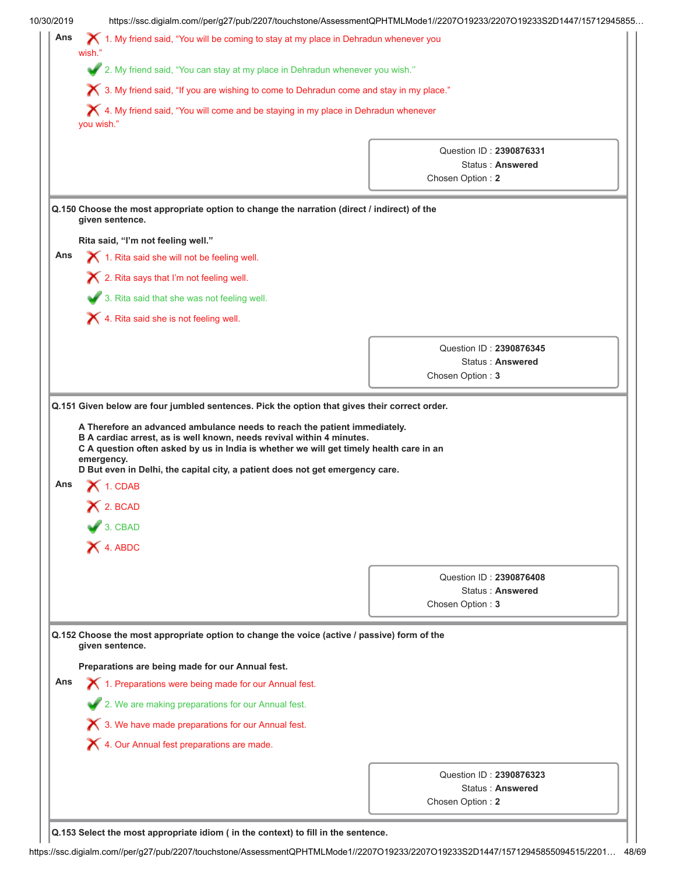| 10/30/2019 | https://ssc.digialm.com//per/g27/pub/2207/touchstone/AssessmentQPHTMLMode1//2207O19233/2207O19233S2D1447/15712945855                                                                                                                                                                                                                           |                                                                 |  |
|------------|------------------------------------------------------------------------------------------------------------------------------------------------------------------------------------------------------------------------------------------------------------------------------------------------------------------------------------------------|-----------------------------------------------------------------|--|
| Ans        | 1. My friend said, "You will be coming to stay at my place in Dehradun whenever you<br>wish."                                                                                                                                                                                                                                                  |                                                                 |  |
|            | 2. My friend said, "You can stay at my place in Dehradun whenever you wish."                                                                                                                                                                                                                                                                   |                                                                 |  |
|            | X 3. My friend said, "If you are wishing to come to Dehradun come and stay in my place."                                                                                                                                                                                                                                                       |                                                                 |  |
|            | X 4. My friend said, "You will come and be staying in my place in Dehradun whenever<br>you wish."                                                                                                                                                                                                                                              |                                                                 |  |
|            |                                                                                                                                                                                                                                                                                                                                                | Question ID: 2390876331<br>Status: Answered<br>Chosen Option: 2 |  |
|            | Q.150 Choose the most appropriate option to change the narration (direct / indirect) of the<br>given sentence.                                                                                                                                                                                                                                 |                                                                 |  |
|            | Rita said, "I'm not feeling well."                                                                                                                                                                                                                                                                                                             |                                                                 |  |
| Ans        | 1. Rita said she will not be feeling well.                                                                                                                                                                                                                                                                                                     |                                                                 |  |
|            | X 2. Rita says that I'm not feeling well.                                                                                                                                                                                                                                                                                                      |                                                                 |  |
|            | 3. Rita said that she was not feeling well.                                                                                                                                                                                                                                                                                                    |                                                                 |  |
|            | X 4. Rita said she is not feeling well.                                                                                                                                                                                                                                                                                                        |                                                                 |  |
|            |                                                                                                                                                                                                                                                                                                                                                | Question ID: 2390876345                                         |  |
|            |                                                                                                                                                                                                                                                                                                                                                | Status: Answered                                                |  |
|            |                                                                                                                                                                                                                                                                                                                                                |                                                                 |  |
|            | Q.151 Given below are four jumbled sentences. Pick the option that gives their correct order.<br>A Therefore an advanced ambulance needs to reach the patient immediately.<br>B A cardiac arrest, as is well known, needs revival within 4 minutes.<br>C A question often asked by us in India is whether we will get timely health care in an | Chosen Option: 3                                                |  |
| Ans        | emergency.<br>D But even in Delhi, the capital city, a patient does not get emergency care.<br>$\blacktriangleright$ 1. CDAB<br>$\bigtimes$ 2. BCAD                                                                                                                                                                                            |                                                                 |  |
|            | $\bigvee$ 3. CBAD                                                                                                                                                                                                                                                                                                                              |                                                                 |  |
|            | $\mathsf{X}$ 4. ABDC                                                                                                                                                                                                                                                                                                                           |                                                                 |  |
|            |                                                                                                                                                                                                                                                                                                                                                | Question ID: 2390876408                                         |  |
|            |                                                                                                                                                                                                                                                                                                                                                | Status: Answered                                                |  |
|            |                                                                                                                                                                                                                                                                                                                                                | Chosen Option: 3                                                |  |
|            | Q.152 Choose the most appropriate option to change the voice (active / passive) form of the<br>given sentence.                                                                                                                                                                                                                                 |                                                                 |  |
|            | Preparations are being made for our Annual fest.                                                                                                                                                                                                                                                                                               |                                                                 |  |
| Ans        | 1. Preparations were being made for our Annual fest.                                                                                                                                                                                                                                                                                           |                                                                 |  |
|            | 2. We are making preparations for our Annual fest.                                                                                                                                                                                                                                                                                             |                                                                 |  |
|            | X 3. We have made preparations for our Annual fest.                                                                                                                                                                                                                                                                                            |                                                                 |  |
|            | 4. Our Annual fest preparations are made.                                                                                                                                                                                                                                                                                                      |                                                                 |  |
|            |                                                                                                                                                                                                                                                                                                                                                | Question ID: 2390876323                                         |  |
|            |                                                                                                                                                                                                                                                                                                                                                | Status: Answered<br>Chosen Option: 2                            |  |

**Q.153 Select the most appropriate idiom ( in the context) to fill in the sentence.**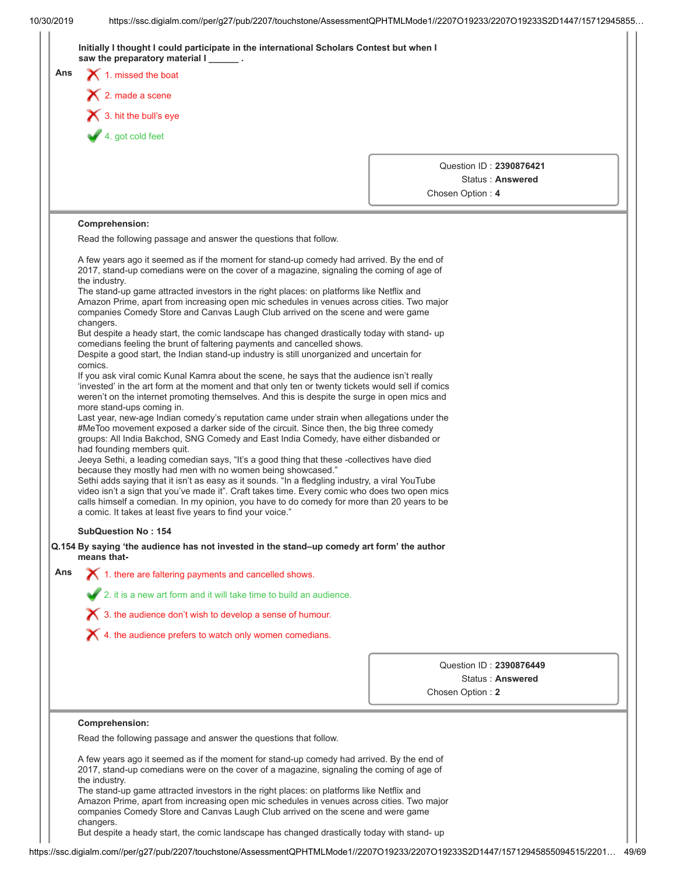| Ans | 1. missed the boat                                                                                                                                                                                |                         |  |
|-----|---------------------------------------------------------------------------------------------------------------------------------------------------------------------------------------------------|-------------------------|--|
|     | $\blacktriangleright$ 2. made a scene                                                                                                                                                             |                         |  |
|     | $\blacktriangleright$ 3. hit the bull's eye                                                                                                                                                       |                         |  |
|     | 4. got cold feet                                                                                                                                                                                  |                         |  |
|     |                                                                                                                                                                                                   |                         |  |
|     |                                                                                                                                                                                                   | Question ID: 2390876421 |  |
|     |                                                                                                                                                                                                   | Status: Answered        |  |
|     |                                                                                                                                                                                                   | Chosen Option: 4        |  |
|     | Comprehension:                                                                                                                                                                                    |                         |  |
|     | Read the following passage and answer the questions that follow.                                                                                                                                  |                         |  |
|     | A few years ago it seemed as if the moment for stand-up comedy had arrived. By the end of<br>2017, stand-up comedians were on the cover of a magazine, signaling the coming of age of             |                         |  |
|     | the industry.<br>The stand-up game attracted investors in the right places: on platforms like Netflix and                                                                                         |                         |  |
|     | Amazon Prime, apart from increasing open mic schedules in venues across cities. Two major<br>companies Comedy Store and Canvas Laugh Club arrived on the scene and were game                      |                         |  |
|     | changers.<br>But despite a heady start, the comic landscape has changed drastically today with stand-up                                                                                           |                         |  |
|     | comedians feeling the brunt of faltering payments and cancelled shows.<br>Despite a good start, the Indian stand-up industry is still unorganized and uncertain for                               |                         |  |
|     | comics.<br>If you ask viral comic Kunal Kamra about the scene, he says that the audience isn't really                                                                                             |                         |  |
|     | 'invested' in the art form at the moment and that only ten or twenty tickets would sell if comics<br>weren't on the internet promoting themselves. And this is despite the surge in open mics and |                         |  |
|     | more stand-ups coming in.                                                                                                                                                                         |                         |  |
|     | Last year, new-age Indian comedy's reputation came under strain when allegations under the<br>#MeToo movement exposed a darker side of the circuit. Since then, the big three comedy              |                         |  |
|     | groups: All India Bakchod, SNG Comedy and East India Comedy, have either disbanded or                                                                                                             |                         |  |
|     | had founding members quit.<br>Jeeya Sethi, a leading comedian says, "It's a good thing that these -collectives have died                                                                          |                         |  |
|     | because they mostly had men with no women being showcased."                                                                                                                                       |                         |  |
|     | Sethi adds saying that it isn't as easy as it sounds. "In a fledgling industry, a viral YouTube<br>video isn't a sign that you've made it". Craft takes time. Every comic who does two open mics  |                         |  |
|     | calls himself a comedian. In my opinion, you have to do comedy for more than 20 years to be<br>a comic. It takes at least five years to find your voice."                                         |                         |  |
|     |                                                                                                                                                                                                   |                         |  |
|     | <b>SubQuestion No: 154</b><br>Q.154 By saying 'the audience has not invested in the stand-up comedy art form' the author                                                                          |                         |  |
|     | means that-                                                                                                                                                                                       |                         |  |
| Ans | $\chi$ 1. there are faltering payments and cancelled shows.                                                                                                                                       |                         |  |
|     | 2. it is a new art form and it will take time to build an audience.                                                                                                                               |                         |  |
|     | X 3. the audience don't wish to develop a sense of humour.                                                                                                                                        |                         |  |
|     | 4. the audience prefers to watch only women comedians.                                                                                                                                            |                         |  |
|     |                                                                                                                                                                                                   |                         |  |
|     |                                                                                                                                                                                                   | Question ID: 2390876449 |  |
|     |                                                                                                                                                                                                   | Status: Answered        |  |
|     |                                                                                                                                                                                                   | Chosen Option: 2        |  |
|     | Comprehension:                                                                                                                                                                                    |                         |  |
|     | Read the following passage and answer the questions that follow.                                                                                                                                  |                         |  |
|     |                                                                                                                                                                                                   |                         |  |
|     | A few years ago it seemed as if the moment for stand-up comedy had arrived. By the end of<br>2017, stand-up comedians were on the cover of a magazine, signaling the coming of age of             |                         |  |
|     | the industry.<br>The stand-up game attracted investors in the right places: on platforms like Netflix and                                                                                         |                         |  |
|     |                                                                                                                                                                                                   |                         |  |
|     | Amazon Prime, apart from increasing open mic schedules in venues across cities. Two major<br>companies Comedy Store and Canvas Laugh Club arrived on the scene and were game                      |                         |  |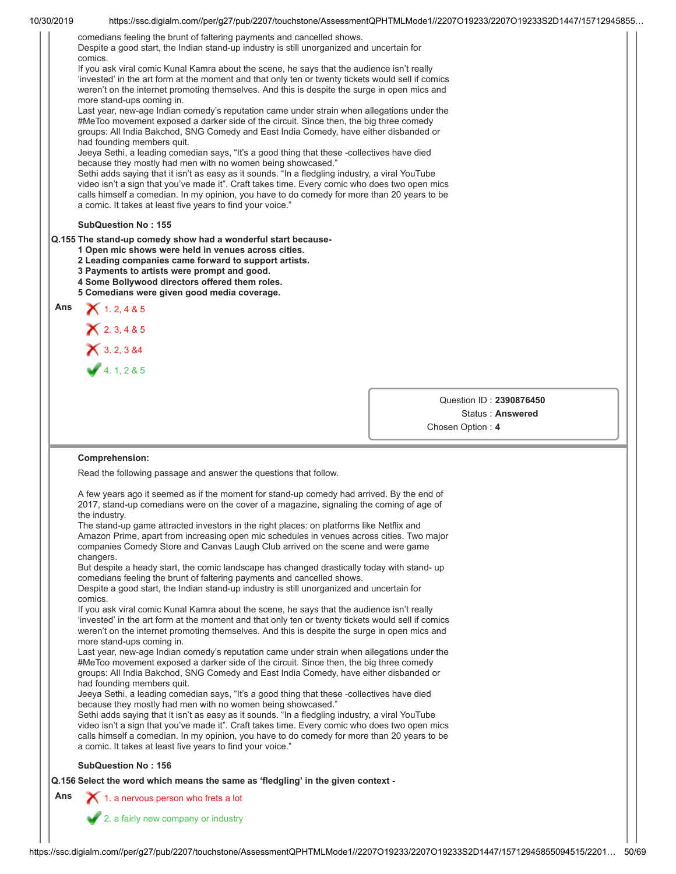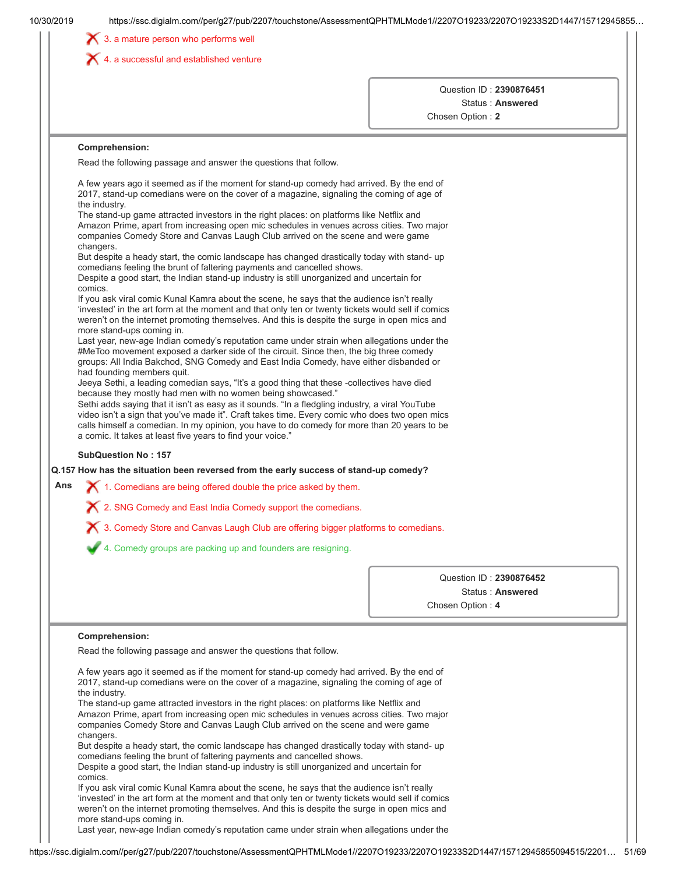| 10/30/2019 | https://ssc.digialm.com//per/g27/pub/2207/touchstone/AssessmentQPHTMLMode1//2207O19233/2207O19233S2D1447/15712945855                                                                                                                                                                                                                                                                                                                                                                                                                                                                                                                                                                                                                                                                                                                                                                                                                                                                                                                                                                                                                                                                                                                                                                                                                                                                                                                                                                                                                                                                                                                                                                                                                                                                                                                                                                            |                  |                                             |  |  |
|------------|-------------------------------------------------------------------------------------------------------------------------------------------------------------------------------------------------------------------------------------------------------------------------------------------------------------------------------------------------------------------------------------------------------------------------------------------------------------------------------------------------------------------------------------------------------------------------------------------------------------------------------------------------------------------------------------------------------------------------------------------------------------------------------------------------------------------------------------------------------------------------------------------------------------------------------------------------------------------------------------------------------------------------------------------------------------------------------------------------------------------------------------------------------------------------------------------------------------------------------------------------------------------------------------------------------------------------------------------------------------------------------------------------------------------------------------------------------------------------------------------------------------------------------------------------------------------------------------------------------------------------------------------------------------------------------------------------------------------------------------------------------------------------------------------------------------------------------------------------------------------------------------------------|------------------|---------------------------------------------|--|--|
|            | 3. a mature person who performs well                                                                                                                                                                                                                                                                                                                                                                                                                                                                                                                                                                                                                                                                                                                                                                                                                                                                                                                                                                                                                                                                                                                                                                                                                                                                                                                                                                                                                                                                                                                                                                                                                                                                                                                                                                                                                                                            |                  |                                             |  |  |
|            | $\boldsymbol{\times}$ 4. a successful and established venture                                                                                                                                                                                                                                                                                                                                                                                                                                                                                                                                                                                                                                                                                                                                                                                                                                                                                                                                                                                                                                                                                                                                                                                                                                                                                                                                                                                                                                                                                                                                                                                                                                                                                                                                                                                                                                   |                  |                                             |  |  |
|            |                                                                                                                                                                                                                                                                                                                                                                                                                                                                                                                                                                                                                                                                                                                                                                                                                                                                                                                                                                                                                                                                                                                                                                                                                                                                                                                                                                                                                                                                                                                                                                                                                                                                                                                                                                                                                                                                                                 | Chosen Option: 2 | Question ID: 2390876451<br>Status: Answered |  |  |
|            | Comprehension:                                                                                                                                                                                                                                                                                                                                                                                                                                                                                                                                                                                                                                                                                                                                                                                                                                                                                                                                                                                                                                                                                                                                                                                                                                                                                                                                                                                                                                                                                                                                                                                                                                                                                                                                                                                                                                                                                  |                  |                                             |  |  |
|            | Read the following passage and answer the questions that follow.                                                                                                                                                                                                                                                                                                                                                                                                                                                                                                                                                                                                                                                                                                                                                                                                                                                                                                                                                                                                                                                                                                                                                                                                                                                                                                                                                                                                                                                                                                                                                                                                                                                                                                                                                                                                                                |                  |                                             |  |  |
|            | A few years ago it seemed as if the moment for stand-up comedy had arrived. By the end of<br>2017, stand-up comedians were on the cover of a magazine, signaling the coming of age of<br>the industry.<br>The stand-up game attracted investors in the right places: on platforms like Netflix and<br>Amazon Prime, apart from increasing open mic schedules in venues across cities. Two major<br>companies Comedy Store and Canvas Laugh Club arrived on the scene and were game<br>changers.<br>But despite a heady start, the comic landscape has changed drastically today with stand- up<br>comedians feeling the brunt of faltering payments and cancelled shows.<br>Despite a good start, the Indian stand-up industry is still unorganized and uncertain for<br>comics.<br>If you ask viral comic Kunal Kamra about the scene, he says that the audience isn't really<br>'invested' in the art form at the moment and that only ten or twenty tickets would sell if comics<br>weren't on the internet promoting themselves. And this is despite the surge in open mics and<br>more stand-ups coming in.<br>Last year, new-age Indian comedy's reputation came under strain when allegations under the<br>#MeToo movement exposed a darker side of the circuit. Since then, the big three comedy<br>groups: All India Bakchod, SNG Comedy and East India Comedy, have either disbanded or<br>had founding members quit.<br>Jeeya Sethi, a leading comedian says, "It's a good thing that these -collectives have died<br>because they mostly had men with no women being showcased."<br>Sethi adds saying that it isn't as easy as it sounds. "In a fledgling industry, a viral YouTube<br>video isn't a sign that you've made it". Craft takes time. Every comic who does two open mics<br>calls himself a comedian. In my opinion, you have to do comedy for more than 20 years to be |                  |                                             |  |  |
|            | a comic. It takes at least five years to find your voice."<br><b>SubQuestion No: 157</b>                                                                                                                                                                                                                                                                                                                                                                                                                                                                                                                                                                                                                                                                                                                                                                                                                                                                                                                                                                                                                                                                                                                                                                                                                                                                                                                                                                                                                                                                                                                                                                                                                                                                                                                                                                                                        |                  |                                             |  |  |
|            | Q.157 How has the situation been reversed from the early success of stand-up comedy?                                                                                                                                                                                                                                                                                                                                                                                                                                                                                                                                                                                                                                                                                                                                                                                                                                                                                                                                                                                                                                                                                                                                                                                                                                                                                                                                                                                                                                                                                                                                                                                                                                                                                                                                                                                                            |                  |                                             |  |  |
| Ans        | 1. Comedians are being offered double the price asked by them.                                                                                                                                                                                                                                                                                                                                                                                                                                                                                                                                                                                                                                                                                                                                                                                                                                                                                                                                                                                                                                                                                                                                                                                                                                                                                                                                                                                                                                                                                                                                                                                                                                                                                                                                                                                                                                  |                  |                                             |  |  |
|            | X 2. SNG Comedy and East India Comedy support the comedians.                                                                                                                                                                                                                                                                                                                                                                                                                                                                                                                                                                                                                                                                                                                                                                                                                                                                                                                                                                                                                                                                                                                                                                                                                                                                                                                                                                                                                                                                                                                                                                                                                                                                                                                                                                                                                                    |                  |                                             |  |  |
|            | X 3. Comedy Store and Canvas Laugh Club are offering bigger platforms to comedians.                                                                                                                                                                                                                                                                                                                                                                                                                                                                                                                                                                                                                                                                                                                                                                                                                                                                                                                                                                                                                                                                                                                                                                                                                                                                                                                                                                                                                                                                                                                                                                                                                                                                                                                                                                                                             |                  |                                             |  |  |
|            | 4. Comedy groups are packing up and founders are resigning.                                                                                                                                                                                                                                                                                                                                                                                                                                                                                                                                                                                                                                                                                                                                                                                                                                                                                                                                                                                                                                                                                                                                                                                                                                                                                                                                                                                                                                                                                                                                                                                                                                                                                                                                                                                                                                     |                  |                                             |  |  |
|            |                                                                                                                                                                                                                                                                                                                                                                                                                                                                                                                                                                                                                                                                                                                                                                                                                                                                                                                                                                                                                                                                                                                                                                                                                                                                                                                                                                                                                                                                                                                                                                                                                                                                                                                                                                                                                                                                                                 |                  |                                             |  |  |
|            |                                                                                                                                                                                                                                                                                                                                                                                                                                                                                                                                                                                                                                                                                                                                                                                                                                                                                                                                                                                                                                                                                                                                                                                                                                                                                                                                                                                                                                                                                                                                                                                                                                                                                                                                                                                                                                                                                                 | Chosen Option: 4 | Question ID: 2390876452<br>Status: Answered |  |  |
|            | <b>Comprehension:</b>                                                                                                                                                                                                                                                                                                                                                                                                                                                                                                                                                                                                                                                                                                                                                                                                                                                                                                                                                                                                                                                                                                                                                                                                                                                                                                                                                                                                                                                                                                                                                                                                                                                                                                                                                                                                                                                                           |                  |                                             |  |  |
|            | Read the following passage and answer the questions that follow.                                                                                                                                                                                                                                                                                                                                                                                                                                                                                                                                                                                                                                                                                                                                                                                                                                                                                                                                                                                                                                                                                                                                                                                                                                                                                                                                                                                                                                                                                                                                                                                                                                                                                                                                                                                                                                |                  |                                             |  |  |
|            | A few years ago it seemed as if the moment for stand-up comedy had arrived. By the end of<br>2017, stand-up comedians were on the cover of a magazine, signaling the coming of age of<br>the industry.<br>The stand-up game attracted investors in the right places: on platforms like Netflix and<br>Amazon Prime, apart from increasing open mic schedules in venues across cities. Two major<br>companies Comedy Store and Canvas Laugh Club arrived on the scene and were game<br>changers.<br>But despite a heady start, the comic landscape has changed drastically today with stand- up<br>comedians feeling the brunt of faltering payments and cancelled shows.<br>Despite a good start, the Indian stand-up industry is still unorganized and uncertain for<br>comics.<br>If you ask viral comic Kunal Kamra about the scene, he says that the audience isn't really                                                                                                                                                                                                                                                                                                                                                                                                                                                                                                                                                                                                                                                                                                                                                                                                                                                                                                                                                                                                                  |                  |                                             |  |  |
|            | 'invested' in the art form at the moment and that only ten or twenty tickets would sell if comics<br>weren't on the internet promoting themselves. And this is despite the surge in open mics and<br>more stand-ups coming in.<br>Last year, new-age Indian comedy's reputation came under strain when allegations under the                                                                                                                                                                                                                                                                                                                                                                                                                                                                                                                                                                                                                                                                                                                                                                                                                                                                                                                                                                                                                                                                                                                                                                                                                                                                                                                                                                                                                                                                                                                                                                    |                  |                                             |  |  |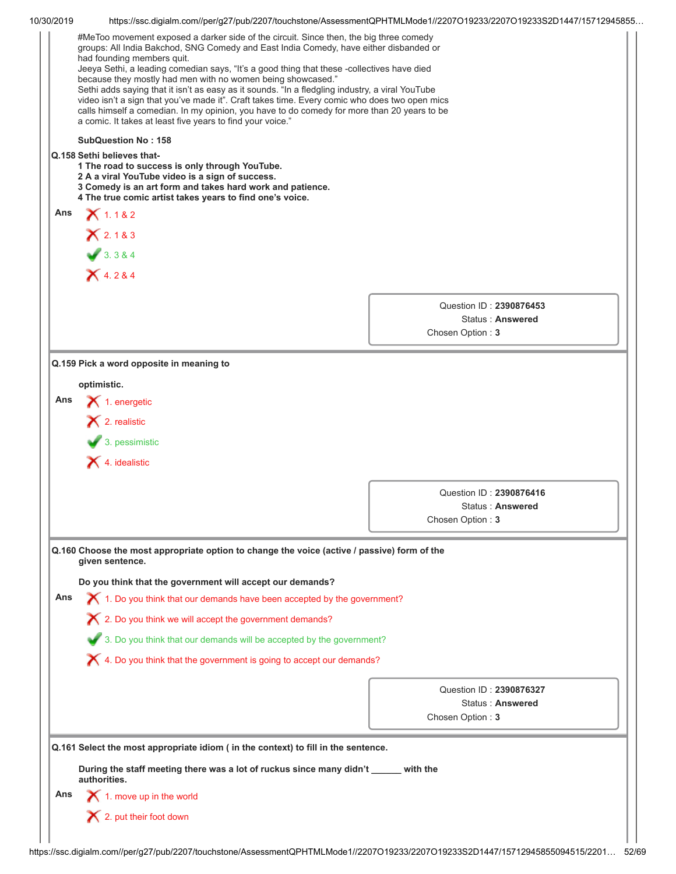|     | #MeToo movement exposed a darker side of the circuit. Since then, the big three comedy                                                                         |                                             |  |
|-----|----------------------------------------------------------------------------------------------------------------------------------------------------------------|---------------------------------------------|--|
|     | groups: All India Bakchod, SNG Comedy and East India Comedy, have either disbanded or<br>had founding members quit.                                            |                                             |  |
|     | Jeeya Sethi, a leading comedian says, "It's a good thing that these -collectives have died                                                                     |                                             |  |
|     | because they mostly had men with no women being showcased."<br>Sethi adds saying that it isn't as easy as it sounds. "In a fledgling industry, a viral YouTube |                                             |  |
|     | video isn't a sign that you've made it". Craft takes time. Every comic who does two open mics                                                                  |                                             |  |
|     | calls himself a comedian. In my opinion, you have to do comedy for more than 20 years to be<br>a comic. It takes at least five years to find your voice."      |                                             |  |
|     | <b>SubQuestion No: 158</b>                                                                                                                                     |                                             |  |
|     | Q.158 Sethi believes that-                                                                                                                                     |                                             |  |
|     | 1 The road to success is only through YouTube.<br>2 A a viral YouTube video is a sign of success.                                                              |                                             |  |
|     | 3 Comedy is an art form and takes hard work and patience.<br>4 The true comic artist takes years to find one's voice.                                          |                                             |  |
| Ans | $X$ 1.182                                                                                                                                                      |                                             |  |
|     | X 2.183                                                                                                                                                        |                                             |  |
|     | 3.384                                                                                                                                                          |                                             |  |
|     | $X$ 4.2 & 4                                                                                                                                                    |                                             |  |
|     |                                                                                                                                                                |                                             |  |
|     |                                                                                                                                                                | Question ID: 2390876453                     |  |
|     |                                                                                                                                                                | Status: Answered                            |  |
|     |                                                                                                                                                                | Chosen Option: 3                            |  |
|     | Q.159 Pick a word opposite in meaning to                                                                                                                       |                                             |  |
|     |                                                                                                                                                                |                                             |  |
|     | optimistic.                                                                                                                                                    |                                             |  |
| Ans |                                                                                                                                                                |                                             |  |
|     | $\blacktriangleright$ 1. energetic                                                                                                                             |                                             |  |
|     | $\blacktriangleright$ 2. realistic                                                                                                                             |                                             |  |
|     | $\blacktriangleright$ 3. pessimistic                                                                                                                           |                                             |  |
|     | $\blacktriangleright$ 4. idealistic                                                                                                                            |                                             |  |
|     |                                                                                                                                                                |                                             |  |
|     |                                                                                                                                                                | Question ID: 2390876416                     |  |
|     |                                                                                                                                                                | Status: Answered<br>Chosen Option: 3        |  |
|     |                                                                                                                                                                |                                             |  |
|     | Q.160 Choose the most appropriate option to change the voice (active / passive) form of the<br>given sentence.                                                 |                                             |  |
|     | Do you think that the government will accept our demands?                                                                                                      |                                             |  |
|     | $\chi$ 1. Do you think that our demands have been accepted by the government?                                                                                  |                                             |  |
| Ans | X 2. Do you think we will accept the government demands?                                                                                                       |                                             |  |
|     | 3. Do you think that our demands will be accepted by the government?                                                                                           |                                             |  |
|     | X 4. Do you think that the government is going to accept our demands?                                                                                          |                                             |  |
|     |                                                                                                                                                                |                                             |  |
|     |                                                                                                                                                                | Question ID: 2390876327<br>Status: Answered |  |
|     |                                                                                                                                                                | Chosen Option: 3                            |  |
|     |                                                                                                                                                                |                                             |  |
|     | Q.161 Select the most appropriate idiom ( in the context) to fill in the sentence.                                                                             |                                             |  |
|     | During the staff meeting there was a lot of ruckus since many didn't _____ with the<br>authorities.                                                            |                                             |  |
| Ans | $\blacktriangleright$ 1. move up in the world                                                                                                                  |                                             |  |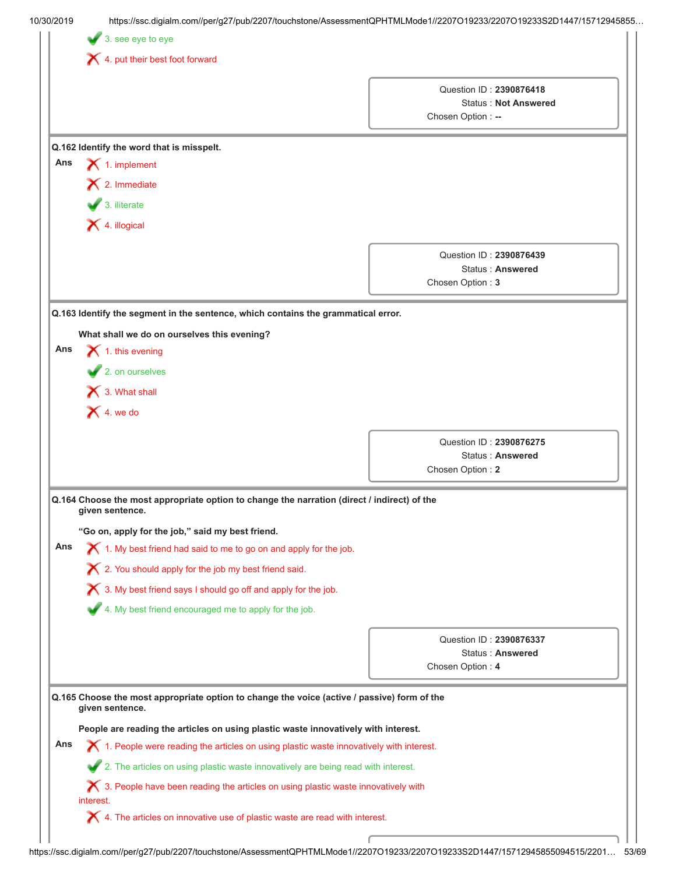| 10/30/2019 | https://ssc.digialm.com//per/g27/pub/2207/touchstone/AssessmentQPHTMLMode1//2207O19233/2207O19233S2D1447/15712945855 |                   |                                                        |
|------------|----------------------------------------------------------------------------------------------------------------------|-------------------|--------------------------------------------------------|
|            | $\bullet$ 3. see eye to eye                                                                                          |                   |                                                        |
|            | X 4. put their best foot forward                                                                                     |                   |                                                        |
|            |                                                                                                                      | Chosen Option: -- | Question ID: 2390876418<br><b>Status: Not Answered</b> |
|            | Q.162 Identify the word that is misspelt.                                                                            |                   |                                                        |
| Ans        | $\blacktriangleright$ 1. implement                                                                                   |                   |                                                        |
|            | $\mathsf{\times}$ 2. Immediate                                                                                       |                   |                                                        |
|            | $\bigvee$ 3. iliterate                                                                                               |                   |                                                        |
|            | X 4. illogical                                                                                                       |                   |                                                        |
|            |                                                                                                                      |                   | Question ID: 2390876439                                |
|            |                                                                                                                      |                   | Status: Answered                                       |
|            |                                                                                                                      | Chosen Option: 3  |                                                        |
|            | Q.163 Identify the segment in the sentence, which contains the grammatical error.                                    |                   |                                                        |
|            | What shall we do on ourselves this evening?                                                                          |                   |                                                        |
| Ans        | $\blacktriangleright$ 1. this evening                                                                                |                   |                                                        |
|            | $\sqrt{2}$ . on ourselves                                                                                            |                   |                                                        |
|            | 1 3. What shall                                                                                                      |                   |                                                        |
|            | $\bigtimes$ 4. we do                                                                                                 |                   |                                                        |
|            |                                                                                                                      |                   |                                                        |
|            |                                                                                                                      |                   | Question ID: 2390876275                                |
|            |                                                                                                                      | Chosen Option: 2  | Status: Answered                                       |
|            |                                                                                                                      |                   |                                                        |
|            | Q.164 Choose the most appropriate option to change the narration (direct / indirect) of the<br>given sentence.       |                   |                                                        |
|            | "Go on, apply for the job," said my best friend.                                                                     |                   |                                                        |
| Ans        | 1. My best friend had said to me to go on and apply for the job.                                                     |                   |                                                        |
|            | X 2. You should apply for the job my best friend said.                                                               |                   |                                                        |
|            | X 3. My best friend says I should go off and apply for the job.                                                      |                   |                                                        |
|            | 4. My best friend encouraged me to apply for the job.                                                                |                   |                                                        |
|            |                                                                                                                      |                   |                                                        |
|            |                                                                                                                      |                   | Question ID: 2390876337                                |
|            |                                                                                                                      | Chosen Option: 4  | <b>Status: Answered</b>                                |
|            |                                                                                                                      |                   |                                                        |
|            | Q.165 Choose the most appropriate option to change the voice (active / passive) form of the<br>given sentence.       |                   |                                                        |
|            | People are reading the articles on using plastic waste innovatively with interest.                                   |                   |                                                        |
|            |                                                                                                                      |                   |                                                        |
| Ans        | $\boldsymbol{\times}$ 1. People were reading the articles on using plastic waste innovatively with interest.         |                   |                                                        |
|            | 2. The articles on using plastic waste innovatively are being read with interest.                                    |                   |                                                        |
|            | X 3. People have been reading the articles on using plastic waste innovatively with                                  |                   |                                                        |
|            | interest.<br>$\blacktriangleright$ 4. The articles on innovative use of plastic waste are read with interest.        |                   |                                                        |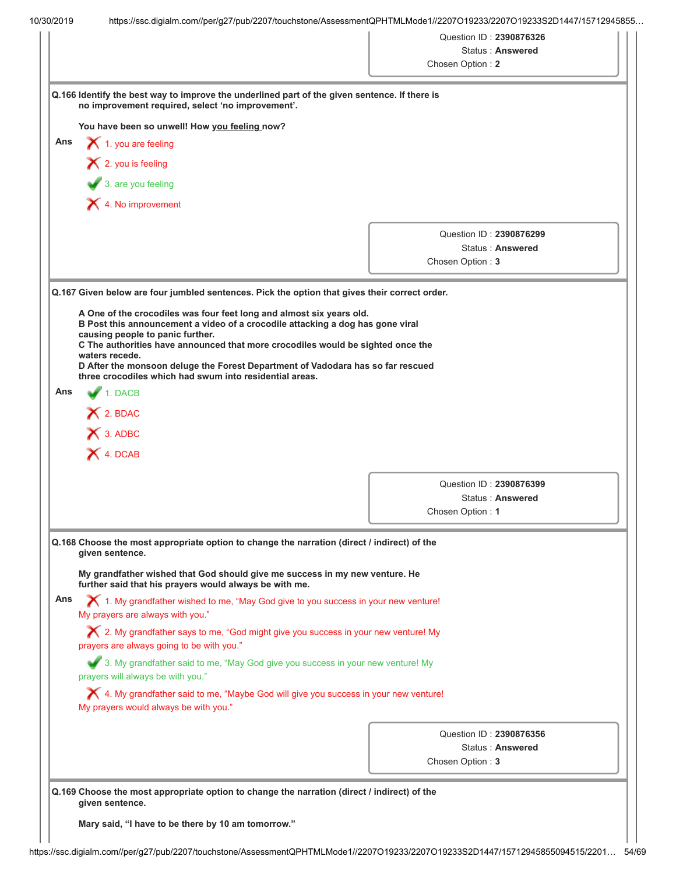| 10/30/2019 | https://ssc.digialm.com//per/g27/pub/2207/touchstone/AssessmentQPHTMLMode1//2207O19233/2207O19233S2D1447/15712945855 |
|------------|----------------------------------------------------------------------------------------------------------------------|
|            |                                                                                                                      |

|     |                                                                                                                                                                                                                                                                                                                                                                                                                                   | Question ID: 2390876326<br>Status: Answered<br>Chosen Option: 2 |
|-----|-----------------------------------------------------------------------------------------------------------------------------------------------------------------------------------------------------------------------------------------------------------------------------------------------------------------------------------------------------------------------------------------------------------------------------------|-----------------------------------------------------------------|
|     | Q.166 Identify the best way to improve the underlined part of the given sentence. If there is<br>no improvement required, select 'no improvement'.                                                                                                                                                                                                                                                                                |                                                                 |
|     | You have been so unwell! How you feeling now?                                                                                                                                                                                                                                                                                                                                                                                     |                                                                 |
| Ans | $\blacktriangleright$ 1. you are feeling                                                                                                                                                                                                                                                                                                                                                                                          |                                                                 |
|     | $\blacktriangleright$ 2. you is feeling                                                                                                                                                                                                                                                                                                                                                                                           |                                                                 |
|     | 3. are you feeling                                                                                                                                                                                                                                                                                                                                                                                                                |                                                                 |
|     | 4. No improvement                                                                                                                                                                                                                                                                                                                                                                                                                 |                                                                 |
|     |                                                                                                                                                                                                                                                                                                                                                                                                                                   |                                                                 |
|     |                                                                                                                                                                                                                                                                                                                                                                                                                                   | Question ID: 2390876299                                         |
|     |                                                                                                                                                                                                                                                                                                                                                                                                                                   | Status: Answered<br>Chosen Option: 3                            |
|     |                                                                                                                                                                                                                                                                                                                                                                                                                                   |                                                                 |
|     | Q.167 Given below are four jumbled sentences. Pick the option that gives their correct order.                                                                                                                                                                                                                                                                                                                                     |                                                                 |
| Ans | B Post this announcement a video of a crocodile attacking a dog has gone viral<br>causing people to panic further.<br>C The authorities have announced that more crocodiles would be sighted once the<br>waters recede.<br>D After the monsoon deluge the Forest Department of Vadodara has so far rescued<br>three crocodiles which had swum into residential areas.<br>1. DACB<br>$\bigtimes$ 2. BDAC<br>X 3. ADBC<br>X 4. DCAB |                                                                 |
|     |                                                                                                                                                                                                                                                                                                                                                                                                                                   | Question ID: 2390876399                                         |
|     |                                                                                                                                                                                                                                                                                                                                                                                                                                   |                                                                 |
|     |                                                                                                                                                                                                                                                                                                                                                                                                                                   | Status: Answered                                                |
|     |                                                                                                                                                                                                                                                                                                                                                                                                                                   | Chosen Option: 1                                                |
|     | Q.168 Choose the most appropriate option to change the narration (direct / indirect) of the<br>given sentence.<br>My grandfather wished that God should give me success in my new venture. He<br>further said that his prayers would always be with me.                                                                                                                                                                           |                                                                 |
|     | $\chi$ 1. My grandfather wished to me, "May God give to you success in your new venture!<br>My prayers are always with you."                                                                                                                                                                                                                                                                                                      |                                                                 |
|     | $\boldsymbol{\times}$ 2. My grandfather says to me, "God might give you success in your new venture! My<br>prayers are always going to be with you."                                                                                                                                                                                                                                                                              |                                                                 |
|     | 3. My grandfather said to me, "May God give you success in your new venture! My<br>prayers will always be with you."                                                                                                                                                                                                                                                                                                              |                                                                 |
|     | X 4. My grandfather said to me, "Maybe God will give you success in your new venture!<br>My prayers would always be with you."                                                                                                                                                                                                                                                                                                    |                                                                 |
|     |                                                                                                                                                                                                                                                                                                                                                                                                                                   | Question ID: 2390876356                                         |
| Ans |                                                                                                                                                                                                                                                                                                                                                                                                                                   | Status: Answered                                                |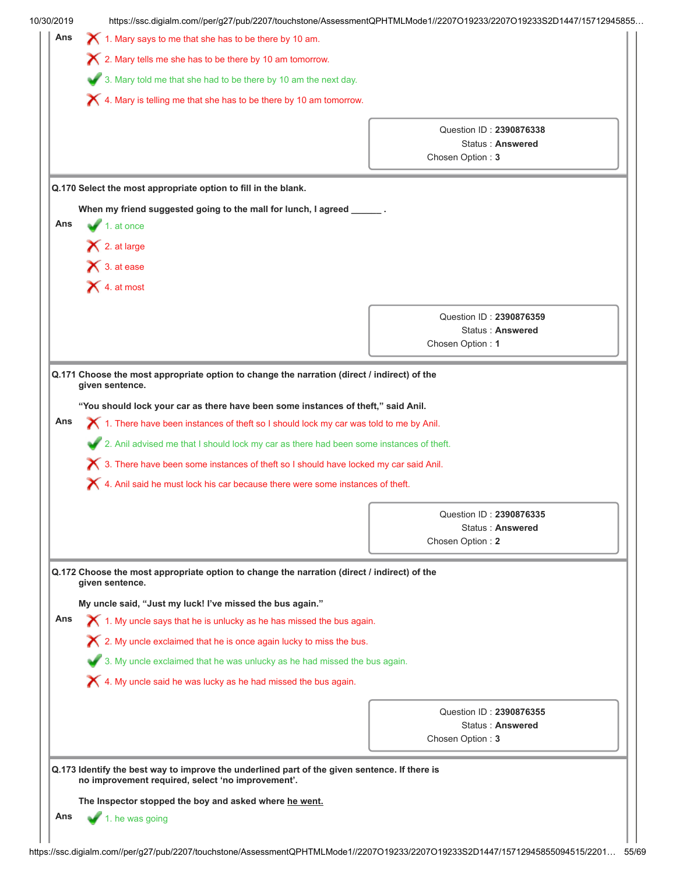| Ans | 1. Mary says to me that she has to be there by 10 am.                                                                                                                                                                                                                                          |                  |                                             |  |  |
|-----|------------------------------------------------------------------------------------------------------------------------------------------------------------------------------------------------------------------------------------------------------------------------------------------------|------------------|---------------------------------------------|--|--|
|     |                                                                                                                                                                                                                                                                                                |                  |                                             |  |  |
|     | X 2. Mary tells me she has to be there by 10 am tomorrow.                                                                                                                                                                                                                                      |                  |                                             |  |  |
|     | 3. Mary told me that she had to be there by 10 am the next day.                                                                                                                                                                                                                                |                  |                                             |  |  |
|     | X 4. Mary is telling me that she has to be there by 10 am tomorrow.                                                                                                                                                                                                                            |                  |                                             |  |  |
|     |                                                                                                                                                                                                                                                                                                |                  | Question ID: 2390876338                     |  |  |
|     |                                                                                                                                                                                                                                                                                                |                  | Status: Answered                            |  |  |
|     |                                                                                                                                                                                                                                                                                                | Chosen Option: 3 |                                             |  |  |
|     | Q.170 Select the most appropriate option to fill in the blank.                                                                                                                                                                                                                                 |                  |                                             |  |  |
|     | When my friend suggested going to the mall for lunch, I agreed ______.                                                                                                                                                                                                                         |                  |                                             |  |  |
| Ans | $\blacksquare$ 1. at once                                                                                                                                                                                                                                                                      |                  |                                             |  |  |
|     | $\mathsf{\times}$ 2. at large                                                                                                                                                                                                                                                                  |                  |                                             |  |  |
|     | $\bigtimes$ 3. at ease                                                                                                                                                                                                                                                                         |                  |                                             |  |  |
|     | X 4. at most                                                                                                                                                                                                                                                                                   |                  |                                             |  |  |
|     |                                                                                                                                                                                                                                                                                                |                  |                                             |  |  |
|     |                                                                                                                                                                                                                                                                                                |                  | Question ID: 2390876359                     |  |  |
|     |                                                                                                                                                                                                                                                                                                |                  | Status: Answered                            |  |  |
|     |                                                                                                                                                                                                                                                                                                |                  |                                             |  |  |
| Ans | Q.171 Choose the most appropriate option to change the narration (direct / indirect) of the<br>given sentence.<br>"You should lock your car as there have been some instances of theft," said Anil.<br>X 1. There have been instances of theft so I should lock my car was told to me by Anil. | Chosen Option: 1 |                                             |  |  |
|     | 2. Anil advised me that I should lock my car as there had been some instances of theft.<br>X 3. There have been some instances of theft so I should have locked my car said Anil.<br>X 4. Anil said he must lock his car because there were some instances of theft.                           | Chosen Option: 2 | Question ID: 2390876335<br>Status: Answered |  |  |
|     | Q.172 Choose the most appropriate option to change the narration (direct / indirect) of the                                                                                                                                                                                                    |                  |                                             |  |  |
|     | given sentence.<br>My uncle said, "Just my luck! I've missed the bus again."                                                                                                                                                                                                                   |                  |                                             |  |  |
| Ans | $\chi$ 1. My uncle says that he is unlucky as he has missed the bus again.                                                                                                                                                                                                                     |                  |                                             |  |  |
|     | X 2. My uncle exclaimed that he is once again lucky to miss the bus.                                                                                                                                                                                                                           |                  |                                             |  |  |
|     | 3. My uncle exclaimed that he was unlucky as he had missed the bus again.                                                                                                                                                                                                                      |                  |                                             |  |  |
|     | X 4. My uncle said he was lucky as he had missed the bus again.                                                                                                                                                                                                                                |                  |                                             |  |  |
|     |                                                                                                                                                                                                                                                                                                |                  |                                             |  |  |
|     |                                                                                                                                                                                                                                                                                                |                  | Question ID: 2390876355                     |  |  |
|     |                                                                                                                                                                                                                                                                                                |                  |                                             |  |  |
|     |                                                                                                                                                                                                                                                                                                |                  |                                             |  |  |
|     |                                                                                                                                                                                                                                                                                                |                  |                                             |  |  |
|     |                                                                                                                                                                                                                                                                                                |                  |                                             |  |  |
|     |                                                                                                                                                                                                                                                                                                |                  |                                             |  |  |
|     |                                                                                                                                                                                                                                                                                                |                  |                                             |  |  |
|     |                                                                                                                                                                                                                                                                                                |                  |                                             |  |  |
|     |                                                                                                                                                                                                                                                                                                |                  |                                             |  |  |
|     |                                                                                                                                                                                                                                                                                                |                  |                                             |  |  |
|     |                                                                                                                                                                                                                                                                                                |                  |                                             |  |  |
|     |                                                                                                                                                                                                                                                                                                |                  |                                             |  |  |
|     |                                                                                                                                                                                                                                                                                                |                  | Status: Answered                            |  |  |

https://ssc.digialm.com//per/g27/pub/2207/touchstone/AssessmentQPHTMLMode1//2207O19233/2207O19233S2D1447/15712945855094515/2201… 55/69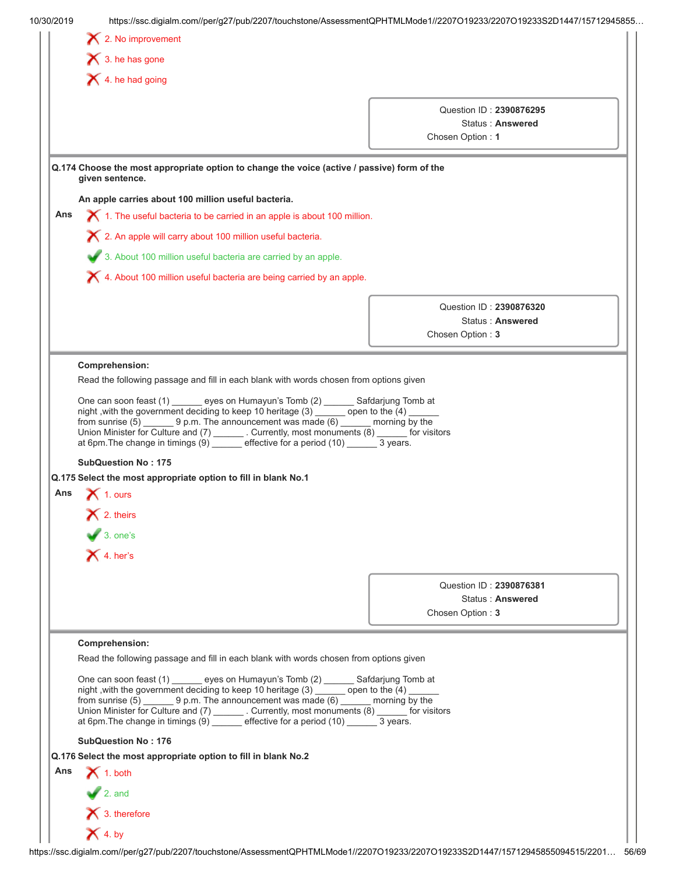|     | 2. No improvement                                                                                                                                                                                                                                                           |                  |                                             |  |
|-----|-----------------------------------------------------------------------------------------------------------------------------------------------------------------------------------------------------------------------------------------------------------------------------|------------------|---------------------------------------------|--|
|     |                                                                                                                                                                                                                                                                             |                  |                                             |  |
|     | $\bigtimes$ 3. he has gone                                                                                                                                                                                                                                                  |                  |                                             |  |
|     | $\blacktriangleright$ 4. he had going                                                                                                                                                                                                                                       |                  |                                             |  |
|     |                                                                                                                                                                                                                                                                             |                  | Question ID: 2390876295                     |  |
|     |                                                                                                                                                                                                                                                                             |                  | Status: Answered                            |  |
|     |                                                                                                                                                                                                                                                                             | Chosen Option: 1 |                                             |  |
|     | Q.174 Choose the most appropriate option to change the voice (active / passive) form of the<br>given sentence.                                                                                                                                                              |                  |                                             |  |
|     | An apple carries about 100 million useful bacteria.                                                                                                                                                                                                                         |                  |                                             |  |
| Ans | 1. The useful bacteria to be carried in an apple is about 100 million.                                                                                                                                                                                                      |                  |                                             |  |
|     | X 2. An apple will carry about 100 million useful bacteria.                                                                                                                                                                                                                 |                  |                                             |  |
|     | 3. About 100 million useful bacteria are carried by an apple.                                                                                                                                                                                                               |                  |                                             |  |
|     | X 4. About 100 million useful bacteria are being carried by an apple.                                                                                                                                                                                                       |                  |                                             |  |
|     |                                                                                                                                                                                                                                                                             |                  |                                             |  |
|     |                                                                                                                                                                                                                                                                             |                  | Question ID: 2390876320<br>Status: Answered |  |
|     |                                                                                                                                                                                                                                                                             | Chosen Option: 3 |                                             |  |
|     | One can soon feast (1) _______ eyes on Humayun's Tomb (2) _______ Safdarjung Tomb at night ,with the government deciding to keep 10 heritage (3) ______ open to the (4) ______<br>from sunrise $(5)$ ________ 9 p.m. The announcement was made $(6)$ _______ morning by the |                  |                                             |  |
|     | <b>SubQuestion No: 175</b><br>Q.175 Select the most appropriate option to fill in blank No.1<br>$\blacktriangleright$ 1. ours<br>$\blacktriangleright$ 2. theirs<br>$\bullet$ 3. one's                                                                                      |                  |                                             |  |
| Ans | $\overline{\mathsf{X}}$ 4. her's                                                                                                                                                                                                                                            |                  |                                             |  |
|     |                                                                                                                                                                                                                                                                             | Chosen Option: 3 | Question ID: 2390876381<br>Status: Answered |  |
|     |                                                                                                                                                                                                                                                                             |                  |                                             |  |
|     | Comprehension:<br>Read the following passage and fill in each blank with words chosen from options given                                                                                                                                                                    |                  |                                             |  |
|     | One can soon feast (1) ______ eyes on Humayun's Tomb (2) ______ Safdarjung Tomb at<br>night, with the government deciding to keep 10 heritage (3) ______ open to the (4)<br>from sunrise (5) 9 p.m. The announcement was made (6) ______ morning by the                     |                  |                                             |  |
|     | Union Minister for Culture and (7) ________. Currently, most monuments (8) ________ for visitors at 6pm. The change in timings (9) _________ effective for a period (10) ________ 3 years.<br><b>SubQuestion No: 176</b>                                                    |                  |                                             |  |
|     | Q.176 Select the most appropriate option to fill in blank No.2                                                                                                                                                                                                              |                  |                                             |  |
|     | $\bigtimes$ 1. both                                                                                                                                                                                                                                                         |                  |                                             |  |
|     | $\sqrt{2}$ and                                                                                                                                                                                                                                                              |                  |                                             |  |
| Ans | $\bigtimes$ 3. therefore                                                                                                                                                                                                                                                    |                  |                                             |  |

https://ssc.digialm.com//per/g27/pub/2207/touchstone/AssessmentQPHTMLMode1//2207O19233/2207O19233S2D1447/15712945855094515/2201… 56/69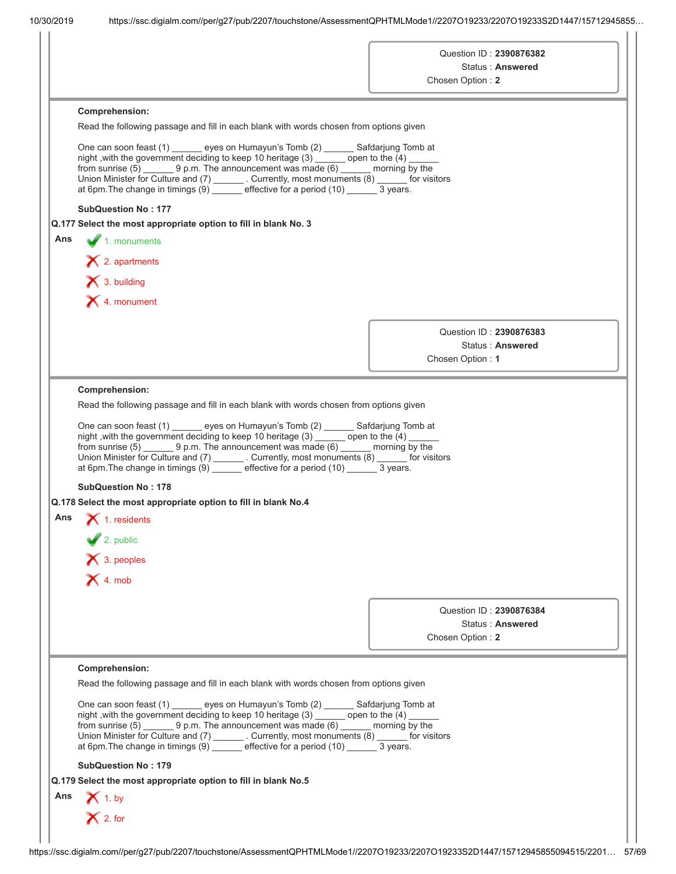|     |                                                                                                                                                                                                                                                                                                                                                                                                                                                                                                                                                                                                                                                                                 | Chosen Option: 2 | Question ID: 2390876382<br>Status: Answered |
|-----|---------------------------------------------------------------------------------------------------------------------------------------------------------------------------------------------------------------------------------------------------------------------------------------------------------------------------------------------------------------------------------------------------------------------------------------------------------------------------------------------------------------------------------------------------------------------------------------------------------------------------------------------------------------------------------|------------------|---------------------------------------------|
|     |                                                                                                                                                                                                                                                                                                                                                                                                                                                                                                                                                                                                                                                                                 |                  |                                             |
|     | Comprehension:                                                                                                                                                                                                                                                                                                                                                                                                                                                                                                                                                                                                                                                                  |                  |                                             |
|     | Read the following passage and fill in each blank with words chosen from options given                                                                                                                                                                                                                                                                                                                                                                                                                                                                                                                                                                                          |                  |                                             |
|     | One can soon feast (1) ______ eyes on Humayun's Tomb (2) ______ Safdarjung Tomb at<br>night, with the government deciding to keep 10 heritage (3) ______ open to the (4)<br>from sunrise $(5)$ ________ 9 p.m. The announcement was made $(6)$ _______ morning by the<br>Union Minister for Culture and (7) ________. Currently, most monuments (8) _______ for visitors<br>at 6pm. The change in timings (9) _______ effective for a period (10) _______ 3 years.                                                                                                                                                                                                              |                  |                                             |
|     | <b>SubQuestion No: 177</b>                                                                                                                                                                                                                                                                                                                                                                                                                                                                                                                                                                                                                                                      |                  |                                             |
|     | Q.177 Select the most appropriate option to fill in blank No. 3                                                                                                                                                                                                                                                                                                                                                                                                                                                                                                                                                                                                                 |                  |                                             |
| Ans | $\blacktriangleright$ 1. monuments                                                                                                                                                                                                                                                                                                                                                                                                                                                                                                                                                                                                                                              |                  |                                             |
|     | $\mathsf{\times}$ 2. apartments                                                                                                                                                                                                                                                                                                                                                                                                                                                                                                                                                                                                                                                 |                  |                                             |
|     | $\blacktriangleright$ 3. building                                                                                                                                                                                                                                                                                                                                                                                                                                                                                                                                                                                                                                               |                  |                                             |
|     |                                                                                                                                                                                                                                                                                                                                                                                                                                                                                                                                                                                                                                                                                 |                  |                                             |
|     | X 4. monument                                                                                                                                                                                                                                                                                                                                                                                                                                                                                                                                                                                                                                                                   |                  |                                             |
|     |                                                                                                                                                                                                                                                                                                                                                                                                                                                                                                                                                                                                                                                                                 |                  | Question ID: 2390876383                     |
|     |                                                                                                                                                                                                                                                                                                                                                                                                                                                                                                                                                                                                                                                                                 |                  | Status: Answered                            |
|     |                                                                                                                                                                                                                                                                                                                                                                                                                                                                                                                                                                                                                                                                                 | Chosen Option: 1 |                                             |
| Ans | from sunrise $(5)$ 9 p.m. The announcement was made $(6)$ ______ morning by the<br>Union Minister for Culture and (7) ________. Currently, most monuments (8) _______ for visitors<br>at 6pm. The change in timings $(9)$ effective for a period $(10)$ 3 years.<br><b>SubQuestion No: 178</b><br>Q.178 Select the most appropriate option to fill in blank No.4<br>$\blacktriangleright$ 1. residents                                                                                                                                                                                                                                                                          |                  |                                             |
|     | $\blacktriangleright$ 2. public<br>$\mathsf{\times}$ 3. peoples<br>$\bigtimes$ 4. mob                                                                                                                                                                                                                                                                                                                                                                                                                                                                                                                                                                                           |                  |                                             |
|     |                                                                                                                                                                                                                                                                                                                                                                                                                                                                                                                                                                                                                                                                                 |                  |                                             |
|     |                                                                                                                                                                                                                                                                                                                                                                                                                                                                                                                                                                                                                                                                                 |                  | Question ID: 2390876384<br>Status: Answered |
|     |                                                                                                                                                                                                                                                                                                                                                                                                                                                                                                                                                                                                                                                                                 | Chosen Option: 2 |                                             |
|     | <b>Comprehension:</b><br>Read the following passage and fill in each blank with words chosen from options given<br>One can soon feast (1) ______ eyes on Humayun's Tomb (2) ______ Safdarjung Tomb at<br>night, with the government deciding to keep 10 heritage (3) ______ open to the (4)<br>from sunrise $(5)$ ________ 9 p.m. The announcement was made $(6)$ _______ morning by the<br>Union Minister for Culture and $(7)$ ________. Currently, most monuments $(8)$ _________ for visitors<br>at 6pm. The change in timings $(9)$ effective for a period $(10)$ 3 years.<br><b>SubQuestion No: 179</b><br>Q.179 Select the most appropriate option to fill in blank No.5 |                  |                                             |
| Ans |                                                                                                                                                                                                                                                                                                                                                                                                                                                                                                                                                                                                                                                                                 |                  |                                             |
|     | $\bigtimes$ 1. by<br>$\mathsf{X}$ 2. for                                                                                                                                                                                                                                                                                                                                                                                                                                                                                                                                                                                                                                        |                  |                                             |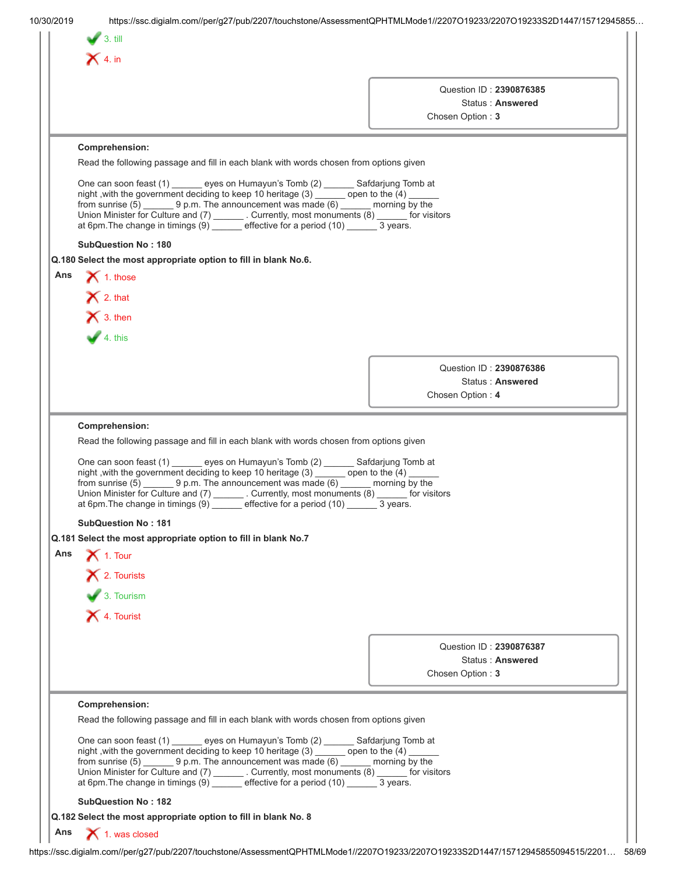|     | https://ssc.digialm.com//per/g27/pub/2207/touchstone/AssessmentQPHTMLMode1//2207O19233/2207O19233S2D1447/15712945855                                                                                                                                                                                                                                                                                      |                         |                  |
|-----|-----------------------------------------------------------------------------------------------------------------------------------------------------------------------------------------------------------------------------------------------------------------------------------------------------------------------------------------------------------------------------------------------------------|-------------------------|------------------|
|     | $3.$ till                                                                                                                                                                                                                                                                                                                                                                                                 |                         |                  |
|     | $\mathsf{X}$ 4. in                                                                                                                                                                                                                                                                                                                                                                                        |                         |                  |
|     |                                                                                                                                                                                                                                                                                                                                                                                                           |                         |                  |
|     |                                                                                                                                                                                                                                                                                                                                                                                                           | Question ID: 2390876385 |                  |
|     |                                                                                                                                                                                                                                                                                                                                                                                                           |                         | Status: Answered |
|     |                                                                                                                                                                                                                                                                                                                                                                                                           | Chosen Option: 3        |                  |
|     | Comprehension:                                                                                                                                                                                                                                                                                                                                                                                            |                         |                  |
|     | Read the following passage and fill in each blank with words chosen from options given                                                                                                                                                                                                                                                                                                                    |                         |                  |
|     | One can soon feast (1) ______ eyes on Humayun's Tomb (2) _______ Safdarjung Tomb at                                                                                                                                                                                                                                                                                                                       |                         |                  |
|     | night, with the government deciding to keep 10 heritage (3) ______ open to the (4)                                                                                                                                                                                                                                                                                                                        |                         |                  |
|     | from sunrise $(5)$ ________ 9 p.m. The announcement was made $(6)$ _______ morning by the<br>Union Minister for Culture and (7) ________. Currently, most monuments (8) _______ for visitors                                                                                                                                                                                                              |                         |                  |
|     | at 6pm. The change in timings (9) ______ effective for a period (10) ______ 3 years.                                                                                                                                                                                                                                                                                                                      |                         |                  |
|     | <b>SubQuestion No: 180</b>                                                                                                                                                                                                                                                                                                                                                                                |                         |                  |
|     | Q.180 Select the most appropriate option to fill in blank No.6.                                                                                                                                                                                                                                                                                                                                           |                         |                  |
| Ans | $\bigtimes$ 1. those                                                                                                                                                                                                                                                                                                                                                                                      |                         |                  |
|     | $\bigtimes$ 2. that                                                                                                                                                                                                                                                                                                                                                                                       |                         |                  |
|     | $\mathsf{X}$ 3. then                                                                                                                                                                                                                                                                                                                                                                                      |                         |                  |
|     |                                                                                                                                                                                                                                                                                                                                                                                                           |                         |                  |
|     | $\blacktriangleright$ 4. this                                                                                                                                                                                                                                                                                                                                                                             |                         |                  |
|     |                                                                                                                                                                                                                                                                                                                                                                                                           |                         |                  |
|     |                                                                                                                                                                                                                                                                                                                                                                                                           | Question ID: 2390876386 | Status: Answered |
|     |                                                                                                                                                                                                                                                                                                                                                                                                           | Chosen Option: 4        |                  |
|     | One can soon feast (1) ______ eyes on Humayun's Tomb (2) ______ Safdarjung Tomb at                                                                                                                                                                                                                                                                                                                        |                         |                  |
|     | night, with the government deciding to keep 10 heritage (3) ______ open to the (4)<br>from sunrise $(5)$ ________ 9 p.m. The announcement was made $(6)$ _______ morning by the<br>Union Minister for Culture and (7) _________. Currently, most monuments (8) _______ for visitors<br>at 6pm. The change in timings (9) ______ effective for a period (10) ______ 3 years.<br><b>SubQuestion No: 181</b> |                         |                  |
|     | Q.181 Select the most appropriate option to fill in blank No.7                                                                                                                                                                                                                                                                                                                                            |                         |                  |
| Ans | $\blacktriangleright$ 1. Tour                                                                                                                                                                                                                                                                                                                                                                             |                         |                  |
|     | $\blacktriangleright$ 2. Tourists                                                                                                                                                                                                                                                                                                                                                                         |                         |                  |
|     | 3. Tourism                                                                                                                                                                                                                                                                                                                                                                                                |                         |                  |
|     |                                                                                                                                                                                                                                                                                                                                                                                                           |                         |                  |
|     | X 4. Tourist                                                                                                                                                                                                                                                                                                                                                                                              |                         |                  |
|     |                                                                                                                                                                                                                                                                                                                                                                                                           | Question ID: 2390876387 |                  |
|     |                                                                                                                                                                                                                                                                                                                                                                                                           |                         | Status: Answered |
|     |                                                                                                                                                                                                                                                                                                                                                                                                           | Chosen Option: 3        |                  |
|     |                                                                                                                                                                                                                                                                                                                                                                                                           |                         |                  |
|     | Comprehension:                                                                                                                                                                                                                                                                                                                                                                                            |                         |                  |
|     | Read the following passage and fill in each blank with words chosen from options given                                                                                                                                                                                                                                                                                                                    |                         |                  |
|     | One can soon feast (1) _______ eyes on Humayun's Tomb (2) _______ Safdarjung Tomb at night, with the government deciding to keep 10 heritage (3) _______ open to the (4) ______<br>from sunrise $(5)$ ________ 9 p.m. The announcement was made $(6)$ _______ morning by the<br>Union Minister for Culture and (7) ________. Currently, most monuments (8) _______ for visitors                           |                         |                  |
|     | at 6pm. The change in timings (9) effective for a period (10) 3 years.                                                                                                                                                                                                                                                                                                                                    |                         |                  |
|     | <b>SubQuestion No: 182</b><br>Q.182 Select the most appropriate option to fill in blank No. 8                                                                                                                                                                                                                                                                                                             |                         |                  |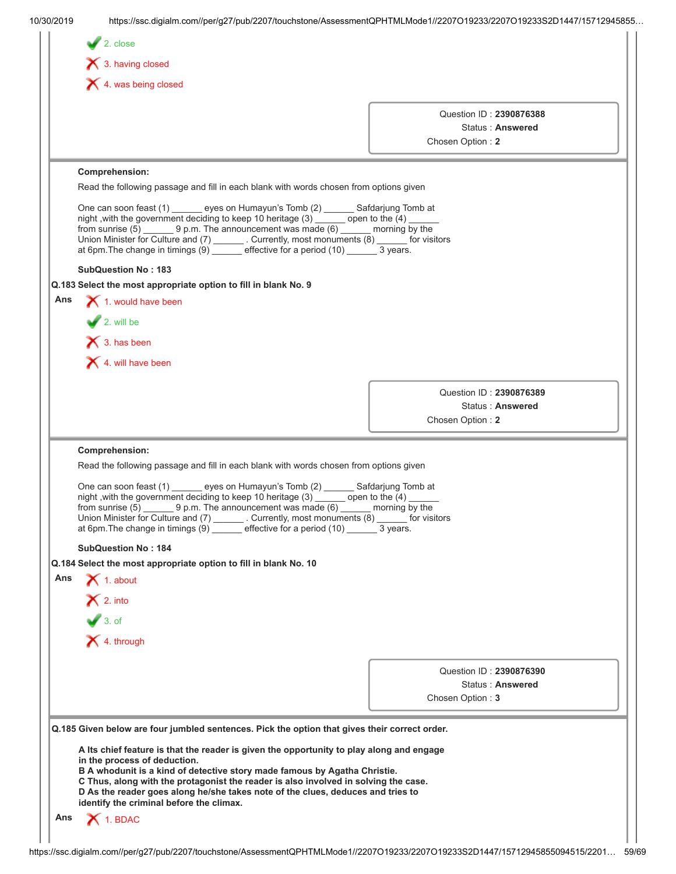| $2.$ close                                                             |                                                                                                                                                                                                                                                                                                                                                                                                                                                                                                                                                                                                  |                                             |
|------------------------------------------------------------------------|--------------------------------------------------------------------------------------------------------------------------------------------------------------------------------------------------------------------------------------------------------------------------------------------------------------------------------------------------------------------------------------------------------------------------------------------------------------------------------------------------------------------------------------------------------------------------------------------------|---------------------------------------------|
|                                                                        | 3. having closed                                                                                                                                                                                                                                                                                                                                                                                                                                                                                                                                                                                 |                                             |
|                                                                        | X 4. was being closed                                                                                                                                                                                                                                                                                                                                                                                                                                                                                                                                                                            |                                             |
|                                                                        |                                                                                                                                                                                                                                                                                                                                                                                                                                                                                                                                                                                                  |                                             |
|                                                                        |                                                                                                                                                                                                                                                                                                                                                                                                                                                                                                                                                                                                  | Question ID: 2390876388<br>Status: Answered |
|                                                                        |                                                                                                                                                                                                                                                                                                                                                                                                                                                                                                                                                                                                  | Chosen Option: 2                            |
|                                                                        |                                                                                                                                                                                                                                                                                                                                                                                                                                                                                                                                                                                                  |                                             |
|                                                                        | Comprehension:                                                                                                                                                                                                                                                                                                                                                                                                                                                                                                                                                                                   |                                             |
|                                                                        | Read the following passage and fill in each blank with words chosen from options given                                                                                                                                                                                                                                                                                                                                                                                                                                                                                                           |                                             |
|                                                                        | One can soon feast (1) _______ eyes on Humayun's Tomb (2) _______ Safdarjung Tomb at                                                                                                                                                                                                                                                                                                                                                                                                                                                                                                             |                                             |
|                                                                        | night, with the government deciding to keep 10 heritage (3) ______ open to the (4) _<br>from sunrise $(5)$ ________ 9 p.m. The announcement was made $(6)$ _______ morning by the                                                                                                                                                                                                                                                                                                                                                                                                                |                                             |
|                                                                        | Union Minister for Culture and (7) _________. Currently, most monuments (8) _______ for visitors                                                                                                                                                                                                                                                                                                                                                                                                                                                                                                 |                                             |
|                                                                        | at 6pm. The change in timings (9) effective for a period (10) 3 years.                                                                                                                                                                                                                                                                                                                                                                                                                                                                                                                           |                                             |
|                                                                        | <b>SubQuestion No: 183</b>                                                                                                                                                                                                                                                                                                                                                                                                                                                                                                                                                                       |                                             |
|                                                                        | Q.183 Select the most appropriate option to fill in blank No. 9                                                                                                                                                                                                                                                                                                                                                                                                                                                                                                                                  |                                             |
| Ans                                                                    | 1. would have been                                                                                                                                                                                                                                                                                                                                                                                                                                                                                                                                                                               |                                             |
|                                                                        | $\bullet$ 2. will be                                                                                                                                                                                                                                                                                                                                                                                                                                                                                                                                                                             |                                             |
|                                                                        | $\bigtimes$ 3. has been                                                                                                                                                                                                                                                                                                                                                                                                                                                                                                                                                                          |                                             |
|                                                                        | 1. will have been                                                                                                                                                                                                                                                                                                                                                                                                                                                                                                                                                                                |                                             |
|                                                                        |                                                                                                                                                                                                                                                                                                                                                                                                                                                                                                                                                                                                  |                                             |
|                                                                        |                                                                                                                                                                                                                                                                                                                                                                                                                                                                                                                                                                                                  | Question ID: 2390876389                     |
|                                                                        |                                                                                                                                                                                                                                                                                                                                                                                                                                                                                                                                                                                                  | Status: Answered                            |
|                                                                        |                                                                                                                                                                                                                                                                                                                                                                                                                                                                                                                                                                                                  | Chosen Option: 2                            |
| Ans<br>$\bigtimes$ 1. about<br>$\mathsf{X}$ 2. into<br>$\bigvee$ 3. of | One can soon feast (1) ______ eyes on Humayun's Tomb (2) _______ Safdarjung Tomb at<br>night, with the government deciding to keep 10 heritage (3) ______ open to the (4) ____<br>from sunrise $(5)$ __________ 9 p.m. The announcement was made $(6)$ ________ morning by the<br>Union Minister for Culture and (7) ________. Currently, most monuments (8) ________ for visitors at 6pm. The change in timings (9) _________ effective for a period (10) __________ 3 years.<br><b>SubQuestion No: 184</b><br>Q.184 Select the most appropriate option to fill in blank No. 10<br>X 4. through |                                             |
|                                                                        |                                                                                                                                                                                                                                                                                                                                                                                                                                                                                                                                                                                                  | Question ID: 2390876390                     |
|                                                                        |                                                                                                                                                                                                                                                                                                                                                                                                                                                                                                                                                                                                  | Status: Answered<br>Chosen Option: 3        |
|                                                                        |                                                                                                                                                                                                                                                                                                                                                                                                                                                                                                                                                                                                  |                                             |
|                                                                        | Q.185 Given below are four jumbled sentences. Pick the option that gives their correct order.                                                                                                                                                                                                                                                                                                                                                                                                                                                                                                    |                                             |
|                                                                        | A Its chief feature is that the reader is given the opportunity to play along and engage<br>in the process of deduction.<br>B A whodunit is a kind of detective story made famous by Agatha Christie.<br>C Thus, along with the protagonist the reader is also involved in solving the case.<br>D As the reader goes along he/she takes note of the clues, deduces and tries to                                                                                                                                                                                                                  |                                             |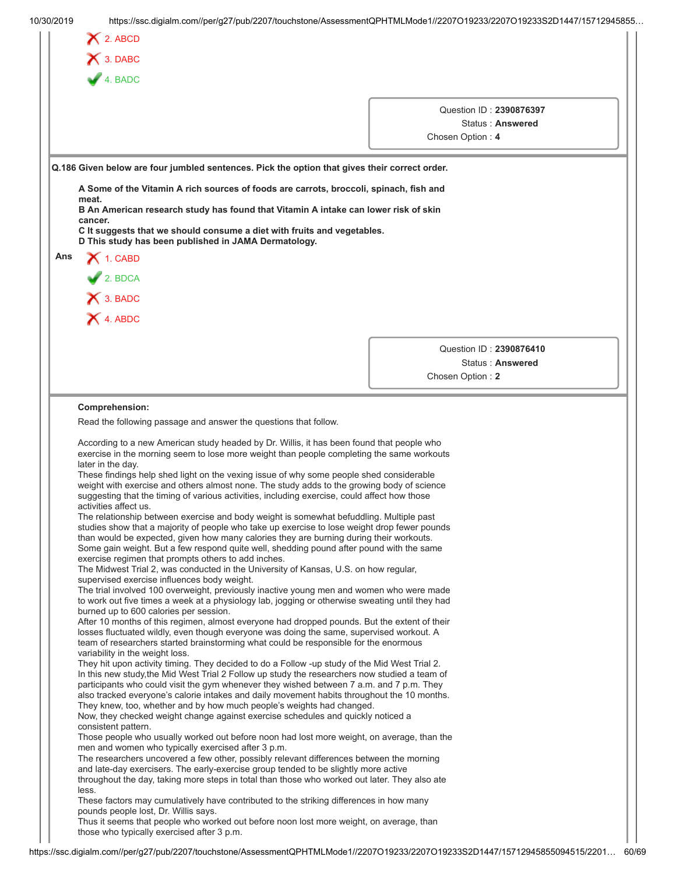| 10/30/2019 | https://ssc.digialm.com//per/g27/pub/2207/touchstone/AssessmentQPHTMLMode1//2207O19233/2207O19233S2D1447/15712945855                                                                                                                                                                                                                                                                                                                                                                                                                                                                                                                                                                                                                                                                                                                                                                                                                                                                                                                                                                                          |                  |                         |  |
|------------|---------------------------------------------------------------------------------------------------------------------------------------------------------------------------------------------------------------------------------------------------------------------------------------------------------------------------------------------------------------------------------------------------------------------------------------------------------------------------------------------------------------------------------------------------------------------------------------------------------------------------------------------------------------------------------------------------------------------------------------------------------------------------------------------------------------------------------------------------------------------------------------------------------------------------------------------------------------------------------------------------------------------------------------------------------------------------------------------------------------|------------------|-------------------------|--|
|            | $\bigtimes$ 2. ABCD                                                                                                                                                                                                                                                                                                                                                                                                                                                                                                                                                                                                                                                                                                                                                                                                                                                                                                                                                                                                                                                                                           |                  |                         |  |
|            | X 3. DABC                                                                                                                                                                                                                                                                                                                                                                                                                                                                                                                                                                                                                                                                                                                                                                                                                                                                                                                                                                                                                                                                                                     |                  |                         |  |
|            | $4.$ BADC                                                                                                                                                                                                                                                                                                                                                                                                                                                                                                                                                                                                                                                                                                                                                                                                                                                                                                                                                                                                                                                                                                     |                  |                         |  |
|            |                                                                                                                                                                                                                                                                                                                                                                                                                                                                                                                                                                                                                                                                                                                                                                                                                                                                                                                                                                                                                                                                                                               |                  |                         |  |
|            |                                                                                                                                                                                                                                                                                                                                                                                                                                                                                                                                                                                                                                                                                                                                                                                                                                                                                                                                                                                                                                                                                                               |                  | Question ID: 2390876397 |  |
|            |                                                                                                                                                                                                                                                                                                                                                                                                                                                                                                                                                                                                                                                                                                                                                                                                                                                                                                                                                                                                                                                                                                               |                  | Status: Answered        |  |
|            |                                                                                                                                                                                                                                                                                                                                                                                                                                                                                                                                                                                                                                                                                                                                                                                                                                                                                                                                                                                                                                                                                                               | Chosen Option: 4 |                         |  |
|            | Q.186 Given below are four jumbled sentences. Pick the option that gives their correct order.                                                                                                                                                                                                                                                                                                                                                                                                                                                                                                                                                                                                                                                                                                                                                                                                                                                                                                                                                                                                                 |                  |                         |  |
|            | A Some of the Vitamin A rich sources of foods are carrots, broccoli, spinach, fish and                                                                                                                                                                                                                                                                                                                                                                                                                                                                                                                                                                                                                                                                                                                                                                                                                                                                                                                                                                                                                        |                  |                         |  |
|            | meat.                                                                                                                                                                                                                                                                                                                                                                                                                                                                                                                                                                                                                                                                                                                                                                                                                                                                                                                                                                                                                                                                                                         |                  |                         |  |
|            | B An American research study has found that Vitamin A intake can lower risk of skin<br>cancer.                                                                                                                                                                                                                                                                                                                                                                                                                                                                                                                                                                                                                                                                                                                                                                                                                                                                                                                                                                                                                |                  |                         |  |
|            | C It suggests that we should consume a diet with fruits and vegetables.<br>D This study has been published in JAMA Dermatology.                                                                                                                                                                                                                                                                                                                                                                                                                                                                                                                                                                                                                                                                                                                                                                                                                                                                                                                                                                               |                  |                         |  |
| Ans        | 1. CABD                                                                                                                                                                                                                                                                                                                                                                                                                                                                                                                                                                                                                                                                                                                                                                                                                                                                                                                                                                                                                                                                                                       |                  |                         |  |
|            |                                                                                                                                                                                                                                                                                                                                                                                                                                                                                                                                                                                                                                                                                                                                                                                                                                                                                                                                                                                                                                                                                                               |                  |                         |  |
|            | 2. BDCA                                                                                                                                                                                                                                                                                                                                                                                                                                                                                                                                                                                                                                                                                                                                                                                                                                                                                                                                                                                                                                                                                                       |                  |                         |  |
|            | X 3. BADC                                                                                                                                                                                                                                                                                                                                                                                                                                                                                                                                                                                                                                                                                                                                                                                                                                                                                                                                                                                                                                                                                                     |                  |                         |  |
|            | X 4. ABDC                                                                                                                                                                                                                                                                                                                                                                                                                                                                                                                                                                                                                                                                                                                                                                                                                                                                                                                                                                                                                                                                                                     |                  |                         |  |
|            |                                                                                                                                                                                                                                                                                                                                                                                                                                                                                                                                                                                                                                                                                                                                                                                                                                                                                                                                                                                                                                                                                                               |                  |                         |  |
|            |                                                                                                                                                                                                                                                                                                                                                                                                                                                                                                                                                                                                                                                                                                                                                                                                                                                                                                                                                                                                                                                                                                               |                  | Question ID: 2390876410 |  |
|            |                                                                                                                                                                                                                                                                                                                                                                                                                                                                                                                                                                                                                                                                                                                                                                                                                                                                                                                                                                                                                                                                                                               | Chosen Option: 2 | Status: Answered        |  |
|            |                                                                                                                                                                                                                                                                                                                                                                                                                                                                                                                                                                                                                                                                                                                                                                                                                                                                                                                                                                                                                                                                                                               |                  |                         |  |
|            | According to a new American study headed by Dr. Willis, it has been found that people who<br>exercise in the morning seem to lose more weight than people completing the same workouts<br>later in the day.<br>These findings help shed light on the vexing issue of why some people shed considerable<br>weight with exercise and others almost none. The study adds to the growing body of science<br>suggesting that the timing of various activities, including exercise, could affect how those<br>activities affect us.<br>The relationship between exercise and body weight is somewhat befuddling. Multiple past<br>studies show that a majority of people who take up exercise to lose weight drop fewer pounds<br>than would be expected, given how many calories they are burning during their workouts.<br>Some gain weight. But a few respond quite well, shedding pound after pound with the same<br>exercise regimen that prompts others to add inches.<br>The Midwest Trial 2, was conducted in the University of Kansas, U.S. on how regular,<br>supervised exercise influences body weight. |                  |                         |  |
|            | The trial involved 100 overweight, previously inactive young men and women who were made<br>to work out five times a week at a physiology lab, jogging or otherwise sweating until they had<br>burned up to 600 calories per session.<br>After 10 months of this regimen, almost everyone had dropped pounds. But the extent of their<br>losses fluctuated wildly, even though everyone was doing the same, supervised workout. A<br>team of researchers started brainstorming what could be responsible for the enormous<br>variability in the weight loss.                                                                                                                                                                                                                                                                                                                                                                                                                                                                                                                                                  |                  |                         |  |
|            |                                                                                                                                                                                                                                                                                                                                                                                                                                                                                                                                                                                                                                                                                                                                                                                                                                                                                                                                                                                                                                                                                                               |                  |                         |  |
|            | They hit upon activity timing. They decided to do a Follow -up study of the Mid West Trial 2.<br>In this new study, the Mid West Trial 2 Follow up study the researchers now studied a team of<br>participants who could visit the gym whenever they wished between 7 a.m. and 7 p.m. They<br>also tracked everyone's calorie intakes and daily movement habits throughout the 10 months.<br>They knew, too, whether and by how much people's weights had changed.<br>Now, they checked weight change against exercise schedules and quickly noticed a<br>consistent pattern.<br>Those people who usually worked out before noon had lost more weight, on average, than the<br>men and women who typically exercised after 3 p.m.<br>The researchers uncovered a few other, possibly relevant differences between the morning                                                                                                                                                                                                                                                                                 |                  |                         |  |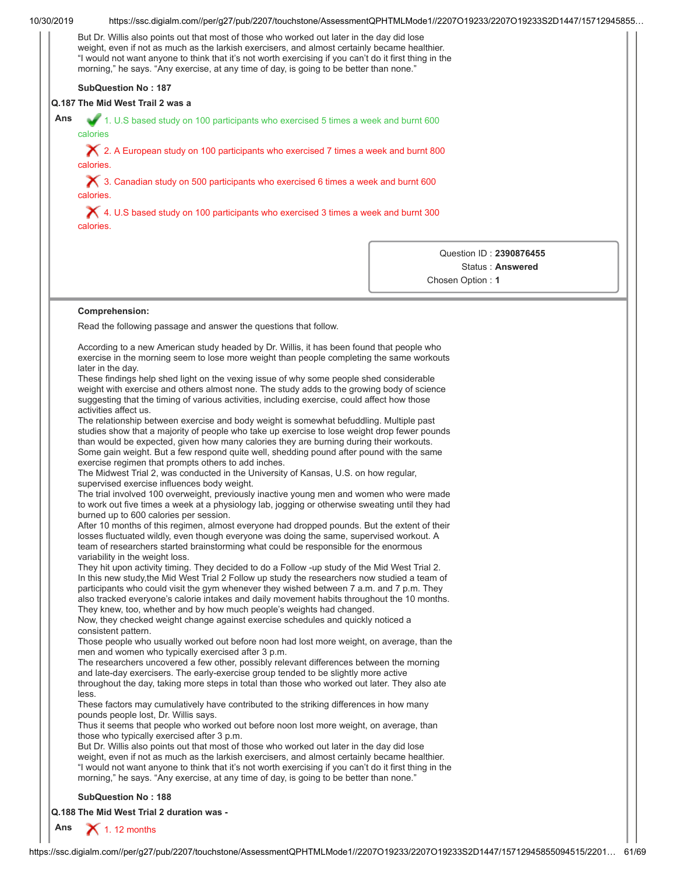10/30/2019 https://ssc.digialm.com//per/g27/pub/2207/touchstone/AssessmentQPHTMLMode1//2207O19233/2207O19233S2D1447/15712945855… But Dr. Willis also points out that most of those who worked out later in the day did lose weight, even if not as much as the larkish exercisers, and almost certainly became healthier. "I would not want anyone to think that it's not worth exercising if you can't do it first thing in the morning," he says. "Any exercise, at any time of day, is going to be better than none." **SubQuestion No : 187 Q.187 The Mid West Trail 2 was a Ans** 1. U.S based study on 100 participants who exercised 5 times a week and burnt 600 calories  $\blacktriangleright$  2. A European study on 100 participants who exercised 7 times a week and burnt 800 **calories** 3. Canadian study on 500 participants who exercised 6 times a week and burnt 600 calories. 4. U.S based study on 100 participants who exercised 3 times a week and burnt 300 **calories** Question ID : **2390876455** Status : **Answered** Chosen Option : **1 Comprehension:** Read the following passage and answer the questions that follow. According to a new American study headed by Dr. Willis, it has been found that people who exercise in the morning seem to lose more weight than people completing the same workouts later in the day. These findings help shed light on the vexing issue of why some people shed considerable weight with exercise and others almost none. The study adds to the growing body of science suggesting that the timing of various activities, including exercise, could affect how those activities affect us. The relationship between exercise and body weight is somewhat befuddling. Multiple past studies show that a majority of people who take up exercise to lose weight drop fewer pounds than would be expected, given how many calories they are burning during their workouts. Some gain weight. But a few respond quite well, shedding pound after pound with the same exercise regimen that prompts others to add inches. The Midwest Trial 2, was conducted in the University of Kansas, U.S. on how regular, supervised exercise influences body weight. The trial involved 100 overweight, previously inactive young men and women who were made to work out five times a week at a physiology lab, jogging or otherwise sweating until they had burned up to 600 calories per session. After 10 months of this regimen, almost everyone had dropped pounds. But the extent of their losses fluctuated wildly, even though everyone was doing the same, supervised workout. A team of researchers started brainstorming what could be responsible for the enormous variability in the weight loss. They hit upon activity timing. They decided to do a Follow -up study of the Mid West Trial 2. In this new study,the Mid West Trial 2 Follow up study the researchers now studied a team of participants who could visit the gym whenever they wished between 7 a.m. and 7 p.m. They also tracked everyone's calorie intakes and daily movement habits throughout the 10 months. They knew, too, whether and by how much people's weights had changed. Now, they checked weight change against exercise schedules and quickly noticed a consistent pattern. Those people who usually worked out before noon had lost more weight, on average, than the men and women who typically exercised after 3 p.m. The researchers uncovered a few other, possibly relevant differences between the morning and late-day exercisers. The early-exercise group tended to be slightly more active throughout the day, taking more steps in total than those who worked out later. They also ate less. These factors may cumulatively have contributed to the striking differences in how many pounds people lost, Dr. Willis says. Thus it seems that people who worked out before noon lost more weight, on average, than those who typically exercised after 3 p.m. But Dr. Willis also points out that most of those who worked out later in the day did lose weight, even if not as much as the larkish exercisers, and almost certainly became healthier. "I would not want anyone to think that it's not worth exercising if you can't do it first thing in the morning," he says. "Any exercise, at any time of day, is going to be better than none." **SubQuestion No : 188**

**Q.188 The Mid West Trial 2 duration was -**

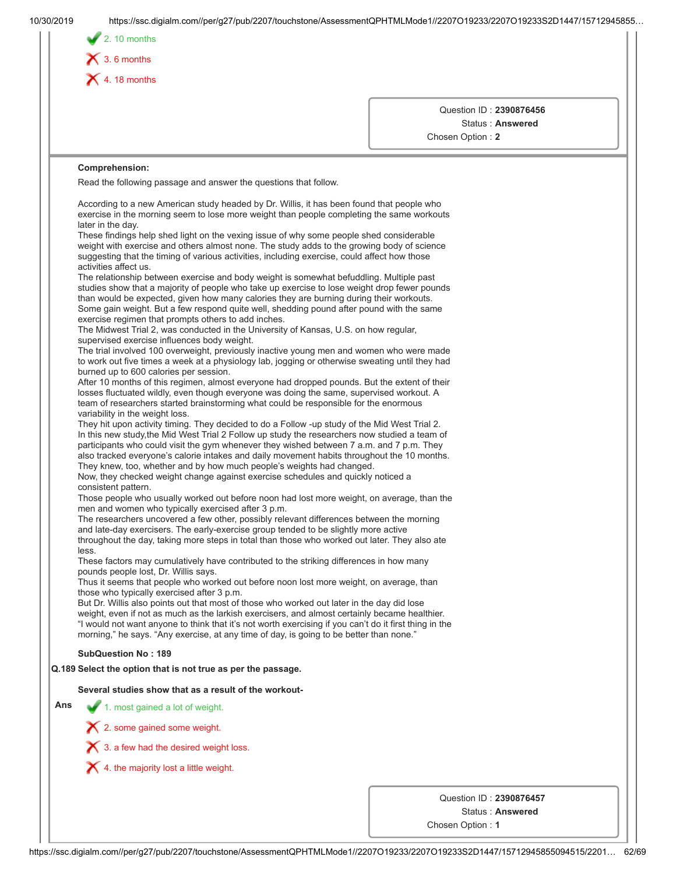| 10/30/2019 | https://ssc.digialm.com//per/g27/pub/2207/touchstone/AssessmentQPHTMLMode1//2207O19233/2207O19233S2D1447/15712945855                                                                                    |                         |  |  |  |
|------------|---------------------------------------------------------------------------------------------------------------------------------------------------------------------------------------------------------|-------------------------|--|--|--|
|            | $\sqrt{2}$ . 10 months                                                                                                                                                                                  |                         |  |  |  |
|            | $\blacktriangleright$ 3.6 months                                                                                                                                                                        |                         |  |  |  |
|            | $\blacktriangleright$ 4.18 months                                                                                                                                                                       |                         |  |  |  |
|            |                                                                                                                                                                                                         | Question ID: 2390876456 |  |  |  |
|            |                                                                                                                                                                                                         | Status: Answered        |  |  |  |
|            |                                                                                                                                                                                                         | Chosen Option: 2        |  |  |  |
|            |                                                                                                                                                                                                         |                         |  |  |  |
|            | Comprehension:                                                                                                                                                                                          |                         |  |  |  |
|            | Read the following passage and answer the questions that follow.                                                                                                                                        |                         |  |  |  |
|            | According to a new American study headed by Dr. Willis, it has been found that people who                                                                                                               |                         |  |  |  |
|            | exercise in the morning seem to lose more weight than people completing the same workouts<br>later in the day.                                                                                          |                         |  |  |  |
|            | These findings help shed light on the vexing issue of why some people shed considerable                                                                                                                 |                         |  |  |  |
|            | weight with exercise and others almost none. The study adds to the growing body of science<br>suggesting that the timing of various activities, including exercise, could affect how those              |                         |  |  |  |
|            | activities affect us.                                                                                                                                                                                   |                         |  |  |  |
|            | The relationship between exercise and body weight is somewhat befuddling. Multiple past<br>studies show that a majority of people who take up exercise to lose weight drop fewer pounds                 |                         |  |  |  |
|            | than would be expected, given how many calories they are burning during their workouts.                                                                                                                 |                         |  |  |  |
|            | Some gain weight. But a few respond quite well, shedding pound after pound with the same                                                                                                                |                         |  |  |  |
|            | exercise regimen that prompts others to add inches.<br>The Midwest Trial 2, was conducted in the University of Kansas, U.S. on how regular,                                                             |                         |  |  |  |
|            | supervised exercise influences body weight.                                                                                                                                                             |                         |  |  |  |
|            | The trial involved 100 overweight, previously inactive young men and women who were made<br>to work out five times a week at a physiology lab, jogging or otherwise sweating until they had             |                         |  |  |  |
|            | burned up to 600 calories per session.                                                                                                                                                                  |                         |  |  |  |
|            | After 10 months of this regimen, almost everyone had dropped pounds. But the extent of their<br>losses fluctuated wildly, even though everyone was doing the same, supervised workout. A                |                         |  |  |  |
|            | team of researchers started brainstorming what could be responsible for the enormous                                                                                                                    |                         |  |  |  |
|            | variability in the weight loss.<br>They hit upon activity timing. They decided to do a Follow -up study of the Mid West Trial 2.                                                                        |                         |  |  |  |
|            | In this new study, the Mid West Trial 2 Follow up study the researchers now studied a team of                                                                                                           |                         |  |  |  |
|            | participants who could visit the gym whenever they wished between 7 a.m. and 7 p.m. They<br>also tracked everyone's calorie intakes and daily movement habits throughout the 10 months.                 |                         |  |  |  |
|            | They knew, too, whether and by how much people's weights had changed.                                                                                                                                   |                         |  |  |  |
|            | Now, they checked weight change against exercise schedules and quickly noticed a                                                                                                                        |                         |  |  |  |
|            | consistent pattern.<br>Those people who usually worked out before noon had lost more weight, on average, than the                                                                                       |                         |  |  |  |
|            | men and women who typically exercised after 3 p.m.                                                                                                                                                      |                         |  |  |  |
|            | The researchers uncovered a few other, possibly relevant differences between the morning<br>and late-day exercisers. The early-exercise group tended to be slightly more active                         |                         |  |  |  |
|            | throughout the day, taking more steps in total than those who worked out later. They also ate                                                                                                           |                         |  |  |  |
|            | less.<br>These factors may cumulatively have contributed to the striking differences in how many                                                                                                        |                         |  |  |  |
|            | pounds people lost, Dr. Willis says.                                                                                                                                                                    |                         |  |  |  |
|            | Thus it seems that people who worked out before noon lost more weight, on average, than                                                                                                                 |                         |  |  |  |
|            | those who typically exercised after 3 p.m.<br>But Dr. Willis also points out that most of those who worked out later in the day did lose                                                                |                         |  |  |  |
|            | weight, even if not as much as the larkish exercisers, and almost certainly became healthier.<br>"I would not want anyone to think that it's not worth exercising if you can't do it first thing in the |                         |  |  |  |
|            | morning," he says. "Any exercise, at any time of day, is going to be better than none."                                                                                                                 |                         |  |  |  |
|            | <b>SubQuestion No: 189</b>                                                                                                                                                                              |                         |  |  |  |
|            | Q.189 Select the option that is not true as per the passage.                                                                                                                                            |                         |  |  |  |
|            | Several studies show that as a result of the workout-                                                                                                                                                   |                         |  |  |  |
| Ans        | 1. most gained a lot of weight.                                                                                                                                                                         |                         |  |  |  |
|            | 2. some gained some weight.                                                                                                                                                                             |                         |  |  |  |
|            | 3. a few had the desired weight loss.                                                                                                                                                                   |                         |  |  |  |
|            | $\blacktriangleright$ 4. the majority lost a little weight.                                                                                                                                             |                         |  |  |  |
|            |                                                                                                                                                                                                         |                         |  |  |  |
|            |                                                                                                                                                                                                         | Question ID: 2390876457 |  |  |  |
|            |                                                                                                                                                                                                         | Status: Answered        |  |  |  |
|            |                                                                                                                                                                                                         | Chosen Option: 1        |  |  |  |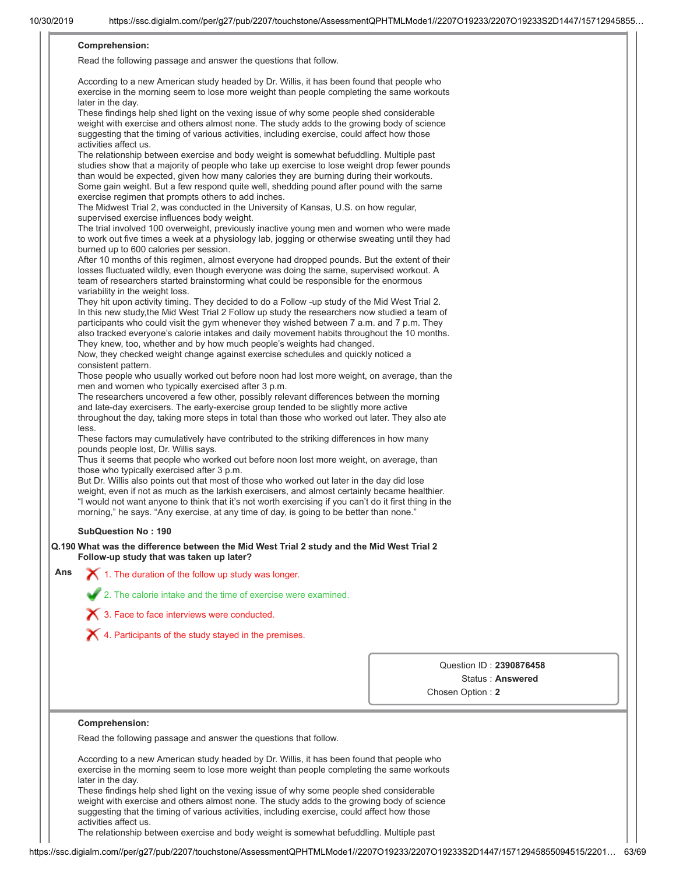|     | Comprehension:                                                                                                                                                                                                                                                                                                                                      |                  |                         |  |  |  |
|-----|-----------------------------------------------------------------------------------------------------------------------------------------------------------------------------------------------------------------------------------------------------------------------------------------------------------------------------------------------------|------------------|-------------------------|--|--|--|
|     | Read the following passage and answer the questions that follow.                                                                                                                                                                                                                                                                                    |                  |                         |  |  |  |
|     | According to a new American study headed by Dr. Willis, it has been found that people who<br>exercise in the morning seem to lose more weight than people completing the same workouts<br>later in the day.                                                                                                                                         |                  |                         |  |  |  |
|     | These findings help shed light on the vexing issue of why some people shed considerable<br>weight with exercise and others almost none. The study adds to the growing body of science<br>suggesting that the timing of various activities, including exercise, could affect how those<br>activities affect us.                                      |                  |                         |  |  |  |
|     | The relationship between exercise and body weight is somewhat befuddling. Multiple past<br>studies show that a majority of people who take up exercise to lose weight drop fewer pounds<br>than would be expected, given how many calories they are burning during their workouts.                                                                  |                  |                         |  |  |  |
|     | Some gain weight. But a few respond quite well, shedding pound after pound with the same<br>exercise regimen that prompts others to add inches.<br>The Midwest Trial 2, was conducted in the University of Kansas, U.S. on how regular,                                                                                                             |                  |                         |  |  |  |
|     | supervised exercise influences body weight.<br>The trial involved 100 overweight, previously inactive young men and women who were made<br>to work out five times a week at a physiology lab, jogging or otherwise sweating until they had                                                                                                          |                  |                         |  |  |  |
|     | burned up to 600 calories per session.<br>After 10 months of this regimen, almost everyone had dropped pounds. But the extent of their<br>losses fluctuated wildly, even though everyone was doing the same, supervised workout. A                                                                                                                  |                  |                         |  |  |  |
|     | team of researchers started brainstorming what could be responsible for the enormous<br>variability in the weight loss.<br>They hit upon activity timing. They decided to do a Follow -up study of the Mid West Trial 2.                                                                                                                            |                  |                         |  |  |  |
|     | In this new study, the Mid West Trial 2 Follow up study the researchers now studied a team of<br>participants who could visit the gym whenever they wished between 7 a.m. and 7 p.m. They<br>also tracked everyone's calorie intakes and daily movement habits throughout the 10 months.                                                            |                  |                         |  |  |  |
|     | They knew, too, whether and by how much people's weights had changed.<br>Now, they checked weight change against exercise schedules and quickly noticed a<br>consistent pattern.                                                                                                                                                                    |                  |                         |  |  |  |
|     | Those people who usually worked out before noon had lost more weight, on average, than the<br>men and women who typically exercised after 3 p.m.<br>The researchers uncovered a few other, possibly relevant differences between the morning                                                                                                        |                  |                         |  |  |  |
|     | and late-day exercisers. The early-exercise group tended to be slightly more active<br>throughout the day, taking more steps in total than those who worked out later. They also ate<br>less.                                                                                                                                                       |                  |                         |  |  |  |
|     | These factors may cumulatively have contributed to the striking differences in how many<br>pounds people lost, Dr. Willis says.<br>Thus it seems that people who worked out before noon lost more weight, on average, than                                                                                                                          |                  |                         |  |  |  |
|     | those who typically exercised after 3 p.m.<br>But Dr. Willis also points out that most of those who worked out later in the day did lose<br>weight, even if not as much as the larkish exercisers, and almost certainly became healthier.<br>"I would not want anyone to think that it's not worth exercising if you can't do it first thing in the |                  |                         |  |  |  |
|     | morning," he says. "Any exercise, at any time of day, is going to be better than none."<br><b>SubQuestion No: 190</b>                                                                                                                                                                                                                               |                  |                         |  |  |  |
|     | Q.190 What was the difference between the Mid West Trial 2 study and the Mid West Trial 2<br>Follow-up study that was taken up later?                                                                                                                                                                                                               |                  |                         |  |  |  |
| Ans | $\blacktriangleright$ 1. The duration of the follow up study was longer.                                                                                                                                                                                                                                                                            |                  |                         |  |  |  |
|     | 2. The calorie intake and the time of exercise were examined.                                                                                                                                                                                                                                                                                       |                  |                         |  |  |  |
|     | 3. Face to face interviews were conducted.                                                                                                                                                                                                                                                                                                          |                  |                         |  |  |  |
|     | X 4. Participants of the study stayed in the premises.                                                                                                                                                                                                                                                                                              |                  |                         |  |  |  |
|     |                                                                                                                                                                                                                                                                                                                                                     |                  | Question ID: 2390876458 |  |  |  |
|     |                                                                                                                                                                                                                                                                                                                                                     |                  | Status: Answered        |  |  |  |
|     |                                                                                                                                                                                                                                                                                                                                                     | Chosen Option: 2 |                         |  |  |  |
|     | Comprehension:                                                                                                                                                                                                                                                                                                                                      |                  |                         |  |  |  |
|     | Read the following passage and answer the questions that follow.                                                                                                                                                                                                                                                                                    |                  |                         |  |  |  |
|     | According to a new American study headed by Dr. Willis, it has been found that people who<br>exercise in the morning seem to lose more weight than people completing the same workouts                                                                                                                                                              |                  |                         |  |  |  |
|     | later in the day.<br>These findings help shed light on the vexing issue of why some people shed considerable<br>weight with exercise and others almost none. The study adds to the growing body of science                                                                                                                                          |                  |                         |  |  |  |
|     | suggesting that the timing of various activities, including exercise, could affect how those<br>activities affect us.<br>The relationship between exercise and body weight is somewhat befuddling. Multiple past                                                                                                                                    |                  |                         |  |  |  |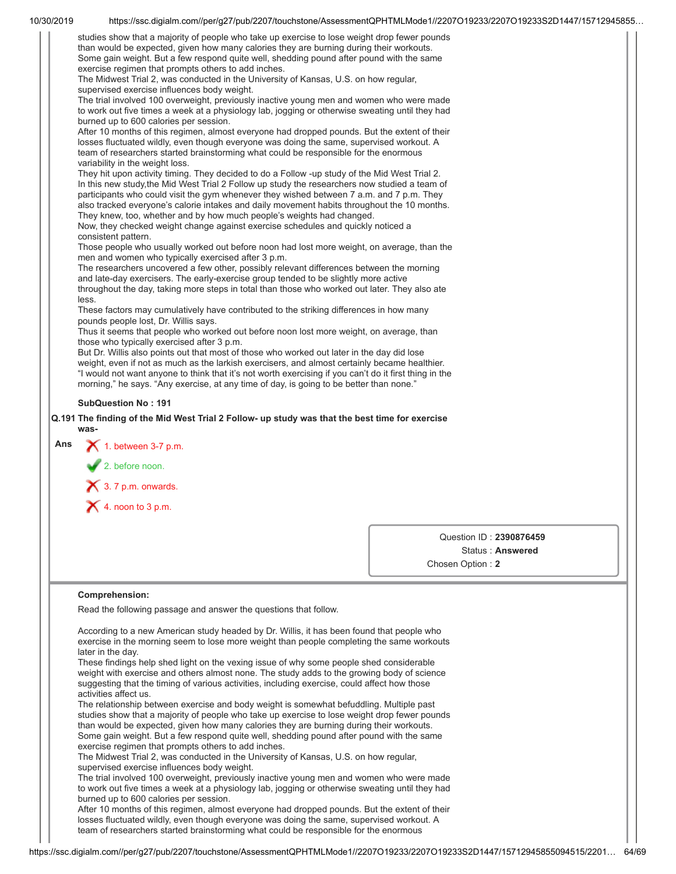|     |                                                                                                                                                                                                                                                                                                                                                                                                                                                                                                                                                                                                                                                                                                                                                                                                                                                                                                                                                                                                                                                                                                                                                                                                                                                                                                                                                                                                                                                                                                                                                                                                                                                                                                                                                                                                                                                                                                                                                                                                                                                                                                                                                                                                                                                                                                                                                                                                                                                                                                                                                                                                                                                                                                                                                                                                                                                                                                             | https://ssc.digialm.com//per/g27/pub/2207/touchstone/AssessmentQPHTMLMode1//2207O19233/2207O19233S2D1447/15712945855 |
|-----|-------------------------------------------------------------------------------------------------------------------------------------------------------------------------------------------------------------------------------------------------------------------------------------------------------------------------------------------------------------------------------------------------------------------------------------------------------------------------------------------------------------------------------------------------------------------------------------------------------------------------------------------------------------------------------------------------------------------------------------------------------------------------------------------------------------------------------------------------------------------------------------------------------------------------------------------------------------------------------------------------------------------------------------------------------------------------------------------------------------------------------------------------------------------------------------------------------------------------------------------------------------------------------------------------------------------------------------------------------------------------------------------------------------------------------------------------------------------------------------------------------------------------------------------------------------------------------------------------------------------------------------------------------------------------------------------------------------------------------------------------------------------------------------------------------------------------------------------------------------------------------------------------------------------------------------------------------------------------------------------------------------------------------------------------------------------------------------------------------------------------------------------------------------------------------------------------------------------------------------------------------------------------------------------------------------------------------------------------------------------------------------------------------------------------------------------------------------------------------------------------------------------------------------------------------------------------------------------------------------------------------------------------------------------------------------------------------------------------------------------------------------------------------------------------------------------------------------------------------------------------------------------------------------|----------------------------------------------------------------------------------------------------------------------|
| Ans | studies show that a majority of people who take up exercise to lose weight drop fewer pounds<br>than would be expected, given how many calories they are burning during their workouts.<br>Some gain weight. But a few respond quite well, shedding pound after pound with the same<br>exercise regimen that prompts others to add inches.<br>The Midwest Trial 2, was conducted in the University of Kansas, U.S. on how regular,<br>supervised exercise influences body weight.<br>The trial involved 100 overweight, previously inactive young men and women who were made<br>to work out five times a week at a physiology lab, jogging or otherwise sweating until they had<br>burned up to 600 calories per session.<br>After 10 months of this regimen, almost everyone had dropped pounds. But the extent of their<br>losses fluctuated wildly, even though everyone was doing the same, supervised workout. A<br>team of researchers started brainstorming what could be responsible for the enormous<br>variability in the weight loss.<br>They hit upon activity timing. They decided to do a Follow -up study of the Mid West Trial 2.<br>In this new study, the Mid West Trial 2 Follow up study the researchers now studied a team of<br>participants who could visit the gym whenever they wished between 7 a.m. and 7 p.m. They<br>also tracked everyone's calorie intakes and daily movement habits throughout the 10 months.<br>They knew, too, whether and by how much people's weights had changed.<br>Now, they checked weight change against exercise schedules and quickly noticed a<br>consistent pattern.<br>Those people who usually worked out before noon had lost more weight, on average, than the<br>men and women who typically exercised after 3 p.m.<br>The researchers uncovered a few other, possibly relevant differences between the morning<br>and late-day exercisers. The early-exercise group tended to be slightly more active<br>throughout the day, taking more steps in total than those who worked out later. They also ate<br>less.<br>These factors may cumulatively have contributed to the striking differences in how many<br>pounds people lost, Dr. Willis says.<br>Thus it seems that people who worked out before noon lost more weight, on average, than<br>those who typically exercised after 3 p.m.<br>But Dr. Willis also points out that most of those who worked out later in the day did lose<br>weight, even if not as much as the larkish exercisers, and almost certainly became healthier.<br>"I would not want anyone to think that it's not worth exercising if you can't do it first thing in the<br>morning," he says. "Any exercise, at any time of day, is going to be better than none."<br><b>SubQuestion No: 191</b><br>Q.191 The finding of the Mid West Trial 2 Follow- up study was that the best time for exercise<br>was- |                                                                                                                      |
|     | $\blacktriangleright$ 1. between 3-7 p.m.<br>$\blacktriangleright$ 2. before noon.<br>$\times$ 3.7 p.m. onwards.<br>$\blacktriangle$ 4. noon to 3 p.m.                                                                                                                                                                                                                                                                                                                                                                                                                                                                                                                                                                                                                                                                                                                                                                                                                                                                                                                                                                                                                                                                                                                                                                                                                                                                                                                                                                                                                                                                                                                                                                                                                                                                                                                                                                                                                                                                                                                                                                                                                                                                                                                                                                                                                                                                                                                                                                                                                                                                                                                                                                                                                                                                                                                                                      |                                                                                                                      |
|     |                                                                                                                                                                                                                                                                                                                                                                                                                                                                                                                                                                                                                                                                                                                                                                                                                                                                                                                                                                                                                                                                                                                                                                                                                                                                                                                                                                                                                                                                                                                                                                                                                                                                                                                                                                                                                                                                                                                                                                                                                                                                                                                                                                                                                                                                                                                                                                                                                                                                                                                                                                                                                                                                                                                                                                                                                                                                                                             |                                                                                                                      |
|     |                                                                                                                                                                                                                                                                                                                                                                                                                                                                                                                                                                                                                                                                                                                                                                                                                                                                                                                                                                                                                                                                                                                                                                                                                                                                                                                                                                                                                                                                                                                                                                                                                                                                                                                                                                                                                                                                                                                                                                                                                                                                                                                                                                                                                                                                                                                                                                                                                                                                                                                                                                                                                                                                                                                                                                                                                                                                                                             | Question ID: 2390876459                                                                                              |
|     |                                                                                                                                                                                                                                                                                                                                                                                                                                                                                                                                                                                                                                                                                                                                                                                                                                                                                                                                                                                                                                                                                                                                                                                                                                                                                                                                                                                                                                                                                                                                                                                                                                                                                                                                                                                                                                                                                                                                                                                                                                                                                                                                                                                                                                                                                                                                                                                                                                                                                                                                                                                                                                                                                                                                                                                                                                                                                                             | Status: Answered                                                                                                     |
|     |                                                                                                                                                                                                                                                                                                                                                                                                                                                                                                                                                                                                                                                                                                                                                                                                                                                                                                                                                                                                                                                                                                                                                                                                                                                                                                                                                                                                                                                                                                                                                                                                                                                                                                                                                                                                                                                                                                                                                                                                                                                                                                                                                                                                                                                                                                                                                                                                                                                                                                                                                                                                                                                                                                                                                                                                                                                                                                             | Chosen Option: 2                                                                                                     |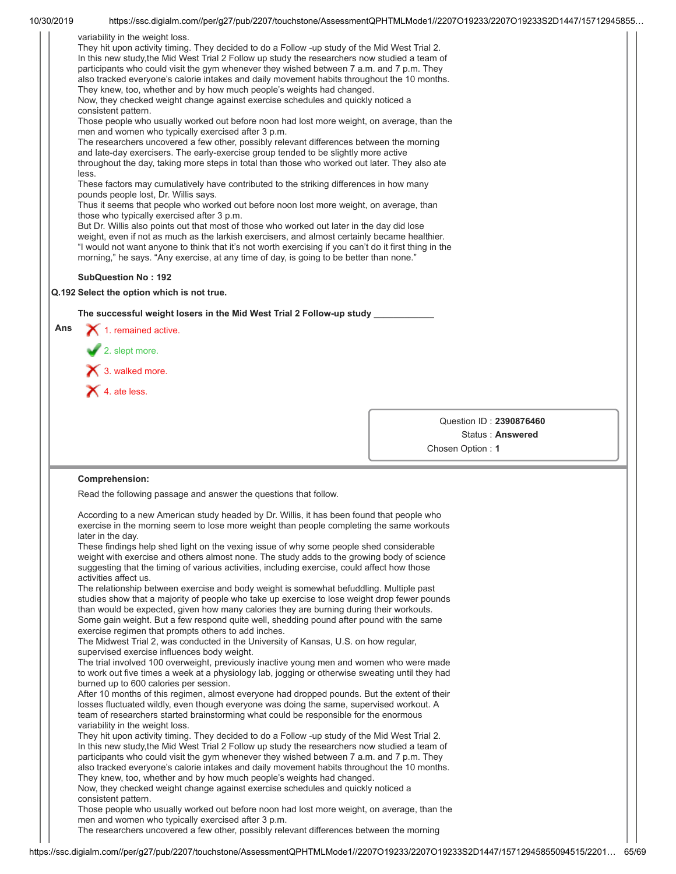| 10/30/2019 | https://ssc.digialm.com//per/g27/pub/2207/touchstone/AssessmentQPHTMLMode1//2207O19233/2207O19233S2D1447/15712945855                                                                                                                                                                                                                                                                                                                                                                                                                                                                                                                                                                                                                                                                                                                                                                                                                                                                                                                                                                                                                                                                                                                                                                                                                                                                                                                                                                                                                                                                                                                                                                                                                                                                                                                                                                                                                                                                                                                                                                                                                                                                                                                                                                                                          |
|------------|-------------------------------------------------------------------------------------------------------------------------------------------------------------------------------------------------------------------------------------------------------------------------------------------------------------------------------------------------------------------------------------------------------------------------------------------------------------------------------------------------------------------------------------------------------------------------------------------------------------------------------------------------------------------------------------------------------------------------------------------------------------------------------------------------------------------------------------------------------------------------------------------------------------------------------------------------------------------------------------------------------------------------------------------------------------------------------------------------------------------------------------------------------------------------------------------------------------------------------------------------------------------------------------------------------------------------------------------------------------------------------------------------------------------------------------------------------------------------------------------------------------------------------------------------------------------------------------------------------------------------------------------------------------------------------------------------------------------------------------------------------------------------------------------------------------------------------------------------------------------------------------------------------------------------------------------------------------------------------------------------------------------------------------------------------------------------------------------------------------------------------------------------------------------------------------------------------------------------------------------------------------------------------------------------------------------------------|
|            | variability in the weight loss.<br>They hit upon activity timing. They decided to do a Follow -up study of the Mid West Trial 2.<br>In this new study, the Mid West Trial 2 Follow up study the researchers now studied a team of<br>participants who could visit the gym whenever they wished between 7 a.m. and 7 p.m. They<br>also tracked everyone's calorie intakes and daily movement habits throughout the 10 months.<br>They knew, too, whether and by how much people's weights had changed.<br>Now, they checked weight change against exercise schedules and quickly noticed a<br>consistent pattern.<br>Those people who usually worked out before noon had lost more weight, on average, than the<br>men and women who typically exercised after 3 p.m.<br>The researchers uncovered a few other, possibly relevant differences between the morning<br>and late-day exercisers. The early-exercise group tended to be slightly more active<br>throughout the day, taking more steps in total than those who worked out later. They also ate<br>less.<br>These factors may cumulatively have contributed to the striking differences in how many<br>pounds people lost, Dr. Willis says.<br>Thus it seems that people who worked out before noon lost more weight, on average, than<br>those who typically exercised after 3 p.m.<br>But Dr. Willis also points out that most of those who worked out later in the day did lose<br>weight, even if not as much as the larkish exercisers, and almost certainly became healthier.<br>"I would not want anyone to think that it's not worth exercising if you can't do it first thing in the<br>morning," he says. "Any exercise, at any time of day, is going to be better than none."<br><b>SubQuestion No: 192</b><br>Q.192 Select the option which is not true.                                                                                                                                                                                                                                                                                                                                                                                                                                                                                                 |
|            | The successful weight losers in the Mid West Trial 2 Follow-up study _                                                                                                                                                                                                                                                                                                                                                                                                                                                                                                                                                                                                                                                                                                                                                                                                                                                                                                                                                                                                                                                                                                                                                                                                                                                                                                                                                                                                                                                                                                                                                                                                                                                                                                                                                                                                                                                                                                                                                                                                                                                                                                                                                                                                                                                        |
|            | Ans<br>$\blacktriangleright$ 1. remained active.<br>2. slept more.<br>13. walked more.<br>X 4. ate less.                                                                                                                                                                                                                                                                                                                                                                                                                                                                                                                                                                                                                                                                                                                                                                                                                                                                                                                                                                                                                                                                                                                                                                                                                                                                                                                                                                                                                                                                                                                                                                                                                                                                                                                                                                                                                                                                                                                                                                                                                                                                                                                                                                                                                      |
|            |                                                                                                                                                                                                                                                                                                                                                                                                                                                                                                                                                                                                                                                                                                                                                                                                                                                                                                                                                                                                                                                                                                                                                                                                                                                                                                                                                                                                                                                                                                                                                                                                                                                                                                                                                                                                                                                                                                                                                                                                                                                                                                                                                                                                                                                                                                                               |
|            | Question ID: 2390876460<br>Status: Answered<br>Chosen Option: 1                                                                                                                                                                                                                                                                                                                                                                                                                                                                                                                                                                                                                                                                                                                                                                                                                                                                                                                                                                                                                                                                                                                                                                                                                                                                                                                                                                                                                                                                                                                                                                                                                                                                                                                                                                                                                                                                                                                                                                                                                                                                                                                                                                                                                                                               |
|            | Comprehension:<br>Read the following passage and answer the questions that follow.<br>According to a new American study headed by Dr. Willis, it has been found that people who<br>exercise in the morning seem to lose more weight than people completing the same workouts<br>later in the day.<br>These findings help shed light on the vexing issue of why some people shed considerable<br>weight with exercise and others almost none. The study adds to the growing body of science<br>suggesting that the timing of various activities, including exercise, could affect how those<br>activities affect us.<br>The relationship between exercise and body weight is somewhat befuddling. Multiple past<br>studies show that a majority of people who take up exercise to lose weight drop fewer pounds<br>than would be expected, given how many calories they are burning during their workouts.<br>Some gain weight. But a few respond quite well, shedding pound after pound with the same<br>exercise regimen that prompts others to add inches.<br>The Midwest Trial 2, was conducted in the University of Kansas, U.S. on how regular,<br>supervised exercise influences body weight.<br>The trial involved 100 overweight, previously inactive young men and women who were made<br>to work out five times a week at a physiology lab, jogging or otherwise sweating until they had<br>burned up to 600 calories per session.<br>After 10 months of this regimen, almost everyone had dropped pounds. But the extent of their<br>losses fluctuated wildly, even though everyone was doing the same, supervised workout. A<br>team of researchers started brainstorming what could be responsible for the enormous<br>variability in the weight loss.<br>They hit upon activity timing. They decided to do a Follow -up study of the Mid West Trial 2.<br>In this new study, the Mid West Trial 2 Follow up study the researchers now studied a team of<br>participants who could visit the gym whenever they wished between 7 a.m. and 7 p.m. They<br>also tracked everyone's calorie intakes and daily movement habits throughout the 10 months.<br>They knew, too, whether and by how much people's weights had changed.<br>Now, they checked weight change against exercise schedules and quickly noticed a |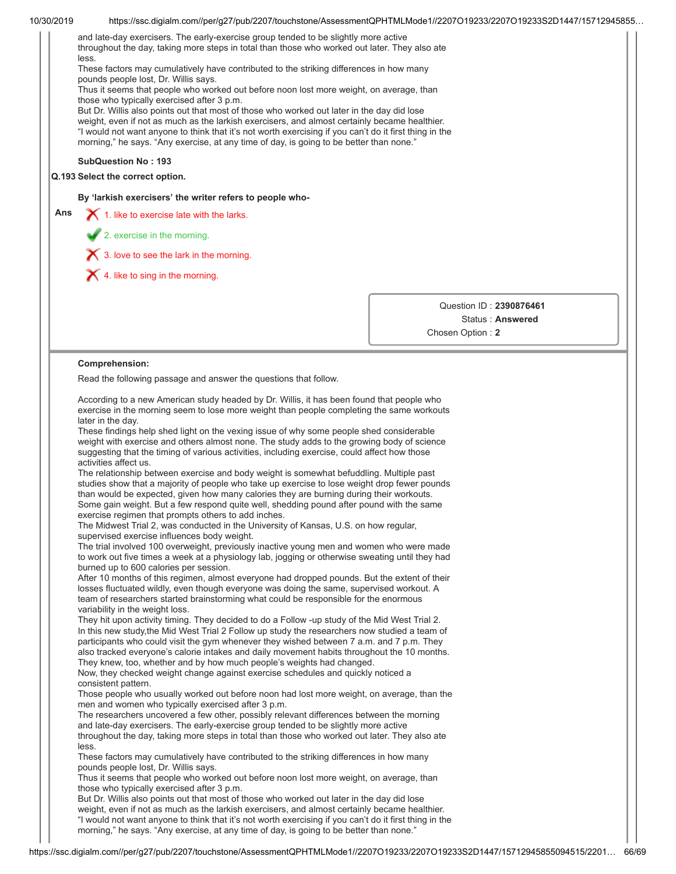10/30/2019 https://ssc.digialm.com//per/g27/pub/2207/touchstone/AssessmentQPHTMLMode1//2207O19233/2207O19233S2D1447/15712945855… https://ssc.digialm.com//per/g27/pub/2207/touchstone/AssessmentQPHTMLMode1//2207O19233/2207O19233S2D1447/15712945855094515/2201… 66/69 and late-day exercisers. The early-exercise group tended to be slightly more active throughout the day, taking more steps in total than those who worked out later. They also ate less. These factors may cumulatively have contributed to the striking differences in how many pounds people lost, Dr. Willis says. Thus it seems that people who worked out before noon lost more weight, on average, than those who typically exercised after 3 p.m. But Dr. Willis also points out that most of those who worked out later in the day did lose weight, even if not as much as the larkish exercisers, and almost certainly became healthier. "I would not want anyone to think that it's not worth exercising if you can't do it first thing in the morning," he says. "Any exercise, at any time of day, is going to be better than none." **SubQuestion No : 193 Q.193 Select the correct option. By 'larkish exercisers' the writer refers to people who-**Ans  $\sum$  1. like to exercise late with the larks. exercise in the morning. 3. love to see the lark in the morning. 4. like to sing in the morning. Question ID : **2390876461** Status : **Answered** Chosen Option : **2 Comprehension:** Read the following passage and answer the questions that follow. According to a new American study headed by Dr. Willis, it has been found that people who exercise in the morning seem to lose more weight than people completing the same workouts later in the day. These findings help shed light on the vexing issue of why some people shed considerable weight with exercise and others almost none. The study adds to the growing body of science suggesting that the timing of various activities, including exercise, could affect how those activities affect us. The relationship between exercise and body weight is somewhat befuddling. Multiple past studies show that a majority of people who take up exercise to lose weight drop fewer pounds than would be expected, given how many calories they are burning during their workouts. Some gain weight. But a few respond quite well, shedding pound after pound with the same exercise regimen that prompts others to add inches. The Midwest Trial 2, was conducted in the University of Kansas, U.S. on how regular, supervised exercise influences body weight. The trial involved 100 overweight, previously inactive young men and women who were made to work out five times a week at a physiology lab, jogging or otherwise sweating until they had burned up to 600 calories per session. After 10 months of this regimen, almost everyone had dropped pounds. But the extent of their losses fluctuated wildly, even though everyone was doing the same, supervised workout. A team of researchers started brainstorming what could be responsible for the enormous variability in the weight loss. They hit upon activity timing. They decided to do a Follow -up study of the Mid West Trial 2. In this new study,the Mid West Trial 2 Follow up study the researchers now studied a team of participants who could visit the gym whenever they wished between 7 a.m. and 7 p.m. They also tracked everyone's calorie intakes and daily movement habits throughout the 10 months. They knew, too, whether and by how much people's weights had changed. Now, they checked weight change against exercise schedules and quickly noticed a consistent pattern. Those people who usually worked out before noon had lost more weight, on average, than the men and women who typically exercised after 3 p.m. The researchers uncovered a few other, possibly relevant differences between the morning and late-day exercisers. The early-exercise group tended to be slightly more active throughout the day, taking more steps in total than those who worked out later. They also ate less. These factors may cumulatively have contributed to the striking differences in how many pounds people lost, Dr. Willis says. Thus it seems that people who worked out before noon lost more weight, on average, than those who typically exercised after 3 p.m. But Dr. Willis also points out that most of those who worked out later in the day did lose weight, even if not as much as the larkish exercisers, and almost certainly became healthier. "I would not want anyone to think that it's not worth exercising if you can't do it first thing in the morning," he says. "Any exercise, at any time of day, is going to be better than none."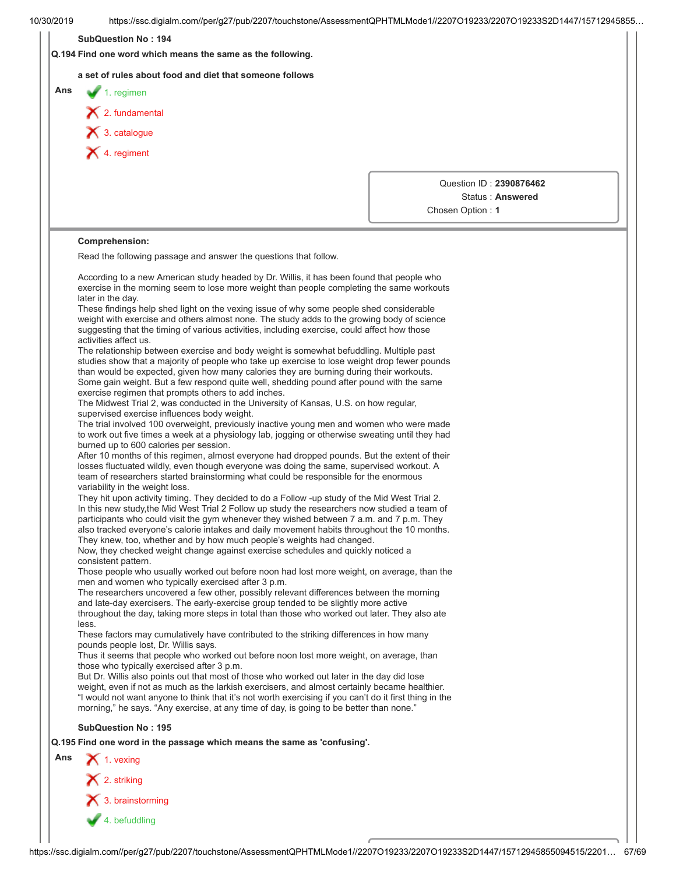10/30/2019 https://ssc.digialm.com//per/g27/pub/2207/touchstone/AssessmentQPHTMLMode1//2207O19233/2207O19233S2D1447/15712945855… **SubQuestion No : 194 Q.194 Find one word which means the same as the following. a set of rules about food and diet that someone follows** Ans 1. regimen 2. fundamental 3. catalogue 4. regiment Question ID : **2390876462** Status : **Answered** Chosen Option : **1 Comprehension:** Read the following passage and answer the questions that follow. According to a new American study headed by Dr. Willis, it has been found that people who exercise in the morning seem to lose more weight than people completing the same workouts later in the day. These findings help shed light on the vexing issue of why some people shed considerable weight with exercise and others almost none. The study adds to the growing body of science suggesting that the timing of various activities, including exercise, could affect how those activities affect us. The relationship between exercise and body weight is somewhat befuddling. Multiple past studies show that a majority of people who take up exercise to lose weight drop fewer pounds than would be expected, given how many calories they are burning during their workouts. Some gain weight. But a few respond quite well, shedding pound after pound with the same exercise regimen that prompts others to add inches. The Midwest Trial 2, was conducted in the University of Kansas, U.S. on how regular, supervised exercise influences body weight. The trial involved 100 overweight, previously inactive young men and women who were made to work out five times a week at a physiology lab, jogging or otherwise sweating until they had burned up to 600 calories per session. After 10 months of this regimen, almost everyone had dropped pounds. But the extent of their losses fluctuated wildly, even though everyone was doing the same, supervised workout. A team of researchers started brainstorming what could be responsible for the enormous variability in the weight loss. They hit upon activity timing. They decided to do a Follow -up study of the Mid West Trial 2. In this new study,the Mid West Trial 2 Follow up study the researchers now studied a team of participants who could visit the gym whenever they wished between 7 a.m. and 7 p.m. They also tracked everyone's calorie intakes and daily movement habits throughout the 10 months. They knew, too, whether and by how much people's weights had changed. Now, they checked weight change against exercise schedules and quickly noticed a consistent pattern. Those people who usually worked out before noon had lost more weight, on average, than the men and women who typically exercised after 3 p.m.

The researchers uncovered a few other, possibly relevant differences between the morning and late-day exercisers. The early-exercise group tended to be slightly more active throughout the day, taking more steps in total than those who worked out later. They also ate less.

These factors may cumulatively have contributed to the striking differences in how many pounds people lost, Dr. Willis says.

Thus it seems that people who worked out before noon lost more weight, on average, than those who typically exercised after 3 p.m.

But Dr. Willis also points out that most of those who worked out later in the day did lose weight, even if not as much as the larkish exercisers, and almost certainly became healthier. "I would not want anyone to think that it's not worth exercising if you can't do it first thing in the morning," he says. "Any exercise, at any time of day, is going to be better than none."

## **SubQuestion No : 195**

**Q.195 Find one word in the passage which means the same as 'confusing'.**

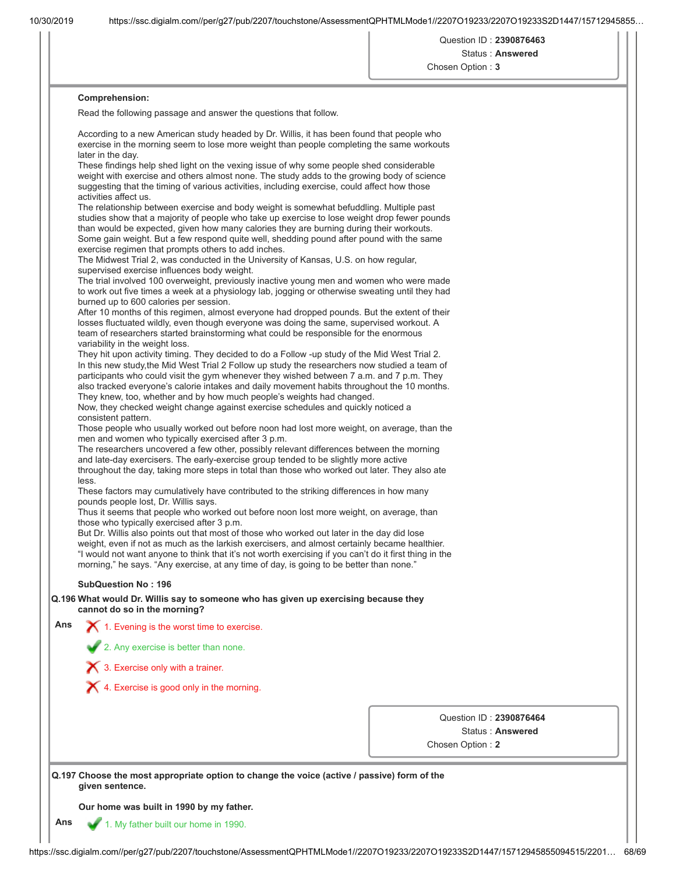Question ID : **2390876463**

Status : **Answered**

Chosen Option : **3**

## **Comprehension:**

|     | Read the following passage and answer the questions that follow.                                                                                                                                                                                                                                                                                                               |
|-----|--------------------------------------------------------------------------------------------------------------------------------------------------------------------------------------------------------------------------------------------------------------------------------------------------------------------------------------------------------------------------------|
|     | According to a new American study headed by Dr. Willis, it has been found that people who<br>exercise in the morning seem to lose more weight than people completing the same workouts<br>later in the day.                                                                                                                                                                    |
|     | These findings help shed light on the vexing issue of why some people shed considerable<br>weight with exercise and others almost none. The study adds to the growing body of science                                                                                                                                                                                          |
|     | suggesting that the timing of various activities, including exercise, could affect how those<br>activities affect us.                                                                                                                                                                                                                                                          |
|     | The relationship between exercise and body weight is somewhat befuddling. Multiple past<br>studies show that a majority of people who take up exercise to lose weight drop fewer pounds<br>than would be expected, given how many calories they are burning during their workouts.<br>Some gain weight. But a few respond quite well, shedding pound after pound with the same |
|     | exercise regimen that prompts others to add inches.<br>The Midwest Trial 2, was conducted in the University of Kansas, U.S. on how regular,                                                                                                                                                                                                                                    |
|     | supervised exercise influences body weight.                                                                                                                                                                                                                                                                                                                                    |
|     | The trial involved 100 overweight, previously inactive young men and women who were made<br>to work out five times a week at a physiology lab, jogging or otherwise sweating until they had<br>burned up to 600 calories per session.                                                                                                                                          |
|     | After 10 months of this regimen, almost everyone had dropped pounds. But the extent of their<br>losses fluctuated wildly, even though everyone was doing the same, supervised workout. A                                                                                                                                                                                       |
|     | team of researchers started brainstorming what could be responsible for the enormous<br>variability in the weight loss.                                                                                                                                                                                                                                                        |
|     | They hit upon activity timing. They decided to do a Follow -up study of the Mid West Trial 2.                                                                                                                                                                                                                                                                                  |
|     | In this new study, the Mid West Trial 2 Follow up study the researchers now studied a team of<br>participants who could visit the gym whenever they wished between 7 a.m. and 7 p.m. They                                                                                                                                                                                      |
|     | also tracked everyone's calorie intakes and daily movement habits throughout the 10 months.                                                                                                                                                                                                                                                                                    |
|     | They knew, too, whether and by how much people's weights had changed.<br>Now, they checked weight change against exercise schedules and quickly noticed a                                                                                                                                                                                                                      |
|     | consistent pattern.                                                                                                                                                                                                                                                                                                                                                            |
|     | Those people who usually worked out before noon had lost more weight, on average, than the                                                                                                                                                                                                                                                                                     |
|     | men and women who typically exercised after 3 p.m.<br>The researchers uncovered a few other, possibly relevant differences between the morning                                                                                                                                                                                                                                 |
|     | and late-day exercisers. The early-exercise group tended to be slightly more active                                                                                                                                                                                                                                                                                            |
|     | throughout the day, taking more steps in total than those who worked out later. They also ate<br>less.                                                                                                                                                                                                                                                                         |
|     | These factors may cumulatively have contributed to the striking differences in how many                                                                                                                                                                                                                                                                                        |
|     | pounds people lost, Dr. Willis says.                                                                                                                                                                                                                                                                                                                                           |
|     | Thus it seems that people who worked out before noon lost more weight, on average, than<br>those who typically exercised after 3 p.m.                                                                                                                                                                                                                                          |
|     | But Dr. Willis also points out that most of those who worked out later in the day did lose                                                                                                                                                                                                                                                                                     |
|     | weight, even if not as much as the larkish exercisers, and almost certainly became healthier.                                                                                                                                                                                                                                                                                  |
|     | "I would not want anyone to think that it's not worth exercising if you can't do it first thing in the<br>morning," he says. "Any exercise, at any time of day, is going to be better than none."                                                                                                                                                                              |
|     | <b>SubQuestion No: 196</b>                                                                                                                                                                                                                                                                                                                                                     |
|     | Q.196 What would Dr. Willis say to someone who has given up exercising because they<br>cannot do so in the morning?                                                                                                                                                                                                                                                            |
| Ans | 1. Evening is the worst time to exercise.                                                                                                                                                                                                                                                                                                                                      |
|     | 2. Any exercise is better than none.                                                                                                                                                                                                                                                                                                                                           |
|     | $\boldsymbol{\times}$ 3. Exercise only with a trainer.                                                                                                                                                                                                                                                                                                                         |
|     | $\boldsymbol{\times}$ 4. Exercise is good only in the morning.                                                                                                                                                                                                                                                                                                                 |
|     | Question ID: 2390876464                                                                                                                                                                                                                                                                                                                                                        |
|     | Status: Answered                                                                                                                                                                                                                                                                                                                                                               |
|     | Chosen Option: 2                                                                                                                                                                                                                                                                                                                                                               |
|     |                                                                                                                                                                                                                                                                                                                                                                                |
|     | Q.197 Choose the most appropriate option to change the voice (active / passive) form of the                                                                                                                                                                                                                                                                                    |
|     | given sentence.                                                                                                                                                                                                                                                                                                                                                                |
|     | Our home was built in 1990 by my father.                                                                                                                                                                                                                                                                                                                                       |
| Ans | 1. My father built our home in 1990.                                                                                                                                                                                                                                                                                                                                           |